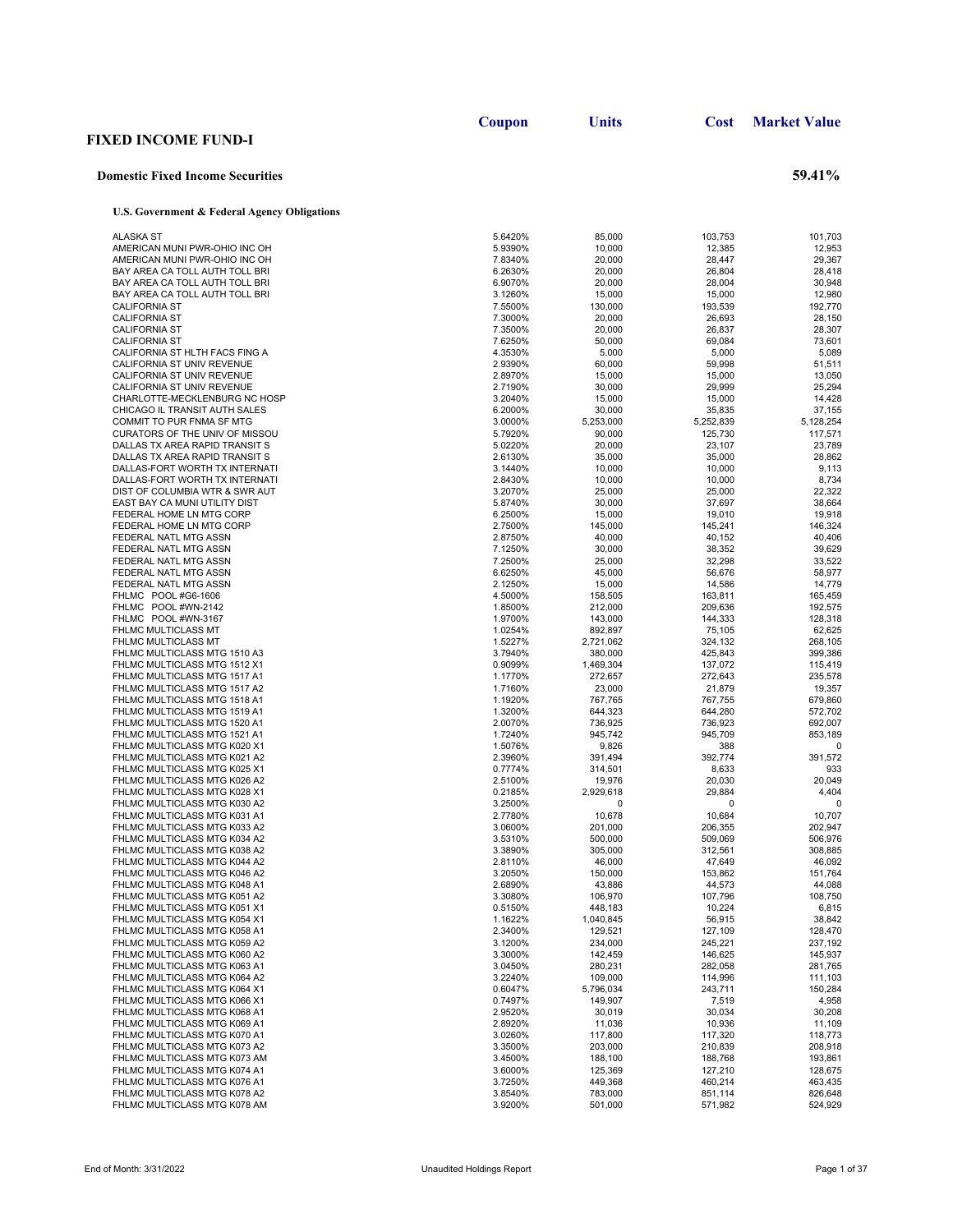|                                                                  | Coupon             | <b>Units</b>       | Cost               | <b>Market Value</b> |
|------------------------------------------------------------------|--------------------|--------------------|--------------------|---------------------|
| <b>FIXED INCOME FUND-I</b>                                       |                    |                    |                    |                     |
| <b>Domestic Fixed Income Securities</b>                          |                    |                    |                    | 59.41%              |
| U.S. Government & Federal Agency Obligations                     |                    |                    |                    |                     |
| <b>ALASKA ST</b>                                                 | 5.6420%            | 85,000             | 103,753            | 101,703             |
| AMERICAN MUNI PWR-OHIO INC OH                                    | 5.9390%            | 10,000             | 12,385             | 12,953              |
| AMERICAN MUNI PWR-OHIO INC OH                                    | 7.8340%            | 20,000             | 28,447             | 29,367              |
| BAY AREA CA TOLL AUTH TOLL BRI                                   | 6.2630%            | 20,000             | 26,804             | 28,418              |
| BAY AREA CA TOLL AUTH TOLL BRI                                   | 6.9070%            | 20,000             | 28,004             | 30,948              |
| BAY AREA CA TOLL AUTH TOLL BRI<br><b>CALIFORNIA ST</b>           | 3.1260%<br>7.5500% | 15,000<br>130,000  | 15,000<br>193,539  | 12,980<br>192,770   |
| <b>CALIFORNIA ST</b>                                             | 7.3000%            | 20,000             | 26,693             | 28,150              |
| <b>CALIFORNIA ST</b>                                             | 7.3500%            | 20,000             | 26,837             | 28,307              |
| <b>CALIFORNIA ST</b>                                             | 7.6250%            | 50,000             | 69,084             | 73,601              |
| CALIFORNIA ST HLTH FACS FING A                                   | 4.3530%            | 5,000              | 5,000              | 5,089               |
| CALIFORNIA ST UNIV REVENUE                                       | 2.9390%            | 60,000             | 59,998             | 51,511              |
| CALIFORNIA ST UNIV REVENUE                                       | 2.8970%            | 15,000             | 15,000             | 13,050              |
| CALIFORNIA ST UNIV REVENUE<br>CHARLOTTE-MECKLENBURG NC HOSP      | 2.7190%<br>3.2040% | 30,000<br>15,000   | 29,999<br>15,000   | 25,294<br>14,428    |
| CHICAGO IL TRANSIT AUTH SALES                                    | 6.2000%            | 30,000             | 35,835             | 37,155              |
| COMMIT TO PUR FNMA SF MTG                                        | 3.0000%            | 5,253,000          | 5,252,839          | 5,128,254           |
| CURATORS OF THE UNIV OF MISSOU                                   | 5.7920%            | 90,000             | 125,730            | 117,571             |
| DALLAS TX AREA RAPID TRANSIT S                                   | 5.0220%            | 20,000             | 23.107             | 23,789              |
| DALLAS TX AREA RAPID TRANSIT S                                   | 2.6130%            | 35,000             | 35,000             | 28,862              |
| DALLAS-FORT WORTH TX INTERNATI                                   | 3.1440%            | 10,000             | 10,000             | 9,113               |
| DALLAS-FORT WORTH TX INTERNATI<br>DIST OF COLUMBIA WTR & SWR AUT | 2.8430%            | 10,000             | 10,000             | 8,734<br>22,322     |
| EAST BAY CA MUNI UTILITY DIST                                    | 3.2070%<br>5.8740% | 25,000<br>30,000   | 25,000<br>37,697   | 38,664              |
| FEDERAL HOME LN MTG CORP                                         | 6.2500%            | 15,000             | 19,010             | 19,918              |
| FEDERAL HOME LN MTG CORP                                         | 2.7500%            | 145.000            | 145,241            | 146,324             |
| FEDERAL NATL MTG ASSN                                            | 2.8750%            | 40,000             | 40,152             | 40,406              |
| FEDERAL NATL MTG ASSN                                            | 7.1250%            | 30,000             | 38,352             | 39,629              |
| FEDERAL NATL MTG ASSN                                            | 7.2500%            | 25,000             | 32,298             | 33,522              |
| FEDERAL NATL MTG ASSN                                            | 6.6250%            | 45,000             | 56,676             | 58,977              |
| FEDERAL NATL MTG ASSN<br>FHLMC POOL #G6-1606                     | 2.1250%<br>4.5000% | 15,000<br>158,505  | 14,586<br>163,811  | 14,779<br>165,459   |
| FHLMC POOL #WN-2142                                              | 1.8500%            | 212,000            | 209,636            | 192,575             |
| FHLMC POOL #WN-3167                                              | 1.9700%            | 143,000            | 144,333            | 128,318             |
| FHLMC MULTICLASS MT                                              | 1.0254%            | 892,897            | 75,105             | 62,625              |
| FHLMC MULTICLASS MT                                              | 1.5227%            | 2,721,062          | 324,132            | 268,105             |
| FHLMC MULTICLASS MTG 1510 A3                                     | 3.7940%            | 380,000            | 425,843            | 399,386             |
| FHLMC MULTICLASS MTG 1512 X1                                     | 0.9099%            | 1,469,304          | 137,072            | 115,419             |
| FHLMC MULTICLASS MTG 1517 A1<br>FHLMC MULTICLASS MTG 1517 A2     | 1.1770%<br>1.7160% | 272,657<br>23,000  | 272,643<br>21,879  | 235,578<br>19,357   |
| FHLMC MULTICLASS MTG 1518 A1                                     | 1.1920%            | 767,765            | 767,755            | 679,860             |
| FHLMC MULTICLASS MTG 1519 A1                                     | 1.3200%            | 644,323            | 644,280            | 572,702             |
| FHLMC MULTICLASS MTG 1520 A1                                     | 2.0070%            | 736,925            | 736,923            | 692,007             |
| FHLMC MULTICLASS MTG 1521 A1                                     | 1.7240%            | 945,742            | 945,709            | 853,189             |
| FHLMC MULTICLASS MTG K020 X1                                     | 1.5076%            | 9,826              | 388                | 0                   |
| FHLMC MULTICLASS MTG K021 A2<br>FHLMC MULTICLASS MTG K025 X1     | 2.3960%            | 391,494<br>314,501 | 392,774<br>8,633   | 391,572<br>933      |
| FHLMC MULTICLASS MTG K026 A2                                     | 0.7774%<br>2.5100% | 19,976             | 20,030             | 20,049              |
| FHLMC MULTICLASS MTG K028 X1                                     | 0.2185%            | 2,929,618          | 29,884             | 4,404               |
| FHLMC MULTICLASS MTG K030 A2                                     | 3.2500%            | 0                  | 0                  | 0                   |
| FHLMC MULTICLASS MTG K031 A1                                     | 2.7780%            | 10,678             | 10,684             | 10,707              |
| FHLMC MULTICLASS MTG K033 A2                                     | 3.0600%            | 201,000            | 206,355            | 202,947             |
| FHLMC MULTICLASS MTG K034 A2                                     | 3.5310%            | 500,000            | 509,069            | 506,976             |
| FHLMC MULTICLASS MTG K038 A2<br>FHLMC MULTICLASS MTG K044 A2     | 3.3890%<br>2.8110% | 305,000<br>46,000  | 312,561<br>47,649  | 308,885<br>46,092   |
| FHLMC MULTICLASS MTG K046 A2                                     | 3.2050%            | 150,000            | 153,862            | 151,764             |
| FHLMC MULTICLASS MTG K048 A1                                     | 2.6890%            | 43,886             | 44,573             | 44,088              |
| FHLMC MULTICLASS MTG K051 A2                                     | 3.3080%            | 106,970            | 107,796            | 108,750             |
| FHLMC MULTICLASS MTG K051 X1                                     | 0.5150%            | 448,183            | 10,224             | 6,815               |
| FHLMC MULTICLASS MTG K054 X1                                     | 1.1622%            | 1,040,845          | 56,915             | 38,842              |
| FHLMC MULTICLASS MTG K058 A1<br>FHLMC MULTICLASS MTG K059 A2     | 2.3400%<br>3.1200% | 129,521<br>234,000 | 127,109<br>245,221 | 128,470<br>237,192  |
| FHLMC MULTICLASS MTG K060 A2                                     | 3.3000%            | 142,459            | 146,625            | 145,937             |
| FHLMC MULTICLASS MTG K063 A1                                     | 3.0450%            | 280,231            | 282,058            | 281,765             |
| FHLMC MULTICLASS MTG K064 A2                                     | 3.2240%            | 109,000            | 114,996            | 111,103             |
| FHLMC MULTICLASS MTG K064 X1                                     | 0.6047%            | 5,796,034          | 243,711            | 150,284             |
| FHLMC MULTICLASS MTG K066 X1                                     | 0.7497%            | 149,907            | 7,519              | 4,958               |
| FHLMC MULTICLASS MTG K068 A1                                     | 2.9520%            | 30,019             | 30,034             | 30,208              |
| FHLMC MULTICLASS MTG K069 A1<br>FHLMC MULTICLASS MTG K070 A1     | 2.8920%<br>3.0260% | 11,036             | 10,936             | 11,109<br>118,773   |
| FHLMC MULTICLASS MTG K073 A2                                     | 3.3500%            | 117,800<br>203,000 | 117,320<br>210,839 | 208,918             |
| FHLMC MULTICLASS MTG K073 AM                                     | 3.4500%            | 188,100            | 188,768            | 193,861             |
| FHLMC MULTICLASS MTG K074 A1                                     | 3.6000%            | 125,369            | 127,210            | 128,675             |
| FHLMC MULTICLASS MTG K076 A1                                     | 3.7250%            | 449,368            | 460,214            | 463,435             |
| FHLMC MULTICLASS MTG K078 A2                                     | 3.8540%            | 783,000            | 851,114            | 826,648             |
| FHLMC MULTICLASS MTG K078 AM                                     | 3.9200%            | 501,000            | 571,982            | 524,929             |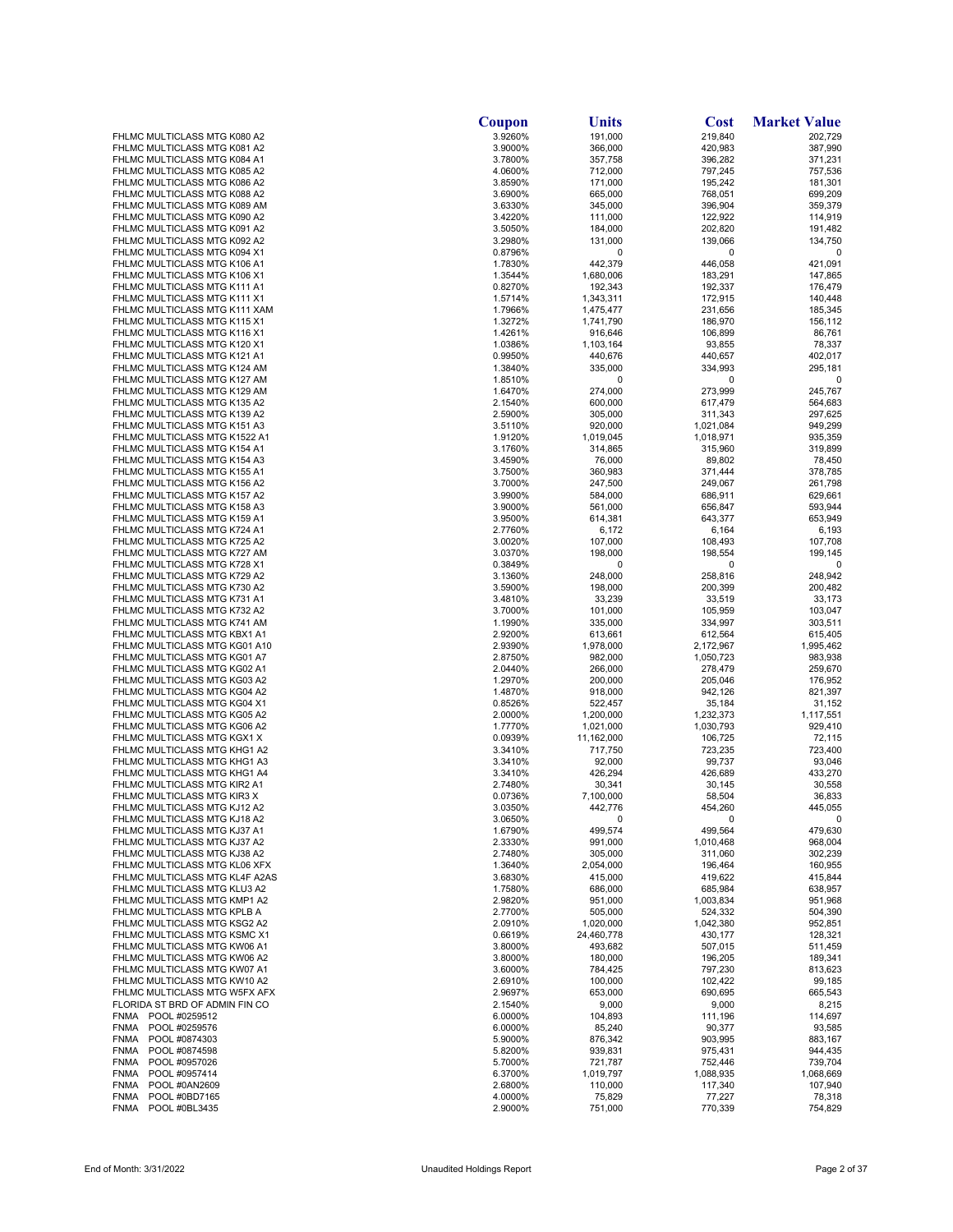|                                                              | Coupon             | Units                   | <b>Cost</b>          | <b>Market Value</b> |
|--------------------------------------------------------------|--------------------|-------------------------|----------------------|---------------------|
| FHLMC MULTICLASS MTG K080 A2                                 | 3.9260%            | 191,000                 | 219,840              | 202,729             |
| FHLMC MULTICLASS MTG K081 A2                                 | 3.9000%            | 366,000                 | 420,983              | 387,990             |
| FHLMC MULTICLASS MTG K084 A1<br>FHLMC MULTICLASS MTG K085 A2 | 3.7800%<br>4.0600% | 357,758<br>712,000      | 396,282<br>797,245   | 371,231<br>757,536  |
| FHLMC MULTICLASS MTG K086 A2                                 | 3.8590%            | 171,000                 | 195,242              | 181,301             |
| FHLMC MULTICLASS MTG K088 A2                                 | 3.6900%            | 665,000                 | 768,051              | 699,209             |
| FHLMC MULTICLASS MTG K089 AM                                 | 3.6330%            | 345,000                 | 396,904              | 359,379             |
| FHLMC MULTICLASS MTG K090 A2                                 | 3.4220%            | 111,000                 | 122,922              | 114,919             |
| FHLMC MULTICLASS MTG K091 A2                                 | 3.5050%            | 184,000                 | 202,820              | 191,482             |
| FHLMC MULTICLASS MTG K092 A2                                 | 3.2980%            | 131,000                 | 139,066              | 134,750             |
| FHLMC MULTICLASS MTG K094 X1                                 | 0.8796%            | 0                       | 0                    | 0                   |
| FHLMC MULTICLASS MTG K106 A1<br>FHLMC MULTICLASS MTG K106 X1 | 1.7830%<br>1.3544% | 442,379<br>1,680,006    | 446,058<br>183,291   | 421,091<br>147,865  |
| FHLMC MULTICLASS MTG K111 A1                                 | 0.8270%            | 192,343                 | 192,337              | 176,479             |
| FHLMC MULTICLASS MTG K111 X1                                 | 1.5714%            | 1,343,311               | 172,915              | 140,448             |
| FHLMC MULTICLASS MTG K111 XAM                                | 1.7966%            | 1,475,477               | 231,656              | 185,345             |
| FHLMC MULTICLASS MTG K115 X1                                 | 1.3272%            | 1,741,790               | 186,970              | 156,112             |
| FHLMC MULTICLASS MTG K116 X1                                 | 1.4261%            | 916,646                 | 106,899              | 86,761              |
| FHLMC MULTICLASS MTG K120 X1                                 | 1.0386%            | 1,103,164               | 93,855               | 78,337              |
| FHLMC MULTICLASS MTG K121 A1                                 | 0.9950%            | 440,676                 | 440,657              | 402,017             |
| FHLMC MULTICLASS MTG K124 AM                                 | 1.3840%            | 335,000                 | 334,993              | 295,181             |
| FHLMC MULTICLASS MTG K127 AM<br>FHLMC MULTICLASS MTG K129 AM | 1.8510%<br>1.6470% | 0<br>274,000            | 0<br>273,999         | 0<br>245,767        |
| FHLMC MULTICLASS MTG K135 A2                                 | 2.1540%            | 600,000                 | 617,479              | 564,683             |
| FHLMC MULTICLASS MTG K139 A2                                 | 2.5900%            | 305,000                 | 311,343              | 297,625             |
| FHLMC MULTICLASS MTG K151 A3                                 | 3.5110%            | 920,000                 | 1,021,084            | 949,299             |
| FHLMC MULTICLASS MTG K1522 A1                                | 1.9120%            | 1,019,045               | 1,018,971            | 935,359             |
| FHLMC MULTICLASS MTG K154 A1                                 | 3.1760%            | 314,865                 | 315,960              | 319,899             |
| FHLMC MULTICLASS MTG K154 A3                                 | 3.4590%            | 76,000                  | 89,802               | 78,450              |
| FHLMC MULTICLASS MTG K155 A1                                 | 3.7500%            | 360,983                 | 371,444              | 378,785             |
| FHLMC MULTICLASS MTG K156 A2                                 | 3.7000%            | 247,500                 | 249,067              | 261,798             |
| FHLMC MULTICLASS MTG K157 A2                                 | 3.9900%            | 584,000                 | 686,911              | 629,661             |
| FHLMC MULTICLASS MTG K158 A3                                 | 3.9000%            | 561,000                 | 656,847              | 593,944             |
| FHLMC MULTICLASS MTG K159 A1                                 | 3.9500%            | 614,381                 | 643,377              | 653,949             |
| FHLMC MULTICLASS MTG K724 A1                                 | 2.7760%            | 6,172                   | 6,164                | 6,193               |
| FHLMC MULTICLASS MTG K725 A2                                 | 3.0020%            | 107,000                 | 108,493              | 107,708             |
| FHLMC MULTICLASS MTG K727 AM                                 | 3.0370%            | 198,000<br>0            | 198,554              | 199,145<br>C        |
| FHLMC MULTICLASS MTG K728 X1<br>FHLMC MULTICLASS MTG K729 A2 | 0.3849%<br>3.1360% | 248,000                 | 0<br>258,816         | 248,942             |
| FHLMC MULTICLASS MTG K730 A2                                 | 3.5900%            | 198,000                 | 200,399              | 200,482             |
| FHLMC MULTICLASS MTG K731 A1                                 | 3.4810%            | 33,239                  | 33,519               | 33,173              |
| FHLMC MULTICLASS MTG K732 A2                                 | 3.7000%            | 101,000                 | 105,959              | 103,047             |
| FHLMC MULTICLASS MTG K741 AM                                 | 1.1990%            | 335,000                 | 334,997              | 303,511             |
| FHLMC MULTICLASS MTG KBX1 A1                                 | 2.9200%            | 613,661                 | 612,564              | 615,405             |
| FHLMC MULTICLASS MTG KG01 A10                                | 2.9390%            | 1,978,000               | 2,172,967            | 1,995,462           |
| FHLMC MULTICLASS MTG KG01 A7                                 | 2.8750%            | 982,000                 | 1,050,723            | 983,938             |
| FHLMC MULTICLASS MTG KG02 A1                                 | 2.0440%            | 266,000                 | 278,479              | 259,670             |
| FHLMC MULTICLASS MTG KG03 A2                                 | 1.2970%            | 200,000                 | 205,046              | 176,952             |
| FHLMC MULTICLASS MTG KG04 A2                                 | 1.4870%            | 918,000                 | 942,126              | 821,397             |
| FHLMC MULTICLASS MTG KG04 X1                                 | 0.8526%            | 522,457                 | 35,184               | 31,152              |
| FHLMC MULTICLASS MTG KG05 A2                                 | 2.0000%            | 1,200,000               | 1,232,373            | 1,117,551           |
| FHLMC MULTICLASS MTG KG06 A2<br>FHLMC MULTICLASS MTG KGX1 X  | 1.7770%<br>0.0939% | 1,021,000<br>11,162,000 | 1,030,793<br>106,725 | 929.410<br>72,115   |
| FHLMC MULTICLASS MTG KHG1 A2                                 | 3.3410%            | 717,750                 | 723,235              | 723,400             |
| FHLMC MULTICLASS MTG KHG1 A3                                 | 3.3410%            | 92,000                  | 99,737               | 93,046              |
| FHLMC MULTICLASS MTG KHG1 A4                                 | 3.3410%            | 426,294                 | 426,689              | 433,270             |
| FHLMC MULTICLASS MTG KIR2 A1                                 | 2.7480%            | 30,341                  | 30,145               | 30,558              |
| FHLMC MULTICLASS MTG KIR3 X                                  | 0.0736%            | 7,100,000               | 58,504               | 36,833              |
| FHLMC MULTICLASS MTG KJ12 A2                                 | 3.0350%            | 442,776                 | 454,260              | 445,055             |
| FHLMC MULTICLASS MTG KJ18 A2                                 | 3.0650%            | 0                       | 0                    | 0                   |
| FHLMC MULTICLASS MTG KJ37 A1                                 | 1.6790%            | 499,574                 | 499,564              | 479,630             |
| FHLMC MULTICLASS MTG KJ37 A2                                 | 2.3330%            | 991,000                 | 1,010,468            | 968,004             |
| FHLMC MULTICLASS MTG KJ38 A2                                 | 2.7480%            | 305,000                 | 311,060              | 302,239             |
| FHLMC MULTICLASS MTG KL06 XFX                                | 1.3640%            | 2,054,000               | 196,464              | 160,955             |
| FHLMC MULTICLASS MTG KL4F A2AS                               | 3.6830%            | 415,000                 | 419,622              | 415,844             |
| FHLMC MULTICLASS MTG KLU3 A2                                 | 1.7580%            | 686,000                 | 685,984              | 638,957             |
| FHLMC MULTICLASS MTG KMP1 A2<br>FHLMC MULTICLASS MTG KPLB A  | 2.9820%            | 951,000<br>505,000      | 1,003,834<br>524,332 | 951,968<br>504,390  |
| FHLMC MULTICLASS MTG KSG2 A2                                 | 2.7700%<br>2.0910% | 1,020,000               | 1,042,380            | 952,851             |
| FHLMC MULTICLASS MTG KSMC X1                                 | 0.6619%            | 24,460,778              | 430,177              | 128,321             |
| FHLMC MULTICLASS MTG KW06 A1                                 | 3.8000%            | 493,682                 | 507,015              | 511,459             |
| FHLMC MULTICLASS MTG KW06 A2                                 | 3.8000%            | 180,000                 | 196,205              | 189,341             |
| FHLMC MULTICLASS MTG KW07 A1                                 | 3.6000%            | 784,425                 | 797,230              | 813,623             |
| FHLMC MULTICLASS MTG KW10 A2                                 | 2.6910%            | 100,000                 | 102,422              | 99,185              |
| FHLMC MULTICLASS MTG W5FX AFX                                | 2.9697%            | 653,000                 | 690,695              | 665,543             |
| FLORIDA ST BRD OF ADMIN FIN CO                               | 2.1540%            | 9,000                   | 9,000                | 8,215               |
| POOL #0259512<br>FNMA                                        | 6.0000%            | 104,893                 | 111,196              | 114,697             |
| <b>FNMA</b><br>POOL #0259576                                 | 6.0000%            | 85,240                  | 90,377               | 93,585              |
| <b>FNMA</b><br>POOL #0874303                                 | 5.9000%            | 876,342                 | 903,995              | 883,167             |
| <b>FNMA</b><br>POOL #0874598                                 | 5.8200%            | 939,831                 | 975,431              | 944,435             |
| <b>FNMA</b><br>POOL #0957026                                 | 5.7000%            | 721,787                 | 752,446              | 739,704             |
| <b>FNMA</b><br>POOL #0957414                                 | 6.3700%            | 1,019,797               | 1,088,935            | 1,068,669           |
| <b>FNMA</b><br>POOL #0AN2609<br>POOL #0BD7165<br><b>FNMA</b> | 2.6800%<br>4.0000% | 110,000<br>75,829       | 117,340<br>77,227    | 107,940<br>78,318   |
| <b>FNMA</b><br>POOL #0BL3435                                 | 2.9000%            | 751,000                 | 770,339              | 754,829             |
|                                                              |                    |                         |                      |                     |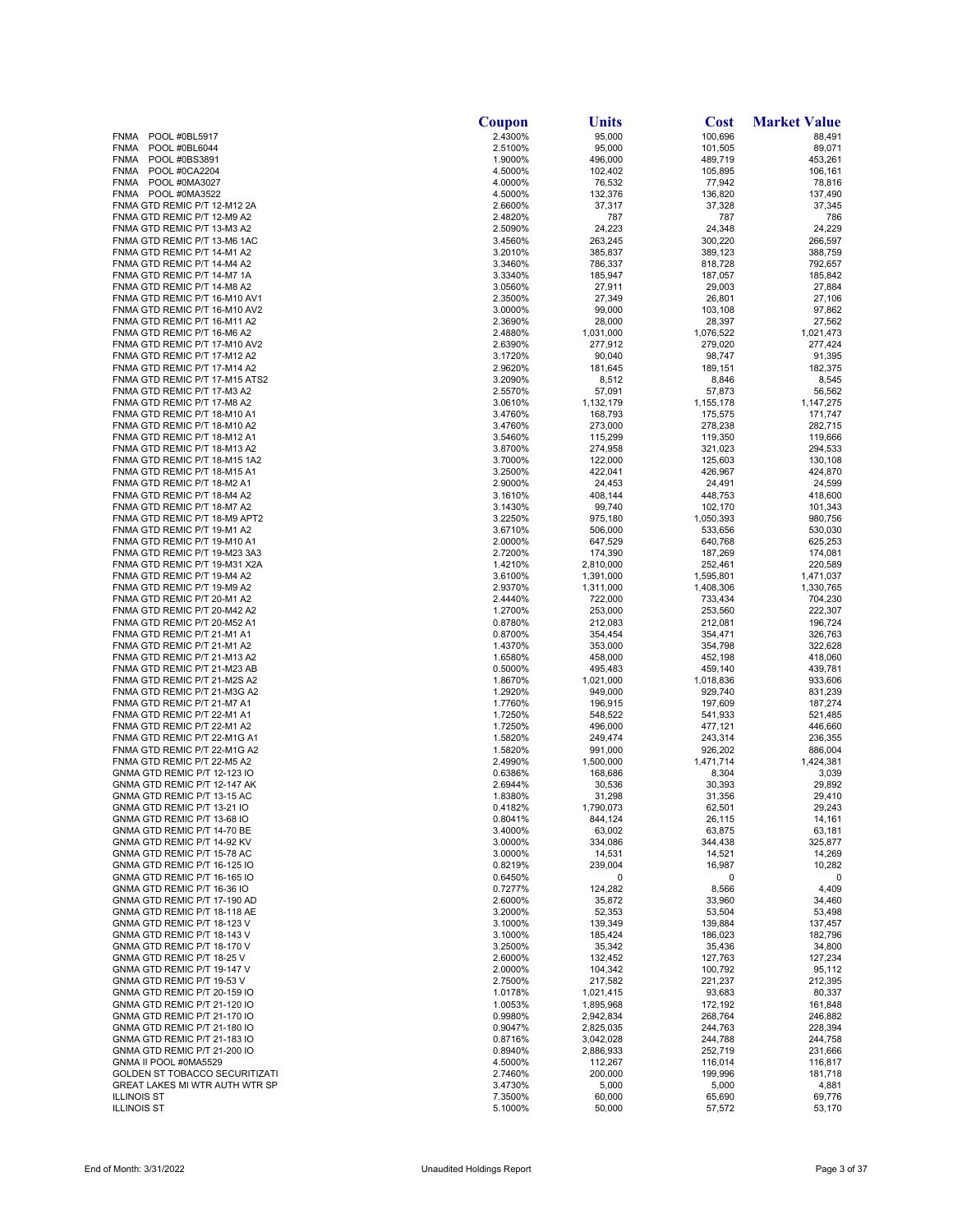|                                                                | Coupon             | Units                  | <b>Cost</b>        | <b>Market Value</b> |
|----------------------------------------------------------------|--------------------|------------------------|--------------------|---------------------|
| <b>FNMA</b><br>POOL #0BL5917                                   | 2.4300%            | 95,000                 | 100,696            | 88,491              |
| <b>FNMA</b><br>POOL #0BL6044                                   | 2.5100%            | 95,000                 | 101,505            | 89,071              |
| POOL #0BS3891<br><b>FNMA</b><br>POOL #0CA2204<br><b>FNMA</b>   | 1.9000%            | 496,000<br>102,402     | 489,719<br>105,895 | 453,261<br>106,161  |
| <b>FNMA</b><br>POOL #0MA3027                                   | 4.5000%<br>4.0000% | 76,532                 | 77,942             | 78,816              |
| POOL #0MA3522<br><b>FNMA</b>                                   | 4.5000%            | 132,376                | 136,820            | 137,490             |
| FNMA GTD REMIC P/T 12-M12 2A                                   | 2.6600%            | 37,317                 | 37,328             | 37,345              |
| FNMA GTD REMIC P/T 12-M9 A2                                    | 2.4820%            | 787                    | 787                | 786                 |
| FNMA GTD REMIC P/T 13-M3 A2                                    | 2.5090%            | 24,223                 | 24,348             | 24,229              |
| FNMA GTD REMIC P/T 13-M6 1AC                                   | 3.4560%            | 263,245                | 300,220            | 266,597             |
| FNMA GTD REMIC P/T 14-M1 A2                                    | 3.2010%            | 385,837                | 389,123            | 388,759             |
| FNMA GTD REMIC P/T 14-M4 A2                                    | 3.3460%            | 786,337                | 818,728            | 792,657             |
| FNMA GTD REMIC P/T 14-M7 1A                                    | 3.3340%            | 185,947                | 187,057            | 185,842             |
| FNMA GTD REMIC P/T 14-M8 A2                                    | 3.0560%            | 27,911                 | 29,003             | 27,884              |
| FNMA GTD REMIC P/T 16-M10 AV1<br>FNMA GTD REMIC P/T 16-M10 AV2 | 2.3500%<br>3.0000% | 27,349<br>99,000       | 26,801<br>103,108  | 27,106<br>97,862    |
| FNMA GTD REMIC P/T 16-M11 A2                                   | 2.3690%            | 28,000                 | 28,397             | 27,562              |
| FNMA GTD REMIC P/T 16-M6 A2                                    | 2.4880%            | 1,031,000              | 1,076,522          | 1,021,473           |
| FNMA GTD REMIC P/T 17-M10 AV2                                  | 2.6390%            | 277,912                | 279,020            | 277,424             |
| FNMA GTD REMIC P/T 17-M12 A2                                   | 3.1720%            | 90,040                 | 98,747             | 91,395              |
| FNMA GTD REMIC P/T 17-M14 A2                                   | 2.9620%            | 181,645                | 189,151            | 182,375             |
| FNMA GTD REMIC P/T 17-M15 ATS2                                 | 3.2090%            | 8,512                  | 8,846              | 8,545               |
| FNMA GTD REMIC P/T 17-M3 A2                                    | 2.5570%            | 57,091                 | 57,873             | 56,562              |
| FNMA GTD REMIC P/T 17-M8 A2                                    | 3.0610%            | 1,132,179              | 1,155,178          | 1,147,275           |
| FNMA GTD REMIC P/T 18-M10 A1                                   | 3.4760%            | 168,793                | 175,575            | 171,747<br>282.715  |
| FNMA GTD REMIC P/T 18-M10 A2<br>FNMA GTD REMIC P/T 18-M12 A1   | 3.4760%<br>3.5460% | 273,000<br>115,299     | 278,238<br>119,350 | 119,666             |
| FNMA GTD REMIC P/T 18-M13 A2                                   | 3.8700%            | 274,958                | 321,023            | 294,533             |
| FNMA GTD REMIC P/T 18-M15 1A2                                  | 3.7000%            | 122,000                | 125,603            | 130,108             |
| FNMA GTD REMIC P/T 18-M15 A1                                   | 3.2500%            | 422,041                | 426,967            | 424,870             |
| FNMA GTD REMIC P/T 18-M2 A1                                    | 2.9000%            | 24,453                 | 24,491             | 24,599              |
| FNMA GTD REMIC P/T 18-M4 A2                                    | 3.1610%            | 408,144                | 448,753            | 418,600             |
| FNMA GTD REMIC P/T 18-M7 A2                                    | 3.1430%            | 99,740                 | 102,170            | 101,343             |
| FNMA GTD REMIC P/T 18-M9 APT2                                  | 3.2250%            | 975,180                | 1,050,393          | 980,756             |
| FNMA GTD REMIC P/T 19-M1 A2                                    | 3.6710%            | 506,000                | 533,656            | 530,030             |
| FNMA GTD REMIC P/T 19-M10 A1<br>FNMA GTD REMIC P/T 19-M23 3A3  | 2.0000%<br>2.7200% | 647,529<br>174,390     | 640,768<br>187,269 | 625,253<br>174,081  |
| FNMA GTD REMIC P/T 19-M31 X2A                                  | 1.4210%            | 2,810,000              | 252,461            | 220,589             |
| FNMA GTD REMIC P/T 19-M4 A2                                    | 3.6100%            | 1,391,000              | 1,595,801          | 1,471,037           |
| FNMA GTD REMIC P/T 19-M9 A2                                    | 2.9370%            | 1,311,000              | 1,408,306          | 1,330,765           |
| FNMA GTD REMIC P/T 20-M1 A2                                    | 2.4440%            | 722,000                | 733,434            | 704,230             |
| FNMA GTD REMIC P/T 20-M42 A2                                   | 1.2700%            | 253,000                | 253,560            | 222,307             |
| FNMA GTD REMIC P/T 20-M52 A1                                   | 0.8780%            | 212,083                | 212,081            | 196,724             |
| FNMA GTD REMIC P/T 21-M1 A1<br>FNMA GTD REMIC P/T 21-M1 A2     | 0.8700%<br>1.4370% | 354,454<br>353,000     | 354,471<br>354,798 | 326,763<br>322,628  |
| FNMA GTD REMIC P/T 21-M13 A2                                   | 1.6580%            | 458,000                | 452,198            | 418,060             |
| FNMA GTD REMIC P/T 21-M23 AB                                   | 0.5000%            | 495,483                | 459,140            | 439,781             |
| FNMA GTD REMIC P/T 21-M2S A2                                   | 1.8670%            | 1,021,000              | 1,018,836          | 933,606             |
| FNMA GTD REMIC P/T 21-M3G A2                                   | 1.2920%            | 949,000                | 929,740            | 831,239             |
| FNMA GTD REMIC P/T 21-M7 A1                                    | 1.7760%            | 196,915                | 197,609            | 187,274             |
| FNMA GTD REMIC P/T 22-M1 A1                                    | 1.7250%            | 548,522                | 541,933            | 521,485             |
| FNMA GTD REMIC P/T 22-M1 A2<br>FNMA GTD REMIC P/T 22-M1G A1    | 1.7250%<br>1.5820% | 496,000<br>249,474     | 477,121<br>243,314 | 446,660<br>236,355  |
| FNMA GTD REMIC P/T 22-M1G A2                                   | 1.5820%            | 991,000                | 926,202            | 886,004             |
| FNMA GTD REMIC P/T 22-M5 A2                                    | 2.4990%            | 1,500,000              | 1,471,714          | 1,424,381           |
| GNMA GTD REMIC P/T 12-123 IO                                   | 0.6386%            | 168,686                | 8,304              | 3,039               |
| GNMA GTD REMIC P/T 12-147 AK                                   | 2.6944%            | 30,536                 | 30.393             | 29,892              |
| GNMA GTD REMIC P/T 13-15 AC                                    | 1.8380%            | 31,298                 | 31,356             | 29.410              |
| GNMA GTD REMIC P/T 13-21 IO                                    | 0.4182%            | 1,790,073              | 62,501             | 29,243              |
| GNMA GTD REMIC P/T 13-68 IO                                    | 0.8041%            | 844,124                | 26,115             | 14,161              |
| GNMA GTD REMIC P/T 14-70 BE<br>GNMA GTD REMIC P/T 14-92 KV     | 3.4000%            | 63,002<br>334,086      | 63,875<br>344,438  | 63,181              |
| GNMA GTD REMIC P/T 15-78 AC                                    | 3.0000%<br>3.0000% | 14,531                 | 14,521             | 325,877<br>14,269   |
| GNMA GTD REMIC P/T 16-125 IO                                   | 0.8219%            | 239,004                | 16,987             | 10,282              |
| GNMA GTD REMIC P/T 16-165 IO                                   | 0.6450%            | 0                      | 0                  |                     |
| GNMA GTD REMIC P/T 16-36 IO                                    | 0.7277%            | 124,282                | 8,566              | 4,409               |
| GNMA GTD REMIC P/T 17-190 AD                                   | 2.6000%            | 35,872                 | 33,960             | 34,460              |
| GNMA GTD REMIC P/T 18-118 AE                                   | 3.2000%            | 52,353                 | 53,504             | 53,498              |
| GNMA GTD REMIC P/T 18-123 V                                    | 3.1000%            | 139,349                | 139,884            | 137,457             |
| GNMA GTD REMIC P/T 18-143 V<br>GNMA GTD REMIC P/T 18-170 V     | 3.1000%<br>3.2500% | 185,424<br>35,342      | 186,023<br>35,436  | 182,796<br>34,800   |
| GNMA GTD REMIC P/T 18-25 V                                     | 2.6000%            | 132,452                | 127,763            | 127,234             |
| GNMA GTD REMIC P/T 19-147 V                                    | 2.0000%            | 104,342                | 100,792            | 95,112              |
| GNMA GTD REMIC P/T 19-53 V                                     | 2.7500%            | 217,582                | 221,237            | 212,395             |
| GNMA GTD REMIC P/T 20-159 IO                                   | 1.0178%            | 1,021,415              | 93,683             | 80,337              |
| GNMA GTD REMIC P/T 21-120 IO                                   | 1.0053%            | 1,895,968              | 172,192            | 161,848             |
| GNMA GTD REMIC P/T 21-170 IO                                   | 0.9980%            | 2,942,834              | 268,764            | 246,882             |
| GNMA GTD REMIC P/T 21-180 IO<br>GNMA GTD REMIC P/T 21-183 IO   | 0.9047%<br>0.8716% | 2,825,035<br>3,042,028 | 244,763<br>244,788 | 228,394<br>244,758  |
| GNMA GTD REMIC P/T 21-200 IO                                   | 0.8940%            | 2,886,933              | 252,719            | 231,666             |
| GNMA II POOL #0MA5529                                          | 4.5000%            | 112,267                | 116,014            | 116,817             |
| GOLDEN ST TOBACCO SECURITIZATI                                 | 2.7460%            | 200,000                | 199,996            | 181,718             |
| GREAT LAKES MI WTR AUTH WTR SP                                 | 3.4730%            | 5,000                  | 5,000              | 4,881               |
| <b>ILLINOIS ST</b>                                             | 7.3500%            | 60,000                 | 65,690             | 69,776              |
| <b>ILLINOIS ST</b>                                             | 5.1000%            | 50,000                 | 57,572             | 53,170              |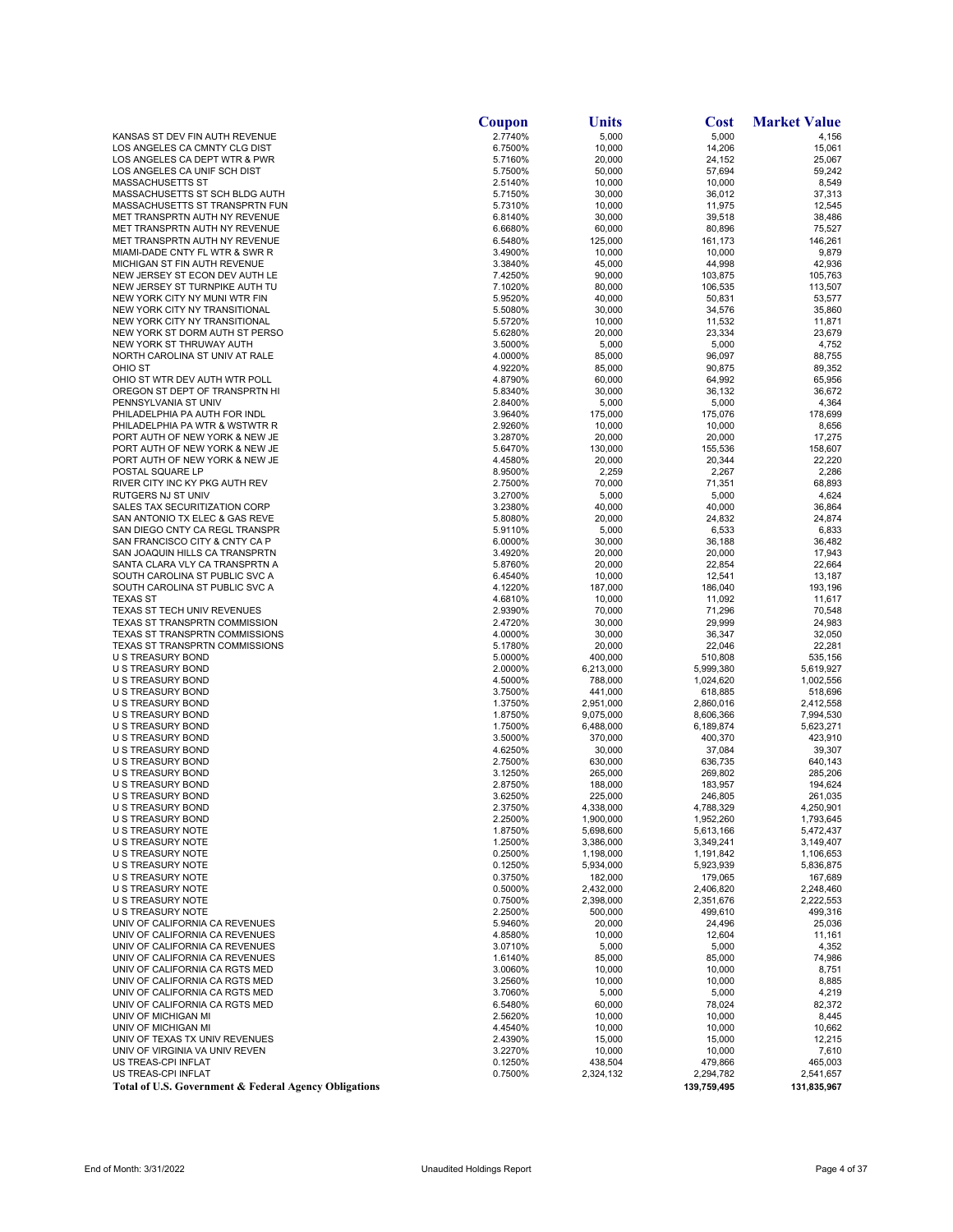|                                                                  | Coupon             | Units                  | Cost                   | <b>Market Value</b>    |
|------------------------------------------------------------------|--------------------|------------------------|------------------------|------------------------|
| KANSAS ST DEV FIN AUTH REVENUE                                   | 2.7740%            | 5,000                  | 5,000                  | 4,156                  |
| LOS ANGELES CA CMNTY CLG DIST                                    | 6.7500%            | 10,000                 | 14,206                 | 15,061                 |
| LOS ANGELES CA DEPT WTR & PWR<br>LOS ANGELES CA UNIF SCH DIST    | 5.7160%<br>5.7500% | 20,000                 | 24,152                 | 25,067                 |
| MASSACHUSETTS ST                                                 | 2.5140%            | 50,000<br>10,000       | 57,694<br>10,000       | 59,242<br>8,549        |
| MASSACHUSETTS ST SCH BLDG AUTH                                   | 5.7150%            | 30,000                 | 36,012                 | 37,313                 |
| MASSACHUSETTS ST TRANSPRTN FUN                                   | 5.7310%            | 10,000                 | 11,975                 | 12,545                 |
| MET TRANSPRTN AUTH NY REVENUE                                    | 6.8140%            | 30,000                 | 39,518                 | 38,486                 |
| MET TRANSPRTN AUTH NY REVENUE                                    | 6.6680%            | 60,000                 | 80,896                 | 75,527                 |
| MET TRANSPRTN AUTH NY REVENUE                                    | 6.5480%            | 125,000                | 161,173                | 146,261                |
| MIAMI-DADE CNTY FL WTR & SWR R<br>MICHIGAN ST FIN AUTH REVENUE   | 3.4900%<br>3.3840% | 10,000<br>45,000       | 10,000<br>44,998       | 9,879<br>42,936        |
| NEW JERSEY ST ECON DEV AUTH LE                                   | 7.4250%            | 90,000                 | 103,875                | 105,763                |
| NEW JERSEY ST TURNPIKE AUTH TU                                   | 7.1020%            | 80,000                 | 106,535                | 113,507                |
| NEW YORK CITY NY MUNI WTR FIN                                    | 5.9520%            | 40,000                 | 50,831                 | 53,577                 |
| NEW YORK CITY NY TRANSITIONAL                                    | 5.5080%            | 30,000                 | 34,576                 | 35,860                 |
| NEW YORK CITY NY TRANSITIONAL                                    | 5.5720%            | 10,000                 | 11,532                 | 11,871                 |
| NEW YORK ST DORM AUTH ST PERSO                                   | 5.6280%            | 20,000                 | 23,334                 | 23,679                 |
| NEW YORK ST THRUWAY AUTH<br>NORTH CAROLINA ST UNIV AT RALE       | 3.5000%<br>4.0000% | 5,000<br>85,000        | 5,000<br>96,097        | 4,752<br>88,755        |
| OHIO ST                                                          | 4.9220%            | 85,000                 | 90,875                 | 89,352                 |
| OHIO ST WTR DEV AUTH WTR POLL                                    | 4.8790%            | 60,000                 | 64,992                 | 65,956                 |
| OREGON ST DEPT OF TRANSPRTN HI                                   | 5.8340%            | 30,000                 | 36,132                 | 36,672                 |
| PENNSYLVANIA ST UNIV                                             | 2.8400%            | 5,000                  | 5,000                  | 4,364                  |
| PHILADELPHIA PA AUTH FOR INDL                                    | 3.9640%            | 175,000                | 175,076                | 178,699                |
| PHILADELPHIA PA WTR & WSTWTR R                                   | 2.9260%            | 10,000                 | 10,000                 | 8,656                  |
| PORT AUTH OF NEW YORK & NEW JE                                   | 3.2870%            | 20,000                 | 20,000                 | 17,275                 |
| PORT AUTH OF NEW YORK & NEW JE<br>PORT AUTH OF NEW YORK & NEW JE | 5.6470%<br>4.4580% | 130,000<br>20,000      | 155,536<br>20,344      | 158,607<br>22,220      |
| POSTAL SQUARE LP                                                 | 8.9500%            | 2,259                  | 2,267                  | 2,286                  |
| RIVER CITY INC KY PKG AUTH REV                                   | 2.7500%            | 70,000                 | 71,351                 | 68,893                 |
| RUTGERS NJ ST UNIV                                               | 3.2700%            | 5,000                  | 5,000                  | 4,624                  |
| SALES TAX SECURITIZATION CORP                                    | 3.2380%            | 40,000                 | 40,000                 | 36,864                 |
| SAN ANTONIO TX ELEC & GAS REVE                                   | 5.8080%            | 20,000                 | 24,832                 | 24,874                 |
| SAN DIEGO CNTY CA REGL TRANSPR                                   | 5.9110%            | 5,000                  | 6,533                  | 6,833                  |
| SAN FRANCISCO CITY & CNTY CA P<br>SAN JOAQUIN HILLS CA TRANSPRTN | 6.0000%            | 30,000                 | 36,188                 | 36,482                 |
| SANTA CLARA VLY CA TRANSPRTN A                                   | 3.4920%<br>5.8760% | 20,000<br>20,000       | 20,000<br>22,854       | 17,943<br>22,664       |
| SOUTH CAROLINA ST PUBLIC SVC A                                   | 6.4540%            | 10,000                 | 12,541                 | 13,187                 |
| SOUTH CAROLINA ST PUBLIC SVC A                                   | 4.1220%            | 187,000                | 186,040                | 193,196                |
| <b>TEXAS ST</b>                                                  | 4.6810%            | 10,000                 | 11,092                 | 11,617                 |
| TEXAS ST TECH UNIV REVENUES                                      | 2.9390%            | 70,000                 | 71,296                 | 70,548                 |
| TEXAS ST TRANSPRTN COMMISSION                                    | 2.4720%            | 30,000                 | 29,999                 | 24,983                 |
| TEXAS ST TRANSPRTN COMMISSIONS<br>TEXAS ST TRANSPRTN COMMISSIONS | 4.0000%<br>5.1780% | 30,000                 | 36,347                 | 32,050<br>22,281       |
| U S TREASURY BOND                                                | 5.0000%            | 20,000<br>400,000      | 22,046<br>510,808      | 535,156                |
| U S TREASURY BOND                                                | 2.0000%            | 6,213,000              | 5,999,380              | 5,619,927              |
| U S TREASURY BOND                                                | 4.5000%            | 788,000                | 1,024,620              | 1,002,556              |
| U S TREASURY BOND                                                | 3.7500%            | 441,000                | 618,885                | 518,696                |
| U S TREASURY BOND                                                | 1.3750%            | 2,951,000              | 2,860,016              | 2,412,558              |
| U S TREASURY BOND                                                | 1.8750%            | 9,075,000              | 8,606,366              | 7,994,530              |
| <b>U S TREASURY BOND</b><br>U S TREASURY BOND                    | 1.7500%<br>3.5000% | 6,488,000<br>370,000   | 6,189,874<br>400,370   | 5,623,271<br>423,910   |
| U S TREASURY BOND                                                | 4.6250%            | 30,000                 | 37,084                 | 39,307                 |
| U S TREASURY BOND                                                | 2.7500%            | 630,000                | 636,735                | 640,143                |
| U S TREASURY BOND                                                | 3.1250%            | 265,000                | 269,802                | 285,206                |
| U S TREASURY BOND                                                | 2.8750%            | 188,000                | 183,957                | 194,624                |
| U S TREASURY BOND                                                | 3.6250%            | 225,000                | 246,805                | 261,035                |
| U S TREASURY BOND                                                | 2.3750%            | 4,338,000              | 4,788,329              | 4,250,901              |
| U S TREASURY BOND<br>U S TREASURY NOTE                           | 2.2500%<br>1.8750% | 1,900,000<br>5,698,600 | 1,952,260              | 1,793,645<br>5,472,437 |
| U S TREASURY NOTE                                                | 1.2500%            | 3,386,000              | 5,613,166<br>3,349,241 | 3,149,407              |
| U S TREASURY NOTE                                                | 0.2500%            | 1,198,000              | 1,191,842              | 1,106,653              |
| U S TREASURY NOTE                                                | 0.1250%            | 5,934,000              | 5,923,939              | 5,836,875              |
| U S TREASURY NOTE                                                | 0.3750%            | 182,000                | 179,065                | 167,689                |
| U S TREASURY NOTE                                                | 0.5000%            | 2,432,000              | 2,406,820              | 2,248,460              |
| U S TREASURY NOTE<br>U S TREASURY NOTE                           | 0.7500%            | 2,398,000              | 2,351,676              | 2,222,553              |
| UNIV OF CALIFORNIA CA REVENUES                                   | 2.2500%<br>5.9460% | 500,000<br>20,000      | 499,610<br>24,496      | 499,316<br>25,036      |
| UNIV OF CALIFORNIA CA REVENUES                                   | 4.8580%            | 10,000                 | 12,604                 | 11,161                 |
| UNIV OF CALIFORNIA CA REVENUES                                   | 3.0710%            | 5,000                  | 5,000                  | 4,352                  |
| UNIV OF CALIFORNIA CA REVENUES                                   | 1.6140%            | 85,000                 | 85,000                 | 74,986                 |
| UNIV OF CALIFORNIA CA RGTS MED                                   | 3.0060%            | 10,000                 | 10,000                 | 8,751                  |
| UNIV OF CALIFORNIA CA RGTS MED                                   | 3.2560%            | 10,000                 | 10,000                 | 8,885                  |
| UNIV OF CALIFORNIA CA RGTS MED                                   | 3.7060%            | 5,000                  | 5,000                  | 4,219                  |
| UNIV OF CALIFORNIA CA RGTS MED<br>UNIV OF MICHIGAN MI            | 6.5480%<br>2.5620% | 60,000<br>10,000       | 78,024<br>10,000       | 82,372<br>8,445        |
| UNIV OF MICHIGAN MI                                              | 4.4540%            | 10,000                 | 10,000                 | 10,662                 |
| UNIV OF TEXAS TX UNIV REVENUES                                   | 2.4390%            | 15,000                 | 15,000                 | 12,215                 |
| UNIV OF VIRGINIA VA UNIV REVEN                                   | 3.2270%            | 10,000                 | 10,000                 | 7,610                  |
| US TREAS-CPI INFLAT                                              | 0.1250%            | 438,504                | 479,866                | 465,003                |
| US TREAS-CPI INFLAT                                              | 0.7500%            | 2,324,132              | 2,294,782              | 2,541,657              |
| Total of U.S. Government & Federal Agency Obligations            |                    |                        | 139,759,495            | 131,835,967            |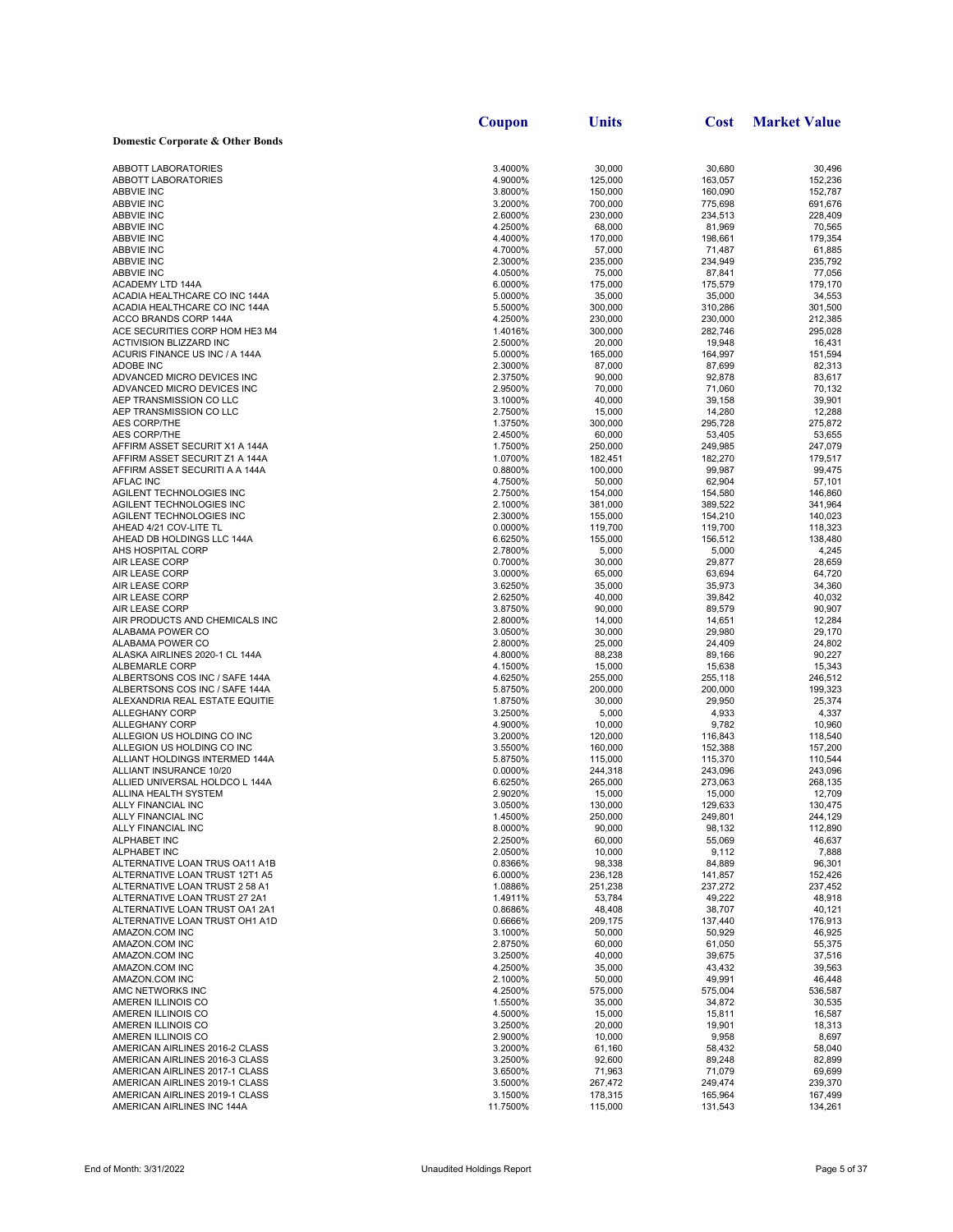|                                                                  | Coupon             | Units              | <b>Cost</b>        | <b>Market Value</b> |
|------------------------------------------------------------------|--------------------|--------------------|--------------------|---------------------|
| Domestic Corporate & Other Bonds                                 |                    |                    |                    |                     |
|                                                                  |                    |                    |                    |                     |
| <b>ABBOTT LABORATORIES</b>                                       | 3.4000%            | 30,000             | 30.680             | 30,496              |
| <b>ABBOTT LABORATORIES</b><br><b>ABBVIE INC</b>                  | 4.9000%            | 125,000            | 163,057            | 152,236             |
| <b>ABBVIE INC</b>                                                | 3.8000%<br>3.2000% | 150,000<br>700,000 | 160,090<br>775,698 | 152,787<br>691,676  |
| <b>ABBVIE INC</b>                                                | 2.6000%            | 230,000            | 234,513            | 228,409             |
| <b>ABBVIE INC</b>                                                | 4.2500%            | 68,000             | 81,969             | 70,565              |
| <b>ABBVIE INC</b>                                                | 4.4000%            | 170,000            | 198,661            | 179,354             |
| <b>ABBVIE INC</b>                                                | 4.7000%            | 57,000             | 71,487             | 61,885              |
| <b>ABBVIE INC</b>                                                | 2.3000%            | 235,000            | 234,949            | 235,792             |
| <b>ABBVIE INC</b>                                                | 4.0500%            | 75,000             | 87,841             | 77,056              |
| ACADEMY LTD 144A<br>ACADIA HEALTHCARE CO INC 144A                | 6.0000%<br>5.0000% | 175,000<br>35.000  | 175,579<br>35,000  | 179,170<br>34,553   |
| ACADIA HEALTHCARE CO INC 144A                                    | 5.5000%            | 300,000            | 310,286            | 301,500             |
| ACCO BRANDS CORP 144A                                            | 4.2500%            | 230,000            | 230,000            | 212,385             |
| ACE SECURITIES CORP HOM HE3 M4                                   | 1.4016%            | 300,000            | 282,746            | 295,028             |
| <b>ACTIVISION BLIZZARD INC</b>                                   | 2.5000%            | 20,000             | 19,948             | 16,431              |
| ACURIS FINANCE US INC / A 144A                                   | 5.0000%            | 165,000            | 164,997            | 151,594             |
| ADOBE INC                                                        | 2.3000%            | 87,000             | 87,699             | 82,313              |
| ADVANCED MICRO DEVICES INC<br>ADVANCED MICRO DEVICES INC         | 2.3750%<br>2.9500% | 90,000<br>70,000   | 92,878<br>71,060   | 83,617<br>70,132    |
| AEP TRANSMISSION CO LLC                                          | 3.1000%            | 40,000             | 39,158             | 39,901              |
| AEP TRANSMISSION CO LLC                                          | 2.7500%            | 15,000             | 14,280             | 12,288              |
| <b>AES CORP/THE</b>                                              | 1.3750%            | 300,000            | 295,728            | 275,872             |
| <b>AES CORP/THE</b>                                              | 2.4500%            | 60,000             | 53,405             | 53,655              |
| AFFIRM ASSET SECURIT X1 A 144A                                   | 1.7500%            | 250,000            | 249,985            | 247,079             |
| AFFIRM ASSET SECURIT Z1 A 144A                                   | 1.0700%            | 182,451            | 182,270            | 179,517             |
| AFFIRM ASSET SECURITI A A 144A                                   | 0.8800%            | 100,000            | 99,987             | 99,475              |
| <b>AFLAC INC</b><br>AGILENT TECHNOLOGIES INC                     | 4.7500%<br>2.7500% | 50,000<br>154,000  | 62,904<br>154,580  | 57,101<br>146,860   |
| AGILENT TECHNOLOGIES INC                                         | 2.1000%            | 381,000            | 389,522            | 341,964             |
| AGILENT TECHNOLOGIES INC                                         | 2.3000%            | 155,000            | 154,210            | 140,023             |
| AHEAD 4/21 COV-LITE TL                                           | 0.0000%            | 119,700            | 119,700            | 118,323             |
| AHEAD DB HOLDINGS LLC 144A                                       | 6.6250%            | 155,000            | 156,512            | 138,480             |
| AHS HOSPITAL CORP                                                | 2.7800%            | 5,000              | 5,000              | 4,245               |
| AIR LEASE CORP                                                   | 0.7000%            | 30,000             | 29,877             | 28,659              |
| AIR LEASE CORP                                                   | 3.0000%            | 65,000             | 63,694<br>35,973   | 64,720              |
| AIR LEASE CORP<br>AIR LEASE CORP                                 | 3.6250%<br>2.6250% | 35,000<br>40,000   | 39,842             | 34,360<br>40,032    |
| AIR LEASE CORP                                                   | 3.8750%            | 90,000             | 89,579             | 90,907              |
| AIR PRODUCTS AND CHEMICALS INC                                   | 2.8000%            | 14,000             | 14,651             | 12,284              |
| ALABAMA POWER CO                                                 | 3.0500%            | 30,000             | 29,980             | 29,170              |
| ALABAMA POWER CO                                                 | 2.8000%            | 25,000             | 24,409             | 24,802              |
| ALASKA AIRLINES 2020-1 CL 144A                                   | 4.8000%            | 88,238             | 89,166             | 90,227              |
| ALBEMARLE CORP<br>ALBERTSONS COS INC / SAFE 144A                 | 4.1500%<br>4.6250% | 15,000<br>255,000  | 15,638<br>255,118  | 15,343<br>246,512   |
| ALBERTSONS COS INC / SAFE 144A                                   | 5.8750%            | 200,000            | 200,000            | 199,323             |
| ALEXANDRIA REAL ESTATE EQUITIE                                   | 1.8750%            | 30,000             | 29,950             | 25,374              |
| <b>ALLEGHANY CORP</b>                                            | 3.2500%            | 5,000              | 4,933              | 4,337               |
| <b>ALLEGHANY CORP</b>                                            | 4.9000%            | 10,000             | 9,782              | 10,960              |
| ALLEGION US HOLDING CO INC                                       | 3.2000%            | 120,000            | 116,843            | 118,540             |
| ALLEGION US HOLDING CO INC                                       | 3.5500%            | 160,000            | 152,388            | 157,200             |
| ALLIANT HOLDINGS INTERMED 144A<br>ALLIANT INSURANCE 10/20        | 5.8750%<br>0.0000% | 115,000<br>244,318 | 115,370<br>243,096 | 110,544<br>243,096  |
| ALLIED UNIVERSAL HOLDCO L 144A                                   | 6.6250%            | 265,000            | 273,063            | 268,135             |
| ALLINA HEALTH SYSTEM                                             | 2.9020%            | 15,000             | 15,000             | 12,709              |
| ALLY FINANCIAL INC                                               | 3.0500%            | 130,000            | 129,633            | 130,475             |
| ALLY FINANCIAL INC                                               | 1.4500%            | 250,000            | 249,801            | 244,129             |
| ALLY FINANCIAL INC                                               | 8.0000%            | 90,000             | 98,132             | 112,890             |
| <b>ALPHABET INC</b>                                              | 2.2500%            | 60,000             | 55,069             | 46,637              |
| ALPHABET INC<br>ALTERNATIVE LOAN TRUS OA11 A1B                   | 2.0500%<br>0.8366% | 10,000<br>98,338   | 9,112<br>84,889    | 7,888<br>96,301     |
| ALTERNATIVE LOAN TRUST 12T1 A5                                   | 6.0000%            | 236,128            | 141,857            | 152,426             |
| ALTERNATIVE LOAN TRUST 2 58 A1                                   | 1.0886%            | 251,238            | 237,272            | 237,452             |
| ALTERNATIVE LOAN TRUST 27 2A1                                    | 1.4911%            | 53,784             | 49,222             | 48,918              |
| ALTERNATIVE LOAN TRUST OA1 2A1                                   | 0.8686%            | 48,408             | 38,707             | 40,121              |
| ALTERNATIVE LOAN TRUST OH1 A1D                                   | 0.6666%            | 209,175            | 137,440            | 176,913             |
| AMAZON.COM INC                                                   | 3.1000%            | 50,000             | 50,929             | 46,925              |
| AMAZON.COM INC<br>AMAZON.COM INC                                 | 2.8750%<br>3.2500% | 60,000<br>40,000   | 61,050<br>39,675   | 55,375<br>37,516    |
| AMAZON.COM INC                                                   | 4.2500%            | 35,000             | 43,432             | 39,563              |
| AMAZON.COM INC                                                   | 2.1000%            | 50,000             | 49,991             | 46,448              |
| AMC NETWORKS INC                                                 | 4.2500%            | 575,000            | 575,004            | 536,587             |
| AMEREN ILLINOIS CO                                               | 1.5500%            | 35,000             | 34,872             | 30,535              |
| AMEREN ILLINOIS CO                                               | 4.5000%            | 15,000             | 15,811             | 16,587              |
| AMEREN ILLINOIS CO                                               | 3.2500%            | 20,000             | 19,901             | 18,313              |
| AMEREN ILLINOIS CO                                               | 2.9000%            | 10,000             | 9,958              | 8,697               |
| AMERICAN AIRLINES 2016-2 CLASS<br>AMERICAN AIRLINES 2016-3 CLASS | 3.2000%<br>3.2500% | 61,160<br>92,600   | 58,432<br>89,248   | 58,040<br>82,899    |
| AMERICAN AIRLINES 2017-1 CLASS                                   | 3.6500%            | 71,963             | 71,079             | 69,699              |
| AMERICAN AIRLINES 2019-1 CLASS                                   | 3.5000%            | 267,472            | 249,474            | 239,370             |
| AMERICAN AIRLINES 2019-1 CLASS                                   | 3.1500%            | 178,315            | 165,964            | 167,499             |
| AMERICAN AIRLINES INC 144A                                       | 11.7500%           | 115,000            | 131,543            | 134,261             |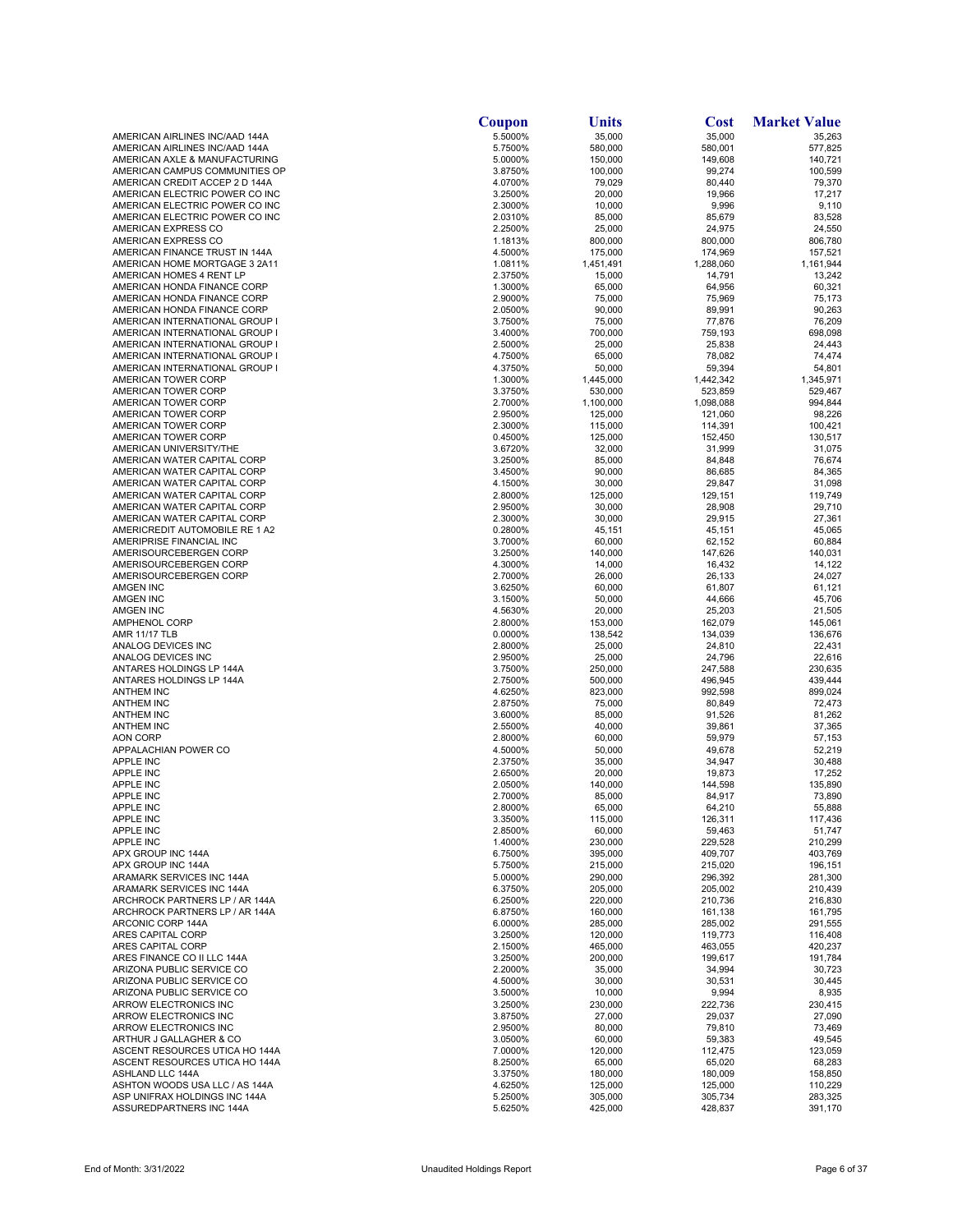|                                                                  | Coupon             | Units              | Cost               | <b>Market Value</b> |
|------------------------------------------------------------------|--------------------|--------------------|--------------------|---------------------|
| AMERICAN AIRLINES INC/AAD 144A                                   | 5.5000%            | 35,000             | 35,000             | 35,263              |
| AMERICAN AIRLINES INC/AAD 144A<br>AMERICAN AXLE & MANUFACTURING  | 5.7500%<br>5.0000% | 580,000<br>150,000 | 580,001<br>149,608 | 577,825<br>140,721  |
| AMERICAN CAMPUS COMMUNITIES OP                                   | 3.8750%            | 100,000            | 99,274             | 100,599             |
| AMERICAN CREDIT ACCEP 2 D 144A                                   | 4.0700%            | 79,029             | 80,440             | 79,370              |
| AMERICAN ELECTRIC POWER CO INC                                   | 3.2500%            | 20,000             | 19,966             | 17,217              |
| AMERICAN ELECTRIC POWER CO INC                                   | 2.3000%            | 10,000             | 9,996              | 9,110               |
| AMERICAN ELECTRIC POWER CO INC<br>AMERICAN EXPRESS CO            | 2.0310%<br>2.2500% | 85,000<br>25,000   | 85,679<br>24,975   | 83,528<br>24,550    |
| AMERICAN EXPRESS CO                                              | 1.1813%            | 800,000            | 800,000            | 806,780             |
| AMERICAN FINANCE TRUST IN 144A                                   | 4.5000%            | 175,000            | 174,969            | 157,521             |
| AMERICAN HOME MORTGAGE 3 2A11                                    | 1.0811%            | 1,451,491          | 1,288,060          | 1,161,944           |
| AMERICAN HOMES 4 RENT LP                                         | 2.3750%<br>1.3000% | 15,000             | 14,791             | 13,242              |
| AMERICAN HONDA FINANCE CORP<br>AMERICAN HONDA FINANCE CORP       | 2.9000%            | 65,000<br>75,000   | 64,956<br>75,969   | 60,321<br>75,173    |
| AMERICAN HONDA FINANCE CORP                                      | 2.0500%            | 90,000             | 89,991             | 90,263              |
| AMERICAN INTERNATIONAL GROUP I                                   | 3.7500%            | 75,000             | 77,876             | 76,209              |
| AMERICAN INTERNATIONAL GROUP I                                   | 3.4000%            | 700,000            | 759,193            | 698,098             |
| AMERICAN INTERNATIONAL GROUP I<br>AMERICAN INTERNATIONAL GROUP I | 2.5000%<br>4.7500% | 25,000<br>65,000   | 25,838<br>78,082   | 24,443<br>74,474    |
| AMERICAN INTERNATIONAL GROUP I                                   | 4.3750%            | 50,000             | 59,394             | 54,801              |
| AMERICAN TOWER CORP                                              | 1.3000%            | 1,445,000          | 1,442,342          | 1,345,971           |
| AMERICAN TOWER CORP                                              | 3.3750%            | 530,000            | 523,859            | 529,467             |
| AMERICAN TOWER CORP                                              | 2.7000%            | 1,100,000          | 1,098,088          | 994,844             |
| AMERICAN TOWER CORP<br>AMERICAN TOWER CORP                       | 2.9500%<br>2.3000% | 125,000<br>115,000 | 121,060<br>114,391 | 98,226<br>100,421   |
| AMERICAN TOWER CORP                                              | 0.4500%            | 125,000            | 152,450            | 130,517             |
| AMERICAN UNIVERSITY/THE                                          | 3.6720%            | 32,000             | 31,999             | 31,075              |
| AMERICAN WATER CAPITAL CORP                                      | 3.2500%            | 85,000             | 84,848             | 76,674              |
| AMERICAN WATER CAPITAL CORP<br>AMERICAN WATER CAPITAL CORP       | 3.4500%<br>4.1500% | 90,000<br>30,000   | 86,685<br>29,847   | 84,365<br>31,098    |
| AMERICAN WATER CAPITAL CORP                                      | 2.8000%            | 125,000            | 129,151            | 119,749             |
| AMERICAN WATER CAPITAL CORP                                      | 2.9500%            | 30,000             | 28,908             | 29,710              |
| AMERICAN WATER CAPITAL CORP                                      | 2.3000%            | 30,000             | 29,915             | 27,361              |
| AMERICREDIT AUTOMOBILE RE 1 A2                                   | 0.2800%            | 45,151             | 45,151             | 45,065              |
| AMERIPRISE FINANCIAL INC<br>AMERISOURCEBERGEN CORP               | 3.7000%<br>3.2500% | 60,000<br>140,000  | 62,152<br>147,626  | 60,884<br>140,031   |
| AMERISOURCEBERGEN CORP                                           | 4.3000%            | 14,000             | 16,432             | 14,122              |
| AMERISOURCEBERGEN CORP                                           | 2.7000%            | 26,000             | 26,133             | 24,027              |
| <b>AMGEN INC</b>                                                 | 3.6250%            | 60,000             | 61,807             | 61,121              |
| AMGEN INC<br><b>AMGEN INC</b>                                    | 3.1500%<br>4.5630% | 50,000<br>20,000   | 44,666<br>25,203   | 45,706<br>21,505    |
| AMPHENOL CORP                                                    | 2.8000%            | 153,000            | 162,079            | 145,061             |
| <b>AMR 11/17 TLB</b>                                             | 0.0000%            | 138,542            | 134,039            | 136,676             |
| ANALOG DEVICES INC                                               | 2.8000%            | 25,000             | 24,810             | 22,431              |
| ANALOG DEVICES INC<br>ANTARES HOLDINGS LP 144A                   | 2.9500%<br>3.7500% | 25,000<br>250,000  | 24,796<br>247,588  | 22,616<br>230,635   |
| ANTARES HOLDINGS LP 144A                                         | 2.7500%            | 500,000            | 496,945            | 439,444             |
| <b>ANTHEM INC</b>                                                | 4.6250%            | 823,000            | 992,598            | 899,024             |
| <b>ANTHEM INC</b>                                                | 2.8750%            | 75,000             | 80,849             | 72,473              |
| <b>ANTHEM INC</b>                                                | 3.6000%            | 85,000             | 91,526             | 81,262              |
| <b>ANTHEM INC</b><br><b>AON CORP</b>                             | 2.5500%<br>2.8000% | 40,000<br>60,000   | 39,861<br>59,979   | 37,365<br>57,153    |
| APPALACHIAN POWER CO                                             | 4.5000%            | 50,000             | 49,678             | 52,219              |
| <b>APPLE INC</b>                                                 | 2.3750%            | 35,000             | 34,947             | 30,488              |
| <b>APPLE INC</b>                                                 | 2.6500%            | 20,000             | 19,873             | 17,252              |
| <b>APPLE INC</b><br><b>APPLE INC</b>                             | 2.0500%<br>2.7000% | 140,000<br>85,000  | 144,598<br>84,917  | 135,890<br>73,890   |
| APPLE INC                                                        | 2.8000%            | 65,000             | 64,210             | 55,888              |
| <b>APPLE INC</b>                                                 | 3.3500%            | 115,000            | 126,311            | 117,436             |
| <b>APPLE INC</b>                                                 | 2.8500%            | 60,000             | 59,463             | 51,747              |
| <b>APPLE INC</b><br>APX GROUP INC 144A                           | 1.4000%<br>6.7500% | 230,000<br>395,000 | 229,528<br>409,707 | 210,299<br>403,769  |
| APX GROUP INC 144A                                               | 5.7500%            | 215,000            | 215,020            | 196,151             |
| ARAMARK SERVICES INC 144A                                        | 5.0000%            | 290,000            | 296,392            | 281,300             |
| <b>ARAMARK SERVICES INC 144A</b>                                 | 6.3750%            | 205,000            | 205,002            | 210,439             |
| ARCHROCK PARTNERS LP / AR 144A                                   | 6.2500%            | 220,000            | 210,736            | 216,830             |
| ARCHROCK PARTNERS LP / AR 144A<br>ARCONIC CORP 144A              | 6.8750%<br>6.0000% | 160,000<br>285,000 | 161,138<br>285,002 | 161,795<br>291,555  |
| ARES CAPITAL CORP                                                | 3.2500%            | 120,000            | 119,773            | 116,408             |
| ARES CAPITAL CORP                                                | 2.1500%            | 465,000            | 463,055            | 420,237             |
| ARES FINANCE CO II LLC 144A                                      | 3.2500%            | 200,000            | 199,617            | 191,784             |
| ARIZONA PUBLIC SERVICE CO<br>ARIZONA PUBLIC SERVICE CO           | 2.2000%<br>4.5000% | 35,000<br>30,000   | 34,994<br>30,531   | 30,723<br>30,445    |
| ARIZONA PUBLIC SERVICE CO                                        | 3.5000%            | 10,000             | 9,994              | 8,935               |
| ARROW ELECTRONICS INC                                            | 3.2500%            | 230,000            | 222,736            | 230,415             |
| ARROW ELECTRONICS INC                                            | 3.8750%            | 27,000             | 29,037             | 27,090              |
| ARROW ELECTRONICS INC                                            | 2.9500%            | 80,000             | 79,810             | 73,469              |
| ARTHUR J GALLAGHER & CO<br>ASCENT RESOURCES UTICA HO 144A        | 3.0500%<br>7.0000% | 60,000<br>120,000  | 59,383<br>112,475  | 49,545<br>123,059   |
| ASCENT RESOURCES UTICA HO 144A                                   | 8.2500%            | 65,000             | 65,020             | 68,283              |
| ASHLAND LLC 144A                                                 | 3.3750%            | 180,000            | 180,009            | 158,850             |
| ASHTON WOODS USA LLC / AS 144A                                   | 4.6250%            | 125,000            | 125,000            | 110,229             |
| ASP UNIFRAX HOLDINGS INC 144A<br>ASSUREDPARTNERS INC 144A        | 5.2500%<br>5.6250% | 305,000<br>425,000 | 305,734<br>428,837 | 283,325<br>391,170  |
|                                                                  |                    |                    |                    |                     |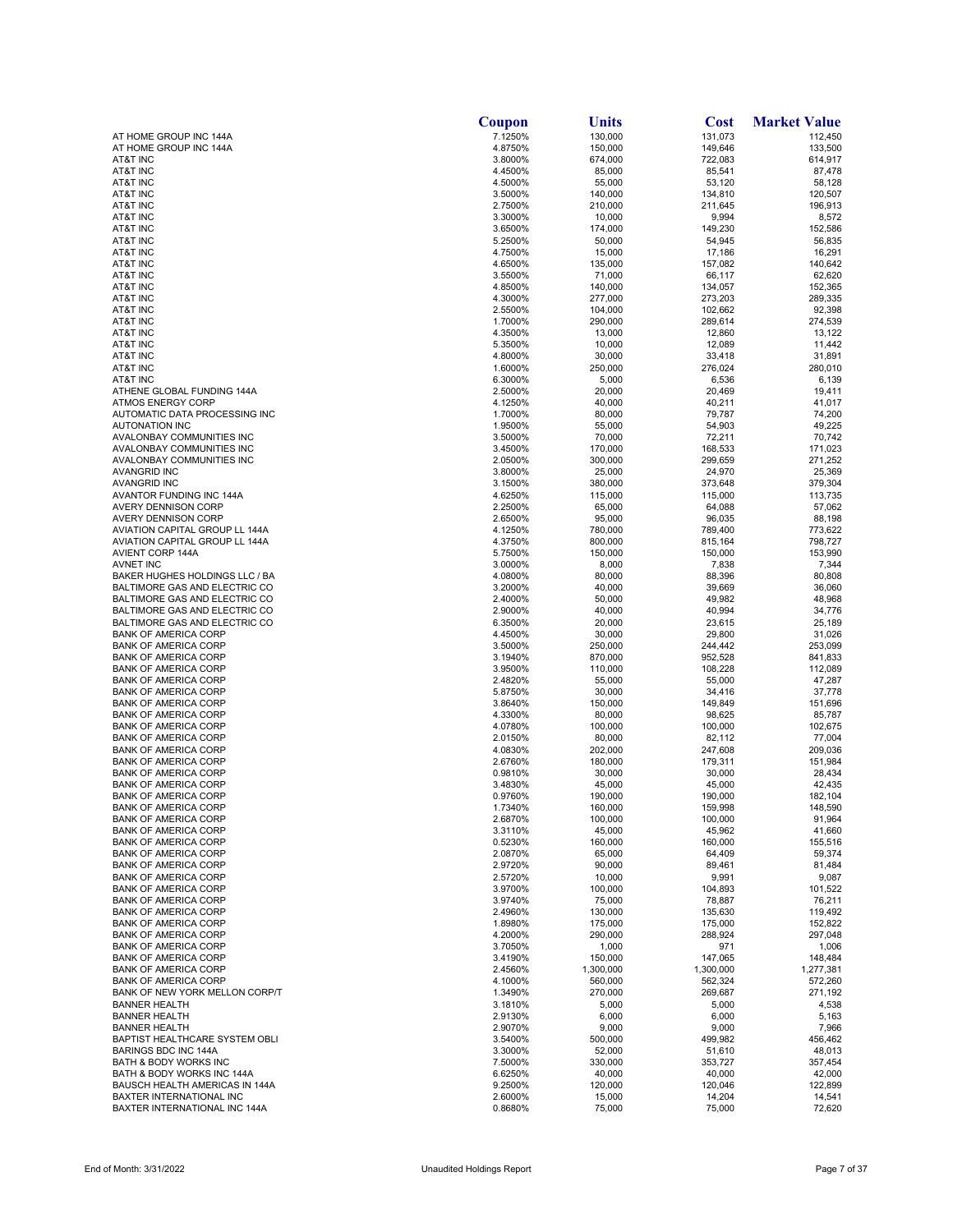| 7.1250%<br>130,000<br>131,073<br>AT HOME GROUP INC 144A<br>112,450<br>4.8750%<br>149,646<br>AT HOME GROUP INC 144A<br>150,000<br>133,500<br>AT&T INC<br>3.8000%<br>674,000<br>722,083<br>614,917<br>AT&T INC<br>4.4500%<br>85,000<br>85,541<br>87,478<br>AT&T INC<br>4.5000%<br>55,000<br>53,120<br>58,128<br>AT&T INC<br>3.5000%<br>140,000<br>134,810<br>120,507<br><b>AT&amp;T INC</b><br>2.7500%<br>210,000<br>211,645<br>196,913<br><b>AT&amp;T INC</b><br>3.3000%<br>10,000<br>9,994<br>8,572<br>152,586<br>AT&T INC<br>3.6500%<br>174,000<br>149,230<br>AT&T INC<br>50,000<br>54,945<br>56,835<br>5.2500%<br>AT&T INC<br>4.7500%<br>15,000<br>17,186<br>16,291<br>AT&T INC<br>135,000<br>157,082<br>140,642<br>4.6500%<br>66,117<br>62,620<br>AT&T INC<br>3.5500%<br>71,000<br>AT&T INC<br>140,000<br>134,057<br>152,365<br>4.8500%<br>273,203<br>289,335<br>AT&T INC<br>4.3000%<br>277,000<br>102,662<br><b>AT&amp;T INC</b><br>2.5500%<br>104,000<br>92,398<br>289,614<br>274,539<br><b>AT&amp;T INC</b><br>1.7000%<br>290,000<br><b>AT&amp;T INC</b><br>4.3500%<br>13,000<br>12,860<br>13,122<br>10,000<br>12,089<br>11,442<br>AT&T INC<br>5.3500%<br>33,418<br><b>AT&amp;T INC</b><br>4.8000%<br>30,000<br>31,891<br><b>AT&amp;T INC</b><br>1.6000%<br>250,000<br>276,024<br>280,010<br><b>AT&amp;T INC</b><br>6.3000%<br>5,000<br>6,536<br>6,139<br>ATHENE GLOBAL FUNDING 144A<br>2.5000%<br>20,000<br>20,469<br>19,411<br><b>ATMOS ENERGY CORP</b><br>4.1250%<br>40,000<br>40,211<br>41,017<br>AUTOMATIC DATA PROCESSING INC<br>1.7000%<br>80,000<br>79,787<br>74,200<br><b>AUTONATION INC</b><br>1.9500%<br>55,000<br>54,903<br>49,225<br>AVALONBAY COMMUNITIES INC<br>3.5000%<br>70,000<br>72,211<br>70,742<br>AVALONBAY COMMUNITIES INC<br>3.4500%<br>170,000<br>168,533<br>171,023<br>AVALONBAY COMMUNITIES INC<br>2.0500%<br>300,000<br>299,659<br>271,252<br><b>AVANGRID INC</b><br>3.8000%<br>25,000<br>24,970<br>25,369<br><b>AVANGRID INC</b><br>3.1500%<br>380,000<br>373,648<br>379,304<br>AVANTOR FUNDING INC 144A<br>4.6250%<br>115,000<br>115,000<br>113,735<br><b>AVERY DENNISON CORP</b><br>2.2500%<br>65,000<br>64,088<br>57,062<br>88,198<br>AVERY DENNISON CORP<br>2.6500%<br>95,000<br>96,035<br>773,622<br>AVIATION CAPITAL GROUP LL 144A<br>4.1250%<br>780,000<br>789,400<br>AVIATION CAPITAL GROUP LL 144A<br>4.3750%<br>800,000<br>815,164<br>798,727<br>AVIENT CORP 144A<br>150,000<br>153,990<br>5.7500%<br>150,000<br>7,344<br><b>AVNET INC</b><br>3.0000%<br>8,000<br>7,838<br>BAKER HUGHES HOLDINGS LLC / BA<br>88,396<br>80,808<br>4.0800%<br>80,000<br>36,060<br>BALTIMORE GAS AND ELECTRIC CO<br>3.2000%<br>40,000<br>39,669<br>2.4000%<br>50,000<br>49,982<br>48,968<br>BALTIMORE GAS AND ELECTRIC CO<br>40,994<br>34,776<br>BALTIMORE GAS AND ELECTRIC CO<br>2.9000%<br>40,000<br>25,189<br>BALTIMORE GAS AND ELECTRIC CO<br>6.3500%<br>20,000<br>23,615<br>29,800<br><b>BANK OF AMERICA CORP</b><br>4.4500%<br>30,000<br>31,026<br><b>BANK OF AMERICA CORP</b><br>3.5000%<br>250,000<br>244,442<br>253,099<br>952,528<br>841,833<br><b>BANK OF AMERICA CORP</b><br>3.1940%<br>870,000<br>3.9500%<br>110,000<br>108,228<br>112,089<br><b>BANK OF AMERICA CORP</b><br>2.4820%<br>55,000<br>47,287<br><b>BANK OF AMERICA CORP</b><br>55,000<br><b>BANK OF AMERICA CORP</b><br>5.8750%<br>30,000<br>34,416<br>37,778<br><b>BANK OF AMERICA CORP</b><br>150,000<br>149,849<br>151,696<br>3.8640%<br>4.3300%<br>80,000<br><b>BANK OF AMERICA CORP</b><br>98,625<br>85,787<br><b>BANK OF AMERICA CORP</b><br>4.0780%<br>100,000<br>100,000<br>102,675<br>82,112<br>77,004<br><b>BANK OF AMERICA CORP</b><br>2.0150%<br>80,000<br>4.0830%<br>247,608<br>209,036<br><b>BANK OF AMERICA CORP</b><br>202,000<br>180,000<br>151,984<br><b>BANK OF AMERICA CORP</b><br>2.6760%<br>179,311<br>28,434<br><b>BANK OF AMERICA CORP</b><br>0.9810%<br>30,000<br>30,000<br><b>BANK OF AMERICA CORP</b><br>45,000<br>42,435<br>3.4830%<br>45,000<br><b>BANK OF AMERICA CORP</b><br>190,000<br>182,104<br>0.9760%<br>190,000<br>148,590<br><b>BANK OF AMERICA CORP</b><br>1.7340%<br>160,000<br>159,998<br>100,000<br>100,000<br>91,964<br><b>BANK OF AMERICA CORP</b><br>2.6870%<br>45,000<br>45,962<br>41,660<br><b>BANK OF AMERICA CORP</b><br>3.3110%<br>160,000<br><b>BANK OF AMERICA CORP</b><br>0.5230%<br>160,000<br>155,516<br><b>BANK OF AMERICA CORP</b><br>65,000<br>64,409<br>59,374<br>2.0870%<br><b>BANK OF AMERICA CORP</b><br>2.9720%<br>90,000<br>89.461<br>81,484<br><b>BANK OF AMERICA CORP</b><br>10,000<br>9,991<br>9,087<br>2.5720%<br>100,000<br><b>BANK OF AMERICA CORP</b><br>3.9700%<br>104,893<br>101,522<br><b>BANK OF AMERICA CORP</b><br>3.9740%<br>75,000<br>78,887<br>76,211<br>119,492<br><b>BANK OF AMERICA CORP</b><br>2.4960%<br>130,000<br>135,630<br><b>BANK OF AMERICA CORP</b><br>1.8980%<br>175,000<br>175,000<br>152,822<br>4.2000%<br>290,000<br>288,924<br>297,048<br><b>BANK OF AMERICA CORP</b><br><b>BANK OF AMERICA CORP</b><br>3.7050%<br>1,000<br>971<br>1,006<br><b>BANK OF AMERICA CORP</b><br>3.4190%<br>150,000<br>147,065<br>148,484<br><b>BANK OF AMERICA CORP</b><br>2.4560%<br>1,300,000<br>1,300,000<br>1,277,381<br><b>BANK OF AMERICA CORP</b><br>4.1000%<br>560,000<br>562,324<br>572,260<br>BANK OF NEW YORK MELLON CORP/T<br>1.3490%<br>270,000<br>269,687<br>271,192<br><b>BANNER HEALTH</b><br>3.1810%<br>5,000<br>5,000<br>4,538<br>6,000<br><b>BANNER HEALTH</b><br>2.9130%<br>6,000<br>5,163<br><b>BANNER HEALTH</b><br>2.9070%<br>9,000<br>9,000<br>7,966<br>BAPTIST HEALTHCARE SYSTEM OBLI<br>3.5400%<br>500,000<br>499,982<br>456,462<br><b>BARINGS BDC INC 144A</b><br>3.3000%<br>52,000<br>51,610<br>48,013<br><b>BATH &amp; BODY WORKS INC</b><br>7.5000%<br>330,000<br>353,727<br>357,454 |                               | Coupon  | <b>Units</b> | <b>Cost</b> | <b>Market Value</b> |
|---------------------------------------------------------------------------------------------------------------------------------------------------------------------------------------------------------------------------------------------------------------------------------------------------------------------------------------------------------------------------------------------------------------------------------------------------------------------------------------------------------------------------------------------------------------------------------------------------------------------------------------------------------------------------------------------------------------------------------------------------------------------------------------------------------------------------------------------------------------------------------------------------------------------------------------------------------------------------------------------------------------------------------------------------------------------------------------------------------------------------------------------------------------------------------------------------------------------------------------------------------------------------------------------------------------------------------------------------------------------------------------------------------------------------------------------------------------------------------------------------------------------------------------------------------------------------------------------------------------------------------------------------------------------------------------------------------------------------------------------------------------------------------------------------------------------------------------------------------------------------------------------------------------------------------------------------------------------------------------------------------------------------------------------------------------------------------------------------------------------------------------------------------------------------------------------------------------------------------------------------------------------------------------------------------------------------------------------------------------------------------------------------------------------------------------------------------------------------------------------------------------------------------------------------------------------------------------------------------------------------------------------------------------------------------------------------------------------------------------------------------------------------------------------------------------------------------------------------------------------------------------------------------------------------------------------------------------------------------------------------------------------------------------------------------------------------------------------------------------------------------------------------------------------------------------------------------------------------------------------------------------------------------------------------------------------------------------------------------------------------------------------------------------------------------------------------------------------------------------------------------------------------------------------------------------------------------------------------------------------------------------------------------------------------------------------------------------------------------------------------------------------------------------------------------------------------------------------------------------------------------------------------------------------------------------------------------------------------------------------------------------------------------------------------------------------------------------------------------------------------------------------------------------------------------------------------------------------------------------------------------------------------------------------------------------------------------------------------------------------------------------------------------------------------------------------------------------------------------------------------------------------------------------------------------------------------------------------------------------------------------------------------------------------------------------------------------------------------------------------------------------------------------------------------------------------------------------------------------------------------------------------------------------------------------------------------------------------------------------------------------------------------------------------------------------------------------------------------------------------------------------------------------------------------------------------------------------------------------------------------------------------------------------------------------------------------------------------------------------------------------------------------------------------------------------------------------------------------------------------------------------------------------------------------------------------------------------------------------------------------------------------------------------------------------------------------------------------------------------------------------------------------------------------------|-------------------------------|---------|--------------|-------------|---------------------|
|                                                                                                                                                                                                                                                                                                                                                                                                                                                                                                                                                                                                                                                                                                                                                                                                                                                                                                                                                                                                                                                                                                                                                                                                                                                                                                                                                                                                                                                                                                                                                                                                                                                                                                                                                                                                                                                                                                                                                                                                                                                                                                                                                                                                                                                                                                                                                                                                                                                                                                                                                                                                                                                                                                                                                                                                                                                                                                                                                                                                                                                                                                                                                                                                                                                                                                                                                                                                                                                                                                                                                                                                                                                                                                                                                                                                                                                                                                                                                                                                                                                                                                                                                                                                                                                                                                                                                                                                                                                                                                                                                                                                                                                                                                                                                                                                                                                                                                                                                                                                                                                                                                                                                                                                                                                                                                                                                                                                                                                                                                                                                                                                                                                                                                                                                                                                   |                               |         |              |             |                     |
|                                                                                                                                                                                                                                                                                                                                                                                                                                                                                                                                                                                                                                                                                                                                                                                                                                                                                                                                                                                                                                                                                                                                                                                                                                                                                                                                                                                                                                                                                                                                                                                                                                                                                                                                                                                                                                                                                                                                                                                                                                                                                                                                                                                                                                                                                                                                                                                                                                                                                                                                                                                                                                                                                                                                                                                                                                                                                                                                                                                                                                                                                                                                                                                                                                                                                                                                                                                                                                                                                                                                                                                                                                                                                                                                                                                                                                                                                                                                                                                                                                                                                                                                                                                                                                                                                                                                                                                                                                                                                                                                                                                                                                                                                                                                                                                                                                                                                                                                                                                                                                                                                                                                                                                                                                                                                                                                                                                                                                                                                                                                                                                                                                                                                                                                                                                                   |                               |         |              |             |                     |
|                                                                                                                                                                                                                                                                                                                                                                                                                                                                                                                                                                                                                                                                                                                                                                                                                                                                                                                                                                                                                                                                                                                                                                                                                                                                                                                                                                                                                                                                                                                                                                                                                                                                                                                                                                                                                                                                                                                                                                                                                                                                                                                                                                                                                                                                                                                                                                                                                                                                                                                                                                                                                                                                                                                                                                                                                                                                                                                                                                                                                                                                                                                                                                                                                                                                                                                                                                                                                                                                                                                                                                                                                                                                                                                                                                                                                                                                                                                                                                                                                                                                                                                                                                                                                                                                                                                                                                                                                                                                                                                                                                                                                                                                                                                                                                                                                                                                                                                                                                                                                                                                                                                                                                                                                                                                                                                                                                                                                                                                                                                                                                                                                                                                                                                                                                                                   |                               |         |              |             |                     |
|                                                                                                                                                                                                                                                                                                                                                                                                                                                                                                                                                                                                                                                                                                                                                                                                                                                                                                                                                                                                                                                                                                                                                                                                                                                                                                                                                                                                                                                                                                                                                                                                                                                                                                                                                                                                                                                                                                                                                                                                                                                                                                                                                                                                                                                                                                                                                                                                                                                                                                                                                                                                                                                                                                                                                                                                                                                                                                                                                                                                                                                                                                                                                                                                                                                                                                                                                                                                                                                                                                                                                                                                                                                                                                                                                                                                                                                                                                                                                                                                                                                                                                                                                                                                                                                                                                                                                                                                                                                                                                                                                                                                                                                                                                                                                                                                                                                                                                                                                                                                                                                                                                                                                                                                                                                                                                                                                                                                                                                                                                                                                                                                                                                                                                                                                                                                   |                               |         |              |             |                     |
|                                                                                                                                                                                                                                                                                                                                                                                                                                                                                                                                                                                                                                                                                                                                                                                                                                                                                                                                                                                                                                                                                                                                                                                                                                                                                                                                                                                                                                                                                                                                                                                                                                                                                                                                                                                                                                                                                                                                                                                                                                                                                                                                                                                                                                                                                                                                                                                                                                                                                                                                                                                                                                                                                                                                                                                                                                                                                                                                                                                                                                                                                                                                                                                                                                                                                                                                                                                                                                                                                                                                                                                                                                                                                                                                                                                                                                                                                                                                                                                                                                                                                                                                                                                                                                                                                                                                                                                                                                                                                                                                                                                                                                                                                                                                                                                                                                                                                                                                                                                                                                                                                                                                                                                                                                                                                                                                                                                                                                                                                                                                                                                                                                                                                                                                                                                                   |                               |         |              |             |                     |
|                                                                                                                                                                                                                                                                                                                                                                                                                                                                                                                                                                                                                                                                                                                                                                                                                                                                                                                                                                                                                                                                                                                                                                                                                                                                                                                                                                                                                                                                                                                                                                                                                                                                                                                                                                                                                                                                                                                                                                                                                                                                                                                                                                                                                                                                                                                                                                                                                                                                                                                                                                                                                                                                                                                                                                                                                                                                                                                                                                                                                                                                                                                                                                                                                                                                                                                                                                                                                                                                                                                                                                                                                                                                                                                                                                                                                                                                                                                                                                                                                                                                                                                                                                                                                                                                                                                                                                                                                                                                                                                                                                                                                                                                                                                                                                                                                                                                                                                                                                                                                                                                                                                                                                                                                                                                                                                                                                                                                                                                                                                                                                                                                                                                                                                                                                                                   |                               |         |              |             |                     |
|                                                                                                                                                                                                                                                                                                                                                                                                                                                                                                                                                                                                                                                                                                                                                                                                                                                                                                                                                                                                                                                                                                                                                                                                                                                                                                                                                                                                                                                                                                                                                                                                                                                                                                                                                                                                                                                                                                                                                                                                                                                                                                                                                                                                                                                                                                                                                                                                                                                                                                                                                                                                                                                                                                                                                                                                                                                                                                                                                                                                                                                                                                                                                                                                                                                                                                                                                                                                                                                                                                                                                                                                                                                                                                                                                                                                                                                                                                                                                                                                                                                                                                                                                                                                                                                                                                                                                                                                                                                                                                                                                                                                                                                                                                                                                                                                                                                                                                                                                                                                                                                                                                                                                                                                                                                                                                                                                                                                                                                                                                                                                                                                                                                                                                                                                                                                   |                               |         |              |             |                     |
|                                                                                                                                                                                                                                                                                                                                                                                                                                                                                                                                                                                                                                                                                                                                                                                                                                                                                                                                                                                                                                                                                                                                                                                                                                                                                                                                                                                                                                                                                                                                                                                                                                                                                                                                                                                                                                                                                                                                                                                                                                                                                                                                                                                                                                                                                                                                                                                                                                                                                                                                                                                                                                                                                                                                                                                                                                                                                                                                                                                                                                                                                                                                                                                                                                                                                                                                                                                                                                                                                                                                                                                                                                                                                                                                                                                                                                                                                                                                                                                                                                                                                                                                                                                                                                                                                                                                                                                                                                                                                                                                                                                                                                                                                                                                                                                                                                                                                                                                                                                                                                                                                                                                                                                                                                                                                                                                                                                                                                                                                                                                                                                                                                                                                                                                                                                                   |                               |         |              |             |                     |
|                                                                                                                                                                                                                                                                                                                                                                                                                                                                                                                                                                                                                                                                                                                                                                                                                                                                                                                                                                                                                                                                                                                                                                                                                                                                                                                                                                                                                                                                                                                                                                                                                                                                                                                                                                                                                                                                                                                                                                                                                                                                                                                                                                                                                                                                                                                                                                                                                                                                                                                                                                                                                                                                                                                                                                                                                                                                                                                                                                                                                                                                                                                                                                                                                                                                                                                                                                                                                                                                                                                                                                                                                                                                                                                                                                                                                                                                                                                                                                                                                                                                                                                                                                                                                                                                                                                                                                                                                                                                                                                                                                                                                                                                                                                                                                                                                                                                                                                                                                                                                                                                                                                                                                                                                                                                                                                                                                                                                                                                                                                                                                                                                                                                                                                                                                                                   |                               |         |              |             |                     |
|                                                                                                                                                                                                                                                                                                                                                                                                                                                                                                                                                                                                                                                                                                                                                                                                                                                                                                                                                                                                                                                                                                                                                                                                                                                                                                                                                                                                                                                                                                                                                                                                                                                                                                                                                                                                                                                                                                                                                                                                                                                                                                                                                                                                                                                                                                                                                                                                                                                                                                                                                                                                                                                                                                                                                                                                                                                                                                                                                                                                                                                                                                                                                                                                                                                                                                                                                                                                                                                                                                                                                                                                                                                                                                                                                                                                                                                                                                                                                                                                                                                                                                                                                                                                                                                                                                                                                                                                                                                                                                                                                                                                                                                                                                                                                                                                                                                                                                                                                                                                                                                                                                                                                                                                                                                                                                                                                                                                                                                                                                                                                                                                                                                                                                                                                                                                   |                               |         |              |             |                     |
|                                                                                                                                                                                                                                                                                                                                                                                                                                                                                                                                                                                                                                                                                                                                                                                                                                                                                                                                                                                                                                                                                                                                                                                                                                                                                                                                                                                                                                                                                                                                                                                                                                                                                                                                                                                                                                                                                                                                                                                                                                                                                                                                                                                                                                                                                                                                                                                                                                                                                                                                                                                                                                                                                                                                                                                                                                                                                                                                                                                                                                                                                                                                                                                                                                                                                                                                                                                                                                                                                                                                                                                                                                                                                                                                                                                                                                                                                                                                                                                                                                                                                                                                                                                                                                                                                                                                                                                                                                                                                                                                                                                                                                                                                                                                                                                                                                                                                                                                                                                                                                                                                                                                                                                                                                                                                                                                                                                                                                                                                                                                                                                                                                                                                                                                                                                                   |                               |         |              |             |                     |
|                                                                                                                                                                                                                                                                                                                                                                                                                                                                                                                                                                                                                                                                                                                                                                                                                                                                                                                                                                                                                                                                                                                                                                                                                                                                                                                                                                                                                                                                                                                                                                                                                                                                                                                                                                                                                                                                                                                                                                                                                                                                                                                                                                                                                                                                                                                                                                                                                                                                                                                                                                                                                                                                                                                                                                                                                                                                                                                                                                                                                                                                                                                                                                                                                                                                                                                                                                                                                                                                                                                                                                                                                                                                                                                                                                                                                                                                                                                                                                                                                                                                                                                                                                                                                                                                                                                                                                                                                                                                                                                                                                                                                                                                                                                                                                                                                                                                                                                                                                                                                                                                                                                                                                                                                                                                                                                                                                                                                                                                                                                                                                                                                                                                                                                                                                                                   |                               |         |              |             |                     |
|                                                                                                                                                                                                                                                                                                                                                                                                                                                                                                                                                                                                                                                                                                                                                                                                                                                                                                                                                                                                                                                                                                                                                                                                                                                                                                                                                                                                                                                                                                                                                                                                                                                                                                                                                                                                                                                                                                                                                                                                                                                                                                                                                                                                                                                                                                                                                                                                                                                                                                                                                                                                                                                                                                                                                                                                                                                                                                                                                                                                                                                                                                                                                                                                                                                                                                                                                                                                                                                                                                                                                                                                                                                                                                                                                                                                                                                                                                                                                                                                                                                                                                                                                                                                                                                                                                                                                                                                                                                                                                                                                                                                                                                                                                                                                                                                                                                                                                                                                                                                                                                                                                                                                                                                                                                                                                                                                                                                                                                                                                                                                                                                                                                                                                                                                                                                   |                               |         |              |             |                     |
|                                                                                                                                                                                                                                                                                                                                                                                                                                                                                                                                                                                                                                                                                                                                                                                                                                                                                                                                                                                                                                                                                                                                                                                                                                                                                                                                                                                                                                                                                                                                                                                                                                                                                                                                                                                                                                                                                                                                                                                                                                                                                                                                                                                                                                                                                                                                                                                                                                                                                                                                                                                                                                                                                                                                                                                                                                                                                                                                                                                                                                                                                                                                                                                                                                                                                                                                                                                                                                                                                                                                                                                                                                                                                                                                                                                                                                                                                                                                                                                                                                                                                                                                                                                                                                                                                                                                                                                                                                                                                                                                                                                                                                                                                                                                                                                                                                                                                                                                                                                                                                                                                                                                                                                                                                                                                                                                                                                                                                                                                                                                                                                                                                                                                                                                                                                                   |                               |         |              |             |                     |
|                                                                                                                                                                                                                                                                                                                                                                                                                                                                                                                                                                                                                                                                                                                                                                                                                                                                                                                                                                                                                                                                                                                                                                                                                                                                                                                                                                                                                                                                                                                                                                                                                                                                                                                                                                                                                                                                                                                                                                                                                                                                                                                                                                                                                                                                                                                                                                                                                                                                                                                                                                                                                                                                                                                                                                                                                                                                                                                                                                                                                                                                                                                                                                                                                                                                                                                                                                                                                                                                                                                                                                                                                                                                                                                                                                                                                                                                                                                                                                                                                                                                                                                                                                                                                                                                                                                                                                                                                                                                                                                                                                                                                                                                                                                                                                                                                                                                                                                                                                                                                                                                                                                                                                                                                                                                                                                                                                                                                                                                                                                                                                                                                                                                                                                                                                                                   |                               |         |              |             |                     |
|                                                                                                                                                                                                                                                                                                                                                                                                                                                                                                                                                                                                                                                                                                                                                                                                                                                                                                                                                                                                                                                                                                                                                                                                                                                                                                                                                                                                                                                                                                                                                                                                                                                                                                                                                                                                                                                                                                                                                                                                                                                                                                                                                                                                                                                                                                                                                                                                                                                                                                                                                                                                                                                                                                                                                                                                                                                                                                                                                                                                                                                                                                                                                                                                                                                                                                                                                                                                                                                                                                                                                                                                                                                                                                                                                                                                                                                                                                                                                                                                                                                                                                                                                                                                                                                                                                                                                                                                                                                                                                                                                                                                                                                                                                                                                                                                                                                                                                                                                                                                                                                                                                                                                                                                                                                                                                                                                                                                                                                                                                                                                                                                                                                                                                                                                                                                   |                               |         |              |             |                     |
|                                                                                                                                                                                                                                                                                                                                                                                                                                                                                                                                                                                                                                                                                                                                                                                                                                                                                                                                                                                                                                                                                                                                                                                                                                                                                                                                                                                                                                                                                                                                                                                                                                                                                                                                                                                                                                                                                                                                                                                                                                                                                                                                                                                                                                                                                                                                                                                                                                                                                                                                                                                                                                                                                                                                                                                                                                                                                                                                                                                                                                                                                                                                                                                                                                                                                                                                                                                                                                                                                                                                                                                                                                                                                                                                                                                                                                                                                                                                                                                                                                                                                                                                                                                                                                                                                                                                                                                                                                                                                                                                                                                                                                                                                                                                                                                                                                                                                                                                                                                                                                                                                                                                                                                                                                                                                                                                                                                                                                                                                                                                                                                                                                                                                                                                                                                                   |                               |         |              |             |                     |
|                                                                                                                                                                                                                                                                                                                                                                                                                                                                                                                                                                                                                                                                                                                                                                                                                                                                                                                                                                                                                                                                                                                                                                                                                                                                                                                                                                                                                                                                                                                                                                                                                                                                                                                                                                                                                                                                                                                                                                                                                                                                                                                                                                                                                                                                                                                                                                                                                                                                                                                                                                                                                                                                                                                                                                                                                                                                                                                                                                                                                                                                                                                                                                                                                                                                                                                                                                                                                                                                                                                                                                                                                                                                                                                                                                                                                                                                                                                                                                                                                                                                                                                                                                                                                                                                                                                                                                                                                                                                                                                                                                                                                                                                                                                                                                                                                                                                                                                                                                                                                                                                                                                                                                                                                                                                                                                                                                                                                                                                                                                                                                                                                                                                                                                                                                                                   |                               |         |              |             |                     |
|                                                                                                                                                                                                                                                                                                                                                                                                                                                                                                                                                                                                                                                                                                                                                                                                                                                                                                                                                                                                                                                                                                                                                                                                                                                                                                                                                                                                                                                                                                                                                                                                                                                                                                                                                                                                                                                                                                                                                                                                                                                                                                                                                                                                                                                                                                                                                                                                                                                                                                                                                                                                                                                                                                                                                                                                                                                                                                                                                                                                                                                                                                                                                                                                                                                                                                                                                                                                                                                                                                                                                                                                                                                                                                                                                                                                                                                                                                                                                                                                                                                                                                                                                                                                                                                                                                                                                                                                                                                                                                                                                                                                                                                                                                                                                                                                                                                                                                                                                                                                                                                                                                                                                                                                                                                                                                                                                                                                                                                                                                                                                                                                                                                                                                                                                                                                   |                               |         |              |             |                     |
|                                                                                                                                                                                                                                                                                                                                                                                                                                                                                                                                                                                                                                                                                                                                                                                                                                                                                                                                                                                                                                                                                                                                                                                                                                                                                                                                                                                                                                                                                                                                                                                                                                                                                                                                                                                                                                                                                                                                                                                                                                                                                                                                                                                                                                                                                                                                                                                                                                                                                                                                                                                                                                                                                                                                                                                                                                                                                                                                                                                                                                                                                                                                                                                                                                                                                                                                                                                                                                                                                                                                                                                                                                                                                                                                                                                                                                                                                                                                                                                                                                                                                                                                                                                                                                                                                                                                                                                                                                                                                                                                                                                                                                                                                                                                                                                                                                                                                                                                                                                                                                                                                                                                                                                                                                                                                                                                                                                                                                                                                                                                                                                                                                                                                                                                                                                                   |                               |         |              |             |                     |
|                                                                                                                                                                                                                                                                                                                                                                                                                                                                                                                                                                                                                                                                                                                                                                                                                                                                                                                                                                                                                                                                                                                                                                                                                                                                                                                                                                                                                                                                                                                                                                                                                                                                                                                                                                                                                                                                                                                                                                                                                                                                                                                                                                                                                                                                                                                                                                                                                                                                                                                                                                                                                                                                                                                                                                                                                                                                                                                                                                                                                                                                                                                                                                                                                                                                                                                                                                                                                                                                                                                                                                                                                                                                                                                                                                                                                                                                                                                                                                                                                                                                                                                                                                                                                                                                                                                                                                                                                                                                                                                                                                                                                                                                                                                                                                                                                                                                                                                                                                                                                                                                                                                                                                                                                                                                                                                                                                                                                                                                                                                                                                                                                                                                                                                                                                                                   |                               |         |              |             |                     |
|                                                                                                                                                                                                                                                                                                                                                                                                                                                                                                                                                                                                                                                                                                                                                                                                                                                                                                                                                                                                                                                                                                                                                                                                                                                                                                                                                                                                                                                                                                                                                                                                                                                                                                                                                                                                                                                                                                                                                                                                                                                                                                                                                                                                                                                                                                                                                                                                                                                                                                                                                                                                                                                                                                                                                                                                                                                                                                                                                                                                                                                                                                                                                                                                                                                                                                                                                                                                                                                                                                                                                                                                                                                                                                                                                                                                                                                                                                                                                                                                                                                                                                                                                                                                                                                                                                                                                                                                                                                                                                                                                                                                                                                                                                                                                                                                                                                                                                                                                                                                                                                                                                                                                                                                                                                                                                                                                                                                                                                                                                                                                                                                                                                                                                                                                                                                   |                               |         |              |             |                     |
|                                                                                                                                                                                                                                                                                                                                                                                                                                                                                                                                                                                                                                                                                                                                                                                                                                                                                                                                                                                                                                                                                                                                                                                                                                                                                                                                                                                                                                                                                                                                                                                                                                                                                                                                                                                                                                                                                                                                                                                                                                                                                                                                                                                                                                                                                                                                                                                                                                                                                                                                                                                                                                                                                                                                                                                                                                                                                                                                                                                                                                                                                                                                                                                                                                                                                                                                                                                                                                                                                                                                                                                                                                                                                                                                                                                                                                                                                                                                                                                                                                                                                                                                                                                                                                                                                                                                                                                                                                                                                                                                                                                                                                                                                                                                                                                                                                                                                                                                                                                                                                                                                                                                                                                                                                                                                                                                                                                                                                                                                                                                                                                                                                                                                                                                                                                                   |                               |         |              |             |                     |
|                                                                                                                                                                                                                                                                                                                                                                                                                                                                                                                                                                                                                                                                                                                                                                                                                                                                                                                                                                                                                                                                                                                                                                                                                                                                                                                                                                                                                                                                                                                                                                                                                                                                                                                                                                                                                                                                                                                                                                                                                                                                                                                                                                                                                                                                                                                                                                                                                                                                                                                                                                                                                                                                                                                                                                                                                                                                                                                                                                                                                                                                                                                                                                                                                                                                                                                                                                                                                                                                                                                                                                                                                                                                                                                                                                                                                                                                                                                                                                                                                                                                                                                                                                                                                                                                                                                                                                                                                                                                                                                                                                                                                                                                                                                                                                                                                                                                                                                                                                                                                                                                                                                                                                                                                                                                                                                                                                                                                                                                                                                                                                                                                                                                                                                                                                                                   |                               |         |              |             |                     |
|                                                                                                                                                                                                                                                                                                                                                                                                                                                                                                                                                                                                                                                                                                                                                                                                                                                                                                                                                                                                                                                                                                                                                                                                                                                                                                                                                                                                                                                                                                                                                                                                                                                                                                                                                                                                                                                                                                                                                                                                                                                                                                                                                                                                                                                                                                                                                                                                                                                                                                                                                                                                                                                                                                                                                                                                                                                                                                                                                                                                                                                                                                                                                                                                                                                                                                                                                                                                                                                                                                                                                                                                                                                                                                                                                                                                                                                                                                                                                                                                                                                                                                                                                                                                                                                                                                                                                                                                                                                                                                                                                                                                                                                                                                                                                                                                                                                                                                                                                                                                                                                                                                                                                                                                                                                                                                                                                                                                                                                                                                                                                                                                                                                                                                                                                                                                   |                               |         |              |             |                     |
|                                                                                                                                                                                                                                                                                                                                                                                                                                                                                                                                                                                                                                                                                                                                                                                                                                                                                                                                                                                                                                                                                                                                                                                                                                                                                                                                                                                                                                                                                                                                                                                                                                                                                                                                                                                                                                                                                                                                                                                                                                                                                                                                                                                                                                                                                                                                                                                                                                                                                                                                                                                                                                                                                                                                                                                                                                                                                                                                                                                                                                                                                                                                                                                                                                                                                                                                                                                                                                                                                                                                                                                                                                                                                                                                                                                                                                                                                                                                                                                                                                                                                                                                                                                                                                                                                                                                                                                                                                                                                                                                                                                                                                                                                                                                                                                                                                                                                                                                                                                                                                                                                                                                                                                                                                                                                                                                                                                                                                                                                                                                                                                                                                                                                                                                                                                                   |                               |         |              |             |                     |
|                                                                                                                                                                                                                                                                                                                                                                                                                                                                                                                                                                                                                                                                                                                                                                                                                                                                                                                                                                                                                                                                                                                                                                                                                                                                                                                                                                                                                                                                                                                                                                                                                                                                                                                                                                                                                                                                                                                                                                                                                                                                                                                                                                                                                                                                                                                                                                                                                                                                                                                                                                                                                                                                                                                                                                                                                                                                                                                                                                                                                                                                                                                                                                                                                                                                                                                                                                                                                                                                                                                                                                                                                                                                                                                                                                                                                                                                                                                                                                                                                                                                                                                                                                                                                                                                                                                                                                                                                                                                                                                                                                                                                                                                                                                                                                                                                                                                                                                                                                                                                                                                                                                                                                                                                                                                                                                                                                                                                                                                                                                                                                                                                                                                                                                                                                                                   |                               |         |              |             |                     |
|                                                                                                                                                                                                                                                                                                                                                                                                                                                                                                                                                                                                                                                                                                                                                                                                                                                                                                                                                                                                                                                                                                                                                                                                                                                                                                                                                                                                                                                                                                                                                                                                                                                                                                                                                                                                                                                                                                                                                                                                                                                                                                                                                                                                                                                                                                                                                                                                                                                                                                                                                                                                                                                                                                                                                                                                                                                                                                                                                                                                                                                                                                                                                                                                                                                                                                                                                                                                                                                                                                                                                                                                                                                                                                                                                                                                                                                                                                                                                                                                                                                                                                                                                                                                                                                                                                                                                                                                                                                                                                                                                                                                                                                                                                                                                                                                                                                                                                                                                                                                                                                                                                                                                                                                                                                                                                                                                                                                                                                                                                                                                                                                                                                                                                                                                                                                   |                               |         |              |             |                     |
|                                                                                                                                                                                                                                                                                                                                                                                                                                                                                                                                                                                                                                                                                                                                                                                                                                                                                                                                                                                                                                                                                                                                                                                                                                                                                                                                                                                                                                                                                                                                                                                                                                                                                                                                                                                                                                                                                                                                                                                                                                                                                                                                                                                                                                                                                                                                                                                                                                                                                                                                                                                                                                                                                                                                                                                                                                                                                                                                                                                                                                                                                                                                                                                                                                                                                                                                                                                                                                                                                                                                                                                                                                                                                                                                                                                                                                                                                                                                                                                                                                                                                                                                                                                                                                                                                                                                                                                                                                                                                                                                                                                                                                                                                                                                                                                                                                                                                                                                                                                                                                                                                                                                                                                                                                                                                                                                                                                                                                                                                                                                                                                                                                                                                                                                                                                                   |                               |         |              |             |                     |
|                                                                                                                                                                                                                                                                                                                                                                                                                                                                                                                                                                                                                                                                                                                                                                                                                                                                                                                                                                                                                                                                                                                                                                                                                                                                                                                                                                                                                                                                                                                                                                                                                                                                                                                                                                                                                                                                                                                                                                                                                                                                                                                                                                                                                                                                                                                                                                                                                                                                                                                                                                                                                                                                                                                                                                                                                                                                                                                                                                                                                                                                                                                                                                                                                                                                                                                                                                                                                                                                                                                                                                                                                                                                                                                                                                                                                                                                                                                                                                                                                                                                                                                                                                                                                                                                                                                                                                                                                                                                                                                                                                                                                                                                                                                                                                                                                                                                                                                                                                                                                                                                                                                                                                                                                                                                                                                                                                                                                                                                                                                                                                                                                                                                                                                                                                                                   |                               |         |              |             |                     |
|                                                                                                                                                                                                                                                                                                                                                                                                                                                                                                                                                                                                                                                                                                                                                                                                                                                                                                                                                                                                                                                                                                                                                                                                                                                                                                                                                                                                                                                                                                                                                                                                                                                                                                                                                                                                                                                                                                                                                                                                                                                                                                                                                                                                                                                                                                                                                                                                                                                                                                                                                                                                                                                                                                                                                                                                                                                                                                                                                                                                                                                                                                                                                                                                                                                                                                                                                                                                                                                                                                                                                                                                                                                                                                                                                                                                                                                                                                                                                                                                                                                                                                                                                                                                                                                                                                                                                                                                                                                                                                                                                                                                                                                                                                                                                                                                                                                                                                                                                                                                                                                                                                                                                                                                                                                                                                                                                                                                                                                                                                                                                                                                                                                                                                                                                                                                   |                               |         |              |             |                     |
|                                                                                                                                                                                                                                                                                                                                                                                                                                                                                                                                                                                                                                                                                                                                                                                                                                                                                                                                                                                                                                                                                                                                                                                                                                                                                                                                                                                                                                                                                                                                                                                                                                                                                                                                                                                                                                                                                                                                                                                                                                                                                                                                                                                                                                                                                                                                                                                                                                                                                                                                                                                                                                                                                                                                                                                                                                                                                                                                                                                                                                                                                                                                                                                                                                                                                                                                                                                                                                                                                                                                                                                                                                                                                                                                                                                                                                                                                                                                                                                                                                                                                                                                                                                                                                                                                                                                                                                                                                                                                                                                                                                                                                                                                                                                                                                                                                                                                                                                                                                                                                                                                                                                                                                                                                                                                                                                                                                                                                                                                                                                                                                                                                                                                                                                                                                                   |                               |         |              |             |                     |
|                                                                                                                                                                                                                                                                                                                                                                                                                                                                                                                                                                                                                                                                                                                                                                                                                                                                                                                                                                                                                                                                                                                                                                                                                                                                                                                                                                                                                                                                                                                                                                                                                                                                                                                                                                                                                                                                                                                                                                                                                                                                                                                                                                                                                                                                                                                                                                                                                                                                                                                                                                                                                                                                                                                                                                                                                                                                                                                                                                                                                                                                                                                                                                                                                                                                                                                                                                                                                                                                                                                                                                                                                                                                                                                                                                                                                                                                                                                                                                                                                                                                                                                                                                                                                                                                                                                                                                                                                                                                                                                                                                                                                                                                                                                                                                                                                                                                                                                                                                                                                                                                                                                                                                                                                                                                                                                                                                                                                                                                                                                                                                                                                                                                                                                                                                                                   |                               |         |              |             |                     |
|                                                                                                                                                                                                                                                                                                                                                                                                                                                                                                                                                                                                                                                                                                                                                                                                                                                                                                                                                                                                                                                                                                                                                                                                                                                                                                                                                                                                                                                                                                                                                                                                                                                                                                                                                                                                                                                                                                                                                                                                                                                                                                                                                                                                                                                                                                                                                                                                                                                                                                                                                                                                                                                                                                                                                                                                                                                                                                                                                                                                                                                                                                                                                                                                                                                                                                                                                                                                                                                                                                                                                                                                                                                                                                                                                                                                                                                                                                                                                                                                                                                                                                                                                                                                                                                                                                                                                                                                                                                                                                                                                                                                                                                                                                                                                                                                                                                                                                                                                                                                                                                                                                                                                                                                                                                                                                                                                                                                                                                                                                                                                                                                                                                                                                                                                                                                   |                               |         |              |             |                     |
|                                                                                                                                                                                                                                                                                                                                                                                                                                                                                                                                                                                                                                                                                                                                                                                                                                                                                                                                                                                                                                                                                                                                                                                                                                                                                                                                                                                                                                                                                                                                                                                                                                                                                                                                                                                                                                                                                                                                                                                                                                                                                                                                                                                                                                                                                                                                                                                                                                                                                                                                                                                                                                                                                                                                                                                                                                                                                                                                                                                                                                                                                                                                                                                                                                                                                                                                                                                                                                                                                                                                                                                                                                                                                                                                                                                                                                                                                                                                                                                                                                                                                                                                                                                                                                                                                                                                                                                                                                                                                                                                                                                                                                                                                                                                                                                                                                                                                                                                                                                                                                                                                                                                                                                                                                                                                                                                                                                                                                                                                                                                                                                                                                                                                                                                                                                                   |                               |         |              |             |                     |
|                                                                                                                                                                                                                                                                                                                                                                                                                                                                                                                                                                                                                                                                                                                                                                                                                                                                                                                                                                                                                                                                                                                                                                                                                                                                                                                                                                                                                                                                                                                                                                                                                                                                                                                                                                                                                                                                                                                                                                                                                                                                                                                                                                                                                                                                                                                                                                                                                                                                                                                                                                                                                                                                                                                                                                                                                                                                                                                                                                                                                                                                                                                                                                                                                                                                                                                                                                                                                                                                                                                                                                                                                                                                                                                                                                                                                                                                                                                                                                                                                                                                                                                                                                                                                                                                                                                                                                                                                                                                                                                                                                                                                                                                                                                                                                                                                                                                                                                                                                                                                                                                                                                                                                                                                                                                                                                                                                                                                                                                                                                                                                                                                                                                                                                                                                                                   |                               |         |              |             |                     |
|                                                                                                                                                                                                                                                                                                                                                                                                                                                                                                                                                                                                                                                                                                                                                                                                                                                                                                                                                                                                                                                                                                                                                                                                                                                                                                                                                                                                                                                                                                                                                                                                                                                                                                                                                                                                                                                                                                                                                                                                                                                                                                                                                                                                                                                                                                                                                                                                                                                                                                                                                                                                                                                                                                                                                                                                                                                                                                                                                                                                                                                                                                                                                                                                                                                                                                                                                                                                                                                                                                                                                                                                                                                                                                                                                                                                                                                                                                                                                                                                                                                                                                                                                                                                                                                                                                                                                                                                                                                                                                                                                                                                                                                                                                                                                                                                                                                                                                                                                                                                                                                                                                                                                                                                                                                                                                                                                                                                                                                                                                                                                                                                                                                                                                                                                                                                   |                               |         |              |             |                     |
|                                                                                                                                                                                                                                                                                                                                                                                                                                                                                                                                                                                                                                                                                                                                                                                                                                                                                                                                                                                                                                                                                                                                                                                                                                                                                                                                                                                                                                                                                                                                                                                                                                                                                                                                                                                                                                                                                                                                                                                                                                                                                                                                                                                                                                                                                                                                                                                                                                                                                                                                                                                                                                                                                                                                                                                                                                                                                                                                                                                                                                                                                                                                                                                                                                                                                                                                                                                                                                                                                                                                                                                                                                                                                                                                                                                                                                                                                                                                                                                                                                                                                                                                                                                                                                                                                                                                                                                                                                                                                                                                                                                                                                                                                                                                                                                                                                                                                                                                                                                                                                                                                                                                                                                                                                                                                                                                                                                                                                                                                                                                                                                                                                                                                                                                                                                                   |                               |         |              |             |                     |
|                                                                                                                                                                                                                                                                                                                                                                                                                                                                                                                                                                                                                                                                                                                                                                                                                                                                                                                                                                                                                                                                                                                                                                                                                                                                                                                                                                                                                                                                                                                                                                                                                                                                                                                                                                                                                                                                                                                                                                                                                                                                                                                                                                                                                                                                                                                                                                                                                                                                                                                                                                                                                                                                                                                                                                                                                                                                                                                                                                                                                                                                                                                                                                                                                                                                                                                                                                                                                                                                                                                                                                                                                                                                                                                                                                                                                                                                                                                                                                                                                                                                                                                                                                                                                                                                                                                                                                                                                                                                                                                                                                                                                                                                                                                                                                                                                                                                                                                                                                                                                                                                                                                                                                                                                                                                                                                                                                                                                                                                                                                                                                                                                                                                                                                                                                                                   |                               |         |              |             |                     |
|                                                                                                                                                                                                                                                                                                                                                                                                                                                                                                                                                                                                                                                                                                                                                                                                                                                                                                                                                                                                                                                                                                                                                                                                                                                                                                                                                                                                                                                                                                                                                                                                                                                                                                                                                                                                                                                                                                                                                                                                                                                                                                                                                                                                                                                                                                                                                                                                                                                                                                                                                                                                                                                                                                                                                                                                                                                                                                                                                                                                                                                                                                                                                                                                                                                                                                                                                                                                                                                                                                                                                                                                                                                                                                                                                                                                                                                                                                                                                                                                                                                                                                                                                                                                                                                                                                                                                                                                                                                                                                                                                                                                                                                                                                                                                                                                                                                                                                                                                                                                                                                                                                                                                                                                                                                                                                                                                                                                                                                                                                                                                                                                                                                                                                                                                                                                   |                               |         |              |             |                     |
|                                                                                                                                                                                                                                                                                                                                                                                                                                                                                                                                                                                                                                                                                                                                                                                                                                                                                                                                                                                                                                                                                                                                                                                                                                                                                                                                                                                                                                                                                                                                                                                                                                                                                                                                                                                                                                                                                                                                                                                                                                                                                                                                                                                                                                                                                                                                                                                                                                                                                                                                                                                                                                                                                                                                                                                                                                                                                                                                                                                                                                                                                                                                                                                                                                                                                                                                                                                                                                                                                                                                                                                                                                                                                                                                                                                                                                                                                                                                                                                                                                                                                                                                                                                                                                                                                                                                                                                                                                                                                                                                                                                                                                                                                                                                                                                                                                                                                                                                                                                                                                                                                                                                                                                                                                                                                                                                                                                                                                                                                                                                                                                                                                                                                                                                                                                                   |                               |         |              |             |                     |
|                                                                                                                                                                                                                                                                                                                                                                                                                                                                                                                                                                                                                                                                                                                                                                                                                                                                                                                                                                                                                                                                                                                                                                                                                                                                                                                                                                                                                                                                                                                                                                                                                                                                                                                                                                                                                                                                                                                                                                                                                                                                                                                                                                                                                                                                                                                                                                                                                                                                                                                                                                                                                                                                                                                                                                                                                                                                                                                                                                                                                                                                                                                                                                                                                                                                                                                                                                                                                                                                                                                                                                                                                                                                                                                                                                                                                                                                                                                                                                                                                                                                                                                                                                                                                                                                                                                                                                                                                                                                                                                                                                                                                                                                                                                                                                                                                                                                                                                                                                                                                                                                                                                                                                                                                                                                                                                                                                                                                                                                                                                                                                                                                                                                                                                                                                                                   |                               |         |              |             |                     |
|                                                                                                                                                                                                                                                                                                                                                                                                                                                                                                                                                                                                                                                                                                                                                                                                                                                                                                                                                                                                                                                                                                                                                                                                                                                                                                                                                                                                                                                                                                                                                                                                                                                                                                                                                                                                                                                                                                                                                                                                                                                                                                                                                                                                                                                                                                                                                                                                                                                                                                                                                                                                                                                                                                                                                                                                                                                                                                                                                                                                                                                                                                                                                                                                                                                                                                                                                                                                                                                                                                                                                                                                                                                                                                                                                                                                                                                                                                                                                                                                                                                                                                                                                                                                                                                                                                                                                                                                                                                                                                                                                                                                                                                                                                                                                                                                                                                                                                                                                                                                                                                                                                                                                                                                                                                                                                                                                                                                                                                                                                                                                                                                                                                                                                                                                                                                   |                               |         |              |             |                     |
|                                                                                                                                                                                                                                                                                                                                                                                                                                                                                                                                                                                                                                                                                                                                                                                                                                                                                                                                                                                                                                                                                                                                                                                                                                                                                                                                                                                                                                                                                                                                                                                                                                                                                                                                                                                                                                                                                                                                                                                                                                                                                                                                                                                                                                                                                                                                                                                                                                                                                                                                                                                                                                                                                                                                                                                                                                                                                                                                                                                                                                                                                                                                                                                                                                                                                                                                                                                                                                                                                                                                                                                                                                                                                                                                                                                                                                                                                                                                                                                                                                                                                                                                                                                                                                                                                                                                                                                                                                                                                                                                                                                                                                                                                                                                                                                                                                                                                                                                                                                                                                                                                                                                                                                                                                                                                                                                                                                                                                                                                                                                                                                                                                                                                                                                                                                                   |                               |         |              |             |                     |
|                                                                                                                                                                                                                                                                                                                                                                                                                                                                                                                                                                                                                                                                                                                                                                                                                                                                                                                                                                                                                                                                                                                                                                                                                                                                                                                                                                                                                                                                                                                                                                                                                                                                                                                                                                                                                                                                                                                                                                                                                                                                                                                                                                                                                                                                                                                                                                                                                                                                                                                                                                                                                                                                                                                                                                                                                                                                                                                                                                                                                                                                                                                                                                                                                                                                                                                                                                                                                                                                                                                                                                                                                                                                                                                                                                                                                                                                                                                                                                                                                                                                                                                                                                                                                                                                                                                                                                                                                                                                                                                                                                                                                                                                                                                                                                                                                                                                                                                                                                                                                                                                                                                                                                                                                                                                                                                                                                                                                                                                                                                                                                                                                                                                                                                                                                                                   |                               |         |              |             |                     |
|                                                                                                                                                                                                                                                                                                                                                                                                                                                                                                                                                                                                                                                                                                                                                                                                                                                                                                                                                                                                                                                                                                                                                                                                                                                                                                                                                                                                                                                                                                                                                                                                                                                                                                                                                                                                                                                                                                                                                                                                                                                                                                                                                                                                                                                                                                                                                                                                                                                                                                                                                                                                                                                                                                                                                                                                                                                                                                                                                                                                                                                                                                                                                                                                                                                                                                                                                                                                                                                                                                                                                                                                                                                                                                                                                                                                                                                                                                                                                                                                                                                                                                                                                                                                                                                                                                                                                                                                                                                                                                                                                                                                                                                                                                                                                                                                                                                                                                                                                                                                                                                                                                                                                                                                                                                                                                                                                                                                                                                                                                                                                                                                                                                                                                                                                                                                   |                               |         |              |             |                     |
|                                                                                                                                                                                                                                                                                                                                                                                                                                                                                                                                                                                                                                                                                                                                                                                                                                                                                                                                                                                                                                                                                                                                                                                                                                                                                                                                                                                                                                                                                                                                                                                                                                                                                                                                                                                                                                                                                                                                                                                                                                                                                                                                                                                                                                                                                                                                                                                                                                                                                                                                                                                                                                                                                                                                                                                                                                                                                                                                                                                                                                                                                                                                                                                                                                                                                                                                                                                                                                                                                                                                                                                                                                                                                                                                                                                                                                                                                                                                                                                                                                                                                                                                                                                                                                                                                                                                                                                                                                                                                                                                                                                                                                                                                                                                                                                                                                                                                                                                                                                                                                                                                                                                                                                                                                                                                                                                                                                                                                                                                                                                                                                                                                                                                                                                                                                                   |                               |         |              |             |                     |
|                                                                                                                                                                                                                                                                                                                                                                                                                                                                                                                                                                                                                                                                                                                                                                                                                                                                                                                                                                                                                                                                                                                                                                                                                                                                                                                                                                                                                                                                                                                                                                                                                                                                                                                                                                                                                                                                                                                                                                                                                                                                                                                                                                                                                                                                                                                                                                                                                                                                                                                                                                                                                                                                                                                                                                                                                                                                                                                                                                                                                                                                                                                                                                                                                                                                                                                                                                                                                                                                                                                                                                                                                                                                                                                                                                                                                                                                                                                                                                                                                                                                                                                                                                                                                                                                                                                                                                                                                                                                                                                                                                                                                                                                                                                                                                                                                                                                                                                                                                                                                                                                                                                                                                                                                                                                                                                                                                                                                                                                                                                                                                                                                                                                                                                                                                                                   |                               |         |              |             |                     |
|                                                                                                                                                                                                                                                                                                                                                                                                                                                                                                                                                                                                                                                                                                                                                                                                                                                                                                                                                                                                                                                                                                                                                                                                                                                                                                                                                                                                                                                                                                                                                                                                                                                                                                                                                                                                                                                                                                                                                                                                                                                                                                                                                                                                                                                                                                                                                                                                                                                                                                                                                                                                                                                                                                                                                                                                                                                                                                                                                                                                                                                                                                                                                                                                                                                                                                                                                                                                                                                                                                                                                                                                                                                                                                                                                                                                                                                                                                                                                                                                                                                                                                                                                                                                                                                                                                                                                                                                                                                                                                                                                                                                                                                                                                                                                                                                                                                                                                                                                                                                                                                                                                                                                                                                                                                                                                                                                                                                                                                                                                                                                                                                                                                                                                                                                                                                   |                               |         |              |             |                     |
|                                                                                                                                                                                                                                                                                                                                                                                                                                                                                                                                                                                                                                                                                                                                                                                                                                                                                                                                                                                                                                                                                                                                                                                                                                                                                                                                                                                                                                                                                                                                                                                                                                                                                                                                                                                                                                                                                                                                                                                                                                                                                                                                                                                                                                                                                                                                                                                                                                                                                                                                                                                                                                                                                                                                                                                                                                                                                                                                                                                                                                                                                                                                                                                                                                                                                                                                                                                                                                                                                                                                                                                                                                                                                                                                                                                                                                                                                                                                                                                                                                                                                                                                                                                                                                                                                                                                                                                                                                                                                                                                                                                                                                                                                                                                                                                                                                                                                                                                                                                                                                                                                                                                                                                                                                                                                                                                                                                                                                                                                                                                                                                                                                                                                                                                                                                                   |                               |         |              |             |                     |
|                                                                                                                                                                                                                                                                                                                                                                                                                                                                                                                                                                                                                                                                                                                                                                                                                                                                                                                                                                                                                                                                                                                                                                                                                                                                                                                                                                                                                                                                                                                                                                                                                                                                                                                                                                                                                                                                                                                                                                                                                                                                                                                                                                                                                                                                                                                                                                                                                                                                                                                                                                                                                                                                                                                                                                                                                                                                                                                                                                                                                                                                                                                                                                                                                                                                                                                                                                                                                                                                                                                                                                                                                                                                                                                                                                                                                                                                                                                                                                                                                                                                                                                                                                                                                                                                                                                                                                                                                                                                                                                                                                                                                                                                                                                                                                                                                                                                                                                                                                                                                                                                                                                                                                                                                                                                                                                                                                                                                                                                                                                                                                                                                                                                                                                                                                                                   |                               |         |              |             |                     |
|                                                                                                                                                                                                                                                                                                                                                                                                                                                                                                                                                                                                                                                                                                                                                                                                                                                                                                                                                                                                                                                                                                                                                                                                                                                                                                                                                                                                                                                                                                                                                                                                                                                                                                                                                                                                                                                                                                                                                                                                                                                                                                                                                                                                                                                                                                                                                                                                                                                                                                                                                                                                                                                                                                                                                                                                                                                                                                                                                                                                                                                                                                                                                                                                                                                                                                                                                                                                                                                                                                                                                                                                                                                                                                                                                                                                                                                                                                                                                                                                                                                                                                                                                                                                                                                                                                                                                                                                                                                                                                                                                                                                                                                                                                                                                                                                                                                                                                                                                                                                                                                                                                                                                                                                                                                                                                                                                                                                                                                                                                                                                                                                                                                                                                                                                                                                   |                               |         |              |             |                     |
|                                                                                                                                                                                                                                                                                                                                                                                                                                                                                                                                                                                                                                                                                                                                                                                                                                                                                                                                                                                                                                                                                                                                                                                                                                                                                                                                                                                                                                                                                                                                                                                                                                                                                                                                                                                                                                                                                                                                                                                                                                                                                                                                                                                                                                                                                                                                                                                                                                                                                                                                                                                                                                                                                                                                                                                                                                                                                                                                                                                                                                                                                                                                                                                                                                                                                                                                                                                                                                                                                                                                                                                                                                                                                                                                                                                                                                                                                                                                                                                                                                                                                                                                                                                                                                                                                                                                                                                                                                                                                                                                                                                                                                                                                                                                                                                                                                                                                                                                                                                                                                                                                                                                                                                                                                                                                                                                                                                                                                                                                                                                                                                                                                                                                                                                                                                                   |                               |         |              |             |                     |
|                                                                                                                                                                                                                                                                                                                                                                                                                                                                                                                                                                                                                                                                                                                                                                                                                                                                                                                                                                                                                                                                                                                                                                                                                                                                                                                                                                                                                                                                                                                                                                                                                                                                                                                                                                                                                                                                                                                                                                                                                                                                                                                                                                                                                                                                                                                                                                                                                                                                                                                                                                                                                                                                                                                                                                                                                                                                                                                                                                                                                                                                                                                                                                                                                                                                                                                                                                                                                                                                                                                                                                                                                                                                                                                                                                                                                                                                                                                                                                                                                                                                                                                                                                                                                                                                                                                                                                                                                                                                                                                                                                                                                                                                                                                                                                                                                                                                                                                                                                                                                                                                                                                                                                                                                                                                                                                                                                                                                                                                                                                                                                                                                                                                                                                                                                                                   |                               |         |              |             |                     |
|                                                                                                                                                                                                                                                                                                                                                                                                                                                                                                                                                                                                                                                                                                                                                                                                                                                                                                                                                                                                                                                                                                                                                                                                                                                                                                                                                                                                                                                                                                                                                                                                                                                                                                                                                                                                                                                                                                                                                                                                                                                                                                                                                                                                                                                                                                                                                                                                                                                                                                                                                                                                                                                                                                                                                                                                                                                                                                                                                                                                                                                                                                                                                                                                                                                                                                                                                                                                                                                                                                                                                                                                                                                                                                                                                                                                                                                                                                                                                                                                                                                                                                                                                                                                                                                                                                                                                                                                                                                                                                                                                                                                                                                                                                                                                                                                                                                                                                                                                                                                                                                                                                                                                                                                                                                                                                                                                                                                                                                                                                                                                                                                                                                                                                                                                                                                   |                               |         |              |             |                     |
|                                                                                                                                                                                                                                                                                                                                                                                                                                                                                                                                                                                                                                                                                                                                                                                                                                                                                                                                                                                                                                                                                                                                                                                                                                                                                                                                                                                                                                                                                                                                                                                                                                                                                                                                                                                                                                                                                                                                                                                                                                                                                                                                                                                                                                                                                                                                                                                                                                                                                                                                                                                                                                                                                                                                                                                                                                                                                                                                                                                                                                                                                                                                                                                                                                                                                                                                                                                                                                                                                                                                                                                                                                                                                                                                                                                                                                                                                                                                                                                                                                                                                                                                                                                                                                                                                                                                                                                                                                                                                                                                                                                                                                                                                                                                                                                                                                                                                                                                                                                                                                                                                                                                                                                                                                                                                                                                                                                                                                                                                                                                                                                                                                                                                                                                                                                                   |                               |         |              |             |                     |
|                                                                                                                                                                                                                                                                                                                                                                                                                                                                                                                                                                                                                                                                                                                                                                                                                                                                                                                                                                                                                                                                                                                                                                                                                                                                                                                                                                                                                                                                                                                                                                                                                                                                                                                                                                                                                                                                                                                                                                                                                                                                                                                                                                                                                                                                                                                                                                                                                                                                                                                                                                                                                                                                                                                                                                                                                                                                                                                                                                                                                                                                                                                                                                                                                                                                                                                                                                                                                                                                                                                                                                                                                                                                                                                                                                                                                                                                                                                                                                                                                                                                                                                                                                                                                                                                                                                                                                                                                                                                                                                                                                                                                                                                                                                                                                                                                                                                                                                                                                                                                                                                                                                                                                                                                                                                                                                                                                                                                                                                                                                                                                                                                                                                                                                                                                                                   |                               |         |              |             |                     |
|                                                                                                                                                                                                                                                                                                                                                                                                                                                                                                                                                                                                                                                                                                                                                                                                                                                                                                                                                                                                                                                                                                                                                                                                                                                                                                                                                                                                                                                                                                                                                                                                                                                                                                                                                                                                                                                                                                                                                                                                                                                                                                                                                                                                                                                                                                                                                                                                                                                                                                                                                                                                                                                                                                                                                                                                                                                                                                                                                                                                                                                                                                                                                                                                                                                                                                                                                                                                                                                                                                                                                                                                                                                                                                                                                                                                                                                                                                                                                                                                                                                                                                                                                                                                                                                                                                                                                                                                                                                                                                                                                                                                                                                                                                                                                                                                                                                                                                                                                                                                                                                                                                                                                                                                                                                                                                                                                                                                                                                                                                                                                                                                                                                                                                                                                                                                   |                               |         |              |             |                     |
|                                                                                                                                                                                                                                                                                                                                                                                                                                                                                                                                                                                                                                                                                                                                                                                                                                                                                                                                                                                                                                                                                                                                                                                                                                                                                                                                                                                                                                                                                                                                                                                                                                                                                                                                                                                                                                                                                                                                                                                                                                                                                                                                                                                                                                                                                                                                                                                                                                                                                                                                                                                                                                                                                                                                                                                                                                                                                                                                                                                                                                                                                                                                                                                                                                                                                                                                                                                                                                                                                                                                                                                                                                                                                                                                                                                                                                                                                                                                                                                                                                                                                                                                                                                                                                                                                                                                                                                                                                                                                                                                                                                                                                                                                                                                                                                                                                                                                                                                                                                                                                                                                                                                                                                                                                                                                                                                                                                                                                                                                                                                                                                                                                                                                                                                                                                                   |                               |         |              |             |                     |
|                                                                                                                                                                                                                                                                                                                                                                                                                                                                                                                                                                                                                                                                                                                                                                                                                                                                                                                                                                                                                                                                                                                                                                                                                                                                                                                                                                                                                                                                                                                                                                                                                                                                                                                                                                                                                                                                                                                                                                                                                                                                                                                                                                                                                                                                                                                                                                                                                                                                                                                                                                                                                                                                                                                                                                                                                                                                                                                                                                                                                                                                                                                                                                                                                                                                                                                                                                                                                                                                                                                                                                                                                                                                                                                                                                                                                                                                                                                                                                                                                                                                                                                                                                                                                                                                                                                                                                                                                                                                                                                                                                                                                                                                                                                                                                                                                                                                                                                                                                                                                                                                                                                                                                                                                                                                                                                                                                                                                                                                                                                                                                                                                                                                                                                                                                                                   |                               |         |              |             |                     |
|                                                                                                                                                                                                                                                                                                                                                                                                                                                                                                                                                                                                                                                                                                                                                                                                                                                                                                                                                                                                                                                                                                                                                                                                                                                                                                                                                                                                                                                                                                                                                                                                                                                                                                                                                                                                                                                                                                                                                                                                                                                                                                                                                                                                                                                                                                                                                                                                                                                                                                                                                                                                                                                                                                                                                                                                                                                                                                                                                                                                                                                                                                                                                                                                                                                                                                                                                                                                                                                                                                                                                                                                                                                                                                                                                                                                                                                                                                                                                                                                                                                                                                                                                                                                                                                                                                                                                                                                                                                                                                                                                                                                                                                                                                                                                                                                                                                                                                                                                                                                                                                                                                                                                                                                                                                                                                                                                                                                                                                                                                                                                                                                                                                                                                                                                                                                   |                               |         |              |             |                     |
|                                                                                                                                                                                                                                                                                                                                                                                                                                                                                                                                                                                                                                                                                                                                                                                                                                                                                                                                                                                                                                                                                                                                                                                                                                                                                                                                                                                                                                                                                                                                                                                                                                                                                                                                                                                                                                                                                                                                                                                                                                                                                                                                                                                                                                                                                                                                                                                                                                                                                                                                                                                                                                                                                                                                                                                                                                                                                                                                                                                                                                                                                                                                                                                                                                                                                                                                                                                                                                                                                                                                                                                                                                                                                                                                                                                                                                                                                                                                                                                                                                                                                                                                                                                                                                                                                                                                                                                                                                                                                                                                                                                                                                                                                                                                                                                                                                                                                                                                                                                                                                                                                                                                                                                                                                                                                                                                                                                                                                                                                                                                                                                                                                                                                                                                                                                                   |                               |         |              |             |                     |
|                                                                                                                                                                                                                                                                                                                                                                                                                                                                                                                                                                                                                                                                                                                                                                                                                                                                                                                                                                                                                                                                                                                                                                                                                                                                                                                                                                                                                                                                                                                                                                                                                                                                                                                                                                                                                                                                                                                                                                                                                                                                                                                                                                                                                                                                                                                                                                                                                                                                                                                                                                                                                                                                                                                                                                                                                                                                                                                                                                                                                                                                                                                                                                                                                                                                                                                                                                                                                                                                                                                                                                                                                                                                                                                                                                                                                                                                                                                                                                                                                                                                                                                                                                                                                                                                                                                                                                                                                                                                                                                                                                                                                                                                                                                                                                                                                                                                                                                                                                                                                                                                                                                                                                                                                                                                                                                                                                                                                                                                                                                                                                                                                                                                                                                                                                                                   |                               |         |              |             |                     |
|                                                                                                                                                                                                                                                                                                                                                                                                                                                                                                                                                                                                                                                                                                                                                                                                                                                                                                                                                                                                                                                                                                                                                                                                                                                                                                                                                                                                                                                                                                                                                                                                                                                                                                                                                                                                                                                                                                                                                                                                                                                                                                                                                                                                                                                                                                                                                                                                                                                                                                                                                                                                                                                                                                                                                                                                                                                                                                                                                                                                                                                                                                                                                                                                                                                                                                                                                                                                                                                                                                                                                                                                                                                                                                                                                                                                                                                                                                                                                                                                                                                                                                                                                                                                                                                                                                                                                                                                                                                                                                                                                                                                                                                                                                                                                                                                                                                                                                                                                                                                                                                                                                                                                                                                                                                                                                                                                                                                                                                                                                                                                                                                                                                                                                                                                                                                   |                               |         |              |             |                     |
|                                                                                                                                                                                                                                                                                                                                                                                                                                                                                                                                                                                                                                                                                                                                                                                                                                                                                                                                                                                                                                                                                                                                                                                                                                                                                                                                                                                                                                                                                                                                                                                                                                                                                                                                                                                                                                                                                                                                                                                                                                                                                                                                                                                                                                                                                                                                                                                                                                                                                                                                                                                                                                                                                                                                                                                                                                                                                                                                                                                                                                                                                                                                                                                                                                                                                                                                                                                                                                                                                                                                                                                                                                                                                                                                                                                                                                                                                                                                                                                                                                                                                                                                                                                                                                                                                                                                                                                                                                                                                                                                                                                                                                                                                                                                                                                                                                                                                                                                                                                                                                                                                                                                                                                                                                                                                                                                                                                                                                                                                                                                                                                                                                                                                                                                                                                                   |                               |         |              |             |                     |
|                                                                                                                                                                                                                                                                                                                                                                                                                                                                                                                                                                                                                                                                                                                                                                                                                                                                                                                                                                                                                                                                                                                                                                                                                                                                                                                                                                                                                                                                                                                                                                                                                                                                                                                                                                                                                                                                                                                                                                                                                                                                                                                                                                                                                                                                                                                                                                                                                                                                                                                                                                                                                                                                                                                                                                                                                                                                                                                                                                                                                                                                                                                                                                                                                                                                                                                                                                                                                                                                                                                                                                                                                                                                                                                                                                                                                                                                                                                                                                                                                                                                                                                                                                                                                                                                                                                                                                                                                                                                                                                                                                                                                                                                                                                                                                                                                                                                                                                                                                                                                                                                                                                                                                                                                                                                                                                                                                                                                                                                                                                                                                                                                                                                                                                                                                                                   |                               |         |              |             |                     |
|                                                                                                                                                                                                                                                                                                                                                                                                                                                                                                                                                                                                                                                                                                                                                                                                                                                                                                                                                                                                                                                                                                                                                                                                                                                                                                                                                                                                                                                                                                                                                                                                                                                                                                                                                                                                                                                                                                                                                                                                                                                                                                                                                                                                                                                                                                                                                                                                                                                                                                                                                                                                                                                                                                                                                                                                                                                                                                                                                                                                                                                                                                                                                                                                                                                                                                                                                                                                                                                                                                                                                                                                                                                                                                                                                                                                                                                                                                                                                                                                                                                                                                                                                                                                                                                                                                                                                                                                                                                                                                                                                                                                                                                                                                                                                                                                                                                                                                                                                                                                                                                                                                                                                                                                                                                                                                                                                                                                                                                                                                                                                                                                                                                                                                                                                                                                   |                               |         |              |             |                     |
|                                                                                                                                                                                                                                                                                                                                                                                                                                                                                                                                                                                                                                                                                                                                                                                                                                                                                                                                                                                                                                                                                                                                                                                                                                                                                                                                                                                                                                                                                                                                                                                                                                                                                                                                                                                                                                                                                                                                                                                                                                                                                                                                                                                                                                                                                                                                                                                                                                                                                                                                                                                                                                                                                                                                                                                                                                                                                                                                                                                                                                                                                                                                                                                                                                                                                                                                                                                                                                                                                                                                                                                                                                                                                                                                                                                                                                                                                                                                                                                                                                                                                                                                                                                                                                                                                                                                                                                                                                                                                                                                                                                                                                                                                                                                                                                                                                                                                                                                                                                                                                                                                                                                                                                                                                                                                                                                                                                                                                                                                                                                                                                                                                                                                                                                                                                                   |                               |         |              |             |                     |
|                                                                                                                                                                                                                                                                                                                                                                                                                                                                                                                                                                                                                                                                                                                                                                                                                                                                                                                                                                                                                                                                                                                                                                                                                                                                                                                                                                                                                                                                                                                                                                                                                                                                                                                                                                                                                                                                                                                                                                                                                                                                                                                                                                                                                                                                                                                                                                                                                                                                                                                                                                                                                                                                                                                                                                                                                                                                                                                                                                                                                                                                                                                                                                                                                                                                                                                                                                                                                                                                                                                                                                                                                                                                                                                                                                                                                                                                                                                                                                                                                                                                                                                                                                                                                                                                                                                                                                                                                                                                                                                                                                                                                                                                                                                                                                                                                                                                                                                                                                                                                                                                                                                                                                                                                                                                                                                                                                                                                                                                                                                                                                                                                                                                                                                                                                                                   |                               |         |              |             |                     |
|                                                                                                                                                                                                                                                                                                                                                                                                                                                                                                                                                                                                                                                                                                                                                                                                                                                                                                                                                                                                                                                                                                                                                                                                                                                                                                                                                                                                                                                                                                                                                                                                                                                                                                                                                                                                                                                                                                                                                                                                                                                                                                                                                                                                                                                                                                                                                                                                                                                                                                                                                                                                                                                                                                                                                                                                                                                                                                                                                                                                                                                                                                                                                                                                                                                                                                                                                                                                                                                                                                                                                                                                                                                                                                                                                                                                                                                                                                                                                                                                                                                                                                                                                                                                                                                                                                                                                                                                                                                                                                                                                                                                                                                                                                                                                                                                                                                                                                                                                                                                                                                                                                                                                                                                                                                                                                                                                                                                                                                                                                                                                                                                                                                                                                                                                                                                   |                               |         |              |             |                     |
|                                                                                                                                                                                                                                                                                                                                                                                                                                                                                                                                                                                                                                                                                                                                                                                                                                                                                                                                                                                                                                                                                                                                                                                                                                                                                                                                                                                                                                                                                                                                                                                                                                                                                                                                                                                                                                                                                                                                                                                                                                                                                                                                                                                                                                                                                                                                                                                                                                                                                                                                                                                                                                                                                                                                                                                                                                                                                                                                                                                                                                                                                                                                                                                                                                                                                                                                                                                                                                                                                                                                                                                                                                                                                                                                                                                                                                                                                                                                                                                                                                                                                                                                                                                                                                                                                                                                                                                                                                                                                                                                                                                                                                                                                                                                                                                                                                                                                                                                                                                                                                                                                                                                                                                                                                                                                                                                                                                                                                                                                                                                                                                                                                                                                                                                                                                                   |                               |         |              |             |                     |
|                                                                                                                                                                                                                                                                                                                                                                                                                                                                                                                                                                                                                                                                                                                                                                                                                                                                                                                                                                                                                                                                                                                                                                                                                                                                                                                                                                                                                                                                                                                                                                                                                                                                                                                                                                                                                                                                                                                                                                                                                                                                                                                                                                                                                                                                                                                                                                                                                                                                                                                                                                                                                                                                                                                                                                                                                                                                                                                                                                                                                                                                                                                                                                                                                                                                                                                                                                                                                                                                                                                                                                                                                                                                                                                                                                                                                                                                                                                                                                                                                                                                                                                                                                                                                                                                                                                                                                                                                                                                                                                                                                                                                                                                                                                                                                                                                                                                                                                                                                                                                                                                                                                                                                                                                                                                                                                                                                                                                                                                                                                                                                                                                                                                                                                                                                                                   | BATH & BODY WORKS INC 144A    | 6.6250% | 40,000       | 40,000      | 42,000              |
| <b>BAUSCH HEALTH AMERICAS IN 144A</b><br>9.2500%<br>120,000<br>120,046<br>122,899                                                                                                                                                                                                                                                                                                                                                                                                                                                                                                                                                                                                                                                                                                                                                                                                                                                                                                                                                                                                                                                                                                                                                                                                                                                                                                                                                                                                                                                                                                                                                                                                                                                                                                                                                                                                                                                                                                                                                                                                                                                                                                                                                                                                                                                                                                                                                                                                                                                                                                                                                                                                                                                                                                                                                                                                                                                                                                                                                                                                                                                                                                                                                                                                                                                                                                                                                                                                                                                                                                                                                                                                                                                                                                                                                                                                                                                                                                                                                                                                                                                                                                                                                                                                                                                                                                                                                                                                                                                                                                                                                                                                                                                                                                                                                                                                                                                                                                                                                                                                                                                                                                                                                                                                                                                                                                                                                                                                                                                                                                                                                                                                                                                                                                                 |                               |         |              |             |                     |
|                                                                                                                                                                                                                                                                                                                                                                                                                                                                                                                                                                                                                                                                                                                                                                                                                                                                                                                                                                                                                                                                                                                                                                                                                                                                                                                                                                                                                                                                                                                                                                                                                                                                                                                                                                                                                                                                                                                                                                                                                                                                                                                                                                                                                                                                                                                                                                                                                                                                                                                                                                                                                                                                                                                                                                                                                                                                                                                                                                                                                                                                                                                                                                                                                                                                                                                                                                                                                                                                                                                                                                                                                                                                                                                                                                                                                                                                                                                                                                                                                                                                                                                                                                                                                                                                                                                                                                                                                                                                                                                                                                                                                                                                                                                                                                                                                                                                                                                                                                                                                                                                                                                                                                                                                                                                                                                                                                                                                                                                                                                                                                                                                                                                                                                                                                                                   |                               |         |              |             |                     |
| 14,541<br>BAXTER INTERNATIONAL INC<br>2.6000%<br>15,000<br>14,204                                                                                                                                                                                                                                                                                                                                                                                                                                                                                                                                                                                                                                                                                                                                                                                                                                                                                                                                                                                                                                                                                                                                                                                                                                                                                                                                                                                                                                                                                                                                                                                                                                                                                                                                                                                                                                                                                                                                                                                                                                                                                                                                                                                                                                                                                                                                                                                                                                                                                                                                                                                                                                                                                                                                                                                                                                                                                                                                                                                                                                                                                                                                                                                                                                                                                                                                                                                                                                                                                                                                                                                                                                                                                                                                                                                                                                                                                                                                                                                                                                                                                                                                                                                                                                                                                                                                                                                                                                                                                                                                                                                                                                                                                                                                                                                                                                                                                                                                                                                                                                                                                                                                                                                                                                                                                                                                                                                                                                                                                                                                                                                                                                                                                                                                 | BAXTER INTERNATIONAL INC 144A | 0.8680% | 75,000       | 75,000      | 72,620              |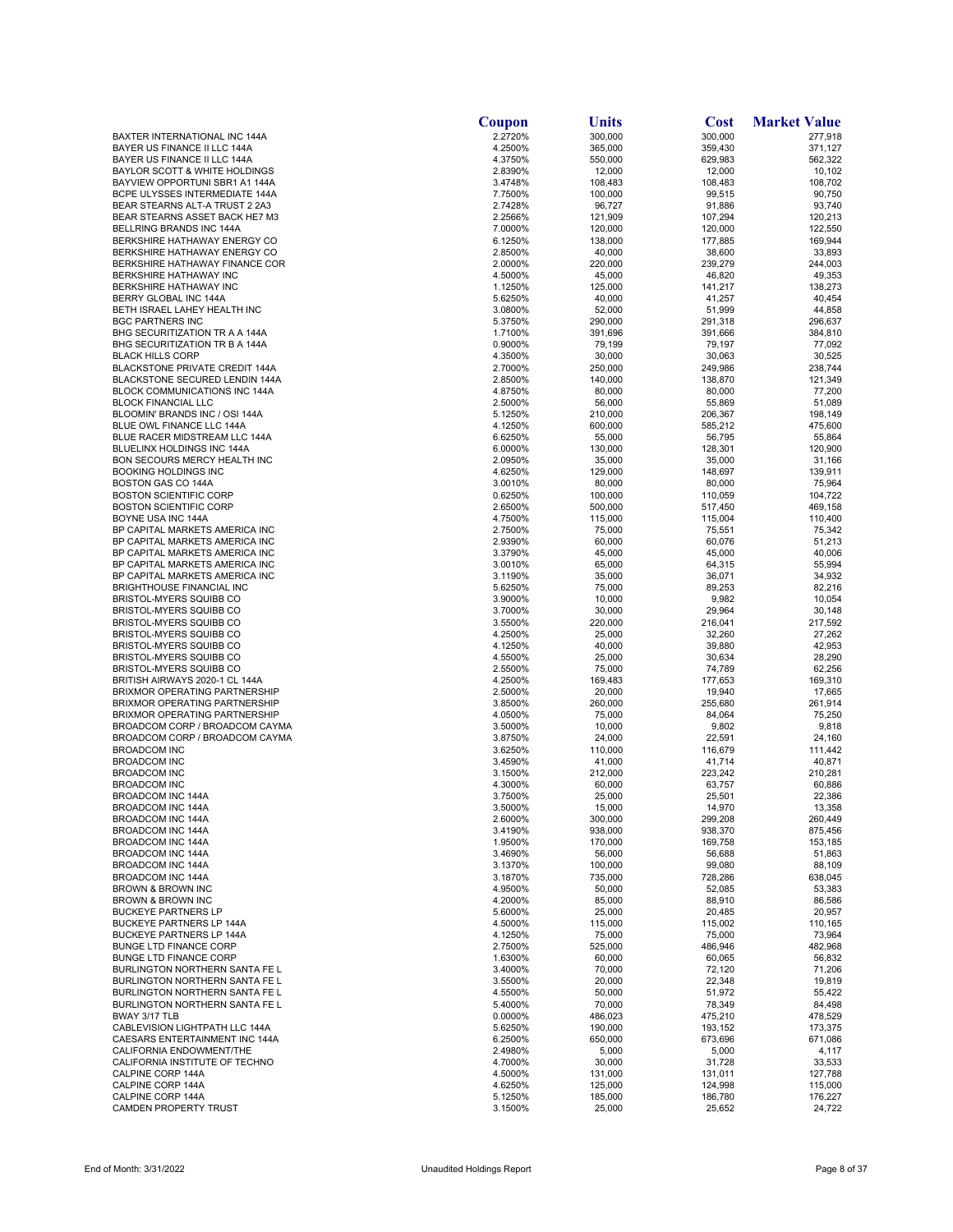|                                                                          | Coupon             | <b>Units</b>      | <b>Cost</b>        | <b>Market Value</b> |
|--------------------------------------------------------------------------|--------------------|-------------------|--------------------|---------------------|
| BAXTER INTERNATIONAL INC 144A                                            | 2.2720%            | 300,000           | 300,000            | 277,918             |
| BAYER US FINANCE II LLC 144A                                             | 4.2500%            | 365,000           | 359,430            | 371,127             |
| BAYER US FINANCE II LLC 144A<br><b>BAYLOR SCOTT &amp; WHITE HOLDINGS</b> | 4.3750%<br>2.8390% | 550,000<br>12,000 | 629,983<br>12,000  | 562,322<br>10,102   |
| BAYVIEW OPPORTUNI SBR1 A1 144A                                           | 3.4748%            | 108,483           | 108,483            | 108,702             |
| BCPE ULYSSES INTERMEDIATE 144A                                           | 7.7500%            | 100,000           | 99,515             | 90,750              |
| BEAR STEARNS ALT-A TRUST 2 2A3                                           | 2.7428%            | 96,727            | 91,886             | 93,740              |
| BEAR STEARNS ASSET BACK HE7 M3                                           | 2.2566%            | 121,909           | 107,294            | 120,213             |
| BELLRING BRANDS INC 144A                                                 | 7.0000%            | 120,000           | 120,000            | 122,550             |
| BERKSHIRE HATHAWAY ENERGY CO<br>BERKSHIRE HATHAWAY ENERGY CO             | 6.1250%<br>2.8500% | 138,000<br>40,000 | 177,885<br>38,600  | 169,944<br>33,893   |
| BERKSHIRE HATHAWAY FINANCE COR                                           | 2.0000%            | 220,000           | 239,279            | 244,003             |
| <b>BERKSHIRE HATHAWAY INC</b>                                            | 4.5000%            | 45,000            | 46,820             | 49,353              |
| BERKSHIRE HATHAWAY INC                                                   | 1.1250%            | 125,000           | 141,217            | 138,273             |
| BERRY GLOBAL INC 144A                                                    | 5.6250%            | 40,000            | 41,257             | 40,454              |
| BETH ISRAEL LAHEY HEALTH INC                                             | 3.0800%            | 52,000            | 51,999             | 44,858              |
| <b>BGC PARTNERS INC</b>                                                  | 5.3750%            | 290,000           | 291,318            | 296,637             |
| BHG SECURITIZATION TR A A 144A<br>BHG SECURITIZATION TR B A 144A         | 1.7100%<br>0.9000% | 391,696<br>79,199 | 391,666<br>79,197  | 384,810<br>77,092   |
| <b>BLACK HILLS CORP</b>                                                  | 4.3500%            | 30,000            | 30,063             | 30,525              |
| BLACKSTONE PRIVATE CREDIT 144A                                           | 2.7000%            | 250,000           | 249,986            | 238,744             |
| BLACKSTONE SECURED LENDIN 144A                                           | 2.8500%            | 140,000           | 138,870            | 121,349             |
| BLOCK COMMUNICATIONS INC 144A                                            | 4.8750%            | 80,000            | 80,000             | 77,200              |
| <b>BLOCK FINANCIAL LLC</b>                                               | 2.5000%            | 56,000            | 55,869             | 51,089              |
| BLOOMIN' BRANDS INC / OSI 144A                                           | 5.1250%            | 210,000           | 206,367<br>585,212 | 198,149             |
| BLUE OWL FINANCE LLC 144A<br>BLUE RACER MIDSTREAM LLC 144A               | 4.1250%<br>6.6250% | 600,000<br>55,000 | 56,795             | 475,600<br>55,864   |
| BLUELINX HOLDINGS INC 144A                                               | 6.0000%            | 130,000           | 128,301            | 120,900             |
| BON SECOURS MERCY HEALTH INC                                             | 2.0950%            | 35,000            | 35,000             | 31,166              |
| BOOKING HOLDINGS INC                                                     | 4.6250%            | 129,000           | 148,697            | 139,911             |
| <b>BOSTON GAS CO 144A</b>                                                | 3.0010%            | 80,000            | 80,000             | 75,964              |
| <b>BOSTON SCIENTIFIC CORP</b>                                            | 0.6250%            | 100,000           | 110,059            | 104,722             |
| <b>BOSTON SCIENTIFIC CORP</b>                                            | 2.6500%            | 500,000           | 517,450            | 469,158             |
| BOYNE USA INC 144A<br>BP CAPITAL MARKETS AMERICA INC                     | 4.7500%<br>2.7500% | 115,000<br>75,000 | 115,004<br>75,551  | 110,400<br>75,342   |
| BP CAPITAL MARKETS AMERICA INC                                           | 2.9390%            | 60,000            | 60,076             | 51,213              |
| BP CAPITAL MARKETS AMERICA INC                                           | 3.3790%            | 45,000            | 45,000             | 40,006              |
| BP CAPITAL MARKETS AMERICA INC                                           | 3.0010%            | 65,000            | 64,315             | 55,994              |
| BP CAPITAL MARKETS AMERICA INC                                           | 3.1190%            | 35,000            | 36,071             | 34,932              |
| <b>BRIGHTHOUSE FINANCIAL INC</b>                                         | 5.6250%            | 75,000            | 89,253             | 82,216              |
| BRISTOL-MYERS SQUIBB CO                                                  | 3.9000%            | 10,000            | 9,982              | 10,054              |
| BRISTOL-MYERS SQUIBB CO<br>BRISTOL-MYERS SQUIBB CO                       | 3.7000%<br>3.5500% | 30,000<br>220,000 | 29,964<br>216,041  | 30,148<br>217,592   |
| BRISTOL-MYERS SQUIBB CO                                                  | 4.2500%            | 25,000            | 32,260             | 27,262              |
| BRISTOL-MYERS SQUIBB CO                                                  | 4.1250%            | 40,000            | 39,880             | 42,953              |
| BRISTOL-MYERS SQUIBB CO                                                  | 4.5500%            | 25,000            | 30,634             | 28,290              |
| BRISTOL-MYERS SQUIBB CO                                                  | 2.5500%            | 75,000            | 74,789             | 62,256              |
| BRITISH AIRWAYS 2020-1 CL 144A                                           | 4.2500%            | 169,483           | 177,653            | 169,310             |
| BRIXMOR OPERATING PARTNERSHIP<br><b>BRIXMOR OPERATING PARTNERSHIP</b>    | 2.5000%<br>3.8500% | 20,000<br>260,000 | 19,940<br>255,680  | 17,665<br>261,914   |
| BRIXMOR OPERATING PARTNERSHIP                                            | 4.0500%            | 75,000            | 84,064             | 75,250              |
| BROADCOM CORP / BROADCOM CAYMA                                           | 3.5000%            | 10,000            | 9,802              | 9,818               |
| BROADCOM CORP / BROADCOM CAYMA                                           | 3.8750%            | 24,000            | 22,591             | 24,160              |
| <b>BROADCOM INC</b>                                                      | 3.6250%            | 110,000           | 116,679            | 111,442             |
| <b>BROADCOM INC</b>                                                      | 3.4590%            | 41,000            | 41,714             | 40,871              |
| <b>BROADCOM INC</b>                                                      | 3.1500%            | 212,000           | 223,242            | 210,281             |
| <b>BROADCOM INC</b><br>BROADCOM INC 144A                                 | 4.3000%<br>3.7500% | 60,000<br>25,000  | 63,757<br>25,501   | 60,886<br>22,386    |
| BROADCOM INC 144A                                                        | 3.5000%            | 15,000            | 14,970             | 13,358              |
| BROADCOM INC 144A                                                        | 2.6000%            | 300,000           | 299,208            | 260,449             |
| BROADCOM INC 144A                                                        | 3.4190%            | 938,000           | 938,370            | 875,456             |
| BROADCOM INC 144A                                                        | 1.9500%            | 170,000           | 169,758            | 153,185             |
| <b>BROADCOM INC 144A</b>                                                 | 3.4690%            | 56,000            | 56,688             | 51,863              |
| BROADCOM INC 144A                                                        | 3.1370%            | 100,000           | 99,080             | 88,109              |
| BROADCOM INC 144A<br><b>BROWN &amp; BROWN INC</b>                        | 3.1870%<br>4.9500% | 735,000<br>50,000 | 728,286<br>52,085  | 638,045<br>53,383   |
| BROWN & BROWN INC                                                        | 4.2000%            | 85,000            | 88,910             | 86,586              |
| <b>BUCKEYE PARTNERS LP</b>                                               | 5.6000%            | 25,000            | 20,485             | 20,957              |
| <b>BUCKEYE PARTNERS LP 144A</b>                                          | 4.5000%            | 115,000           | 115,002            | 110,165             |
| <b>BUCKEYE PARTNERS LP 144A</b>                                          | 4.1250%            | 75,000            | 75,000             | 73,964              |
| <b>BUNGE LTD FINANCE CORP</b>                                            | 2.7500%            | 525,000           | 486,946            | 482,968             |
| <b>BUNGE LTD FINANCE CORP</b>                                            | 1.6300%            | 60,000            | 60,065             | 56,832              |
| BURLINGTON NORTHERN SANTA FE L<br>BURLINGTON NORTHERN SANTA FE L         | 3.4000%<br>3.5500% | 70,000<br>20,000  | 72,120<br>22,348   | 71,206<br>19,819    |
| BURLINGTON NORTHERN SANTA FE L                                           | 4.5500%            | 50,000            | 51,972             | 55,422              |
| BURLINGTON NORTHERN SANTA FE L                                           | 5.4000%            | 70,000            | 78,349             | 84,498              |
| BWAY 3/17 TLB                                                            | 0.0000%            | 486,023           | 475,210            | 478,529             |
| CABLEVISION LIGHTPATH LLC 144A                                           | 5.6250%            | 190,000           | 193,152            | 173,375             |
| CAESARS ENTERTAINMENT INC 144A                                           | 6.2500%            | 650,000           | 673,696            | 671,086             |
| CALIFORNIA ENDOWMENT/THE<br>CALIFORNIA INSTITUTE OF TECHNO               | 2.4980%            | 5,000             | 5,000              | 4,117               |
| CALPINE CORP 144A                                                        | 4.7000%<br>4.5000% | 30,000<br>131,000 | 31,728<br>131,011  | 33,533<br>127,788   |
| CALPINE CORP 144A                                                        | 4.6250%            | 125,000           | 124,998            | 115,000             |
| CALPINE CORP 144A                                                        | 5.1250%            | 185,000           | 186,780            | 176,227             |
| CAMDEN PROPERTY TRUST                                                    | 3.1500%            | 25,000            | 25,652             | 24,722              |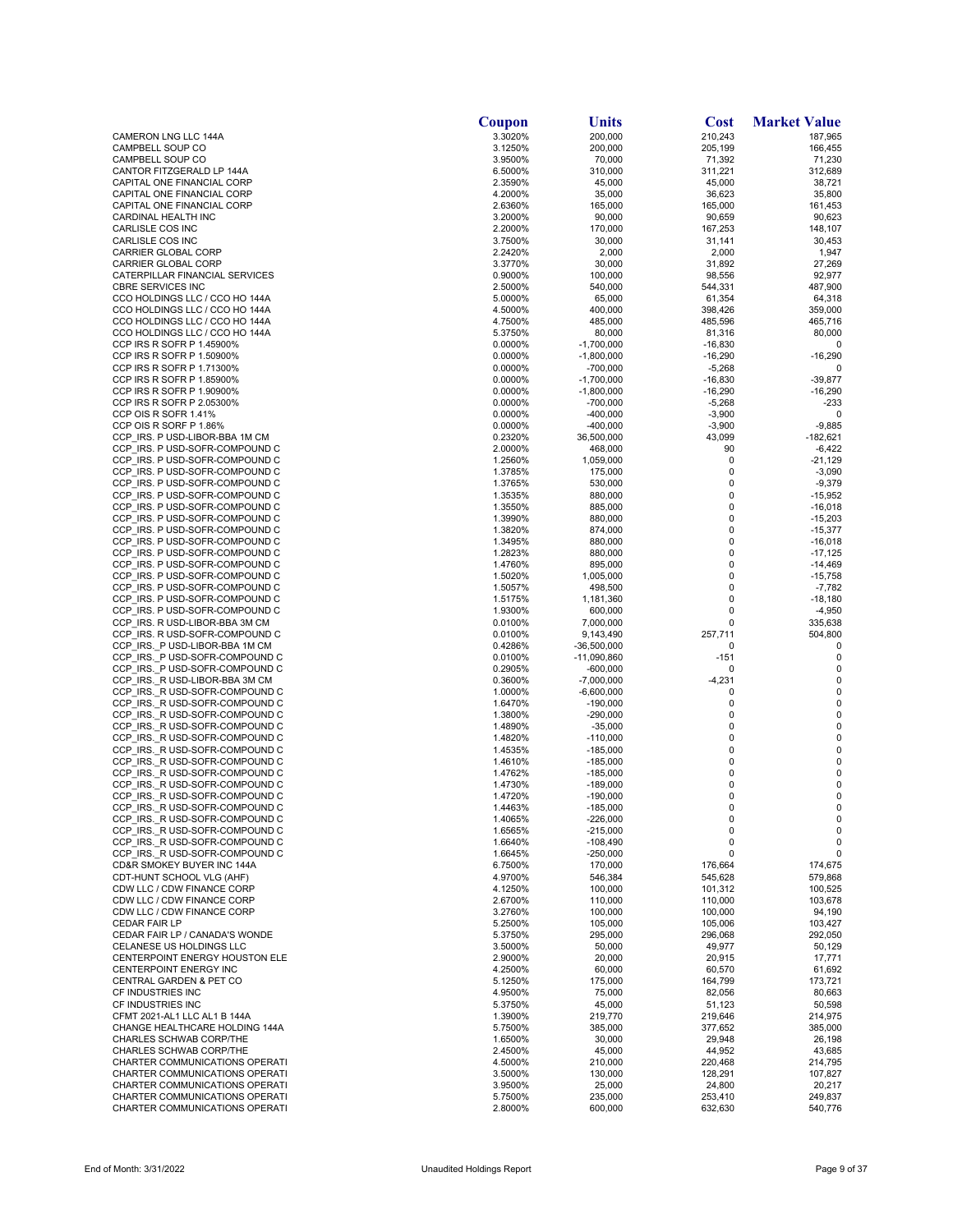|                                                                  | Coupon             | Units                        | <b>Cost</b>          | <b>Market Value</b>    |
|------------------------------------------------------------------|--------------------|------------------------------|----------------------|------------------------|
| CAMERON LNG LLC 144A                                             | 3.3020%            | 200,000                      | 210,243              | 187,965                |
| CAMPBELL SOUP CO                                                 | 3.1250%            | 200,000                      | 205,199              | 166,455                |
| CAMPBELL SOUP CO<br>CANTOR FITZGERALD LP 144A                    | 3.9500%<br>6.5000% | 70,000<br>310,000            | 71,392<br>311,221    | 71,230<br>312,689      |
| CAPITAL ONE FINANCIAL CORP                                       | 2.3590%            | 45,000                       | 45,000               | 38,721                 |
| CAPITAL ONE FINANCIAL CORP                                       | 4.2000%            | 35,000                       | 36,623               | 35,800                 |
| CAPITAL ONE FINANCIAL CORP                                       | 2.6360%            | 165,000                      | 165,000              | 161,453                |
| CARDINAL HEALTH INC                                              | 3.2000%            | 90,000                       | 90,659               | 90,623                 |
| CARLISLE COS INC                                                 | 2.2000%            | 170,000                      | 167,253              | 148,107                |
| CARLISLE COS INC<br><b>CARRIER GLOBAL CORP</b>                   | 3.7500%<br>2.2420% | 30,000<br>2,000              | 31,141<br>2,000      | 30,453<br>1,947        |
| CARRIER GLOBAL CORP                                              | 3.3770%            | 30,000                       | 31,892               | 27,269                 |
| CATERPILLAR FINANCIAL SERVICES                                   | 0.9000%            | 100,000                      | 98,556               | 92,977                 |
| <b>CBRE SERVICES INC</b>                                         | 2.5000%            | 540,000                      | 544,331              | 487,900                |
| CCO HOLDINGS LLC / CCO HO 144A                                   | 5.0000%            | 65,000                       | 61,354               | 64,318                 |
| CCO HOLDINGS LLC / CCO HO 144A                                   | 4.5000%            | 400,000                      | 398,426              | 359,000                |
| CCO HOLDINGS LLC / CCO HO 144A<br>CCO HOLDINGS LLC / CCO HO 144A | 4.7500%<br>5.3750% | 485,000<br>80,000            | 485,596<br>81,316    | 465,716<br>80,000      |
| CCP IRS R SOFR P 1.45900%                                        | 0.0000%            | $-1,700,000$                 | $-16,830$            | 0                      |
| CCP IRS R SOFR P 1.50900%                                        | 0.0000%            | $-1,800,000$                 | $-16,290$            | $-16,290$              |
| CCP IRS R SOFR P 1.71300%                                        | 0.0000%            | $-700,000$                   | $-5,268$             | 0                      |
| CCP IRS R SOFR P 1.85900%                                        | 0.0000%            | $-1,700,000$                 | $-16,830$            | -39,877                |
| CCP IRS R SOFR P 1.90900%                                        | 0.0000%            | $-1,800,000$                 | $-16,290$            | $-16,290$              |
| CCP IRS R SOFR P 2.05300%                                        | 0.0000%            | $-700,000$                   | $-5,268$             | $-233$                 |
| CCP OIS R SOFR 1.41%<br>CCP OIS R SORF P 1.86%                   | 0.0000%<br>0.0000% | $-400,000$<br>$-400,000$     | $-3,900$<br>$-3,900$ | 0<br>$-9,885$          |
| CCP IRS. P USD-LIBOR-BBA 1M CM                                   | 0.2320%            | 36,500,000                   | 43,099               | $-182,621$             |
| CCP_IRS. P USD-SOFR-COMPOUND C                                   | 2.0000%            | 468,000                      | 90                   | -6,422                 |
| CCP_IRS. P USD-SOFR-COMPOUND C                                   | 1.2560%            | 1,059,000                    | 0                    | -21,129                |
| CCP IRS. P USD-SOFR-COMPOUND C                                   | 1.3785%            | 175,000                      | 0                    | $-3,090$               |
| CCP_IRS. P USD-SOFR-COMPOUND C                                   | 1.3765%            | 530,000                      | 0                    | $-9,379$               |
| CCP IRS. P USD-SOFR-COMPOUND C                                   | 1.3535%            | 880,000                      | 0                    | $-15,952$              |
| CCP IRS. P USD-SOFR-COMPOUND C<br>CCP IRS. P USD-SOFR-COMPOUND C | 1.3550%<br>1.3990% | 885,000<br>880,000           | 0<br>0               | $-16,018$<br>$-15,203$ |
| CCP_IRS. P USD-SOFR-COMPOUND C                                   | 1.3820%            | 874,000                      | 0                    | $-15,377$              |
| CCP IRS. P USD-SOFR-COMPOUND C                                   | 1.3495%            | 880,000                      | 0                    | $-16,018$              |
| CCP IRS. P USD-SOFR-COMPOUND C                                   | 1.2823%            | 880,000                      | 0                    | $-17,125$              |
| CCP IRS. P USD-SOFR-COMPOUND C                                   | 1.4760%            | 895,000                      | 0                    | -14,469                |
| CCP IRS. P USD-SOFR-COMPOUND C                                   | 1.5020%            | 1,005,000                    | 0                    | $-15,758$              |
| CCP IRS. P USD-SOFR-COMPOUND C                                   | 1.5057%            | 498,500                      | 0<br>0               | $-7,782$               |
| CCP IRS. P USD-SOFR-COMPOUND C<br>CCP IRS. P USD-SOFR-COMPOUND C | 1.5175%<br>1.9300% | 1,181,360<br>600,000         | 0                    | $-18,180$<br>$-4,950$  |
| CCP IRS. R USD-LIBOR-BBA 3M CM                                   | 0.0100%            | 7,000,000                    | 0                    | 335,638                |
| CCP IRS. R USD-SOFR-COMPOUND C                                   | 0.0100%            | 9,143,490                    | 257,711              | 504,800                |
| CCP IRS. P USD-LIBOR-BBA 1M CM                                   | 0.4286%            | $-36,500,000$                | 0                    | 0                      |
| CCP_IRS._P USD-SOFR-COMPOUND C                                   | 0.0100%            | $-11,090,860$                | $-151$               | 0                      |
| CCP IRS. P USD-SOFR-COMPOUND C                                   | 0.2905%            | -600,000                     | 0                    | 0                      |
| CCP IRS. R USD-LIBOR-BBA 3M CM<br>CCP IRS. R USD-SOFR-COMPOUND C | 0.3600%            | $-7,000,000$<br>$-6,600,000$ | $-4,231$             | 0<br>0                 |
| CCP IRS. R USD-SOFR-COMPOUND C                                   | 1.0000%<br>1.6470% | $-190,000$                   | 0<br>0               | 0                      |
| CCP IRS. R USD-SOFR-COMPOUND C                                   | 1.3800%            | $-290,000$                   | 0                    | 0                      |
| CCP IRS. R USD-SOFR-COMPOUND C                                   | 1.4890%            | $-35,000$                    | 0                    | 0                      |
| CCP IRS. R USD-SOFR-COMPOUND C                                   | 1.4820%            | $-110,000$                   | 0                    | 0                      |
| CCP_IRS._R USD-SOFR-COMPOUND C                                   | 1.4535%            | $-185,000$                   | 0                    | 0                      |
| CCP_IRS._R USD-SOFR-COMPOUND C<br>CCP IRS. R USD-SOFR-COMPOUND C | 1.4610%            | $-185,000$<br>$-185,000$     | 0<br>0               | 0<br>0                 |
| CCP_IRS._R USD-SOFR-COMPOUND C                                   | 1.4762%<br>1.4730% | $-189,000$                   | 0                    | 0                      |
| CCP IRS. R USD-SOFR-COMPOUND C                                   | 1.4720%            | $-190,000$                   | 0                    | 0                      |
| CCP IRS. R USD-SOFR-COMPOUND C                                   | 1.4463%            | $-185,000$                   | 0                    | 0                      |
| CCP IRS._R USD-SOFR-COMPOUND C                                   | 1.4065%            | $-226,000$                   | 0                    | $\mathbf 0$            |
| CCP IRS. R USD-SOFR-COMPOUND C                                   | 1.6565%            | $-215,000$                   | 0                    | $\mathbf 0$            |
| CCP IRS. R USD-SOFR-COMPOUND C                                   | 1.6640%            | $-108,490$                   | 0                    | 0                      |
| CCP IRS. R USD-SOFR-COMPOUND C<br>CD&R SMOKEY BUYER INC 144A     | 1.6645%<br>6.7500% | $-250,000$<br>170,000        | 0<br>176,664         | 0<br>174,675           |
| CDT-HUNT SCHOOL VLG (AHF)                                        | 4.9700%            | 546,384                      | 545,628              | 579,868                |
| CDW LLC / CDW FINANCE CORP                                       | 4.1250%            | 100,000                      | 101,312              | 100,525                |
| CDW LLC / CDW FINANCE CORP                                       | 2.6700%            | 110,000                      | 110,000              | 103,678                |
| CDW LLC / CDW FINANCE CORP                                       | 3.2760%            | 100,000                      | 100,000              | 94,190                 |
| <b>CEDAR FAIR LP</b>                                             | 5.2500%            | 105,000                      | 105,006              | 103,427                |
| CEDAR FAIR LP / CANADA'S WONDE<br>CELANESE US HOLDINGS LLC       | 5.3750%<br>3.5000% | 295,000<br>50,000            | 296,068<br>49,977    | 292,050<br>50,129      |
| CENTERPOINT ENERGY HOUSTON ELE                                   | 2.9000%            | 20,000                       | 20,915               | 17,771                 |
| CENTERPOINT ENERGY INC                                           | 4.2500%            | 60,000                       | 60,570               | 61,692                 |
| CENTRAL GARDEN & PET CO                                          | 5.1250%            | 175,000                      | 164,799              | 173,721                |
| CF INDUSTRIES INC                                                | 4.9500%            | 75,000                       | 82,056               | 80,663                 |
| CF INDUSTRIES INC                                                | 5.3750%            | 45,000                       | 51,123               | 50,598                 |
| CFMT 2021-AL1 LLC AL1 B 144A                                     | 1.3900%            | 219,770                      | 219,646              | 214,975                |
| CHANGE HEALTHCARE HOLDING 144A<br>CHARLES SCHWAB CORP/THE        | 5.7500%<br>1.6500% | 385,000<br>30,000            | 377,652<br>29,948    | 385,000<br>26,198      |
| CHARLES SCHWAB CORP/THE                                          | 2.4500%            | 45,000                       | 44,952               | 43,685                 |
| CHARTER COMMUNICATIONS OPERATI                                   | 4.5000%            | 210,000                      | 220,468              | 214,795                |
| CHARTER COMMUNICATIONS OPERATI                                   | 3.5000%            | 130,000                      | 128,291              | 107,827                |
| CHARTER COMMUNICATIONS OPERATI                                   | 3.9500%            | 25,000                       | 24,800               | 20,217                 |
| CHARTER COMMUNICATIONS OPERATI                                   | 5.7500%            | 235,000                      | 253,410              | 249,837                |
| CHARTER COMMUNICATIONS OPERATI                                   | 2.8000%            | 600,000                      | 632,630              | 540,776                |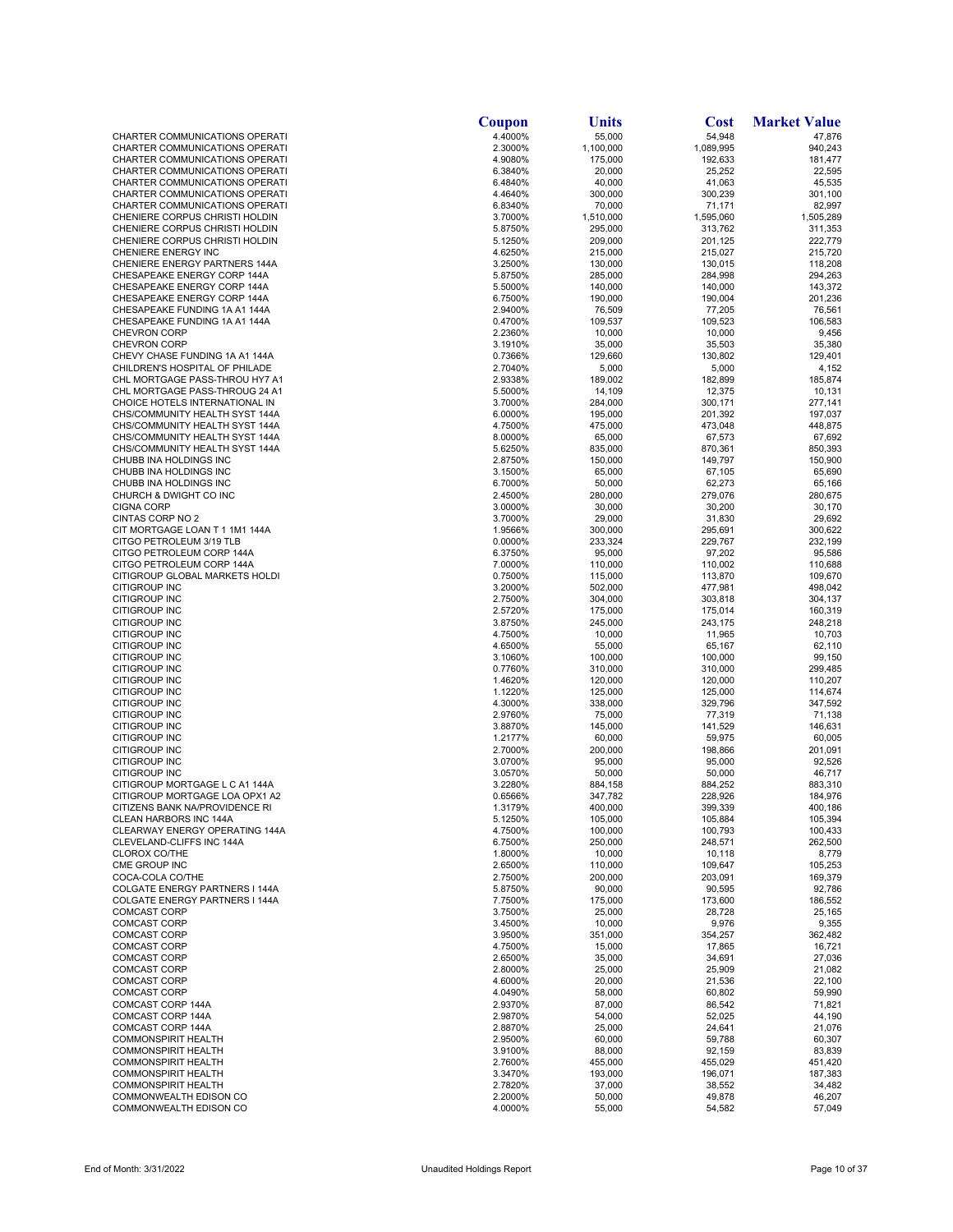|                                                                  | Coupon             | Units              | <b>Cost</b>        | <b>Market Value</b> |
|------------------------------------------------------------------|--------------------|--------------------|--------------------|---------------------|
| CHARTER COMMUNICATIONS OPERATI                                   | 4.4000%            | 55,000             | 54,948             | 47,876              |
| CHARTER COMMUNICATIONS OPERATI                                   | 2.3000%            | 1,100,000          | 1,089,995          | 940,243             |
| CHARTER COMMUNICATIONS OPERATI<br>CHARTER COMMUNICATIONS OPERATI | 4.9080%<br>6.3840% | 175,000<br>20,000  | 192,633<br>25,252  | 181,477<br>22,595   |
| CHARTER COMMUNICATIONS OPERATI                                   | 6.4840%            | 40,000             | 41,063             | 45,535              |
| CHARTER COMMUNICATIONS OPERATI                                   | 4.4640%            | 300,000            | 300,239            | 301,100             |
| CHARTER COMMUNICATIONS OPERATI                                   | 6.8340%            | 70,000             | 71,171             | 82,997              |
| CHENIERE CORPUS CHRISTI HOLDIN                                   | 3.7000%            | 1,510,000          | 1,595,060          | 1,505,289           |
| CHENIERE CORPUS CHRISTI HOLDIN                                   | 5.8750%            | 295,000            | 313,762            | 311,353             |
| CHENIERE CORPUS CHRISTI HOLDIN                                   | 5.1250%            | 209,000            | 201,125            | 222,779             |
| CHENIERE ENERGY INC                                              | 4.6250%            | 215,000            | 215,027            | 215,720             |
| CHENIERE ENERGY PARTNERS 144A<br>CHESAPEAKE ENERGY CORP 144A     | 3.2500%            | 130,000            | 130,015            | 118,208<br>294,263  |
| CHESAPEAKE ENERGY CORP 144A                                      | 5.8750%<br>5.5000% | 285,000<br>140,000 | 284,998<br>140,000 | 143,372             |
| CHESAPEAKE ENERGY CORP 144A                                      | 6.7500%            | 190,000            | 190,004            | 201,236             |
| CHESAPEAKE FUNDING 1A A1 144A                                    | 2.9400%            | 76,509             | 77,205             | 76,561              |
| CHESAPEAKE FUNDING 1A A1 144A                                    | 0.4700%            | 109,537            | 109,523            | 106,583             |
| <b>CHEVRON CORP</b>                                              | 2.2360%            | 10,000             | 10,000             | 9,456               |
| <b>CHEVRON CORP</b>                                              | 3.1910%            | 35,000             | 35,503             | 35,380              |
| CHEVY CHASE FUNDING 1A A1 144A                                   | 0.7366%            | 129,660            | 130,802            | 129,401             |
| CHILDREN'S HOSPITAL OF PHILADE<br>CHL MORTGAGE PASS-THROU HY7 A1 | 2.7040%<br>2.9338% | 5,000<br>189,002   | 5,000<br>182,899   | 4,152<br>185,874    |
| CHL MORTGAGE PASS-THROUG 24 A1                                   | 5.5000%            | 14,109             | 12,375             | 10,131              |
| CHOICE HOTELS INTERNATIONAL IN                                   | 3.7000%            | 284,000            | 300,171            | 277,141             |
| CHS/COMMUNITY HEALTH SYST 144A                                   | 6.0000%            | 195,000            | 201,392            | 197,037             |
| CHS/COMMUNITY HEALTH SYST 144A                                   | 4.7500%            | 475,000            | 473,048            | 448,875             |
| CHS/COMMUNITY HEALTH SYST 144A                                   | 8.0000%            | 65,000             | 67,573             | 67,692              |
| CHS/COMMUNITY HEALTH SYST 144A                                   | 5.6250%            | 835,000            | 870,361            | 850,393             |
| CHUBB INA HOLDINGS INC                                           | 2.8750%            | 150,000            | 149,797            | 150,900             |
| CHUBB INA HOLDINGS INC                                           | 3.1500%            | 65,000             | 67,105             | 65,690              |
| CHUBB INA HOLDINGS INC<br>CHURCH & DWIGHT CO INC                 | 6.7000%<br>2.4500% | 50,000<br>280,000  | 62,273<br>279,076  | 65,166<br>280,675   |
| <b>CIGNA CORP</b>                                                | 3.0000%            | 30,000             | 30,200             | 30,170              |
| <b>CINTAS CORP NO 2</b>                                          | 3.7000%            | 29,000             | 31,830             | 29,692              |
| CIT MORTGAGE LOAN T 1 1M1 144A                                   | 1.9566%            | 300,000            | 295,691            | 300,622             |
| CITGO PETROLEUM 3/19 TLB                                         | 0.0000%            | 233,324            | 229,767            | 232,199             |
| CITGO PETROLEUM CORP 144A                                        | 6.3750%            | 95,000             | 97,202             | 95,586              |
| CITGO PETROLEUM CORP 144A                                        | 7.0000%            | 110,000            | 110,002            | 110,688             |
| CITIGROUP GLOBAL MARKETS HOLDI                                   | 0.7500%            | 115,000            | 113,870            | 109,670             |
| CITIGROUP INC<br>CITIGROUP INC                                   | 3.2000%<br>2.7500% | 502,000<br>304,000 | 477,981<br>303,818 | 498,042<br>304,137  |
| CITIGROUP INC                                                    | 2.5720%            | 175,000            | 175,014            | 160,319             |
| CITIGROUP INC                                                    | 3.8750%            | 245,000            | 243,175            | 248,218             |
| CITIGROUP INC                                                    | 4.7500%            | 10,000             | 11,965             | 10,703              |
| CITIGROUP INC                                                    | 4.6500%            | 55,000             | 65,167             | 62,110              |
| CITIGROUP INC                                                    | 3.1060%            | 100,000            | 100,000            | 99,150              |
| CITIGROUP INC                                                    | 0.7760%            | 310,000            | 310,000            | 299,485             |
| CITIGROUP INC<br>CITIGROUP INC                                   | 1.4620%<br>1.1220% | 120,000<br>125,000 | 120,000<br>125,000 | 110,207<br>114,674  |
| CITIGROUP INC                                                    | 4.3000%            | 338,000            | 329,796            | 347,592             |
| CITIGROUP INC                                                    | 2.9760%            | 75,000             | 77,319             | 71,138              |
| CITIGROUP INC                                                    | 3.8870%            | 145,000            | 141,529            | 146,631             |
| CITIGROUP INC                                                    | 1.2177%            | 60,000             | 59,975             | 60,005              |
| CITIGROUP INC                                                    | 2.7000%            | 200,000            | 198,866            | 201,091             |
| CITIGROUP INC                                                    | 3.0700%            | 95,000             | 95,000             | 92,526              |
| <b>CITIGROUP INC</b><br>CITIGROUP MORTGAGE L C A1 144A           | 3.0570%<br>3.2280% | 50,000             | 50,000<br>884,252  | 46,717<br>883,310   |
| CITIGROUP MORTGAGE LOA OPX1 A2                                   | 0.6566%            | 884,158<br>347,782 | 228,926            | 184,976             |
| CITIZENS BANK NA/PROVIDENCE RI                                   | 1.3179%            | 400,000            | 399,339            | 400,186             |
| CLEAN HARBORS INC 144A                                           | 5.1250%            | 105,000            | 105,884            | 105,394             |
| <b>CLEARWAY ENERGY OPERATING 144A</b>                            | 4.7500%            | 100,000            | 100,793            | 100,433             |
| CLEVELAND-CLIFFS INC 144A                                        | 6.7500%            | 250,000            | 248,571            | 262,500             |
| <b>CLOROX CO/THE</b>                                             | 1.8000%            | 10,000             | 10,118             | 8,779               |
| CME GROUP INC<br>COCA-COLA CO/THE                                | 2.6500%            | 110,000            | 109.647            | 105,253             |
| <b>COLGATE ENERGY PARTNERS I 144A</b>                            | 2.7500%<br>5.8750% | 200,000<br>90,000  | 203,091<br>90,595  | 169,379<br>92,786   |
| <b>COLGATE ENERGY PARTNERS I 144A</b>                            | 7.7500%            | 175,000            | 173,600            | 186,552             |
| <b>COMCAST CORP</b>                                              | 3.7500%            | 25,000             | 28,728             | 25,165              |
| <b>COMCAST CORP</b>                                              | 3.4500%            | 10,000             | 9,976              | 9,355               |
| <b>COMCAST CORP</b>                                              | 3.9500%            | 351,000            | 354,257            | 362,482             |
| <b>COMCAST CORP</b>                                              | 4.7500%            | 15,000             | 17,865             | 16,721              |
| <b>COMCAST CORP</b>                                              | 2.6500%            | 35,000             | 34,691             | 27,036              |
| <b>COMCAST CORP</b>                                              | 2.8000%            | 25,000             | 25,909             | 21,082              |
| <b>COMCAST CORP</b><br><b>COMCAST CORP</b>                       | 4.6000%<br>4.0490% | 20,000<br>58,000   | 21,536<br>60,802   | 22,100<br>59,990    |
| COMCAST CORP 144A                                                | 2.9370%            | 87,000             | 86,542             | 71,821              |
| COMCAST CORP 144A                                                | 2.9870%            | 54,000             | 52,025             | 44,190              |
| COMCAST CORP 144A                                                | 2.8870%            | 25,000             | 24,641             | 21,076              |
| <b>COMMONSPIRIT HEALTH</b>                                       | 2.9500%            | 60,000             | 59,788             | 60,307              |
| <b>COMMONSPIRIT HEALTH</b>                                       | 3.9100%            | 88,000             | 92,159             | 83,839              |
| <b>COMMONSPIRIT HEALTH</b>                                       | 2.7600%            | 455,000            | 455,029            | 451,420             |
| <b>COMMONSPIRIT HEALTH</b>                                       | 3.3470%            | 193,000            | 196,071            | 187,383             |
| <b>COMMONSPIRIT HEALTH</b><br>COMMONWEALTH EDISON CO             | 2.7820%<br>2.2000% | 37,000<br>50,000   | 38,552<br>49,878   | 34,482<br>46,207    |
| COMMONWEALTH EDISON CO                                           | 4.0000%            | 55,000             | 54,582             | 57,049              |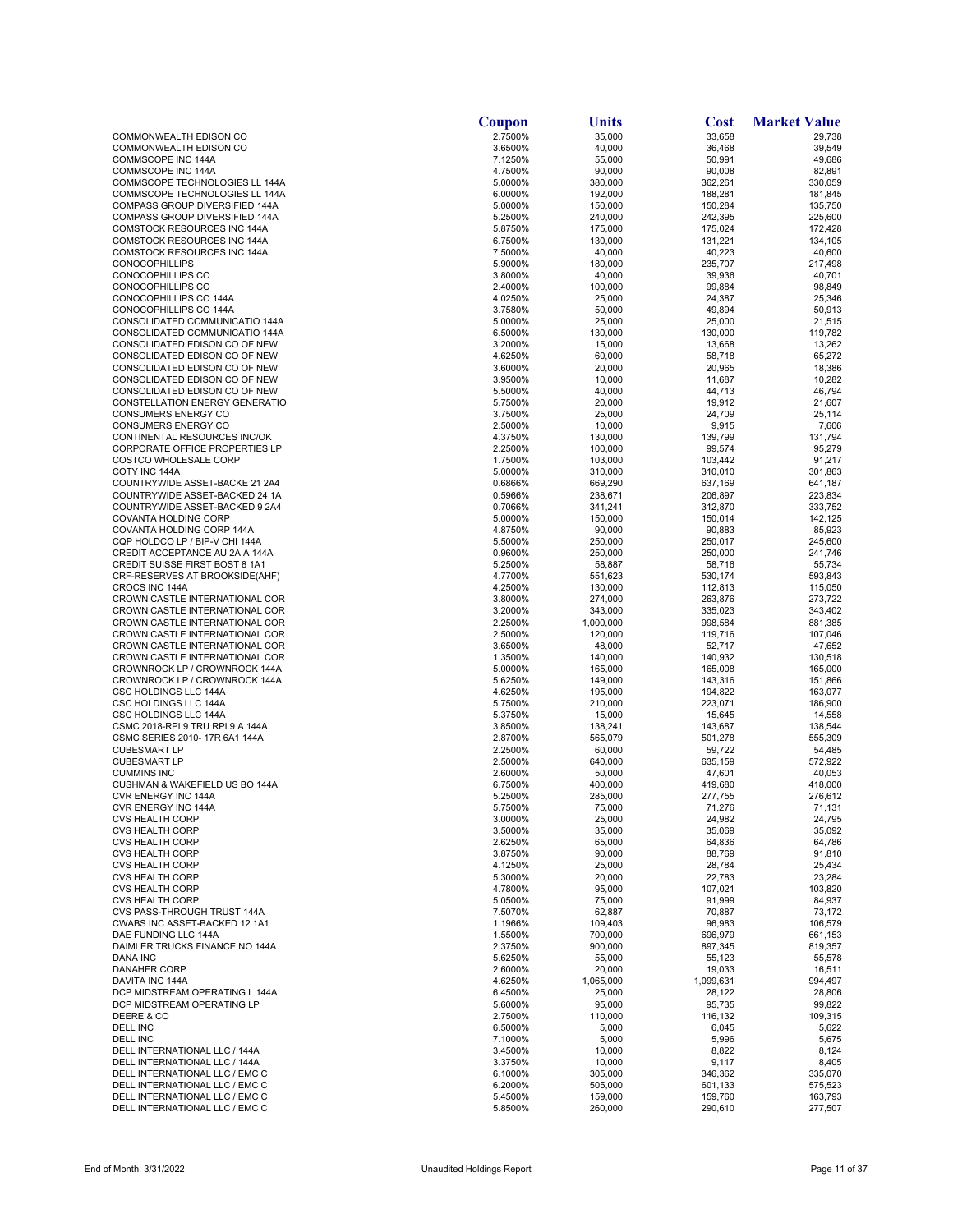|                                                                  | Coupon             | Units              | Cost               | <b>Market Value</b> |
|------------------------------------------------------------------|--------------------|--------------------|--------------------|---------------------|
| COMMONWEALTH EDISON CO                                           | 2.7500%            | 35,000             | 33,658             | 29,738              |
| COMMONWEALTH EDISON CO                                           | 3.6500%            | 40,000             | 36,468             | 39,549              |
| <b>COMMSCOPE INC 144A</b><br>COMMSCOPE INC 144A                  | 7.1250%<br>4.7500% | 55,000<br>90,000   | 50,991<br>90,008   | 49,686<br>82,891    |
| COMMSCOPE TECHNOLOGIES LL 144A                                   | 5.0000%            | 380,000            | 362,261            | 330,059             |
| COMMSCOPE TECHNOLOGIES LL 144A                                   | 6.0000%            | 192,000            | 188,281            | 181,845             |
| COMPASS GROUP DIVERSIFIED 144A                                   | 5.0000%            | 150,000            | 150,284            | 135,750             |
| COMPASS GROUP DIVERSIFIED 144A                                   | 5.2500%            | 240.000            | 242,395            | 225,600             |
| COMSTOCK RESOURCES INC 144A                                      | 5.8750%            | 175,000            | 175,024            | 172,428             |
| COMSTOCK RESOURCES INC 144A<br>COMSTOCK RESOURCES INC 144A       | 6.7500%<br>7.5000% | 130,000<br>40,000  | 131,221<br>40,223  | 134,105<br>40,600   |
| <b>CONOCOPHILLIPS</b>                                            | 5.9000%            | 180,000            | 235,707            | 217,498             |
| CONOCOPHILLIPS CO                                                | 3.8000%            | 40,000             | 39,936             | 40,701              |
| CONOCOPHILLIPS CO                                                | 2.4000%            | 100,000            | 99,884             | 98.849              |
| CONOCOPHILLIPS CO 144A                                           | 4.0250%            | 25,000             | 24,387             | 25,346              |
| CONOCOPHILLIPS CO 144A                                           | 3.7580%            | 50,000             | 49,894             | 50,913              |
| CONSOLIDATED COMMUNICATIO 144A<br>CONSOLIDATED COMMUNICATIO 144A | 5.0000%<br>6.5000% | 25,000<br>130,000  | 25,000<br>130,000  | 21,515<br>119,782   |
| CONSOLIDATED EDISON CO OF NEW                                    | 3.2000%            | 15,000             | 13,668             | 13,262              |
| CONSOLIDATED EDISON CO OF NEW                                    | 4.6250%            | 60,000             | 58,718             | 65,272              |
| CONSOLIDATED EDISON CO OF NEW                                    | 3.6000%            | 20,000             | 20,965             | 18,386              |
| CONSOLIDATED EDISON CO OF NEW                                    | 3.9500%            | 10,000             | 11,687             | 10,282              |
| CONSOLIDATED EDISON CO OF NEW                                    | 5.5000%            | 40,000             | 44,713             | 46,794              |
| CONSTELLATION ENERGY GENERATIO<br>CONSUMERS ENERGY CO            | 5.7500%<br>3.7500% | 20,000<br>25,000   | 19,912<br>24,709   | 21,607<br>25,114    |
| CONSUMERS ENERGY CO                                              | 2.5000%            | 10,000             | 9,915              | 7,606               |
| CONTINENTAL RESOURCES INC/OK                                     | 4.3750%            | 130,000            | 139,799            | 131,794             |
| CORPORATE OFFICE PROPERTIES LP                                   | 2.2500%            | 100,000            | 99,574             | 95,279              |
| <b>COSTCO WHOLESALE CORP</b>                                     | 1.7500%            | 103,000            | 103,442            | 91,217              |
| COTY INC 144A                                                    | 5.0000%            | 310,000            | 310,010            | 301,863             |
| COUNTRYWIDE ASSET-BACKE 21 2A4                                   | 0.6866%            | 669,290            | 637,169            | 641,187             |
| COUNTRYWIDE ASSET-BACKED 24 1A<br>COUNTRYWIDE ASSET-BACKED 9 2A4 | 0.5966%<br>0.7066% | 238,671<br>341,241 | 206,897<br>312,870 | 223,834<br>333,752  |
| <b>COVANTA HOLDING CORP</b>                                      | 5.0000%            | 150,000            | 150,014            | 142,125             |
| COVANTA HOLDING CORP 144A                                        | 4.8750%            | 90,000             | 90,883             | 85,923              |
| CQP HOLDCO LP / BIP-V CHI 144A                                   | 5.5000%            | 250,000            | 250,017            | 245,600             |
| CREDIT ACCEPTANCE AU 2A A 144A                                   | 0.9600%            | 250,000            | 250,000            | 241,746             |
| <b>CREDIT SUISSE FIRST BOST 8 1A1</b>                            | 5.2500%            | 58,887             | 58,716             | 55,734              |
| CRF-RESERVES AT BROOKSIDE(AHF)                                   | 4.7700%            | 551,623            | 530,174            | 593,843             |
| CROCS INC 144A<br>CROWN CASTLE INTERNATIONAL COR                 | 4.2500%<br>3.8000% | 130,000<br>274,000 | 112,813<br>263,876 | 115,050<br>273,722  |
| CROWN CASTLE INTERNATIONAL COR                                   | 3.2000%            | 343,000            | 335,023            | 343,402             |
| CROWN CASTLE INTERNATIONAL COR                                   | 2.2500%            | 1,000,000          | 998,584            | 881,385             |
| CROWN CASTLE INTERNATIONAL COR                                   | 2.5000%            | 120,000            | 119,716            | 107,046             |
| CROWN CASTLE INTERNATIONAL COR                                   | 3.6500%            | 48,000             | 52,717             | 47,652              |
| CROWN CASTLE INTERNATIONAL COR                                   | 1.3500%            | 140,000            | 140,932            | 130,518             |
| CROWNROCK LP / CROWNROCK 144A<br>CROWNROCK LP / CROWNROCK 144A   | 5.0000%<br>5.6250% | 165,000<br>149,000 | 165,008<br>143,316 | 165,000<br>151,866  |
| CSC HOLDINGS LLC 144A                                            | 4.6250%            | 195,000            | 194,822            | 163,077             |
| CSC HOLDINGS LLC 144A                                            | 5.7500%            | 210,000            | 223,071            | 186,900             |
| CSC HOLDINGS LLC 144A                                            | 5.3750%            | 15,000             | 15,645             | 14,558              |
| CSMC 2018-RPL9 TRU RPL9 A 144A                                   | 3.8500%            | 138,241            | 143,687            | 138,544             |
| CSMC SERIES 2010-17R 6A1 144A<br><b>CUBESMART LP</b>             | 2.8700%<br>2.2500% | 565,079<br>60,000  | 501,278            | 555,309<br>54,485   |
| <b>CUBESMART LP</b>                                              | 2.5000%            | 640,000            | 59,722<br>635,159  | 572,922             |
| <b>CUMMINS INC</b>                                               | 2.6000%            | 50,000             | 47,601             | 40,053              |
| CUSHMAN & WAKEFIELD US BO 144A                                   | 6.7500%            | 400,000            | 419,680            | 418,000             |
| CVR ENERGY INC 144A                                              | 5.2500%            | 285,000            | 277,755            | 276,612             |
| <b>CVR ENERGY INC 144A</b>                                       | 5.7500%            | 75,000             | 71,276             | 71,131              |
| <b>CVS HEALTH CORP</b><br><b>CVS HEALTH CORP</b>                 | 3.0000%<br>3.5000% | 25,000<br>35,000   | 24,982<br>35,069   | 24,795<br>35,092    |
| <b>CVS HEALTH CORP</b>                                           | 2.6250%            | 65,000             | 64,836             | 64,786              |
| <b>CVS HEALTH CORP</b>                                           | 3.8750%            | 90,000             | 88,769             | 91,810              |
| <b>CVS HEALTH CORP</b>                                           | 4.1250%            | 25,000             | 28,784             | 25,434              |
| <b>CVS HEALTH CORP</b>                                           | 5.3000%            | 20,000             | 22,783             | 23,284              |
| <b>CVS HEALTH CORP</b>                                           | 4.7800%            | 95,000             | 107,021            | 103,820             |
| <b>CVS HEALTH CORP</b><br>CVS PASS-THROUGH TRUST 144A            | 5.0500%<br>7.5070% | 75,000<br>62,887   | 91,999<br>70,887   | 84,937<br>73,172    |
| CWABS INC ASSET-BACKED 12 1A1                                    | 1.1966%            | 109,403            | 96,983             | 106,579             |
| DAE FUNDING LLC 144A                                             | 1.5500%            | 700,000            | 696,979            | 661,153             |
| DAIMLER TRUCKS FINANCE NO 144A                                   | 2.3750%            | 900,000            | 897,345            | 819,357             |
| <b>DANA INC</b>                                                  | 5.6250%            | 55,000             | 55,123             | 55,578              |
| <b>DANAHER CORP</b>                                              | 2.6000%            | 20,000             | 19,033             | 16,511              |
| DAVITA INC 144A<br>DCP MIDSTREAM OPERATING L 144A                | 4.6250%            | 1,065,000          | 1,099,631          | 994,497             |
| DCP MIDSTREAM OPERATING LP                                       | 6.4500%<br>5.6000% | 25,000<br>95,000   | 28,122<br>95,735   | 28,806<br>99,822    |
| DEERE & CO                                                       | 2.7500%            | 110,000            | 116,132            | 109,315             |
| DELL INC                                                         | 6.5000%            | 5,000              | 6,045              | 5,622               |
| DELL INC                                                         | 7.1000%            | 5,000              | 5,996              | 5,675               |
| DELL INTERNATIONAL LLC / 144A                                    | 3.4500%            | 10,000             | 8,822              | 8,124               |
| DELL INTERNATIONAL LLC / 144A                                    | 3.3750%            | 10,000             | 9,117              | 8,405               |
| DELL INTERNATIONAL LLC / EMC C<br>DELL INTERNATIONAL LLC / EMC C | 6.1000%<br>6.2000% | 305,000<br>505,000 | 346,362<br>601,133 | 335,070<br>575,523  |
| DELL INTERNATIONAL LLC / EMC C                                   | 5.4500%            | 159,000            | 159,760            | 163,793             |
| DELL INTERNATIONAL LLC / EMC C                                   | 5.8500%            | 260,000            | 290,610            | 277,507             |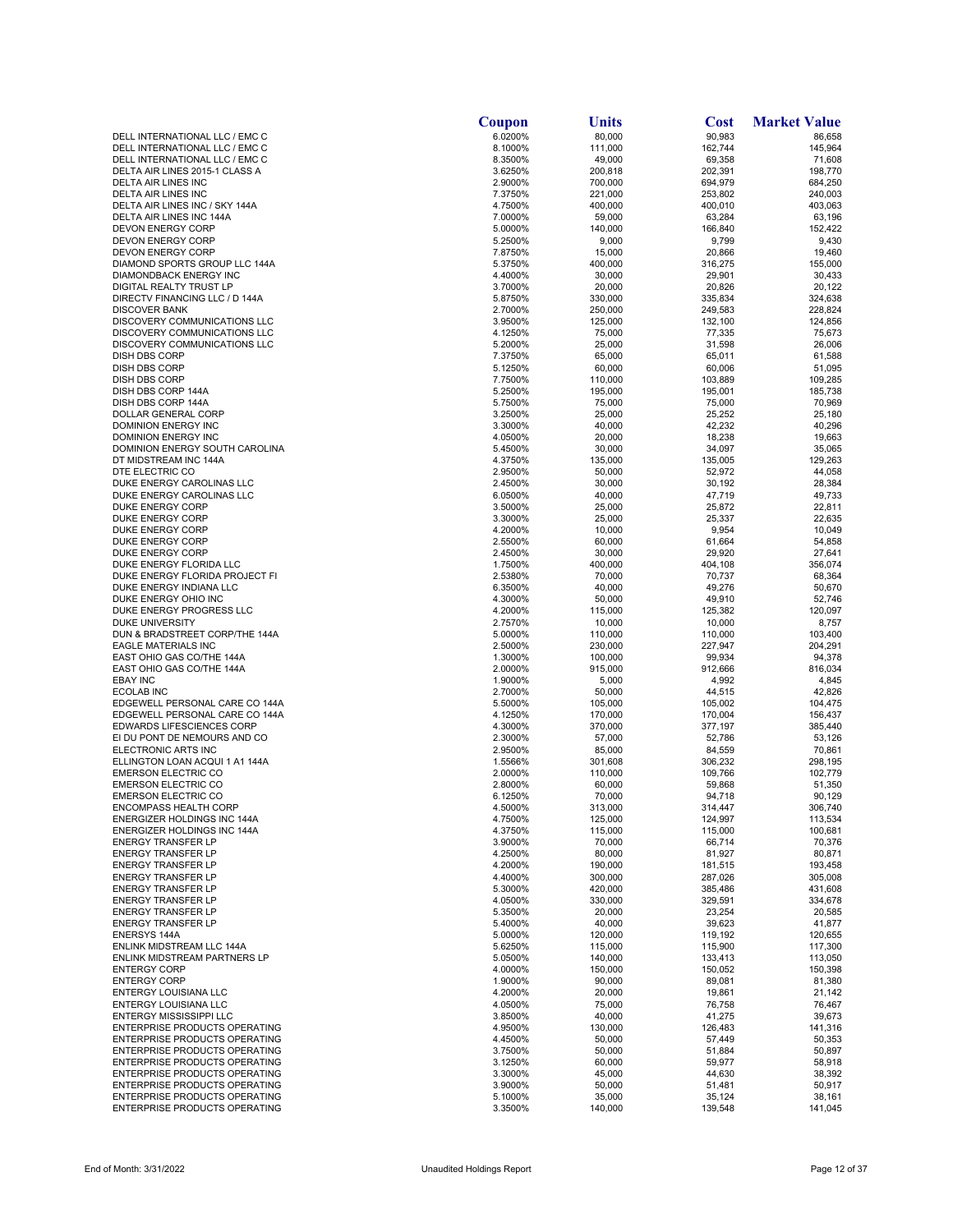| 6.0200%<br>80,000<br>90,983<br>DELL INTERNATIONAL LLC / EMC C<br>86,658<br>8.1000%<br>162,744<br>DELL INTERNATIONAL LLC / EMC C<br>111,000<br>145,964<br>8.3500%<br>49,000<br>69,358<br>71,608<br>DELL INTERNATIONAL LLC / EMC C<br>3.6250%<br>200,818<br>202,391<br>198,770<br>DELTA AIR LINES 2015-1 CLASS A<br>2.9000%<br>700,000<br>694,979<br>684,250<br>DELTA AIR LINES INC<br>DELTA AIR LINES INC<br>7.3750%<br>221,000<br>253,802<br>240,003<br>DELTA AIR LINES INC / SKY 144A<br>4.7500%<br>400,000<br>400,010<br>403,063<br>DELTA AIR LINES INC 144A<br>7.0000%<br>59,000<br>63,284<br>63,196<br>166,840<br>DEVON ENERGY CORP<br>5.0000%<br>140,000<br>152,422<br>9,799<br>9,430<br><b>DEVON ENERGY CORP</b><br>5.2500%<br>9,000<br><b>DEVON ENERGY CORP</b><br>7.8750%<br>15,000<br>20,866<br>19,460<br>316,275<br>155,000<br>DIAMOND SPORTS GROUP LLC 144A<br>5.3750%<br>400,000<br>29,901<br>30,433<br>DIAMONDBACK ENERGY INC<br>4.4000%<br>30,000<br>20,000<br>20,122<br>DIGITAL REALTY TRUST LP<br>3.7000%<br>20,826<br>324,638<br>DIRECTV FINANCING LLC / D 144A<br>5.8750%<br>330,000<br>335,834<br><b>DISCOVER BANK</b><br>2.7000%<br>250,000<br>249,583<br>228,824<br>DISCOVERY COMMUNICATIONS LLC<br>132,100<br>124,856<br>3.9500%<br>125,000<br>DISCOVERY COMMUNICATIONS LLC<br>4.1250%<br>75,000<br>77,335<br>75,673<br>DISCOVERY COMMUNICATIONS LLC<br>5.2000%<br>31,598<br>26,006<br>25,000<br>DISH DBS CORP<br>7.3750%<br>65,000<br>65,011<br>61,588<br>DISH DBS CORP<br>5.1250%<br>60,000<br>60,006<br>51,095<br>7.7500%<br>110,000<br>103,889<br>109,285<br>DISH DBS CORP<br>DISH DBS CORP 144A<br>195,000<br>195,001<br>185,738<br>5.2500%<br>DISH DBS CORP 144A<br>5.7500%<br>75,000<br>75,000<br>70,969<br>DOLLAR GENERAL CORP<br>3.2500%<br>25,000<br>25,252<br>25,180<br>DOMINION ENERGY INC<br>3.3000%<br>40,000<br>42,232<br>40,296<br>DOMINION ENERGY INC<br>4.0500%<br>20,000<br>18,238<br>19,663<br>34,097<br>35,065<br>DOMINION ENERGY SOUTH CAROLINA<br>5.4500%<br>30,000<br>4.3750%<br>135,000<br>135,005<br>129,263<br>DT MIDSTREAM INC 144A<br>DTE ELECTRIC CO<br>2.9500%<br>50,000<br>52,972<br>44,058<br>DUKE ENERGY CAROLINAS LLC<br>2.4500%<br>30,000<br>30,192<br>28,384<br>DUKE ENERGY CAROLINAS LLC<br>6.0500%<br>40,000<br>47,719<br>49,733<br>DUKE ENERGY CORP<br>3.5000%<br>25,000<br>25,872<br>22,811<br>DUKE ENERGY CORP<br>3.3000%<br>25,000<br>25,337<br>22,635<br>10,049<br>DUKE ENERGY CORP<br>4.2000%<br>10,000<br>9,954<br>54,858<br>DUKE ENERGY CORP<br>2.5500%<br>60,000<br>61,664<br>DUKE ENERGY CORP<br>29,920<br>27,641<br>2.4500%<br>30,000<br>404,108<br>356,074<br>DUKE ENERGY FLORIDA LLC<br>1.7500%<br>400,000<br>DUKE ENERGY FLORIDA PROJECT FI<br>70,000<br>70,737<br>2.5380%<br>68,364<br>DUKE ENERGY INDIANA LLC<br>6.3500%<br>40,000<br>49,276<br>50,670<br>4.3000%<br>49,910<br>52,746<br>DUKE ENERGY OHIO INC<br>50,000<br>120,097<br>DUKE ENERGY PROGRESS LLC<br>4.2000%<br>115,000<br>125,382<br>2.7570%<br>10,000<br>DUKE UNIVERSITY<br>10,000<br>8,757<br>DUN & BRADSTREET CORP/THE 144A<br>110,000<br>5.0000%<br>110,000<br>103,400<br>EAGLE MATERIALS INC<br>2.5000%<br>230,000<br>227,947<br>204,291<br>1.3000%<br>100,000<br>99,934<br>94,378<br>EAST OHIO GAS CO/THE 144A<br>EAST OHIO GAS CO/THE 144A<br>915,000<br>912,666<br>816,034<br>2.0000%<br><b>EBAY INC</b><br>5,000<br>4,992<br>4,845<br>1.9000%<br><b>ECOLAB INC</b><br>2.7000%<br>50,000<br>44,515<br>42,826<br>EDGEWELL PERSONAL CARE CO 144A<br>5.5000%<br>105,002<br>104,475<br>105,000<br>EDGEWELL PERSONAL CARE CO 144A<br>4.1250%<br>170,000<br>156,437<br>170,004<br><b>EDWARDS LIFESCIENCES CORP</b><br>4.3000%<br>370,000<br>385,440<br>377,197<br>EI DU PONT DE NEMOURS AND CO<br>2.3000%<br>57,000<br>52,786<br>53,126<br>ELECTRONIC ARTS INC<br>70,861<br>2.9500%<br>85,000<br>84,559<br>306,232<br>298,195<br>ELLINGTON LOAN ACQUI 1 A1 144A<br>1.5566%<br>301,608<br><b>EMERSON ELECTRIC CO</b><br>102,779<br>2.0000%<br>110,000<br>109,766<br><b>EMERSON ELECTRIC CO</b><br>2.8000%<br>60,000<br>59,868<br>51,350<br><b>EMERSON ELECTRIC CO</b><br>6.1250%<br>70,000<br>94,718<br>90,129<br>306,740<br>ENCOMPASS HEALTH CORP<br>4.5000%<br>313,000<br>314,447<br>124,997<br>113,534<br>ENERGIZER HOLDINGS INC 144A<br>4.7500%<br>125,000<br>4.3750%<br>115,000<br>115,000<br>100,681<br>ENERGIZER HOLDINGS INC 144A<br>66,714<br><b>ENERGY TRANSFER LP</b><br>3.9000%<br>70,000<br>70,376<br>4.2500%<br>80,000<br>81,927<br>80,871<br><b>ENERGY TRANSFER LP</b><br><b>ENERGY TRANSFER LP</b><br>4.2000%<br>190,000<br>181,515<br>193,458<br>4.4000%<br>300,000<br>287,026<br>305,008<br><b>ENERGY TRANSFER LP</b><br>420,000<br><b>ENERGY TRANSFER LP</b><br>5.3000%<br>385,486<br>431,608<br><b>ENERGY TRANSFER LP</b><br>4.0500%<br>330,000<br>329,591<br>334,678<br>23,254<br><b>ENERGY TRANSFER LP</b><br>5.3500%<br>20,000<br>20,585<br>40,000<br><b>ENERGY TRANSFER LP</b><br>5.4000%<br>39,623<br>41,877<br>120,000<br>119,192<br><b>ENERSYS 144A</b><br>5.0000%<br>120,655<br>117,300<br>ENLINK MIDSTREAM LLC 144A<br>5.6250%<br>115,000<br>115,900<br>ENLINK MIDSTREAM PARTNERS LP<br>5.0500%<br>140,000<br>133,413<br>113,050<br><b>ENTERGY CORP</b><br>4.0000%<br>150,000<br>150,052<br>150,398<br><b>ENTERGY CORP</b><br>1.9000%<br>90,000<br>89,081<br>81,380<br>ENTERGY LOUISIANA LLC<br>4.2000%<br>20,000<br>19,861<br>21,142<br>ENTERGY LOUISIANA LLC<br>4.0500%<br>75,000<br>76,758<br>76,467<br><b>ENTERGY MISSISSIPPI LLC</b><br>3.8500%<br>40,000<br>41,275<br>39,673<br>ENTERPRISE PRODUCTS OPERATING<br>4.9500%<br>130,000<br>126,483<br>141,316<br>ENTERPRISE PRODUCTS OPERATING<br>4.4500%<br>50,000<br>57,449<br>50,353<br>ENTERPRISE PRODUCTS OPERATING<br>3.7500%<br>50,000<br>51,884<br>50,897<br>ENTERPRISE PRODUCTS OPERATING<br>3.1250%<br>60,000<br>59,977<br>58,918<br>ENTERPRISE PRODUCTS OPERATING<br>3.3000%<br>45,000<br>44,630<br>38,392<br><b>ENTERPRISE PRODUCTS OPERATING</b><br>3.9000%<br>50,000<br>51,481<br>50,917<br>ENTERPRISE PRODUCTS OPERATING<br>38,161<br>5.1000%<br>35,000<br>35,124 | Coupon | Units | Cost | <b>Market Value</b> |
|-------------------------------------------------------------------------------------------------------------------------------------------------------------------------------------------------------------------------------------------------------------------------------------------------------------------------------------------------------------------------------------------------------------------------------------------------------------------------------------------------------------------------------------------------------------------------------------------------------------------------------------------------------------------------------------------------------------------------------------------------------------------------------------------------------------------------------------------------------------------------------------------------------------------------------------------------------------------------------------------------------------------------------------------------------------------------------------------------------------------------------------------------------------------------------------------------------------------------------------------------------------------------------------------------------------------------------------------------------------------------------------------------------------------------------------------------------------------------------------------------------------------------------------------------------------------------------------------------------------------------------------------------------------------------------------------------------------------------------------------------------------------------------------------------------------------------------------------------------------------------------------------------------------------------------------------------------------------------------------------------------------------------------------------------------------------------------------------------------------------------------------------------------------------------------------------------------------------------------------------------------------------------------------------------------------------------------------------------------------------------------------------------------------------------------------------------------------------------------------------------------------------------------------------------------------------------------------------------------------------------------------------------------------------------------------------------------------------------------------------------------------------------------------------------------------------------------------------------------------------------------------------------------------------------------------------------------------------------------------------------------------------------------------------------------------------------------------------------------------------------------------------------------------------------------------------------------------------------------------------------------------------------------------------------------------------------------------------------------------------------------------------------------------------------------------------------------------------------------------------------------------------------------------------------------------------------------------------------------------------------------------------------------------------------------------------------------------------------------------------------------------------------------------------------------------------------------------------------------------------------------------------------------------------------------------------------------------------------------------------------------------------------------------------------------------------------------------------------------------------------------------------------------------------------------------------------------------------------------------------------------------------------------------------------------------------------------------------------------------------------------------------------------------------------------------------------------------------------------------------------------------------------------------------------------------------------------------------------------------------------------------------------------------------------------------------------------------------------------------------------------------------------------------------------------------------------------------------------------------------------------------------------------------------------------------------------------------------------------------------------------------------------------------------------------------------------------------------------------------------------------------------------------------------------------------------------------------------------------------------------------------------------------------------------------------------------------------------------------------------------------------------------------------------------------------------------------------------------------------------------------------------------------------------------------------------------------------------------------------------------------------------------------------------------------------------------------------------------------------------------------------------------------------------------------------------------------------------------------------------------------------------------------------------------------------------------------------------------------------------------------------------------------------------------------------------------------------------------------------|--------|-------|------|---------------------|
|                                                                                                                                                                                                                                                                                                                                                                                                                                                                                                                                                                                                                                                                                                                                                                                                                                                                                                                                                                                                                                                                                                                                                                                                                                                                                                                                                                                                                                                                                                                                                                                                                                                                                                                                                                                                                                                                                                                                                                                                                                                                                                                                                                                                                                                                                                                                                                                                                                                                                                                                                                                                                                                                                                                                                                                                                                                                                                                                                                                                                                                                                                                                                                                                                                                                                                                                                                                                                                                                                                                                                                                                                                                                                                                                                                                                                                                                                                                                                                                                                                                                                                                                                                                                                                                                                                                                                                                                                                                                                                                                                                                                                                                                                                                                                                                                                                                                                                                                                                                                                                                                                                                                                                                                                                                                                                                                                                                                                                                                                                                                                                                                                                                                                                                                                                                                                                                                                                                                                                                                                                                                                                             |        |       |      |                     |
|                                                                                                                                                                                                                                                                                                                                                                                                                                                                                                                                                                                                                                                                                                                                                                                                                                                                                                                                                                                                                                                                                                                                                                                                                                                                                                                                                                                                                                                                                                                                                                                                                                                                                                                                                                                                                                                                                                                                                                                                                                                                                                                                                                                                                                                                                                                                                                                                                                                                                                                                                                                                                                                                                                                                                                                                                                                                                                                                                                                                                                                                                                                                                                                                                                                                                                                                                                                                                                                                                                                                                                                                                                                                                                                                                                                                                                                                                                                                                                                                                                                                                                                                                                                                                                                                                                                                                                                                                                                                                                                                                                                                                                                                                                                                                                                                                                                                                                                                                                                                                                                                                                                                                                                                                                                                                                                                                                                                                                                                                                                                                                                                                                                                                                                                                                                                                                                                                                                                                                                                                                                                                                             |        |       |      |                     |
|                                                                                                                                                                                                                                                                                                                                                                                                                                                                                                                                                                                                                                                                                                                                                                                                                                                                                                                                                                                                                                                                                                                                                                                                                                                                                                                                                                                                                                                                                                                                                                                                                                                                                                                                                                                                                                                                                                                                                                                                                                                                                                                                                                                                                                                                                                                                                                                                                                                                                                                                                                                                                                                                                                                                                                                                                                                                                                                                                                                                                                                                                                                                                                                                                                                                                                                                                                                                                                                                                                                                                                                                                                                                                                                                                                                                                                                                                                                                                                                                                                                                                                                                                                                                                                                                                                                                                                                                                                                                                                                                                                                                                                                                                                                                                                                                                                                                                                                                                                                                                                                                                                                                                                                                                                                                                                                                                                                                                                                                                                                                                                                                                                                                                                                                                                                                                                                                                                                                                                                                                                                                                                             |        |       |      |                     |
|                                                                                                                                                                                                                                                                                                                                                                                                                                                                                                                                                                                                                                                                                                                                                                                                                                                                                                                                                                                                                                                                                                                                                                                                                                                                                                                                                                                                                                                                                                                                                                                                                                                                                                                                                                                                                                                                                                                                                                                                                                                                                                                                                                                                                                                                                                                                                                                                                                                                                                                                                                                                                                                                                                                                                                                                                                                                                                                                                                                                                                                                                                                                                                                                                                                                                                                                                                                                                                                                                                                                                                                                                                                                                                                                                                                                                                                                                                                                                                                                                                                                                                                                                                                                                                                                                                                                                                                                                                                                                                                                                                                                                                                                                                                                                                                                                                                                                                                                                                                                                                                                                                                                                                                                                                                                                                                                                                                                                                                                                                                                                                                                                                                                                                                                                                                                                                                                                                                                                                                                                                                                                                             |        |       |      |                     |
|                                                                                                                                                                                                                                                                                                                                                                                                                                                                                                                                                                                                                                                                                                                                                                                                                                                                                                                                                                                                                                                                                                                                                                                                                                                                                                                                                                                                                                                                                                                                                                                                                                                                                                                                                                                                                                                                                                                                                                                                                                                                                                                                                                                                                                                                                                                                                                                                                                                                                                                                                                                                                                                                                                                                                                                                                                                                                                                                                                                                                                                                                                                                                                                                                                                                                                                                                                                                                                                                                                                                                                                                                                                                                                                                                                                                                                                                                                                                                                                                                                                                                                                                                                                                                                                                                                                                                                                                                                                                                                                                                                                                                                                                                                                                                                                                                                                                                                                                                                                                                                                                                                                                                                                                                                                                                                                                                                                                                                                                                                                                                                                                                                                                                                                                                                                                                                                                                                                                                                                                                                                                                                             |        |       |      |                     |
|                                                                                                                                                                                                                                                                                                                                                                                                                                                                                                                                                                                                                                                                                                                                                                                                                                                                                                                                                                                                                                                                                                                                                                                                                                                                                                                                                                                                                                                                                                                                                                                                                                                                                                                                                                                                                                                                                                                                                                                                                                                                                                                                                                                                                                                                                                                                                                                                                                                                                                                                                                                                                                                                                                                                                                                                                                                                                                                                                                                                                                                                                                                                                                                                                                                                                                                                                                                                                                                                                                                                                                                                                                                                                                                                                                                                                                                                                                                                                                                                                                                                                                                                                                                                                                                                                                                                                                                                                                                                                                                                                                                                                                                                                                                                                                                                                                                                                                                                                                                                                                                                                                                                                                                                                                                                                                                                                                                                                                                                                                                                                                                                                                                                                                                                                                                                                                                                                                                                                                                                                                                                                                             |        |       |      |                     |
|                                                                                                                                                                                                                                                                                                                                                                                                                                                                                                                                                                                                                                                                                                                                                                                                                                                                                                                                                                                                                                                                                                                                                                                                                                                                                                                                                                                                                                                                                                                                                                                                                                                                                                                                                                                                                                                                                                                                                                                                                                                                                                                                                                                                                                                                                                                                                                                                                                                                                                                                                                                                                                                                                                                                                                                                                                                                                                                                                                                                                                                                                                                                                                                                                                                                                                                                                                                                                                                                                                                                                                                                                                                                                                                                                                                                                                                                                                                                                                                                                                                                                                                                                                                                                                                                                                                                                                                                                                                                                                                                                                                                                                                                                                                                                                                                                                                                                                                                                                                                                                                                                                                                                                                                                                                                                                                                                                                                                                                                                                                                                                                                                                                                                                                                                                                                                                                                                                                                                                                                                                                                                                             |        |       |      |                     |
|                                                                                                                                                                                                                                                                                                                                                                                                                                                                                                                                                                                                                                                                                                                                                                                                                                                                                                                                                                                                                                                                                                                                                                                                                                                                                                                                                                                                                                                                                                                                                                                                                                                                                                                                                                                                                                                                                                                                                                                                                                                                                                                                                                                                                                                                                                                                                                                                                                                                                                                                                                                                                                                                                                                                                                                                                                                                                                                                                                                                                                                                                                                                                                                                                                                                                                                                                                                                                                                                                                                                                                                                                                                                                                                                                                                                                                                                                                                                                                                                                                                                                                                                                                                                                                                                                                                                                                                                                                                                                                                                                                                                                                                                                                                                                                                                                                                                                                                                                                                                                                                                                                                                                                                                                                                                                                                                                                                                                                                                                                                                                                                                                                                                                                                                                                                                                                                                                                                                                                                                                                                                                                             |        |       |      |                     |
|                                                                                                                                                                                                                                                                                                                                                                                                                                                                                                                                                                                                                                                                                                                                                                                                                                                                                                                                                                                                                                                                                                                                                                                                                                                                                                                                                                                                                                                                                                                                                                                                                                                                                                                                                                                                                                                                                                                                                                                                                                                                                                                                                                                                                                                                                                                                                                                                                                                                                                                                                                                                                                                                                                                                                                                                                                                                                                                                                                                                                                                                                                                                                                                                                                                                                                                                                                                                                                                                                                                                                                                                                                                                                                                                                                                                                                                                                                                                                                                                                                                                                                                                                                                                                                                                                                                                                                                                                                                                                                                                                                                                                                                                                                                                                                                                                                                                                                                                                                                                                                                                                                                                                                                                                                                                                                                                                                                                                                                                                                                                                                                                                                                                                                                                                                                                                                                                                                                                                                                                                                                                                                             |        |       |      |                     |
|                                                                                                                                                                                                                                                                                                                                                                                                                                                                                                                                                                                                                                                                                                                                                                                                                                                                                                                                                                                                                                                                                                                                                                                                                                                                                                                                                                                                                                                                                                                                                                                                                                                                                                                                                                                                                                                                                                                                                                                                                                                                                                                                                                                                                                                                                                                                                                                                                                                                                                                                                                                                                                                                                                                                                                                                                                                                                                                                                                                                                                                                                                                                                                                                                                                                                                                                                                                                                                                                                                                                                                                                                                                                                                                                                                                                                                                                                                                                                                                                                                                                                                                                                                                                                                                                                                                                                                                                                                                                                                                                                                                                                                                                                                                                                                                                                                                                                                                                                                                                                                                                                                                                                                                                                                                                                                                                                                                                                                                                                                                                                                                                                                                                                                                                                                                                                                                                                                                                                                                                                                                                                                             |        |       |      |                     |
|                                                                                                                                                                                                                                                                                                                                                                                                                                                                                                                                                                                                                                                                                                                                                                                                                                                                                                                                                                                                                                                                                                                                                                                                                                                                                                                                                                                                                                                                                                                                                                                                                                                                                                                                                                                                                                                                                                                                                                                                                                                                                                                                                                                                                                                                                                                                                                                                                                                                                                                                                                                                                                                                                                                                                                                                                                                                                                                                                                                                                                                                                                                                                                                                                                                                                                                                                                                                                                                                                                                                                                                                                                                                                                                                                                                                                                                                                                                                                                                                                                                                                                                                                                                                                                                                                                                                                                                                                                                                                                                                                                                                                                                                                                                                                                                                                                                                                                                                                                                                                                                                                                                                                                                                                                                                                                                                                                                                                                                                                                                                                                                                                                                                                                                                                                                                                                                                                                                                                                                                                                                                                                             |        |       |      |                     |
|                                                                                                                                                                                                                                                                                                                                                                                                                                                                                                                                                                                                                                                                                                                                                                                                                                                                                                                                                                                                                                                                                                                                                                                                                                                                                                                                                                                                                                                                                                                                                                                                                                                                                                                                                                                                                                                                                                                                                                                                                                                                                                                                                                                                                                                                                                                                                                                                                                                                                                                                                                                                                                                                                                                                                                                                                                                                                                                                                                                                                                                                                                                                                                                                                                                                                                                                                                                                                                                                                                                                                                                                                                                                                                                                                                                                                                                                                                                                                                                                                                                                                                                                                                                                                                                                                                                                                                                                                                                                                                                                                                                                                                                                                                                                                                                                                                                                                                                                                                                                                                                                                                                                                                                                                                                                                                                                                                                                                                                                                                                                                                                                                                                                                                                                                                                                                                                                                                                                                                                                                                                                                                             |        |       |      |                     |
|                                                                                                                                                                                                                                                                                                                                                                                                                                                                                                                                                                                                                                                                                                                                                                                                                                                                                                                                                                                                                                                                                                                                                                                                                                                                                                                                                                                                                                                                                                                                                                                                                                                                                                                                                                                                                                                                                                                                                                                                                                                                                                                                                                                                                                                                                                                                                                                                                                                                                                                                                                                                                                                                                                                                                                                                                                                                                                                                                                                                                                                                                                                                                                                                                                                                                                                                                                                                                                                                                                                                                                                                                                                                                                                                                                                                                                                                                                                                                                                                                                                                                                                                                                                                                                                                                                                                                                                                                                                                                                                                                                                                                                                                                                                                                                                                                                                                                                                                                                                                                                                                                                                                                                                                                                                                                                                                                                                                                                                                                                                                                                                                                                                                                                                                                                                                                                                                                                                                                                                                                                                                                                             |        |       |      |                     |
|                                                                                                                                                                                                                                                                                                                                                                                                                                                                                                                                                                                                                                                                                                                                                                                                                                                                                                                                                                                                                                                                                                                                                                                                                                                                                                                                                                                                                                                                                                                                                                                                                                                                                                                                                                                                                                                                                                                                                                                                                                                                                                                                                                                                                                                                                                                                                                                                                                                                                                                                                                                                                                                                                                                                                                                                                                                                                                                                                                                                                                                                                                                                                                                                                                                                                                                                                                                                                                                                                                                                                                                                                                                                                                                                                                                                                                                                                                                                                                                                                                                                                                                                                                                                                                                                                                                                                                                                                                                                                                                                                                                                                                                                                                                                                                                                                                                                                                                                                                                                                                                                                                                                                                                                                                                                                                                                                                                                                                                                                                                                                                                                                                                                                                                                                                                                                                                                                                                                                                                                                                                                                                             |        |       |      |                     |
|                                                                                                                                                                                                                                                                                                                                                                                                                                                                                                                                                                                                                                                                                                                                                                                                                                                                                                                                                                                                                                                                                                                                                                                                                                                                                                                                                                                                                                                                                                                                                                                                                                                                                                                                                                                                                                                                                                                                                                                                                                                                                                                                                                                                                                                                                                                                                                                                                                                                                                                                                                                                                                                                                                                                                                                                                                                                                                                                                                                                                                                                                                                                                                                                                                                                                                                                                                                                                                                                                                                                                                                                                                                                                                                                                                                                                                                                                                                                                                                                                                                                                                                                                                                                                                                                                                                                                                                                                                                                                                                                                                                                                                                                                                                                                                                                                                                                                                                                                                                                                                                                                                                                                                                                                                                                                                                                                                                                                                                                                                                                                                                                                                                                                                                                                                                                                                                                                                                                                                                                                                                                                                             |        |       |      |                     |
|                                                                                                                                                                                                                                                                                                                                                                                                                                                                                                                                                                                                                                                                                                                                                                                                                                                                                                                                                                                                                                                                                                                                                                                                                                                                                                                                                                                                                                                                                                                                                                                                                                                                                                                                                                                                                                                                                                                                                                                                                                                                                                                                                                                                                                                                                                                                                                                                                                                                                                                                                                                                                                                                                                                                                                                                                                                                                                                                                                                                                                                                                                                                                                                                                                                                                                                                                                                                                                                                                                                                                                                                                                                                                                                                                                                                                                                                                                                                                                                                                                                                                                                                                                                                                                                                                                                                                                                                                                                                                                                                                                                                                                                                                                                                                                                                                                                                                                                                                                                                                                                                                                                                                                                                                                                                                                                                                                                                                                                                                                                                                                                                                                                                                                                                                                                                                                                                                                                                                                                                                                                                                                             |        |       |      |                     |
|                                                                                                                                                                                                                                                                                                                                                                                                                                                                                                                                                                                                                                                                                                                                                                                                                                                                                                                                                                                                                                                                                                                                                                                                                                                                                                                                                                                                                                                                                                                                                                                                                                                                                                                                                                                                                                                                                                                                                                                                                                                                                                                                                                                                                                                                                                                                                                                                                                                                                                                                                                                                                                                                                                                                                                                                                                                                                                                                                                                                                                                                                                                                                                                                                                                                                                                                                                                                                                                                                                                                                                                                                                                                                                                                                                                                                                                                                                                                                                                                                                                                                                                                                                                                                                                                                                                                                                                                                                                                                                                                                                                                                                                                                                                                                                                                                                                                                                                                                                                                                                                                                                                                                                                                                                                                                                                                                                                                                                                                                                                                                                                                                                                                                                                                                                                                                                                                                                                                                                                                                                                                                                             |        |       |      |                     |
|                                                                                                                                                                                                                                                                                                                                                                                                                                                                                                                                                                                                                                                                                                                                                                                                                                                                                                                                                                                                                                                                                                                                                                                                                                                                                                                                                                                                                                                                                                                                                                                                                                                                                                                                                                                                                                                                                                                                                                                                                                                                                                                                                                                                                                                                                                                                                                                                                                                                                                                                                                                                                                                                                                                                                                                                                                                                                                                                                                                                                                                                                                                                                                                                                                                                                                                                                                                                                                                                                                                                                                                                                                                                                                                                                                                                                                                                                                                                                                                                                                                                                                                                                                                                                                                                                                                                                                                                                                                                                                                                                                                                                                                                                                                                                                                                                                                                                                                                                                                                                                                                                                                                                                                                                                                                                                                                                                                                                                                                                                                                                                                                                                                                                                                                                                                                                                                                                                                                                                                                                                                                                                             |        |       |      |                     |
|                                                                                                                                                                                                                                                                                                                                                                                                                                                                                                                                                                                                                                                                                                                                                                                                                                                                                                                                                                                                                                                                                                                                                                                                                                                                                                                                                                                                                                                                                                                                                                                                                                                                                                                                                                                                                                                                                                                                                                                                                                                                                                                                                                                                                                                                                                                                                                                                                                                                                                                                                                                                                                                                                                                                                                                                                                                                                                                                                                                                                                                                                                                                                                                                                                                                                                                                                                                                                                                                                                                                                                                                                                                                                                                                                                                                                                                                                                                                                                                                                                                                                                                                                                                                                                                                                                                                                                                                                                                                                                                                                                                                                                                                                                                                                                                                                                                                                                                                                                                                                                                                                                                                                                                                                                                                                                                                                                                                                                                                                                                                                                                                                                                                                                                                                                                                                                                                                                                                                                                                                                                                                                             |        |       |      |                     |
|                                                                                                                                                                                                                                                                                                                                                                                                                                                                                                                                                                                                                                                                                                                                                                                                                                                                                                                                                                                                                                                                                                                                                                                                                                                                                                                                                                                                                                                                                                                                                                                                                                                                                                                                                                                                                                                                                                                                                                                                                                                                                                                                                                                                                                                                                                                                                                                                                                                                                                                                                                                                                                                                                                                                                                                                                                                                                                                                                                                                                                                                                                                                                                                                                                                                                                                                                                                                                                                                                                                                                                                                                                                                                                                                                                                                                                                                                                                                                                                                                                                                                                                                                                                                                                                                                                                                                                                                                                                                                                                                                                                                                                                                                                                                                                                                                                                                                                                                                                                                                                                                                                                                                                                                                                                                                                                                                                                                                                                                                                                                                                                                                                                                                                                                                                                                                                                                                                                                                                                                                                                                                                             |        |       |      |                     |
|                                                                                                                                                                                                                                                                                                                                                                                                                                                                                                                                                                                                                                                                                                                                                                                                                                                                                                                                                                                                                                                                                                                                                                                                                                                                                                                                                                                                                                                                                                                                                                                                                                                                                                                                                                                                                                                                                                                                                                                                                                                                                                                                                                                                                                                                                                                                                                                                                                                                                                                                                                                                                                                                                                                                                                                                                                                                                                                                                                                                                                                                                                                                                                                                                                                                                                                                                                                                                                                                                                                                                                                                                                                                                                                                                                                                                                                                                                                                                                                                                                                                                                                                                                                                                                                                                                                                                                                                                                                                                                                                                                                                                                                                                                                                                                                                                                                                                                                                                                                                                                                                                                                                                                                                                                                                                                                                                                                                                                                                                                                                                                                                                                                                                                                                                                                                                                                                                                                                                                                                                                                                                                             |        |       |      |                     |
|                                                                                                                                                                                                                                                                                                                                                                                                                                                                                                                                                                                                                                                                                                                                                                                                                                                                                                                                                                                                                                                                                                                                                                                                                                                                                                                                                                                                                                                                                                                                                                                                                                                                                                                                                                                                                                                                                                                                                                                                                                                                                                                                                                                                                                                                                                                                                                                                                                                                                                                                                                                                                                                                                                                                                                                                                                                                                                                                                                                                                                                                                                                                                                                                                                                                                                                                                                                                                                                                                                                                                                                                                                                                                                                                                                                                                                                                                                                                                                                                                                                                                                                                                                                                                                                                                                                                                                                                                                                                                                                                                                                                                                                                                                                                                                                                                                                                                                                                                                                                                                                                                                                                                                                                                                                                                                                                                                                                                                                                                                                                                                                                                                                                                                                                                                                                                                                                                                                                                                                                                                                                                                             |        |       |      |                     |
|                                                                                                                                                                                                                                                                                                                                                                                                                                                                                                                                                                                                                                                                                                                                                                                                                                                                                                                                                                                                                                                                                                                                                                                                                                                                                                                                                                                                                                                                                                                                                                                                                                                                                                                                                                                                                                                                                                                                                                                                                                                                                                                                                                                                                                                                                                                                                                                                                                                                                                                                                                                                                                                                                                                                                                                                                                                                                                                                                                                                                                                                                                                                                                                                                                                                                                                                                                                                                                                                                                                                                                                                                                                                                                                                                                                                                                                                                                                                                                                                                                                                                                                                                                                                                                                                                                                                                                                                                                                                                                                                                                                                                                                                                                                                                                                                                                                                                                                                                                                                                                                                                                                                                                                                                                                                                                                                                                                                                                                                                                                                                                                                                                                                                                                                                                                                                                                                                                                                                                                                                                                                                                             |        |       |      |                     |
|                                                                                                                                                                                                                                                                                                                                                                                                                                                                                                                                                                                                                                                                                                                                                                                                                                                                                                                                                                                                                                                                                                                                                                                                                                                                                                                                                                                                                                                                                                                                                                                                                                                                                                                                                                                                                                                                                                                                                                                                                                                                                                                                                                                                                                                                                                                                                                                                                                                                                                                                                                                                                                                                                                                                                                                                                                                                                                                                                                                                                                                                                                                                                                                                                                                                                                                                                                                                                                                                                                                                                                                                                                                                                                                                                                                                                                                                                                                                                                                                                                                                                                                                                                                                                                                                                                                                                                                                                                                                                                                                                                                                                                                                                                                                                                                                                                                                                                                                                                                                                                                                                                                                                                                                                                                                                                                                                                                                                                                                                                                                                                                                                                                                                                                                                                                                                                                                                                                                                                                                                                                                                                             |        |       |      |                     |
|                                                                                                                                                                                                                                                                                                                                                                                                                                                                                                                                                                                                                                                                                                                                                                                                                                                                                                                                                                                                                                                                                                                                                                                                                                                                                                                                                                                                                                                                                                                                                                                                                                                                                                                                                                                                                                                                                                                                                                                                                                                                                                                                                                                                                                                                                                                                                                                                                                                                                                                                                                                                                                                                                                                                                                                                                                                                                                                                                                                                                                                                                                                                                                                                                                                                                                                                                                                                                                                                                                                                                                                                                                                                                                                                                                                                                                                                                                                                                                                                                                                                                                                                                                                                                                                                                                                                                                                                                                                                                                                                                                                                                                                                                                                                                                                                                                                                                                                                                                                                                                                                                                                                                                                                                                                                                                                                                                                                                                                                                                                                                                                                                                                                                                                                                                                                                                                                                                                                                                                                                                                                                                             |        |       |      |                     |
|                                                                                                                                                                                                                                                                                                                                                                                                                                                                                                                                                                                                                                                                                                                                                                                                                                                                                                                                                                                                                                                                                                                                                                                                                                                                                                                                                                                                                                                                                                                                                                                                                                                                                                                                                                                                                                                                                                                                                                                                                                                                                                                                                                                                                                                                                                                                                                                                                                                                                                                                                                                                                                                                                                                                                                                                                                                                                                                                                                                                                                                                                                                                                                                                                                                                                                                                                                                                                                                                                                                                                                                                                                                                                                                                                                                                                                                                                                                                                                                                                                                                                                                                                                                                                                                                                                                                                                                                                                                                                                                                                                                                                                                                                                                                                                                                                                                                                                                                                                                                                                                                                                                                                                                                                                                                                                                                                                                                                                                                                                                                                                                                                                                                                                                                                                                                                                                                                                                                                                                                                                                                                                             |        |       |      |                     |
|                                                                                                                                                                                                                                                                                                                                                                                                                                                                                                                                                                                                                                                                                                                                                                                                                                                                                                                                                                                                                                                                                                                                                                                                                                                                                                                                                                                                                                                                                                                                                                                                                                                                                                                                                                                                                                                                                                                                                                                                                                                                                                                                                                                                                                                                                                                                                                                                                                                                                                                                                                                                                                                                                                                                                                                                                                                                                                                                                                                                                                                                                                                                                                                                                                                                                                                                                                                                                                                                                                                                                                                                                                                                                                                                                                                                                                                                                                                                                                                                                                                                                                                                                                                                                                                                                                                                                                                                                                                                                                                                                                                                                                                                                                                                                                                                                                                                                                                                                                                                                                                                                                                                                                                                                                                                                                                                                                                                                                                                                                                                                                                                                                                                                                                                                                                                                                                                                                                                                                                                                                                                                                             |        |       |      |                     |
|                                                                                                                                                                                                                                                                                                                                                                                                                                                                                                                                                                                                                                                                                                                                                                                                                                                                                                                                                                                                                                                                                                                                                                                                                                                                                                                                                                                                                                                                                                                                                                                                                                                                                                                                                                                                                                                                                                                                                                                                                                                                                                                                                                                                                                                                                                                                                                                                                                                                                                                                                                                                                                                                                                                                                                                                                                                                                                                                                                                                                                                                                                                                                                                                                                                                                                                                                                                                                                                                                                                                                                                                                                                                                                                                                                                                                                                                                                                                                                                                                                                                                                                                                                                                                                                                                                                                                                                                                                                                                                                                                                                                                                                                                                                                                                                                                                                                                                                                                                                                                                                                                                                                                                                                                                                                                                                                                                                                                                                                                                                                                                                                                                                                                                                                                                                                                                                                                                                                                                                                                                                                                                             |        |       |      |                     |
|                                                                                                                                                                                                                                                                                                                                                                                                                                                                                                                                                                                                                                                                                                                                                                                                                                                                                                                                                                                                                                                                                                                                                                                                                                                                                                                                                                                                                                                                                                                                                                                                                                                                                                                                                                                                                                                                                                                                                                                                                                                                                                                                                                                                                                                                                                                                                                                                                                                                                                                                                                                                                                                                                                                                                                                                                                                                                                                                                                                                                                                                                                                                                                                                                                                                                                                                                                                                                                                                                                                                                                                                                                                                                                                                                                                                                                                                                                                                                                                                                                                                                                                                                                                                                                                                                                                                                                                                                                                                                                                                                                                                                                                                                                                                                                                                                                                                                                                                                                                                                                                                                                                                                                                                                                                                                                                                                                                                                                                                                                                                                                                                                                                                                                                                                                                                                                                                                                                                                                                                                                                                                                             |        |       |      |                     |
|                                                                                                                                                                                                                                                                                                                                                                                                                                                                                                                                                                                                                                                                                                                                                                                                                                                                                                                                                                                                                                                                                                                                                                                                                                                                                                                                                                                                                                                                                                                                                                                                                                                                                                                                                                                                                                                                                                                                                                                                                                                                                                                                                                                                                                                                                                                                                                                                                                                                                                                                                                                                                                                                                                                                                                                                                                                                                                                                                                                                                                                                                                                                                                                                                                                                                                                                                                                                                                                                                                                                                                                                                                                                                                                                                                                                                                                                                                                                                                                                                                                                                                                                                                                                                                                                                                                                                                                                                                                                                                                                                                                                                                                                                                                                                                                                                                                                                                                                                                                                                                                                                                                                                                                                                                                                                                                                                                                                                                                                                                                                                                                                                                                                                                                                                                                                                                                                                                                                                                                                                                                                                                             |        |       |      |                     |
|                                                                                                                                                                                                                                                                                                                                                                                                                                                                                                                                                                                                                                                                                                                                                                                                                                                                                                                                                                                                                                                                                                                                                                                                                                                                                                                                                                                                                                                                                                                                                                                                                                                                                                                                                                                                                                                                                                                                                                                                                                                                                                                                                                                                                                                                                                                                                                                                                                                                                                                                                                                                                                                                                                                                                                                                                                                                                                                                                                                                                                                                                                                                                                                                                                                                                                                                                                                                                                                                                                                                                                                                                                                                                                                                                                                                                                                                                                                                                                                                                                                                                                                                                                                                                                                                                                                                                                                                                                                                                                                                                                                                                                                                                                                                                                                                                                                                                                                                                                                                                                                                                                                                                                                                                                                                                                                                                                                                                                                                                                                                                                                                                                                                                                                                                                                                                                                                                                                                                                                                                                                                                                             |        |       |      |                     |
|                                                                                                                                                                                                                                                                                                                                                                                                                                                                                                                                                                                                                                                                                                                                                                                                                                                                                                                                                                                                                                                                                                                                                                                                                                                                                                                                                                                                                                                                                                                                                                                                                                                                                                                                                                                                                                                                                                                                                                                                                                                                                                                                                                                                                                                                                                                                                                                                                                                                                                                                                                                                                                                                                                                                                                                                                                                                                                                                                                                                                                                                                                                                                                                                                                                                                                                                                                                                                                                                                                                                                                                                                                                                                                                                                                                                                                                                                                                                                                                                                                                                                                                                                                                                                                                                                                                                                                                                                                                                                                                                                                                                                                                                                                                                                                                                                                                                                                                                                                                                                                                                                                                                                                                                                                                                                                                                                                                                                                                                                                                                                                                                                                                                                                                                                                                                                                                                                                                                                                                                                                                                                                             |        |       |      |                     |
|                                                                                                                                                                                                                                                                                                                                                                                                                                                                                                                                                                                                                                                                                                                                                                                                                                                                                                                                                                                                                                                                                                                                                                                                                                                                                                                                                                                                                                                                                                                                                                                                                                                                                                                                                                                                                                                                                                                                                                                                                                                                                                                                                                                                                                                                                                                                                                                                                                                                                                                                                                                                                                                                                                                                                                                                                                                                                                                                                                                                                                                                                                                                                                                                                                                                                                                                                                                                                                                                                                                                                                                                                                                                                                                                                                                                                                                                                                                                                                                                                                                                                                                                                                                                                                                                                                                                                                                                                                                                                                                                                                                                                                                                                                                                                                                                                                                                                                                                                                                                                                                                                                                                                                                                                                                                                                                                                                                                                                                                                                                                                                                                                                                                                                                                                                                                                                                                                                                                                                                                                                                                                                             |        |       |      |                     |
|                                                                                                                                                                                                                                                                                                                                                                                                                                                                                                                                                                                                                                                                                                                                                                                                                                                                                                                                                                                                                                                                                                                                                                                                                                                                                                                                                                                                                                                                                                                                                                                                                                                                                                                                                                                                                                                                                                                                                                                                                                                                                                                                                                                                                                                                                                                                                                                                                                                                                                                                                                                                                                                                                                                                                                                                                                                                                                                                                                                                                                                                                                                                                                                                                                                                                                                                                                                                                                                                                                                                                                                                                                                                                                                                                                                                                                                                                                                                                                                                                                                                                                                                                                                                                                                                                                                                                                                                                                                                                                                                                                                                                                                                                                                                                                                                                                                                                                                                                                                                                                                                                                                                                                                                                                                                                                                                                                                                                                                                                                                                                                                                                                                                                                                                                                                                                                                                                                                                                                                                                                                                                                             |        |       |      |                     |
|                                                                                                                                                                                                                                                                                                                                                                                                                                                                                                                                                                                                                                                                                                                                                                                                                                                                                                                                                                                                                                                                                                                                                                                                                                                                                                                                                                                                                                                                                                                                                                                                                                                                                                                                                                                                                                                                                                                                                                                                                                                                                                                                                                                                                                                                                                                                                                                                                                                                                                                                                                                                                                                                                                                                                                                                                                                                                                                                                                                                                                                                                                                                                                                                                                                                                                                                                                                                                                                                                                                                                                                                                                                                                                                                                                                                                                                                                                                                                                                                                                                                                                                                                                                                                                                                                                                                                                                                                                                                                                                                                                                                                                                                                                                                                                                                                                                                                                                                                                                                                                                                                                                                                                                                                                                                                                                                                                                                                                                                                                                                                                                                                                                                                                                                                                                                                                                                                                                                                                                                                                                                                                             |        |       |      |                     |
|                                                                                                                                                                                                                                                                                                                                                                                                                                                                                                                                                                                                                                                                                                                                                                                                                                                                                                                                                                                                                                                                                                                                                                                                                                                                                                                                                                                                                                                                                                                                                                                                                                                                                                                                                                                                                                                                                                                                                                                                                                                                                                                                                                                                                                                                                                                                                                                                                                                                                                                                                                                                                                                                                                                                                                                                                                                                                                                                                                                                                                                                                                                                                                                                                                                                                                                                                                                                                                                                                                                                                                                                                                                                                                                                                                                                                                                                                                                                                                                                                                                                                                                                                                                                                                                                                                                                                                                                                                                                                                                                                                                                                                                                                                                                                                                                                                                                                                                                                                                                                                                                                                                                                                                                                                                                                                                                                                                                                                                                                                                                                                                                                                                                                                                                                                                                                                                                                                                                                                                                                                                                                                             |        |       |      |                     |
|                                                                                                                                                                                                                                                                                                                                                                                                                                                                                                                                                                                                                                                                                                                                                                                                                                                                                                                                                                                                                                                                                                                                                                                                                                                                                                                                                                                                                                                                                                                                                                                                                                                                                                                                                                                                                                                                                                                                                                                                                                                                                                                                                                                                                                                                                                                                                                                                                                                                                                                                                                                                                                                                                                                                                                                                                                                                                                                                                                                                                                                                                                                                                                                                                                                                                                                                                                                                                                                                                                                                                                                                                                                                                                                                                                                                                                                                                                                                                                                                                                                                                                                                                                                                                                                                                                                                                                                                                                                                                                                                                                                                                                                                                                                                                                                                                                                                                                                                                                                                                                                                                                                                                                                                                                                                                                                                                                                                                                                                                                                                                                                                                                                                                                                                                                                                                                                                                                                                                                                                                                                                                                             |        |       |      |                     |
|                                                                                                                                                                                                                                                                                                                                                                                                                                                                                                                                                                                                                                                                                                                                                                                                                                                                                                                                                                                                                                                                                                                                                                                                                                                                                                                                                                                                                                                                                                                                                                                                                                                                                                                                                                                                                                                                                                                                                                                                                                                                                                                                                                                                                                                                                                                                                                                                                                                                                                                                                                                                                                                                                                                                                                                                                                                                                                                                                                                                                                                                                                                                                                                                                                                                                                                                                                                                                                                                                                                                                                                                                                                                                                                                                                                                                                                                                                                                                                                                                                                                                                                                                                                                                                                                                                                                                                                                                                                                                                                                                                                                                                                                                                                                                                                                                                                                                                                                                                                                                                                                                                                                                                                                                                                                                                                                                                                                                                                                                                                                                                                                                                                                                                                                                                                                                                                                                                                                                                                                                                                                                                             |        |       |      |                     |
|                                                                                                                                                                                                                                                                                                                                                                                                                                                                                                                                                                                                                                                                                                                                                                                                                                                                                                                                                                                                                                                                                                                                                                                                                                                                                                                                                                                                                                                                                                                                                                                                                                                                                                                                                                                                                                                                                                                                                                                                                                                                                                                                                                                                                                                                                                                                                                                                                                                                                                                                                                                                                                                                                                                                                                                                                                                                                                                                                                                                                                                                                                                                                                                                                                                                                                                                                                                                                                                                                                                                                                                                                                                                                                                                                                                                                                                                                                                                                                                                                                                                                                                                                                                                                                                                                                                                                                                                                                                                                                                                                                                                                                                                                                                                                                                                                                                                                                                                                                                                                                                                                                                                                                                                                                                                                                                                                                                                                                                                                                                                                                                                                                                                                                                                                                                                                                                                                                                                                                                                                                                                                                             |        |       |      |                     |
|                                                                                                                                                                                                                                                                                                                                                                                                                                                                                                                                                                                                                                                                                                                                                                                                                                                                                                                                                                                                                                                                                                                                                                                                                                                                                                                                                                                                                                                                                                                                                                                                                                                                                                                                                                                                                                                                                                                                                                                                                                                                                                                                                                                                                                                                                                                                                                                                                                                                                                                                                                                                                                                                                                                                                                                                                                                                                                                                                                                                                                                                                                                                                                                                                                                                                                                                                                                                                                                                                                                                                                                                                                                                                                                                                                                                                                                                                                                                                                                                                                                                                                                                                                                                                                                                                                                                                                                                                                                                                                                                                                                                                                                                                                                                                                                                                                                                                                                                                                                                                                                                                                                                                                                                                                                                                                                                                                                                                                                                                                                                                                                                                                                                                                                                                                                                                                                                                                                                                                                                                                                                                                             |        |       |      |                     |
|                                                                                                                                                                                                                                                                                                                                                                                                                                                                                                                                                                                                                                                                                                                                                                                                                                                                                                                                                                                                                                                                                                                                                                                                                                                                                                                                                                                                                                                                                                                                                                                                                                                                                                                                                                                                                                                                                                                                                                                                                                                                                                                                                                                                                                                                                                                                                                                                                                                                                                                                                                                                                                                                                                                                                                                                                                                                                                                                                                                                                                                                                                                                                                                                                                                                                                                                                                                                                                                                                                                                                                                                                                                                                                                                                                                                                                                                                                                                                                                                                                                                                                                                                                                                                                                                                                                                                                                                                                                                                                                                                                                                                                                                                                                                                                                                                                                                                                                                                                                                                                                                                                                                                                                                                                                                                                                                                                                                                                                                                                                                                                                                                                                                                                                                                                                                                                                                                                                                                                                                                                                                                                             |        |       |      |                     |
|                                                                                                                                                                                                                                                                                                                                                                                                                                                                                                                                                                                                                                                                                                                                                                                                                                                                                                                                                                                                                                                                                                                                                                                                                                                                                                                                                                                                                                                                                                                                                                                                                                                                                                                                                                                                                                                                                                                                                                                                                                                                                                                                                                                                                                                                                                                                                                                                                                                                                                                                                                                                                                                                                                                                                                                                                                                                                                                                                                                                                                                                                                                                                                                                                                                                                                                                                                                                                                                                                                                                                                                                                                                                                                                                                                                                                                                                                                                                                                                                                                                                                                                                                                                                                                                                                                                                                                                                                                                                                                                                                                                                                                                                                                                                                                                                                                                                                                                                                                                                                                                                                                                                                                                                                                                                                                                                                                                                                                                                                                                                                                                                                                                                                                                                                                                                                                                                                                                                                                                                                                                                                                             |        |       |      |                     |
|                                                                                                                                                                                                                                                                                                                                                                                                                                                                                                                                                                                                                                                                                                                                                                                                                                                                                                                                                                                                                                                                                                                                                                                                                                                                                                                                                                                                                                                                                                                                                                                                                                                                                                                                                                                                                                                                                                                                                                                                                                                                                                                                                                                                                                                                                                                                                                                                                                                                                                                                                                                                                                                                                                                                                                                                                                                                                                                                                                                                                                                                                                                                                                                                                                                                                                                                                                                                                                                                                                                                                                                                                                                                                                                                                                                                                                                                                                                                                                                                                                                                                                                                                                                                                                                                                                                                                                                                                                                                                                                                                                                                                                                                                                                                                                                                                                                                                                                                                                                                                                                                                                                                                                                                                                                                                                                                                                                                                                                                                                                                                                                                                                                                                                                                                                                                                                                                                                                                                                                                                                                                                                             |        |       |      |                     |
|                                                                                                                                                                                                                                                                                                                                                                                                                                                                                                                                                                                                                                                                                                                                                                                                                                                                                                                                                                                                                                                                                                                                                                                                                                                                                                                                                                                                                                                                                                                                                                                                                                                                                                                                                                                                                                                                                                                                                                                                                                                                                                                                                                                                                                                                                                                                                                                                                                                                                                                                                                                                                                                                                                                                                                                                                                                                                                                                                                                                                                                                                                                                                                                                                                                                                                                                                                                                                                                                                                                                                                                                                                                                                                                                                                                                                                                                                                                                                                                                                                                                                                                                                                                                                                                                                                                                                                                                                                                                                                                                                                                                                                                                                                                                                                                                                                                                                                                                                                                                                                                                                                                                                                                                                                                                                                                                                                                                                                                                                                                                                                                                                                                                                                                                                                                                                                                                                                                                                                                                                                                                                                             |        |       |      |                     |
|                                                                                                                                                                                                                                                                                                                                                                                                                                                                                                                                                                                                                                                                                                                                                                                                                                                                                                                                                                                                                                                                                                                                                                                                                                                                                                                                                                                                                                                                                                                                                                                                                                                                                                                                                                                                                                                                                                                                                                                                                                                                                                                                                                                                                                                                                                                                                                                                                                                                                                                                                                                                                                                                                                                                                                                                                                                                                                                                                                                                                                                                                                                                                                                                                                                                                                                                                                                                                                                                                                                                                                                                                                                                                                                                                                                                                                                                                                                                                                                                                                                                                                                                                                                                                                                                                                                                                                                                                                                                                                                                                                                                                                                                                                                                                                                                                                                                                                                                                                                                                                                                                                                                                                                                                                                                                                                                                                                                                                                                                                                                                                                                                                                                                                                                                                                                                                                                                                                                                                                                                                                                                                             |        |       |      |                     |
|                                                                                                                                                                                                                                                                                                                                                                                                                                                                                                                                                                                                                                                                                                                                                                                                                                                                                                                                                                                                                                                                                                                                                                                                                                                                                                                                                                                                                                                                                                                                                                                                                                                                                                                                                                                                                                                                                                                                                                                                                                                                                                                                                                                                                                                                                                                                                                                                                                                                                                                                                                                                                                                                                                                                                                                                                                                                                                                                                                                                                                                                                                                                                                                                                                                                                                                                                                                                                                                                                                                                                                                                                                                                                                                                                                                                                                                                                                                                                                                                                                                                                                                                                                                                                                                                                                                                                                                                                                                                                                                                                                                                                                                                                                                                                                                                                                                                                                                                                                                                                                                                                                                                                                                                                                                                                                                                                                                                                                                                                                                                                                                                                                                                                                                                                                                                                                                                                                                                                                                                                                                                                                             |        |       |      |                     |
|                                                                                                                                                                                                                                                                                                                                                                                                                                                                                                                                                                                                                                                                                                                                                                                                                                                                                                                                                                                                                                                                                                                                                                                                                                                                                                                                                                                                                                                                                                                                                                                                                                                                                                                                                                                                                                                                                                                                                                                                                                                                                                                                                                                                                                                                                                                                                                                                                                                                                                                                                                                                                                                                                                                                                                                                                                                                                                                                                                                                                                                                                                                                                                                                                                                                                                                                                                                                                                                                                                                                                                                                                                                                                                                                                                                                                                                                                                                                                                                                                                                                                                                                                                                                                                                                                                                                                                                                                                                                                                                                                                                                                                                                                                                                                                                                                                                                                                                                                                                                                                                                                                                                                                                                                                                                                                                                                                                                                                                                                                                                                                                                                                                                                                                                                                                                                                                                                                                                                                                                                                                                                                             |        |       |      |                     |
|                                                                                                                                                                                                                                                                                                                                                                                                                                                                                                                                                                                                                                                                                                                                                                                                                                                                                                                                                                                                                                                                                                                                                                                                                                                                                                                                                                                                                                                                                                                                                                                                                                                                                                                                                                                                                                                                                                                                                                                                                                                                                                                                                                                                                                                                                                                                                                                                                                                                                                                                                                                                                                                                                                                                                                                                                                                                                                                                                                                                                                                                                                                                                                                                                                                                                                                                                                                                                                                                                                                                                                                                                                                                                                                                                                                                                                                                                                                                                                                                                                                                                                                                                                                                                                                                                                                                                                                                                                                                                                                                                                                                                                                                                                                                                                                                                                                                                                                                                                                                                                                                                                                                                                                                                                                                                                                                                                                                                                                                                                                                                                                                                                                                                                                                                                                                                                                                                                                                                                                                                                                                                                             |        |       |      |                     |
|                                                                                                                                                                                                                                                                                                                                                                                                                                                                                                                                                                                                                                                                                                                                                                                                                                                                                                                                                                                                                                                                                                                                                                                                                                                                                                                                                                                                                                                                                                                                                                                                                                                                                                                                                                                                                                                                                                                                                                                                                                                                                                                                                                                                                                                                                                                                                                                                                                                                                                                                                                                                                                                                                                                                                                                                                                                                                                                                                                                                                                                                                                                                                                                                                                                                                                                                                                                                                                                                                                                                                                                                                                                                                                                                                                                                                                                                                                                                                                                                                                                                                                                                                                                                                                                                                                                                                                                                                                                                                                                                                                                                                                                                                                                                                                                                                                                                                                                                                                                                                                                                                                                                                                                                                                                                                                                                                                                                                                                                                                                                                                                                                                                                                                                                                                                                                                                                                                                                                                                                                                                                                                             |        |       |      |                     |
|                                                                                                                                                                                                                                                                                                                                                                                                                                                                                                                                                                                                                                                                                                                                                                                                                                                                                                                                                                                                                                                                                                                                                                                                                                                                                                                                                                                                                                                                                                                                                                                                                                                                                                                                                                                                                                                                                                                                                                                                                                                                                                                                                                                                                                                                                                                                                                                                                                                                                                                                                                                                                                                                                                                                                                                                                                                                                                                                                                                                                                                                                                                                                                                                                                                                                                                                                                                                                                                                                                                                                                                                                                                                                                                                                                                                                                                                                                                                                                                                                                                                                                                                                                                                                                                                                                                                                                                                                                                                                                                                                                                                                                                                                                                                                                                                                                                                                                                                                                                                                                                                                                                                                                                                                                                                                                                                                                                                                                                                                                                                                                                                                                                                                                                                                                                                                                                                                                                                                                                                                                                                                                             |        |       |      |                     |
|                                                                                                                                                                                                                                                                                                                                                                                                                                                                                                                                                                                                                                                                                                                                                                                                                                                                                                                                                                                                                                                                                                                                                                                                                                                                                                                                                                                                                                                                                                                                                                                                                                                                                                                                                                                                                                                                                                                                                                                                                                                                                                                                                                                                                                                                                                                                                                                                                                                                                                                                                                                                                                                                                                                                                                                                                                                                                                                                                                                                                                                                                                                                                                                                                                                                                                                                                                                                                                                                                                                                                                                                                                                                                                                                                                                                                                                                                                                                                                                                                                                                                                                                                                                                                                                                                                                                                                                                                                                                                                                                                                                                                                                                                                                                                                                                                                                                                                                                                                                                                                                                                                                                                                                                                                                                                                                                                                                                                                                                                                                                                                                                                                                                                                                                                                                                                                                                                                                                                                                                                                                                                                             |        |       |      |                     |
|                                                                                                                                                                                                                                                                                                                                                                                                                                                                                                                                                                                                                                                                                                                                                                                                                                                                                                                                                                                                                                                                                                                                                                                                                                                                                                                                                                                                                                                                                                                                                                                                                                                                                                                                                                                                                                                                                                                                                                                                                                                                                                                                                                                                                                                                                                                                                                                                                                                                                                                                                                                                                                                                                                                                                                                                                                                                                                                                                                                                                                                                                                                                                                                                                                                                                                                                                                                                                                                                                                                                                                                                                                                                                                                                                                                                                                                                                                                                                                                                                                                                                                                                                                                                                                                                                                                                                                                                                                                                                                                                                                                                                                                                                                                                                                                                                                                                                                                                                                                                                                                                                                                                                                                                                                                                                                                                                                                                                                                                                                                                                                                                                                                                                                                                                                                                                                                                                                                                                                                                                                                                                                             |        |       |      |                     |
|                                                                                                                                                                                                                                                                                                                                                                                                                                                                                                                                                                                                                                                                                                                                                                                                                                                                                                                                                                                                                                                                                                                                                                                                                                                                                                                                                                                                                                                                                                                                                                                                                                                                                                                                                                                                                                                                                                                                                                                                                                                                                                                                                                                                                                                                                                                                                                                                                                                                                                                                                                                                                                                                                                                                                                                                                                                                                                                                                                                                                                                                                                                                                                                                                                                                                                                                                                                                                                                                                                                                                                                                                                                                                                                                                                                                                                                                                                                                                                                                                                                                                                                                                                                                                                                                                                                                                                                                                                                                                                                                                                                                                                                                                                                                                                                                                                                                                                                                                                                                                                                                                                                                                                                                                                                                                                                                                                                                                                                                                                                                                                                                                                                                                                                                                                                                                                                                                                                                                                                                                                                                                                             |        |       |      |                     |
|                                                                                                                                                                                                                                                                                                                                                                                                                                                                                                                                                                                                                                                                                                                                                                                                                                                                                                                                                                                                                                                                                                                                                                                                                                                                                                                                                                                                                                                                                                                                                                                                                                                                                                                                                                                                                                                                                                                                                                                                                                                                                                                                                                                                                                                                                                                                                                                                                                                                                                                                                                                                                                                                                                                                                                                                                                                                                                                                                                                                                                                                                                                                                                                                                                                                                                                                                                                                                                                                                                                                                                                                                                                                                                                                                                                                                                                                                                                                                                                                                                                                                                                                                                                                                                                                                                                                                                                                                                                                                                                                                                                                                                                                                                                                                                                                                                                                                                                                                                                                                                                                                                                                                                                                                                                                                                                                                                                                                                                                                                                                                                                                                                                                                                                                                                                                                                                                                                                                                                                                                                                                                                             |        |       |      |                     |
|                                                                                                                                                                                                                                                                                                                                                                                                                                                                                                                                                                                                                                                                                                                                                                                                                                                                                                                                                                                                                                                                                                                                                                                                                                                                                                                                                                                                                                                                                                                                                                                                                                                                                                                                                                                                                                                                                                                                                                                                                                                                                                                                                                                                                                                                                                                                                                                                                                                                                                                                                                                                                                                                                                                                                                                                                                                                                                                                                                                                                                                                                                                                                                                                                                                                                                                                                                                                                                                                                                                                                                                                                                                                                                                                                                                                                                                                                                                                                                                                                                                                                                                                                                                                                                                                                                                                                                                                                                                                                                                                                                                                                                                                                                                                                                                                                                                                                                                                                                                                                                                                                                                                                                                                                                                                                                                                                                                                                                                                                                                                                                                                                                                                                                                                                                                                                                                                                                                                                                                                                                                                                                             |        |       |      |                     |
|                                                                                                                                                                                                                                                                                                                                                                                                                                                                                                                                                                                                                                                                                                                                                                                                                                                                                                                                                                                                                                                                                                                                                                                                                                                                                                                                                                                                                                                                                                                                                                                                                                                                                                                                                                                                                                                                                                                                                                                                                                                                                                                                                                                                                                                                                                                                                                                                                                                                                                                                                                                                                                                                                                                                                                                                                                                                                                                                                                                                                                                                                                                                                                                                                                                                                                                                                                                                                                                                                                                                                                                                                                                                                                                                                                                                                                                                                                                                                                                                                                                                                                                                                                                                                                                                                                                                                                                                                                                                                                                                                                                                                                                                                                                                                                                                                                                                                                                                                                                                                                                                                                                                                                                                                                                                                                                                                                                                                                                                                                                                                                                                                                                                                                                                                                                                                                                                                                                                                                                                                                                                                                             |        |       |      |                     |
|                                                                                                                                                                                                                                                                                                                                                                                                                                                                                                                                                                                                                                                                                                                                                                                                                                                                                                                                                                                                                                                                                                                                                                                                                                                                                                                                                                                                                                                                                                                                                                                                                                                                                                                                                                                                                                                                                                                                                                                                                                                                                                                                                                                                                                                                                                                                                                                                                                                                                                                                                                                                                                                                                                                                                                                                                                                                                                                                                                                                                                                                                                                                                                                                                                                                                                                                                                                                                                                                                                                                                                                                                                                                                                                                                                                                                                                                                                                                                                                                                                                                                                                                                                                                                                                                                                                                                                                                                                                                                                                                                                                                                                                                                                                                                                                                                                                                                                                                                                                                                                                                                                                                                                                                                                                                                                                                                                                                                                                                                                                                                                                                                                                                                                                                                                                                                                                                                                                                                                                                                                                                                                             |        |       |      |                     |
|                                                                                                                                                                                                                                                                                                                                                                                                                                                                                                                                                                                                                                                                                                                                                                                                                                                                                                                                                                                                                                                                                                                                                                                                                                                                                                                                                                                                                                                                                                                                                                                                                                                                                                                                                                                                                                                                                                                                                                                                                                                                                                                                                                                                                                                                                                                                                                                                                                                                                                                                                                                                                                                                                                                                                                                                                                                                                                                                                                                                                                                                                                                                                                                                                                                                                                                                                                                                                                                                                                                                                                                                                                                                                                                                                                                                                                                                                                                                                                                                                                                                                                                                                                                                                                                                                                                                                                                                                                                                                                                                                                                                                                                                                                                                                                                                                                                                                                                                                                                                                                                                                                                                                                                                                                                                                                                                                                                                                                                                                                                                                                                                                                                                                                                                                                                                                                                                                                                                                                                                                                                                                                             |        |       |      |                     |
|                                                                                                                                                                                                                                                                                                                                                                                                                                                                                                                                                                                                                                                                                                                                                                                                                                                                                                                                                                                                                                                                                                                                                                                                                                                                                                                                                                                                                                                                                                                                                                                                                                                                                                                                                                                                                                                                                                                                                                                                                                                                                                                                                                                                                                                                                                                                                                                                                                                                                                                                                                                                                                                                                                                                                                                                                                                                                                                                                                                                                                                                                                                                                                                                                                                                                                                                                                                                                                                                                                                                                                                                                                                                                                                                                                                                                                                                                                                                                                                                                                                                                                                                                                                                                                                                                                                                                                                                                                                                                                                                                                                                                                                                                                                                                                                                                                                                                                                                                                                                                                                                                                                                                                                                                                                                                                                                                                                                                                                                                                                                                                                                                                                                                                                                                                                                                                                                                                                                                                                                                                                                                                             |        |       |      |                     |
|                                                                                                                                                                                                                                                                                                                                                                                                                                                                                                                                                                                                                                                                                                                                                                                                                                                                                                                                                                                                                                                                                                                                                                                                                                                                                                                                                                                                                                                                                                                                                                                                                                                                                                                                                                                                                                                                                                                                                                                                                                                                                                                                                                                                                                                                                                                                                                                                                                                                                                                                                                                                                                                                                                                                                                                                                                                                                                                                                                                                                                                                                                                                                                                                                                                                                                                                                                                                                                                                                                                                                                                                                                                                                                                                                                                                                                                                                                                                                                                                                                                                                                                                                                                                                                                                                                                                                                                                                                                                                                                                                                                                                                                                                                                                                                                                                                                                                                                                                                                                                                                                                                                                                                                                                                                                                                                                                                                                                                                                                                                                                                                                                                                                                                                                                                                                                                                                                                                                                                                                                                                                                                             |        |       |      |                     |
|                                                                                                                                                                                                                                                                                                                                                                                                                                                                                                                                                                                                                                                                                                                                                                                                                                                                                                                                                                                                                                                                                                                                                                                                                                                                                                                                                                                                                                                                                                                                                                                                                                                                                                                                                                                                                                                                                                                                                                                                                                                                                                                                                                                                                                                                                                                                                                                                                                                                                                                                                                                                                                                                                                                                                                                                                                                                                                                                                                                                                                                                                                                                                                                                                                                                                                                                                                                                                                                                                                                                                                                                                                                                                                                                                                                                                                                                                                                                                                                                                                                                                                                                                                                                                                                                                                                                                                                                                                                                                                                                                                                                                                                                                                                                                                                                                                                                                                                                                                                                                                                                                                                                                                                                                                                                                                                                                                                                                                                                                                                                                                                                                                                                                                                                                                                                                                                                                                                                                                                                                                                                                                             |        |       |      |                     |
|                                                                                                                                                                                                                                                                                                                                                                                                                                                                                                                                                                                                                                                                                                                                                                                                                                                                                                                                                                                                                                                                                                                                                                                                                                                                                                                                                                                                                                                                                                                                                                                                                                                                                                                                                                                                                                                                                                                                                                                                                                                                                                                                                                                                                                                                                                                                                                                                                                                                                                                                                                                                                                                                                                                                                                                                                                                                                                                                                                                                                                                                                                                                                                                                                                                                                                                                                                                                                                                                                                                                                                                                                                                                                                                                                                                                                                                                                                                                                                                                                                                                                                                                                                                                                                                                                                                                                                                                                                                                                                                                                                                                                                                                                                                                                                                                                                                                                                                                                                                                                                                                                                                                                                                                                                                                                                                                                                                                                                                                                                                                                                                                                                                                                                                                                                                                                                                                                                                                                                                                                                                                                                             |        |       |      |                     |
|                                                                                                                                                                                                                                                                                                                                                                                                                                                                                                                                                                                                                                                                                                                                                                                                                                                                                                                                                                                                                                                                                                                                                                                                                                                                                                                                                                                                                                                                                                                                                                                                                                                                                                                                                                                                                                                                                                                                                                                                                                                                                                                                                                                                                                                                                                                                                                                                                                                                                                                                                                                                                                                                                                                                                                                                                                                                                                                                                                                                                                                                                                                                                                                                                                                                                                                                                                                                                                                                                                                                                                                                                                                                                                                                                                                                                                                                                                                                                                                                                                                                                                                                                                                                                                                                                                                                                                                                                                                                                                                                                                                                                                                                                                                                                                                                                                                                                                                                                                                                                                                                                                                                                                                                                                                                                                                                                                                                                                                                                                                                                                                                                                                                                                                                                                                                                                                                                                                                                                                                                                                                                                             |        |       |      |                     |
|                                                                                                                                                                                                                                                                                                                                                                                                                                                                                                                                                                                                                                                                                                                                                                                                                                                                                                                                                                                                                                                                                                                                                                                                                                                                                                                                                                                                                                                                                                                                                                                                                                                                                                                                                                                                                                                                                                                                                                                                                                                                                                                                                                                                                                                                                                                                                                                                                                                                                                                                                                                                                                                                                                                                                                                                                                                                                                                                                                                                                                                                                                                                                                                                                                                                                                                                                                                                                                                                                                                                                                                                                                                                                                                                                                                                                                                                                                                                                                                                                                                                                                                                                                                                                                                                                                                                                                                                                                                                                                                                                                                                                                                                                                                                                                                                                                                                                                                                                                                                                                                                                                                                                                                                                                                                                                                                                                                                                                                                                                                                                                                                                                                                                                                                                                                                                                                                                                                                                                                                                                                                                                             |        |       |      |                     |
|                                                                                                                                                                                                                                                                                                                                                                                                                                                                                                                                                                                                                                                                                                                                                                                                                                                                                                                                                                                                                                                                                                                                                                                                                                                                                                                                                                                                                                                                                                                                                                                                                                                                                                                                                                                                                                                                                                                                                                                                                                                                                                                                                                                                                                                                                                                                                                                                                                                                                                                                                                                                                                                                                                                                                                                                                                                                                                                                                                                                                                                                                                                                                                                                                                                                                                                                                                                                                                                                                                                                                                                                                                                                                                                                                                                                                                                                                                                                                                                                                                                                                                                                                                                                                                                                                                                                                                                                                                                                                                                                                                                                                                                                                                                                                                                                                                                                                                                                                                                                                                                                                                                                                                                                                                                                                                                                                                                                                                                                                                                                                                                                                                                                                                                                                                                                                                                                                                                                                                                                                                                                                                             |        |       |      |                     |
|                                                                                                                                                                                                                                                                                                                                                                                                                                                                                                                                                                                                                                                                                                                                                                                                                                                                                                                                                                                                                                                                                                                                                                                                                                                                                                                                                                                                                                                                                                                                                                                                                                                                                                                                                                                                                                                                                                                                                                                                                                                                                                                                                                                                                                                                                                                                                                                                                                                                                                                                                                                                                                                                                                                                                                                                                                                                                                                                                                                                                                                                                                                                                                                                                                                                                                                                                                                                                                                                                                                                                                                                                                                                                                                                                                                                                                                                                                                                                                                                                                                                                                                                                                                                                                                                                                                                                                                                                                                                                                                                                                                                                                                                                                                                                                                                                                                                                                                                                                                                                                                                                                                                                                                                                                                                                                                                                                                                                                                                                                                                                                                                                                                                                                                                                                                                                                                                                                                                                                                                                                                                                                             |        |       |      |                     |
|                                                                                                                                                                                                                                                                                                                                                                                                                                                                                                                                                                                                                                                                                                                                                                                                                                                                                                                                                                                                                                                                                                                                                                                                                                                                                                                                                                                                                                                                                                                                                                                                                                                                                                                                                                                                                                                                                                                                                                                                                                                                                                                                                                                                                                                                                                                                                                                                                                                                                                                                                                                                                                                                                                                                                                                                                                                                                                                                                                                                                                                                                                                                                                                                                                                                                                                                                                                                                                                                                                                                                                                                                                                                                                                                                                                                                                                                                                                                                                                                                                                                                                                                                                                                                                                                                                                                                                                                                                                                                                                                                                                                                                                                                                                                                                                                                                                                                                                                                                                                                                                                                                                                                                                                                                                                                                                                                                                                                                                                                                                                                                                                                                                                                                                                                                                                                                                                                                                                                                                                                                                                                                             |        |       |      |                     |
|                                                                                                                                                                                                                                                                                                                                                                                                                                                                                                                                                                                                                                                                                                                                                                                                                                                                                                                                                                                                                                                                                                                                                                                                                                                                                                                                                                                                                                                                                                                                                                                                                                                                                                                                                                                                                                                                                                                                                                                                                                                                                                                                                                                                                                                                                                                                                                                                                                                                                                                                                                                                                                                                                                                                                                                                                                                                                                                                                                                                                                                                                                                                                                                                                                                                                                                                                                                                                                                                                                                                                                                                                                                                                                                                                                                                                                                                                                                                                                                                                                                                                                                                                                                                                                                                                                                                                                                                                                                                                                                                                                                                                                                                                                                                                                                                                                                                                                                                                                                                                                                                                                                                                                                                                                                                                                                                                                                                                                                                                                                                                                                                                                                                                                                                                                                                                                                                                                                                                                                                                                                                                                             |        |       |      |                     |
|                                                                                                                                                                                                                                                                                                                                                                                                                                                                                                                                                                                                                                                                                                                                                                                                                                                                                                                                                                                                                                                                                                                                                                                                                                                                                                                                                                                                                                                                                                                                                                                                                                                                                                                                                                                                                                                                                                                                                                                                                                                                                                                                                                                                                                                                                                                                                                                                                                                                                                                                                                                                                                                                                                                                                                                                                                                                                                                                                                                                                                                                                                                                                                                                                                                                                                                                                                                                                                                                                                                                                                                                                                                                                                                                                                                                                                                                                                                                                                                                                                                                                                                                                                                                                                                                                                                                                                                                                                                                                                                                                                                                                                                                                                                                                                                                                                                                                                                                                                                                                                                                                                                                                                                                                                                                                                                                                                                                                                                                                                                                                                                                                                                                                                                                                                                                                                                                                                                                                                                                                                                                                                             |        |       |      |                     |
|                                                                                                                                                                                                                                                                                                                                                                                                                                                                                                                                                                                                                                                                                                                                                                                                                                                                                                                                                                                                                                                                                                                                                                                                                                                                                                                                                                                                                                                                                                                                                                                                                                                                                                                                                                                                                                                                                                                                                                                                                                                                                                                                                                                                                                                                                                                                                                                                                                                                                                                                                                                                                                                                                                                                                                                                                                                                                                                                                                                                                                                                                                                                                                                                                                                                                                                                                                                                                                                                                                                                                                                                                                                                                                                                                                                                                                                                                                                                                                                                                                                                                                                                                                                                                                                                                                                                                                                                                                                                                                                                                                                                                                                                                                                                                                                                                                                                                                                                                                                                                                                                                                                                                                                                                                                                                                                                                                                                                                                                                                                                                                                                                                                                                                                                                                                                                                                                                                                                                                                                                                                                                                             |        |       |      |                     |
|                                                                                                                                                                                                                                                                                                                                                                                                                                                                                                                                                                                                                                                                                                                                                                                                                                                                                                                                                                                                                                                                                                                                                                                                                                                                                                                                                                                                                                                                                                                                                                                                                                                                                                                                                                                                                                                                                                                                                                                                                                                                                                                                                                                                                                                                                                                                                                                                                                                                                                                                                                                                                                                                                                                                                                                                                                                                                                                                                                                                                                                                                                                                                                                                                                                                                                                                                                                                                                                                                                                                                                                                                                                                                                                                                                                                                                                                                                                                                                                                                                                                                                                                                                                                                                                                                                                                                                                                                                                                                                                                                                                                                                                                                                                                                                                                                                                                                                                                                                                                                                                                                                                                                                                                                                                                                                                                                                                                                                                                                                                                                                                                                                                                                                                                                                                                                                                                                                                                                                                                                                                                                                             |        |       |      |                     |
|                                                                                                                                                                                                                                                                                                                                                                                                                                                                                                                                                                                                                                                                                                                                                                                                                                                                                                                                                                                                                                                                                                                                                                                                                                                                                                                                                                                                                                                                                                                                                                                                                                                                                                                                                                                                                                                                                                                                                                                                                                                                                                                                                                                                                                                                                                                                                                                                                                                                                                                                                                                                                                                                                                                                                                                                                                                                                                                                                                                                                                                                                                                                                                                                                                                                                                                                                                                                                                                                                                                                                                                                                                                                                                                                                                                                                                                                                                                                                                                                                                                                                                                                                                                                                                                                                                                                                                                                                                                                                                                                                                                                                                                                                                                                                                                                                                                                                                                                                                                                                                                                                                                                                                                                                                                                                                                                                                                                                                                                                                                                                                                                                                                                                                                                                                                                                                                                                                                                                                                                                                                                                                             |        |       |      |                     |
| ENTERPRISE PRODUCTS OPERATING<br>3.3500%<br>140,000<br>139,548<br>141,045                                                                                                                                                                                                                                                                                                                                                                                                                                                                                                                                                                                                                                                                                                                                                                                                                                                                                                                                                                                                                                                                                                                                                                                                                                                                                                                                                                                                                                                                                                                                                                                                                                                                                                                                                                                                                                                                                                                                                                                                                                                                                                                                                                                                                                                                                                                                                                                                                                                                                                                                                                                                                                                                                                                                                                                                                                                                                                                                                                                                                                                                                                                                                                                                                                                                                                                                                                                                                                                                                                                                                                                                                                                                                                                                                                                                                                                                                                                                                                                                                                                                                                                                                                                                                                                                                                                                                                                                                                                                                                                                                                                                                                                                                                                                                                                                                                                                                                                                                                                                                                                                                                                                                                                                                                                                                                                                                                                                                                                                                                                                                                                                                                                                                                                                                                                                                                                                                                                                                                                                                                   |        |       |      |                     |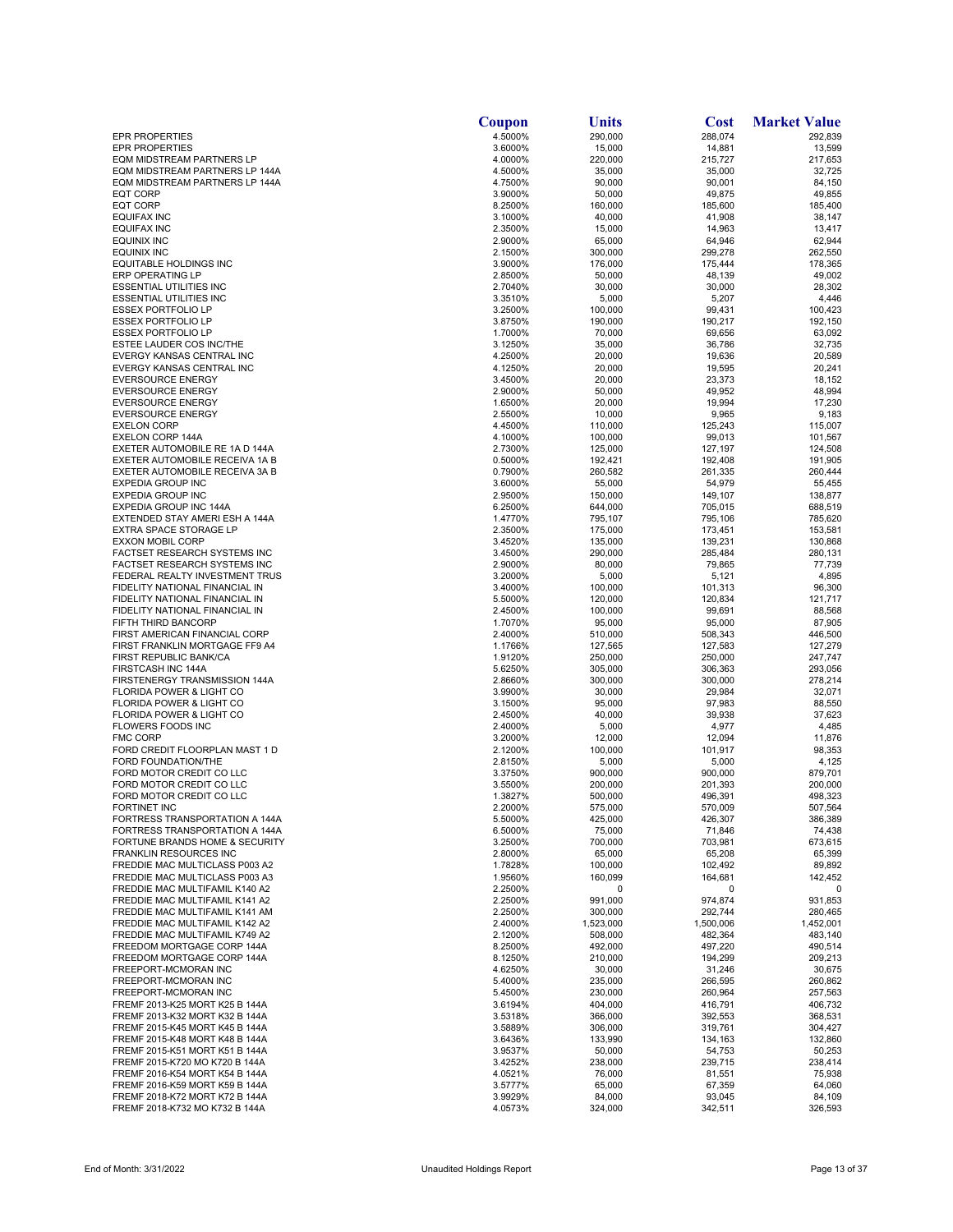|                                                                           | Coupon             | Units              | <b>Cost</b>        | <b>Market Value</b> |
|---------------------------------------------------------------------------|--------------------|--------------------|--------------------|---------------------|
| <b>EPR PROPERTIES</b>                                                     | 4.5000%            | 290,000            | 288,074            | 292,839             |
| <b>EPR PROPERTIES</b>                                                     | 3.6000%            | 15,000             | 14,881             | 13,599              |
| <b>EQM MIDSTREAM PARTNERS LP</b><br><b>EQM MIDSTREAM PARTNERS LP 144A</b> | 4.0000%<br>4.5000% | 220,000<br>35,000  | 215,727<br>35,000  | 217,653<br>32,725   |
| EQM MIDSTREAM PARTNERS LP 144A                                            | 4.7500%            | 90,000             | 90,001             | 84,150              |
| <b>EQT CORP</b>                                                           | 3.9000%            | 50,000             | 49,875             | 49,855              |
| <b>EQT CORP</b>                                                           | 8.2500%            | 160,000            | 185,600            | 185,400             |
| <b>EQUIFAX INC</b>                                                        | 3.1000%            | 40,000             | 41,908             | 38,147              |
| EQUIFAX INC                                                               | 2.3500%            | 15,000             | 14,963             | 13,417              |
| EQUINIX INC                                                               | 2.9000%            | 65,000             | 64,946             | 62,944              |
| EQUINIX INC<br><b>EQUITABLE HOLDINGS INC</b>                              | 2.1500%<br>3.9000% | 300,000<br>176,000 | 299,278<br>175,444 | 262,550<br>178,365  |
| ERP OPERATING LP                                                          | 2.8500%            | 50,000             | 48,139             | 49,002              |
| <b>ESSENTIAL UTILITIES INC</b>                                            | 2.7040%            | 30,000             | 30,000             | 28,302              |
| <b>ESSENTIAL UTILITIES INC</b>                                            | 3.3510%            | 5,000              | 5,207              | 4,446               |
| <b>ESSEX PORTFOLIO LP</b>                                                 | 3.2500%            | 100,000            | 99,431             | 100,423             |
| <b>ESSEX PORTFOLIO LP</b>                                                 | 3.8750%            | 190,000            | 190,217            | 192,150             |
| <b>ESSEX PORTFOLIO LP</b><br>ESTEE LAUDER COS INC/THE                     | 1.7000%<br>3.1250% | 70,000<br>35,000   | 69,656<br>36,786   | 63,092<br>32,735    |
| EVERGY KANSAS CENTRAL INC                                                 | 4.2500%            | 20,000             | 19,636             | 20,589              |
| EVERGY KANSAS CENTRAL INC                                                 | 4.1250%            | 20,000             | 19,595             | 20,241              |
| <b>EVERSOURCE ENERGY</b>                                                  | 3.4500%            | 20,000             | 23,373             | 18,152              |
| <b>EVERSOURCE ENERGY</b>                                                  | 2.9000%            | 50,000             | 49,952             | 48,994              |
| <b>EVERSOURCE ENERGY</b>                                                  | 1.6500%            | 20,000             | 19,994             | 17,230              |
| <b>EVERSOURCE ENERGY</b><br><b>EXELON CORP</b>                            | 2.5500%            | 10,000             | 9,965              | 9,183               |
| EXELON CORP 144A                                                          | 4.4500%<br>4.1000% | 110,000<br>100,000 | 125,243<br>99,013  | 115,007<br>101,567  |
| EXETER AUTOMOBILE RE 1A D 144A                                            | 2.7300%            | 125,000            | 127,197            | 124,508             |
| EXETER AUTOMOBILE RECEIVA 1A B                                            | 0.5000%            | 192,421            | 192,408            | 191,905             |
| EXETER AUTOMOBILE RECEIVA 3A B                                            | 0.7900%            | 260,582            | 261,335            | 260,444             |
| <b>EXPEDIA GROUP INC</b>                                                  | 3.6000%            | 55,000             | 54,979             | 55,455              |
| <b>EXPEDIA GROUP INC</b>                                                  | 2.9500%            | 150,000            | 149,107            | 138,877             |
| EXPEDIA GROUP INC 144A                                                    | 6.2500%            | 644,000            | 705,015            | 688,519             |
| EXTENDED STAY AMERI ESH A 144A<br>EXTRA SPACE STORAGE LP                  | 1.4770%<br>2.3500% | 795,107<br>175,000 | 795,106<br>173,451 | 785,620<br>153,581  |
| <b>EXXON MOBIL CORP</b>                                                   | 3.4520%            | 135,000            | 139,231            | 130,868             |
| FACTSET RESEARCH SYSTEMS INC                                              | 3.4500%            | 290,000            | 285,484            | 280,131             |
| FACTSET RESEARCH SYSTEMS INC                                              | 2.9000%            | 80,000             | 79,865             | 77,739              |
| FEDERAL REALTY INVESTMENT TRUS                                            | 3.2000%            | 5,000              | 5,121              | 4,895               |
| FIDELITY NATIONAL FINANCIAL IN                                            | 3.4000%            | 100,000            | 101,313            | 96,300              |
| FIDELITY NATIONAL FINANCIAL IN<br>FIDELITY NATIONAL FINANCIAL IN          | 5.5000%<br>2.4500% | 120,000<br>100,000 | 120,834<br>99,691  | 121,717<br>88,568   |
| FIFTH THIRD BANCORP                                                       | 1.7070%            | 95,000             | 95,000             | 87,905              |
| FIRST AMERICAN FINANCIAL CORP                                             | 2.4000%            | 510,000            | 508,343            | 446,500             |
| FIRST FRANKLIN MORTGAGE FF9 A4                                            | 1.1766%            | 127,565            | 127,583            | 127,279             |
| FIRST REPUBLIC BANK/CA                                                    | 1.9120%            | 250,000            | 250,000            | 247,747             |
| FIRSTCASH INC 144A                                                        | 5.6250%            | 305,000            | 306,363            | 293,056             |
| FIRSTENERGY TRANSMISSION 144A<br>FLORIDA POWER & LIGHT CO                 | 2.8660%            | 300,000            | 300,000            | 278,214             |
| FLORIDA POWER & LIGHT CO                                                  | 3.9900%<br>3.1500% | 30,000<br>95,000   | 29,984<br>97,983   | 32,071<br>88,550    |
| FLORIDA POWER & LIGHT CO                                                  | 2.4500%            | 40,000             | 39,938             | 37,623              |
| FLOWERS FOODS INC                                                         | 2.4000%            | 5,000              | 4,977              | 4,485               |
| <b>FMC CORP</b>                                                           | 3.2000%            | 12,000             | 12,094             | 11,876              |
| FORD CREDIT FLOORPLAN MAST 1 D                                            | 2.1200%            | 100,000            | 101,917            | 98,353              |
| FORD FOUNDATION/THE                                                       | 2.8150%            | 5,000<br>900,000   | 5,000              | 4,125               |
| FORD MOTOR CREDIT CO LLC<br>FORD MOTOR CREDIT CO LLC                      | 3.3750%<br>3.5500% | 200,000            | 900,000<br>201,393 | 879,701<br>200,000  |
| FORD MOTOR CREDIT CO LLC                                                  | 1.3827%            | 500,000            | 496,391            | 498.323             |
| <b>FORTINET INC</b>                                                       | 2.2000%            | 575,000            | 570,009            | 507,564             |
| FORTRESS TRANSPORTATION A 144A                                            | 5.5000%            | 425,000            | 426,307            | 386,389             |
| FORTRESS TRANSPORTATION A 144A                                            | 6.5000%            | 75,000             | 71,846             | 74,438              |
| FORTUNE BRANDS HOME & SECURITY                                            | 3.2500%            | 700,000            | 703,981            | 673,615             |
| <b>FRANKLIN RESOURCES INC</b><br>FREDDIE MAC MULTICLASS P003 A2           | 2.8000%<br>1.7828% | 65,000<br>100,000  | 65,208<br>102,492  | 65,399<br>89,892    |
| FREDDIE MAC MULTICLASS P003 A3                                            | 1.9560%            | 160,099            | 164,681            | 142,452             |
| FREDDIE MAC MULTIFAMIL K140 A2                                            | 2.2500%            | 0                  | 0                  | 0                   |
| FREDDIE MAC MULTIFAMIL K141 A2                                            | 2.2500%            | 991,000            | 974,874            | 931,853             |
| FREDDIE MAC MULTIFAMIL K141 AM                                            | 2.2500%            | 300,000            | 292,744            | 280,465             |
| FREDDIE MAC MULTIFAMIL K142 A2                                            | 2.4000%            | 1,523,000          | 1,500,006          | 1,452,001           |
| FREDDIE MAC MULTIFAMIL K749 A2<br>FREEDOM MORTGAGE CORP 144A              | 2.1200%<br>8.2500% | 508,000<br>492,000 | 482,364<br>497,220 | 483,140<br>490,514  |
| FREEDOM MORTGAGE CORP 144A                                                | 8.1250%            | 210,000            | 194,299            | 209,213             |
| FREEPORT-MCMORAN INC                                                      | 4.6250%            | 30,000             | 31,246             | 30,675              |
| FREEPORT-MCMORAN INC                                                      | 5.4000%            | 235,000            | 266,595            | 260,862             |
| FREEPORT-MCMORAN INC                                                      | 5.4500%            | 230,000            | 260,964            | 257,563             |
| FREMF 2013-K25 MORT K25 B 144A                                            | 3.6194%            | 404,000            | 416,791            | 406,732             |
| FREMF 2013-K32 MORT K32 B 144A<br>FREMF 2015-K45 MORT K45 B 144A          | 3.5318%            | 366,000            | 392,553            | 368,531             |
| FREMF 2015-K48 MORT K48 B 144A                                            | 3.5889%<br>3.6436% | 306,000<br>133,990 | 319,761<br>134,163 | 304,427<br>132,860  |
| FREMF 2015-K51 MORT K51 B 144A                                            | 3.9537%            | 50,000             | 54,753             | 50,253              |
| FREMF 2015-K720 MO K720 B 144A                                            | 3.4252%            | 238,000            | 239,715            | 238,414             |
| FREMF 2016-K54 MORT K54 B 144A                                            | 4.0521%            | 76,000             | 81,551             | 75,938              |
| FREMF 2016-K59 MORT K59 B 144A                                            | 3.5777%            | 65,000             | 67,359             | 64,060              |
| FREMF 2018-K72 MORT K72 B 144A                                            | 3.9929%            | 84,000             | 93,045             | 84,109              |
| FREMF 2018-K732 MO K732 B 144A                                            | 4.0573%            | 324,000            | 342,511            | 326,593             |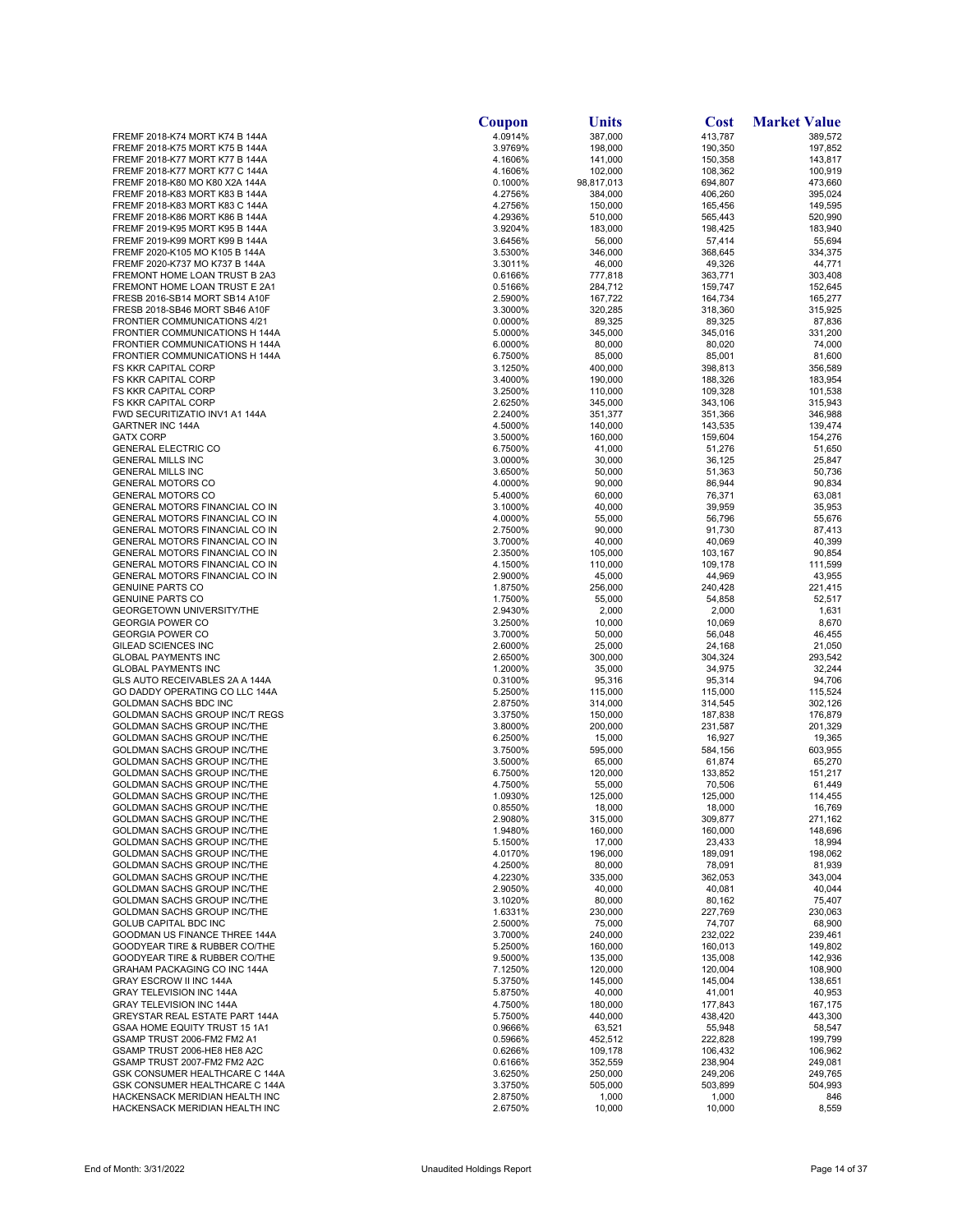|                                                                  | Coupon             | <b>Units</b>       | <b>Cost</b>        | <b>Market Value</b> |
|------------------------------------------------------------------|--------------------|--------------------|--------------------|---------------------|
| FREMF 2018-K74 MORT K74 B 144A                                   | 4.0914%            | 387,000            | 413,787            | 389,572             |
| FREMF 2018-K75 MORT K75 B 144A                                   | 3.9769%            | 198,000            | 190,350            | 197,852             |
| FREMF 2018-K77 MORT K77 B 144A<br>FREMF 2018-K77 MORT K77 C 144A | 4.1606%<br>4.1606% | 141,000<br>102,000 | 150,358<br>108,362 | 143,817<br>100,919  |
| FREMF 2018-K80 MO K80 X2A 144A                                   | 0.1000%            | 98,817,013         | 694,807            | 473,660             |
| FREMF 2018-K83 MORT K83 B 144A                                   | 4.2756%            | 384,000            | 406,260            | 395,024             |
| FREMF 2018-K83 MORT K83 C 144A                                   | 4.2756%            | 150,000            | 165,456            | 149,595             |
| FREMF 2018-K86 MORT K86 B 144A                                   | 4.2936%            | 510,000            | 565,443            | 520,990             |
| FREMF 2019-K95 MORT K95 B 144A                                   | 3.9204%            | 183,000            | 198,425            | 183,940             |
| FREMF 2019-K99 MORT K99 B 144A                                   | 3.6456%            | 56,000             | 57,414             | 55,694              |
| FREMF 2020-K105 MO K105 B 144A                                   | 3.5300%            | 346,000            | 368,645            | 334,375             |
| FREMF 2020-K737 MO K737 B 144A<br>FREMONT HOME LOAN TRUST B 2A3  | 3.3011%<br>0.6166% | 46,000<br>777,818  | 49,326<br>363,771  | 44,771<br>303,408   |
| FREMONT HOME LOAN TRUST E 2A1                                    | 0.5166%            | 284,712            | 159,747            | 152,645             |
| FRESB 2016-SB14 MORT SB14 A10F                                   | 2.5900%            | 167,722            | 164,734            | 165,277             |
| FRESB 2018-SB46 MORT SB46 A10F                                   | 3.3000%            | 320,285            | 318,360            | 315,925             |
| <b>FRONTIER COMMUNICATIONS 4/21</b>                              | 0.0000%            | 89,325             | 89,325             | 87,836              |
| FRONTIER COMMUNICATIONS H 144A                                   | 5.0000%            | 345,000            | 345,016            | 331,200             |
| FRONTIER COMMUNICATIONS H 144A                                   | 6.0000%            | 80,000             | 80,020             | 74,000              |
| FRONTIER COMMUNICATIONS H 144A<br>FS KKR CAPITAL CORP            | 6.7500%<br>3.1250% | 85,000<br>400,000  | 85,001<br>398,813  | 81,600<br>356,589   |
| <b>FS KKR CAPITAL CORP</b>                                       | 3.4000%            | 190,000            | 188,326            | 183,954             |
| <b>FS KKR CAPITAL CORP</b>                                       | 3.2500%            | 110,000            | 109,328            | 101,538             |
| FS KKR CAPITAL CORP                                              | 2.6250%            | 345,000            | 343,106            | 315,943             |
| FWD SECURITIZATIO INV1 A1 144A                                   | 2.2400%            | 351,377            | 351,366            | 346,988             |
| <b>GARTNER INC 144A</b>                                          | 4.5000%            | 140,000            | 143,535            | 139,474             |
| <b>GATX CORP</b>                                                 | 3.5000%            | 160,000            | 159,604            | 154,276             |
| <b>GENERAL ELECTRIC CO</b><br><b>GENERAL MILLS INC</b>           | 6.7500%<br>3.0000% | 41,000<br>30,000   | 51,276<br>36,125   | 51,650<br>25,847    |
| <b>GENERAL MILLS INC</b>                                         | 3.6500%            | 50,000             | 51,363             | 50,736              |
| <b>GENERAL MOTORS CO</b>                                         | 4.0000%            | 90,000             | 86,944             | 90,834              |
| <b>GENERAL MOTORS CO</b>                                         | 5.4000%            | 60,000             | 76,371             | 63,081              |
| GENERAL MOTORS FINANCIAL CO IN                                   | 3.1000%            | 40,000             | 39,959             | 35,953              |
| GENERAL MOTORS FINANCIAL CO IN                                   | 4.0000%            | 55,000             | 56,796             | 55,676              |
| GENERAL MOTORS FINANCIAL CO IN                                   | 2.7500%            | 90,000             | 91,730             | 87,413              |
| GENERAL MOTORS FINANCIAL CO IN<br>GENERAL MOTORS FINANCIAL CO IN | 3.7000%            | 40,000             | 40,069             | 40,399              |
| GENERAL MOTORS FINANCIAL CO IN                                   | 2.3500%<br>4.1500% | 105,000<br>110,000 | 103,167<br>109,178 | 90,854<br>111,599   |
| GENERAL MOTORS FINANCIAL CO IN                                   | 2.9000%            | 45,000             | 44,969             | 43,955              |
| <b>GENUINE PARTS CO</b>                                          | 1.8750%            | 256,000            | 240,428            | 221,415             |
| <b>GENUINE PARTS CO</b>                                          | 1.7500%            | 55,000             | 54,858             | 52,517              |
| GEORGETOWN UNIVERSITY/THE                                        | 2.9430%            | 2,000              | 2,000              | 1,631               |
| <b>GEORGIA POWER CO</b>                                          | 3.2500%            | 10,000             | 10,069             | 8,670               |
| <b>GEORGIA POWER CO</b>                                          | 3.7000%            | 50,000             | 56,048             | 46,455              |
| GILEAD SCIENCES INC<br><b>GLOBAL PAYMENTS INC</b>                | 2.6000%<br>2.6500% | 25,000<br>300,000  | 24,168<br>304,324  | 21,050<br>293,542   |
| <b>GLOBAL PAYMENTS INC</b>                                       | 1.2000%            | 35,000             | 34,975             | 32,244              |
| GLS AUTO RECEIVABLES 2A A 144A                                   | 0.3100%            | 95,316             | 95,314             | 94,706              |
| GO DADDY OPERATING CO LLC 144A                                   | 5.2500%            | 115,000            | 115,000            | 115,524             |
| GOLDMAN SACHS BDC INC                                            | 2.8750%            | 314,000            | 314,545            | 302,126             |
| GOLDMAN SACHS GROUP INC/T REGS                                   | 3.3750%            | 150,000            | 187,838            | 176,879             |
| GOLDMAN SACHS GROUP INC/THE<br>GOLDMAN SACHS GROUP INC/THE       | 3.8000%<br>6.2500% | 200,000            | 231,587            | 201,329<br>19,365   |
| GOLDMAN SACHS GROUP INC/THE                                      | 3.7500%            | 15,000<br>595,000  | 16,927<br>584,156  | 603,955             |
| GOLDMAN SACHS GROUP INC/THE                                      | 3.5000%            | 65,000             | 61,874             | 65,270              |
| <b>GOLDMAN SACHS GROUP INC/THE</b>                               | 6.7500%            | 120,000            | 133,852            | 151,217             |
| GOLDMAN SACHS GROUP INC/THE                                      | 4.7500%            | 55,000             | 70,506             | 61,449              |
| <b>GOLDMAN SACHS GROUP INC/THE</b>                               | 1.0930%            | 125,000            | 125,000            | 114,455             |
| GOLDMAN SACHS GROUP INC/THE                                      | 0.8550%            | 18,000             | 18,000             | 16,769              |
| GOLDMAN SACHS GROUP INC/THE<br>GOLDMAN SACHS GROUP INC/THE       | 2.9080%<br>1.9480% | 315,000<br>160,000 | 309,877<br>160,000 | 271,162<br>148,696  |
| <b>GOLDMAN SACHS GROUP INC/THE</b>                               | 5.1500%            | 17,000             | 23,433             | 18,994              |
| <b>GOLDMAN SACHS GROUP INC/THE</b>                               | 4.0170%            | 196,000            | 189,091            | 198,062             |
| <b>GOLDMAN SACHS GROUP INC/THE</b>                               | 4.2500%            | 80,000             | 78,091             | 81,939              |
| GOLDMAN SACHS GROUP INC/THE                                      | 4.2230%            | 335,000            | 362,053            | 343,004             |
| GOLDMAN SACHS GROUP INC/THE                                      | 2.9050%            | 40,000             | 40,081             | 40,044              |
| <b>GOLDMAN SACHS GROUP INC/THE</b>                               | 3.1020%            | 80,000             | 80,162             | 75,407              |
| <b>GOLDMAN SACHS GROUP INC/THE</b><br>GOLUB CAPITAL BDC INC      | 1.6331%            | 230,000            | 227,769            | 230,063             |
| GOODMAN US FINANCE THREE 144A                                    | 2.5000%<br>3.7000% | 75,000<br>240,000  | 74,707<br>232,022  | 68,900<br>239,461   |
| GOODYEAR TIRE & RUBBER CO/THE                                    | 5.2500%            | 160,000            | 160,013            | 149,802             |
| GOODYEAR TIRE & RUBBER CO/THE                                    | 9.5000%            | 135,000            | 135,008            | 142,936             |
| GRAHAM PACKAGING CO INC 144A                                     | 7.1250%            | 120,000            | 120,004            | 108,900             |
| GRAY ESCROW II INC 144A                                          | 5.3750%            | 145,000            | 145,004            | 138,651             |
| <b>GRAY TELEVISION INC 144A</b>                                  | 5.8750%            | 40,000             | 41,001             | 40,953              |
| <b>GRAY TELEVISION INC 144A</b>                                  | 4.7500%            | 180,000            | 177,843            | 167,175             |
| GREYSTAR REAL ESTATE PART 144A<br>GSAA HOME EQUITY TRUST 15 1A1  | 5.7500%<br>0.9666% | 440,000<br>63,521  | 438,420<br>55,948  | 443,300<br>58,547   |
| GSAMP TRUST 2006-FM2 FM2 A1                                      | 0.5966%            | 452,512            | 222,828            | 199,799             |
| GSAMP TRUST 2006-HE8 HE8 A2C                                     | 0.6266%            | 109,178            | 106,432            | 106,962             |
| GSAMP TRUST 2007-FM2 FM2 A2C                                     | 0.6166%            | 352,559            | 238,904            | 249,081             |
| GSK CONSUMER HEALTHCARE C 144A                                   | 3.6250%            | 250,000            | 249,206            | 249,765             |
| GSK CONSUMER HEALTHCARE C 144A                                   | 3.3750%            | 505,000            | 503,899            | 504,993             |
| HACKENSACK MERIDIAN HEALTH INC<br>HACKENSACK MERIDIAN HEALTH INC | 2.8750%<br>2.6750% | 1,000<br>10,000    | 1,000<br>10,000    | 846<br>8,559        |
|                                                                  |                    |                    |                    |                     |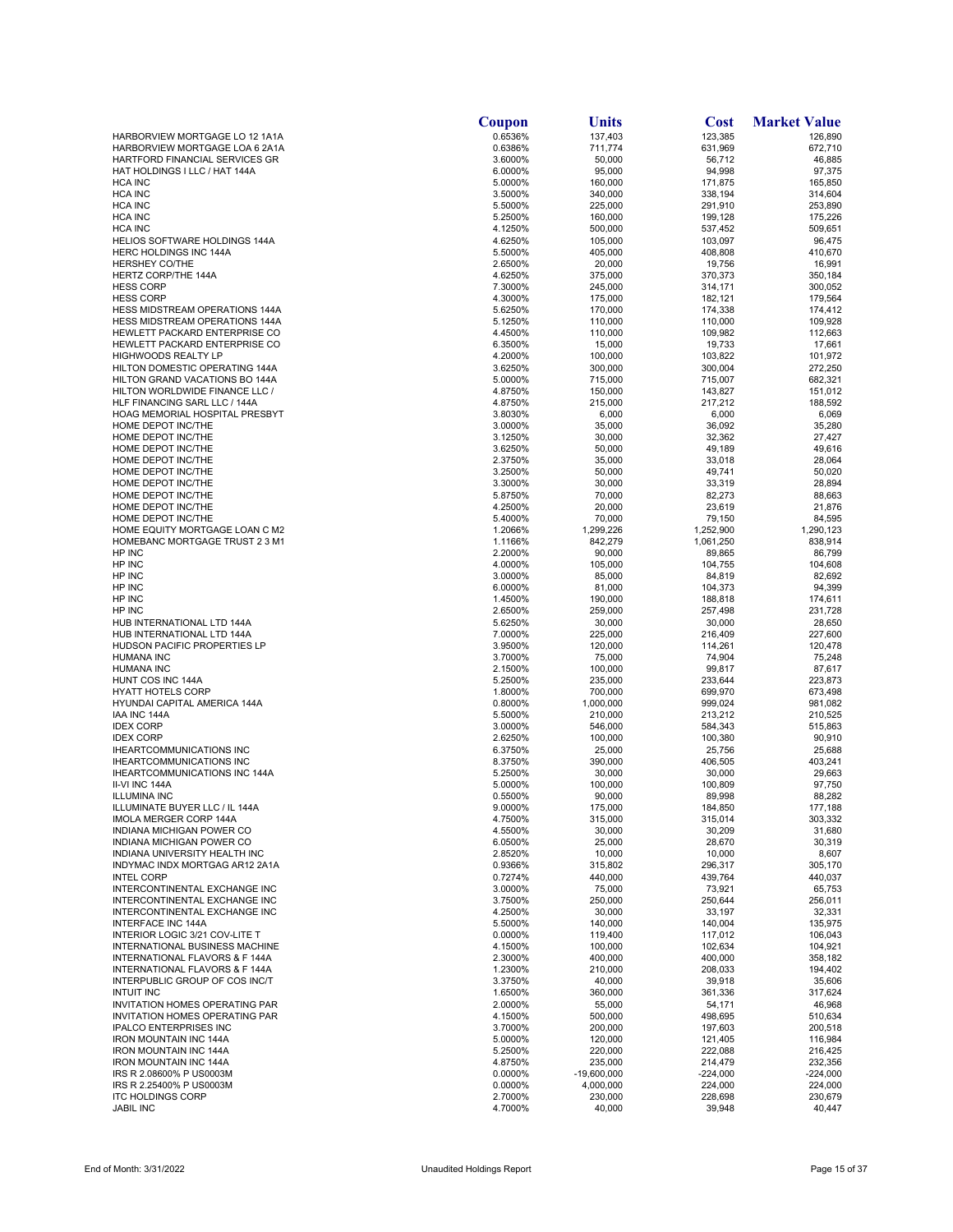|                                                                                | Coupon             | Units              | <b>Cost</b>        | <b>Market Value</b> |
|--------------------------------------------------------------------------------|--------------------|--------------------|--------------------|---------------------|
| HARBORVIEW MORTGAGE LO 12 1A1A                                                 | 0.6536%            | 137,403            | 123,385            | 126,890             |
| HARBORVIEW MORTGAGE LOA 6 2A1A                                                 | 0.6386%            | 711,774            | 631,969            | 672,710             |
| HARTFORD FINANCIAL SERVICES GR<br>HAT HOLDINGS I LLC / HAT 144A                | 3.6000%<br>6.0000% | 50,000<br>95,000   | 56,712<br>94,998   | 46,885<br>97,375    |
| <b>HCA INC</b>                                                                 | 5.0000%            | 160,000            | 171,875            | 165,850             |
| <b>HCA INC</b>                                                                 | 3.5000%            | 340,000            | 338,194            | 314,604             |
| <b>HCA INC</b>                                                                 | 5.5000%            | 225,000            | 291,910            | 253,890             |
| <b>HCA INC</b>                                                                 | 5.2500%            | 160.000            | 199,128            | 175,226             |
| <b>HCA INC</b>                                                                 | 4.1250%            | 500,000            | 537,452            | 509,651             |
| <b>HELIOS SOFTWARE HOLDINGS 144A</b><br><b>HERC HOLDINGS INC 144A</b>          | 4.6250%<br>5.5000% | 105,000<br>405,000 | 103,097<br>408,808 | 96,475<br>410,670   |
| <b>HERSHEY CO/THE</b>                                                          | 2.6500%            | 20,000             | 19,756             | 16,991              |
| HERTZ CORP/THE 144A                                                            | 4.6250%            | 375,000            | 370,373            | 350,184             |
| <b>HESS CORP</b>                                                               | 7.3000%            | 245,000            | 314,171            | 300,052             |
| <b>HESS CORP</b>                                                               | 4.3000%            | 175,000            | 182,121            | 179,564             |
| <b>HESS MIDSTREAM OPERATIONS 144A</b><br><b>HESS MIDSTREAM OPERATIONS 144A</b> | 5.6250%<br>5.1250% | 170,000<br>110,000 | 174,338<br>110,000 | 174,412<br>109,928  |
| HEWLETT PACKARD ENTERPRISE CO                                                  | 4.4500%            | 110,000            | 109,982            | 112,663             |
| HEWLETT PACKARD ENTERPRISE CO                                                  | 6.3500%            | 15,000             | 19,733             | 17,661              |
| <b>HIGHWOODS REALTY LP</b>                                                     | 4.2000%            | 100,000            | 103,822            | 101,972             |
| HILTON DOMESTIC OPERATING 144A                                                 | 3.6250%            | 300,000            | 300,004            | 272,250             |
| HILTON GRAND VACATIONS BO 144A                                                 | 5.0000%            | 715,000            | 715,007            | 682,321             |
| HILTON WORLDWIDE FINANCE LLC /<br>HLF FINANCING SARL LLC / 144A                | 4.8750%<br>4.8750% | 150,000            | 143,827            | 151,012<br>188,592  |
| HOAG MEMORIAL HOSPITAL PRESBYT                                                 | 3.8030%            | 215,000<br>6,000   | 217,212<br>6,000   | 6,069               |
| HOME DEPOT INC/THE                                                             | 3.0000%            | 35,000             | 36,092             | 35,280              |
| HOME DEPOT INC/THE                                                             | 3.1250%            | 30,000             | 32,362             | 27,427              |
| HOME DEPOT INC/THE                                                             | 3.6250%            | 50,000             | 49,189             | 49,616              |
| HOME DEPOT INC/THE                                                             | 2.3750%            | 35,000             | 33,018             | 28,064              |
| HOME DEPOT INC/THE                                                             | 3.2500%            | 50,000             | 49,741             | 50,020              |
| HOME DEPOT INC/THE<br>HOME DEPOT INC/THE                                       | 3.3000%<br>5.8750% | 30,000<br>70,000   | 33,319<br>82,273   | 28,894<br>88,663    |
| HOME DEPOT INC/THE                                                             | 4.2500%            | 20,000             | 23,619             | 21,876              |
| HOME DEPOT INC/THE                                                             | 5.4000%            | 70,000             | 79,150             | 84,595              |
| HOME EQUITY MORTGAGE LOAN C M2                                                 | 1.2066%            | 1,299,226          | 1,252,900          | 1,290,123           |
| <b>HOMEBANC MORTGAGE TRUST 2 3 M1</b>                                          | 1.1166%            | 842,279            | 1,061,250          | 838,914             |
| HP INC                                                                         | 2.2000%            | 90,000             | 89,865             | 86,799              |
| HP INC<br>HP INC                                                               | 4.0000%<br>3.0000% | 105,000<br>85,000  | 104,755<br>84,819  | 104,608<br>82,692   |
| HP INC                                                                         | 6.0000%            | 81,000             | 104,373            | 94,399              |
| HP INC                                                                         | 1.4500%            | 190,000            | 188,818            | 174,611             |
| HP INC                                                                         | 2.6500%            | 259,000            | 257,498            | 231,728             |
| HUB INTERNATIONAL LTD 144A                                                     | 5.6250%            | 30,000             | 30,000             | 28,650              |
| HUB INTERNATIONAL LTD 144A                                                     | 7.0000%            | 225,000            | 216,409            | 227,600             |
| HUDSON PACIFIC PROPERTIES LP<br><b>HUMANA INC</b>                              | 3.9500%<br>3.7000% | 120,000<br>75,000  | 114,261<br>74,904  | 120,478<br>75,248   |
| <b>HUMANA INC</b>                                                              | 2.1500%            | 100,000            | 99,817             | 87,617              |
| HUNT COS INC 144A                                                              | 5.2500%            | 235,000            | 233,644            | 223,873             |
| <b>HYATT HOTELS CORP</b>                                                       | 1.8000%            | 700,000            | 699,970            | 673,498             |
| HYUNDAI CAPITAL AMERICA 144A                                                   | 0.8000%            | 1,000,000          | 999,024            | 981,082             |
| IAA INC 144A                                                                   | 5.5000%            | 210,000            | 213,212            | 210,525             |
| <b>IDEX CORP</b><br><b>IDEX CORP</b>                                           | 3.0000%<br>2.6250% | 546,000<br>100,000 | 584,343<br>100,380 | 515,863<br>90,910   |
| IHEARTCOMMUNICATIONS INC                                                       | 6.3750%            | 25,000             | 25,756             | 25,688              |
| <b>IHEARTCOMMUNICATIONS INC</b>                                                | 8.3750%            | 390,000            | 406,505            | 403,241             |
| <b>IHEARTCOMMUNICATIONS INC 144A</b>                                           | 5.2500%            | 30,000             | 30,000             | 29,663              |
| II-VI INC 144A                                                                 | 5.0000%            | 100,000            | 100,809            | 97,750              |
| <b>ILLUMINA INC</b>                                                            | 0.5500%            | 90,000             | 89,998<br>184,850  | 88,282              |
| ILLUMINATE BUYER LLC / IL 144A<br>IMOLA MERGER CORP 144A                       | 9.0000%<br>4.7500% | 175,000<br>315,000 | 315,014            | 177,188<br>303,332  |
| INDIANA MICHIGAN POWER CO                                                      | 4.5500%            | 30,000             | 30,209             | 31,680              |
| INDIANA MICHIGAN POWER CO                                                      | 6.0500%            | 25,000             | 28,670             | 30,319              |
| INDIANA UNIVERSITY HEALTH INC                                                  | 2.8520%            | 10,000             | 10,000             | 8,607               |
| INDYMAC INDX MORTGAG AR12 2A1A                                                 | 0.9366%            | 315,802            | 296,317            | 305,170             |
| <b>INTEL CORP</b><br>INTERCONTINENTAL EXCHANGE INC                             | 0.7274%<br>3.0000% | 440,000<br>75,000  | 439,764<br>73,921  | 440,037<br>65,753   |
| INTERCONTINENTAL EXCHANGE INC                                                  | 3.7500%            | 250,000            | 250,644            | 256,011             |
| INTERCONTINENTAL EXCHANGE INC                                                  | 4.2500%            | 30,000             | 33,197             | 32,331              |
| <b>INTERFACE INC 144A</b>                                                      | 5.5000%            | 140,000            | 140,004            | 135,975             |
| INTERIOR LOGIC 3/21 COV-LITE T                                                 | 0.0000%            | 119,400            | 117,012            | 106,043             |
| INTERNATIONAL BUSINESS MACHINE                                                 | 4.1500%            | 100,000            | 102,634            | 104,921             |
| INTERNATIONAL FLAVORS & F 144A                                                 | 2.3000%            | 400,000            | 400,000            | 358,182             |
| INTERNATIONAL FLAVORS & F 144A<br>INTERPUBLIC GROUP OF COS INC/T               | 1.2300%<br>3.3750% | 210,000<br>40,000  | 208,033<br>39,918  | 194,402<br>35,606   |
| <b>INTUIT INC</b>                                                              | 1.6500%            | 360,000            | 361,336            | 317,624             |
| INVITATION HOMES OPERATING PAR                                                 | 2.0000%            | 55,000             | 54,171             | 46,968              |
| <b>INVITATION HOMES OPERATING PAR</b>                                          | 4.1500%            | 500,000            | 498,695            | 510,634             |
| <b>IPALCO ENTERPRISES INC</b>                                                  | 3.7000%            | 200,000            | 197,603            | 200,518             |
| <b>IRON MOUNTAIN INC 144A</b>                                                  | 5.0000%            | 120,000            | 121,405            | 116,984             |
| <b>IRON MOUNTAIN INC 144A</b><br><b>IRON MOUNTAIN INC 144A</b>                 | 5.2500%<br>4.8750% | 220,000<br>235,000 | 222,088<br>214,479 | 216,425<br>232,356  |
| IRS R 2.08600% P US0003M                                                       | 0.0000%            | $-19,600,000$      | $-224,000$         | $-224,000$          |
| IRS R 2.25400% P US0003M                                                       | 0.0000%            | 4,000,000          | 224,000            | 224,000             |
| <b>ITC HOLDINGS CORP</b>                                                       | 2.7000%            | 230,000            | 228,698            | 230,679             |
| <b>JABIL INC</b>                                                               | 4.7000%            | 40,000             | 39,948             | 40,447              |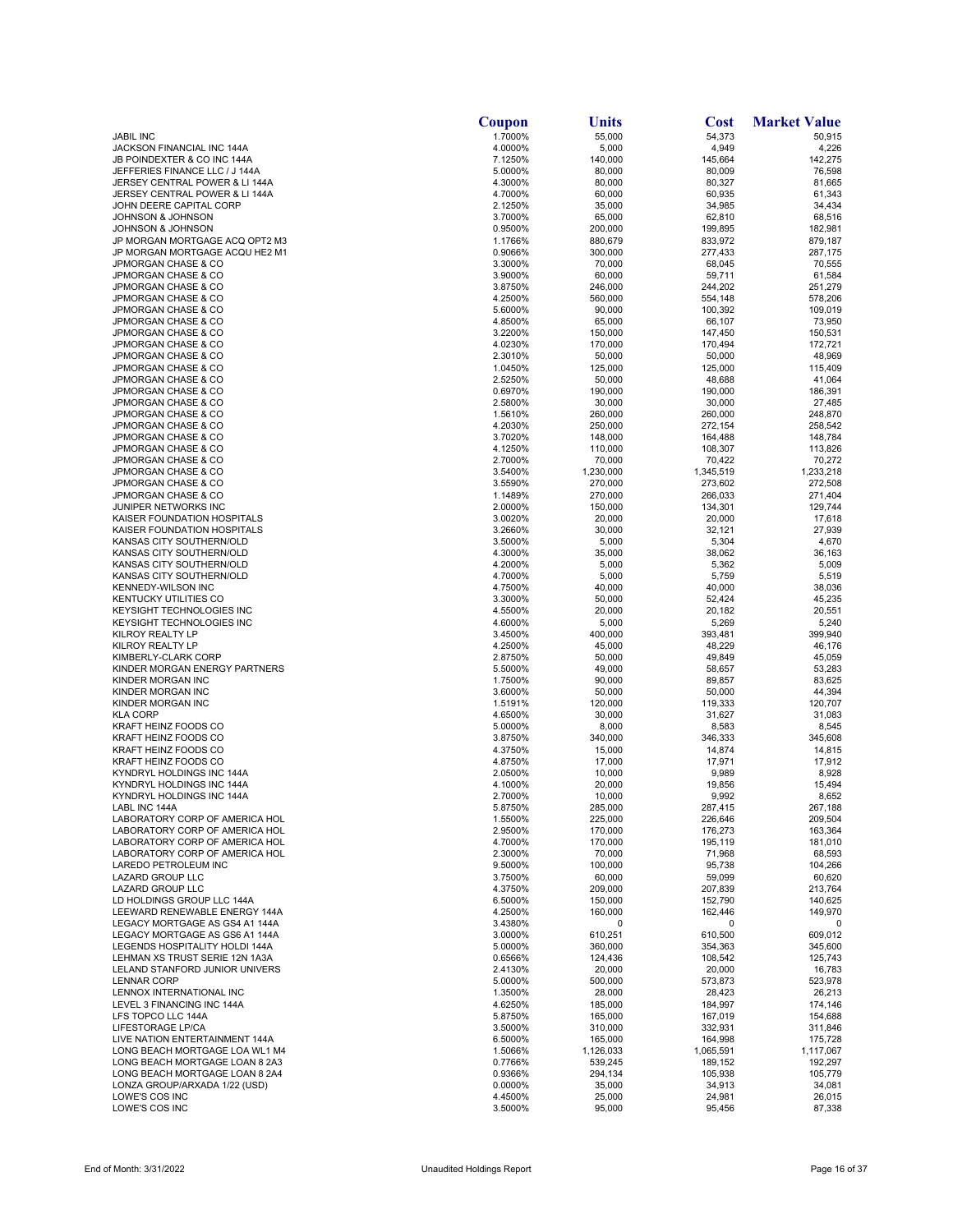|                                                                  | Coupon             | Units              | Cost               | <b>Market Value</b> |
|------------------------------------------------------------------|--------------------|--------------------|--------------------|---------------------|
| <b>JABIL INC</b>                                                 | 1.7000%            | 55,000             | 54,373             | 50,915              |
| JACKSON FINANCIAL INC 144A                                       | 4.0000%            | 5,000              | 4,949              | 4,226               |
| JB POINDEXTER & CO INC 144A<br>JEFFERIES FINANCE LLC / J 144A    | 7.1250%<br>5.0000% | 140,000            | 145,664            | 142,275             |
| JERSEY CENTRAL POWER & LI 144A                                   | 4.3000%            | 80,000<br>80,000   | 80,009<br>80,327   | 76,598<br>81,665    |
| JERSEY CENTRAL POWER & LI 144A                                   | 4.7000%            | 60,000             | 60,935             | 61,343              |
| JOHN DEERE CAPITAL CORP                                          | 2.1250%            | 35,000             | 34,985             | 34,434              |
| JOHNSON & JOHNSON                                                | 3.7000%            | 65,000             | 62,810             | 68,516              |
| JOHNSON & JOHNSON                                                | 0.9500%            | 200,000            | 199,895            | 182,981             |
| JP MORGAN MORTGAGE ACQ OPT2 M3                                   | 1.1766%            | 880,679            | 833,972            | 879,187             |
| JP MORGAN MORTGAGE ACQU HE2 M1                                   | 0.9066%            | 300,000            | 277,433            | 287,175             |
| JPMORGAN CHASE & CO<br>JPMORGAN CHASE & CO                       | 3.3000%<br>3.9000% | 70,000<br>60,000   | 68,045<br>59,711   | 70,555<br>61,584    |
| JPMORGAN CHASE & CO                                              | 3.8750%            | 246,000            | 244,202            | 251,279             |
| JPMORGAN CHASE & CO                                              | 4.2500%            | 560,000            | 554,148            | 578,206             |
| JPMORGAN CHASE & CO                                              | 5.6000%            | 90,000             | 100,392            | 109,019             |
| JPMORGAN CHASE & CO                                              | 4.8500%            | 65,000             | 66,107             | 73,950              |
| JPMORGAN CHASE & CO                                              | 3.2200%            | 150,000            | 147,450            | 150,531             |
| JPMORGAN CHASE & CO                                              | 4.0230%            | 170,000            | 170,494            | 172,721             |
| JPMORGAN CHASE & CO<br>JPMORGAN CHASE & CO                       | 2.3010%<br>1.0450% | 50,000<br>125,000  | 50,000<br>125,000  | 48,969<br>115,409   |
| JPMORGAN CHASE & CO                                              | 2.5250%            | 50,000             | 48,688             | 41,064              |
| JPMORGAN CHASE & CO                                              | 0.6970%            | 190,000            | 190,000            | 186,391             |
| JPMORGAN CHASE & CO                                              | 2.5800%            | 30,000             | 30,000             | 27,485              |
| JPMORGAN CHASE & CO                                              | 1.5610%            | 260,000            | 260,000            | 248,870             |
| JPMORGAN CHASE & CO                                              | 4.2030%            | 250,000            | 272,154            | 258,542             |
| JPMORGAN CHASE & CO                                              | 3.7020%            | 148,000            | 164,488            | 148,784             |
| JPMORGAN CHASE & CO<br>JPMORGAN CHASE & CO                       | 4.1250%<br>2.7000% | 110,000<br>70,000  | 108,307<br>70,422  | 113,826<br>70,272   |
| JPMORGAN CHASE & CO                                              | 3.5400%            | 1,230,000          | 1,345,519          | 1,233,218           |
| JPMORGAN CHASE & CO                                              | 3.5590%            | 270,000            | 273,602            | 272,508             |
| JPMORGAN CHASE & CO                                              | 1.1489%            | 270,000            | 266,033            | 271,404             |
| JUNIPER NETWORKS INC                                             | 2.0000%            | 150,000            | 134,301            | 129,744             |
| KAISER FOUNDATION HOSPITALS                                      | 3.0020%            | 20,000             | 20,000             | 17,618              |
| KAISER FOUNDATION HOSPITALS                                      | 3.2660%            | 30,000             | 32,121             | 27,939              |
| KANSAS CITY SOUTHERN/OLD<br>KANSAS CITY SOUTHERN/OLD             | 3.5000%            | 5,000              | 5,304              | 4,670               |
| KANSAS CITY SOUTHERN/OLD                                         | 4.3000%<br>4.2000% | 35,000<br>5,000    | 38,062<br>5,362    | 36,163<br>5,009     |
| KANSAS CITY SOUTHERN/OLD                                         | 4.7000%            | 5,000              | 5,759              | 5,519               |
| KENNEDY-WILSON INC                                               | 4.7500%            | 40,000             | 40,000             | 38,036              |
| <b>KENTUCKY UTILITIES CO</b>                                     | 3.3000%            | 50,000             | 52,424             | 45,235              |
| <b>KEYSIGHT TECHNOLOGIES INC</b>                                 | 4.5500%            | 20,000             | 20,182             | 20,551              |
| KEYSIGHT TECHNOLOGIES INC                                        | 4.6000%            | 5,000              | 5,269              | 5,240               |
| KILROY REALTY LP                                                 | 3.4500%            | 400,000            | 393,481            | 399,940             |
| KILROY REALTY LP<br>KIMBERLY-CLARK CORP                          | 4.2500%<br>2.8750% | 45,000<br>50,000   | 48,229<br>49,849   | 46,176<br>45,059    |
| KINDER MORGAN ENERGY PARTNERS                                    | 5.5000%            | 49,000             | 58,657             | 53,283              |
| KINDER MORGAN INC                                                | 1.7500%            | 90,000             | 89,857             | 83,625              |
| KINDER MORGAN INC                                                | 3.6000%            | 50,000             | 50,000             | 44,394              |
| KINDER MORGAN INC                                                | 1.5191%            | 120,000            | 119,333            | 120,707             |
| <b>KLA CORP</b>                                                  | 4.6500%            | 30,000             | 31,627             | 31,083              |
| KRAFT HEINZ FOODS CO                                             | 5.0000%            | 8,000              | 8,583              | 8,545               |
| KRAFT HEINZ FOODS CO<br>KRAFT HEINZ FOODS CO                     | 3.8750%<br>4.3750% | 340,000<br>15,000  | 346,333<br>14,874  | 345,608<br>14,815   |
| KRAFT HEINZ FOODS CO                                             | 4.8750%            | 17,000             | 17,971             | 17,912              |
| KYNDRYL HOLDINGS INC 144A                                        | 2.0500%            | 10,000             | 9,989              | 8,928               |
| KYNDRYL HOLDINGS INC 144A                                        | 4.1000%            | 20,000             | 19,856             | 15,494              |
| KYNDRYL HOLDINGS INC 144A                                        | 2.7000%            | 10,000             | 9,992              | 8,652               |
| LABL INC 144A                                                    | 5.8750%            | 285,000            | 287,415            | 267,188             |
| LABORATORY CORP OF AMERICA HOL                                   | 1.5500%            | 225,000            | 226,646            | 209,504             |
| LABORATORY CORP OF AMERICA HOL<br>LABORATORY CORP OF AMERICA HOL | 2.9500%<br>4.7000% | 170,000<br>170,000 | 176,273<br>195,119 | 163,364<br>181,010  |
| LABORATORY CORP OF AMERICA HOL                                   | 2.3000%            | 70,000             | 71,968             | 68,593              |
| LAREDO PETROLEUM INC                                             | 9.5000%            | 100,000            | 95,738             | 104,266             |
| LAZARD GROUP LLC                                                 | 3.7500%            | 60,000             | 59,099             | 60,620              |
| LAZARD GROUP LLC                                                 | 4.3750%            | 209,000            | 207,839            | 213,764             |
| LD HOLDINGS GROUP LLC 144A                                       | 6.5000%            | 150,000            | 152,790            | 140,625             |
| LEEWARD RENEWABLE ENERGY 144A                                    | 4.2500%            | 160,000            | 162,446            | 149,970             |
| LEGACY MORTGAGE AS GS4 A1 144A<br>LEGACY MORTGAGE AS GS6 A1 144A | 3.4380%            | 0                  | 0<br>610,500       | 0<br>609,012        |
| LEGENDS HOSPITALITY HOLDI 144A                                   | 3.0000%<br>5.0000% | 610,251<br>360,000 | 354,363            | 345,600             |
| LEHMAN XS TRUST SERIE 12N 1A3A                                   | 0.6566%            | 124,436            | 108,542            | 125,743             |
| LELAND STANFORD JUNIOR UNIVERS                                   | 2.4130%            | 20,000             | 20,000             | 16,783              |
| <b>LENNAR CORP</b>                                               | 5.0000%            | 500,000            | 573,873            | 523,978             |
| LENNOX INTERNATIONAL INC                                         | 1.3500%            | 28,000             | 28,423             | 26,213              |
| LEVEL 3 FINANCING INC 144A                                       | 4.6250%            | 185,000            | 184,997            | 174,146             |
| LFS TOPCO LLC 144A<br>LIFESTORAGE LP/CA                          | 5.8750%<br>3.5000% | 165,000            | 167,019<br>332,931 | 154,688<br>311,846  |
| LIVE NATION ENTERTAINMENT 144A                                   | 6.5000%            | 310,000<br>165,000 | 164,998            | 175,728             |
| LONG BEACH MORTGAGE LOA WL1 M4                                   | 1.5066%            | 1,126,033          | 1,065,591          | 1,117,067           |
| LONG BEACH MORTGAGE LOAN 8 2A3                                   | 0.7766%            | 539,245            | 189,152            | 192,297             |
| LONG BEACH MORTGAGE LOAN 8 2A4                                   | 0.9366%            | 294,134            | 105,938            | 105,779             |
| LONZA GROUP/ARXADA 1/22 (USD)                                    | 0.0000%            | 35,000             | 34,913             | 34,081              |
| LOWE'S COS INC                                                   | 4.4500%            | 25,000             | 24,981             | 26,015              |
| LOWE'S COS INC                                                   | 3.5000%            | 95,000             | 95,456             | 87,338              |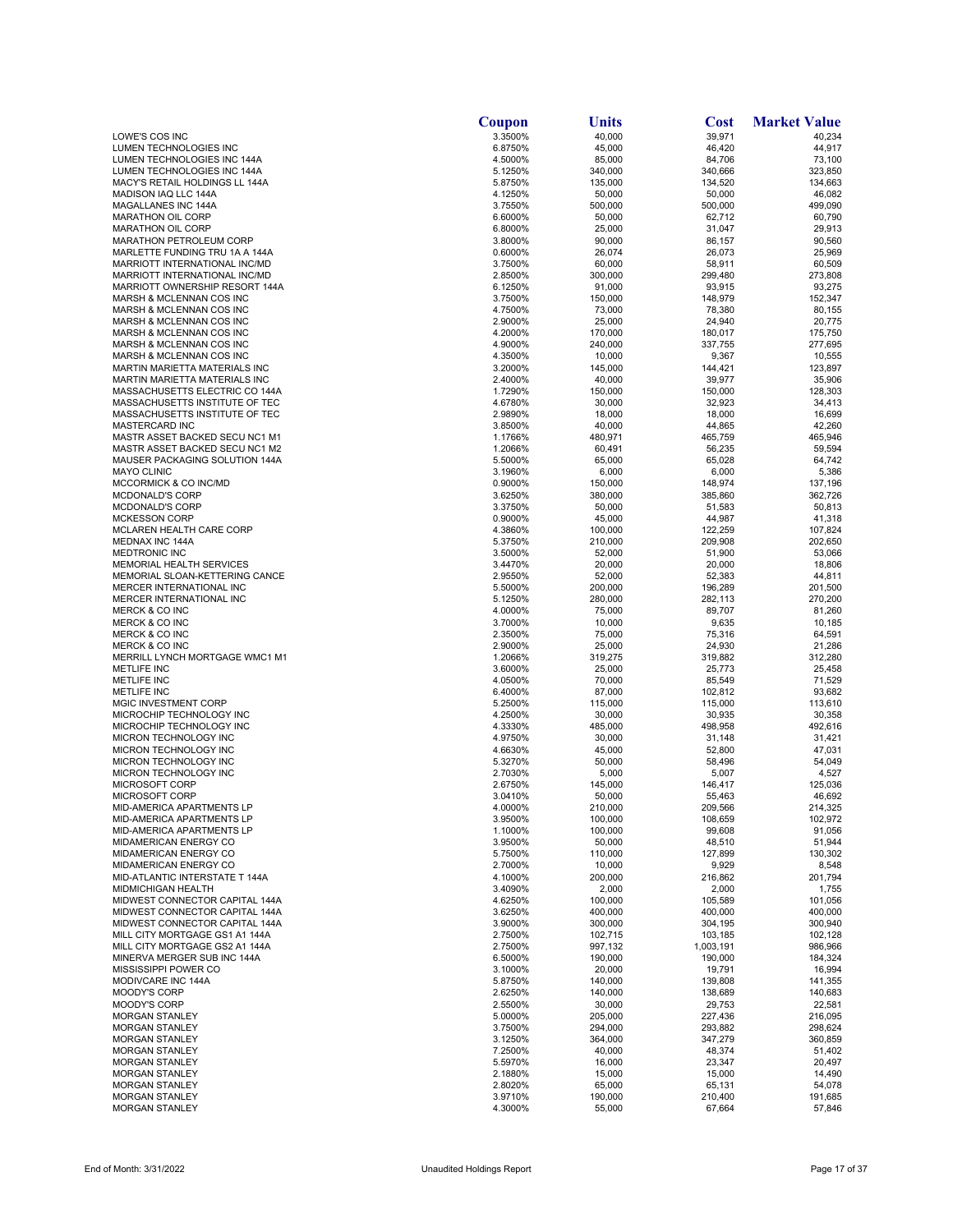|                                                               | Coupon             | Units             | Cost              | <b>Market Value</b> |
|---------------------------------------------------------------|--------------------|-------------------|-------------------|---------------------|
| LOWE'S COS INC                                                | 3.3500%            | 40,000            | 39,971            | 40,234              |
| LUMEN TECHNOLOGIES INC                                        | 6.8750%            | 45.000            | 46,420            | 44,917              |
| <b>LUMEN TECHNOLOGIES INC 144A</b>                            | 4.5000%            | 85,000            | 84,706            | 73,100              |
| LUMEN TECHNOLOGIES INC 144A                                   | 5.1250%            | 340,000           | 340,666           | 323,850             |
| MACY'S RETAIL HOLDINGS LL 144A                                | 5.8750%            | 135,000           | 134,520           | 134,663             |
| MADISON IAQ LLC 144A                                          | 4.1250%            | 50,000            | 50,000            | 46,082              |
| MAGALLANES INC 144A                                           | 3.7550%            | 500,000           | 500,000           | 499,090             |
| <b>MARATHON OIL CORP</b>                                      | 6.6000%            | 50,000            | 62,712            | 60,790              |
| <b>MARATHON OIL CORP</b><br>MARATHON PETROLEUM CORP           | 6.8000%<br>3.8000% | 25,000<br>90,000  | 31,047            | 29,913<br>90,560    |
| MARLETTE FUNDING TRU 1A A 144A                                | 0.6000%            | 26,074            | 86,157<br>26,073  | 25,969              |
| MARRIOTT INTERNATIONAL INC/MD                                 | 3.7500%            | 60,000            | 58,911            | 60,509              |
| MARRIOTT INTERNATIONAL INC/MD                                 | 2.8500%            | 300,000           | 299,480           | 273,808             |
| MARRIOTT OWNERSHIP RESORT 144A                                | 6.1250%            | 91,000            | 93,915            | 93,275              |
| MARSH & MCLENNAN COS INC                                      | 3.7500%            | 150,000           | 148,979           | 152,347             |
| MARSH & MCLENNAN COS INC                                      | 4.7500%            | 73,000            | 78,380            | 80,155              |
| MARSH & MCLENNAN COS INC                                      | 2.9000%            | 25,000            | 24,940            | 20,775              |
| MARSH & MCLENNAN COS INC                                      | 4.2000%            | 170,000           | 180,017           | 175,750             |
| MARSH & MCLENNAN COS INC                                      | 4.9000%            | 240,000           | 337,755           | 277,695             |
| MARSH & MCLENNAN COS INC                                      | 4.3500%            | 10,000            | 9,367             | 10,555              |
| MARTIN MARIETTA MATERIALS INC                                 | 3.2000%            | 145,000           | 144,421           | 123,897             |
| MARTIN MARIETTA MATERIALS INC                                 | 2.4000%            | 40,000            | 39,977            | 35,906              |
| MASSACHUSETTS ELECTRIC CO 144A                                | 1.7290%            | 150,000           | 150,000           | 128,303             |
| MASSACHUSETTS INSTITUTE OF TEC                                | 4.6780%            | 30,000            | 32,923            | 34,413              |
| MASSACHUSETTS INSTITUTE OF TEC                                | 2.9890%            | 18,000            | 18,000            | 16,699              |
| MASTERCARD INC                                                | 3.8500%            | 40,000            | 44,865            | 42,260              |
| MASTR ASSET BACKED SECU NC1 M1                                | 1.1766%            | 480,971           | 465,759           | 465,946             |
| MASTR ASSET BACKED SECU NC1 M2                                | 1.2066%            | 60,491            | 56,235            | 59,594              |
| MAUSER PACKAGING SOLUTION 144A                                | 5.5000%            | 65,000            | 65,028            | 64,742              |
| <b>MAYO CLINIC</b>                                            | 3.1960%            | 6,000             | 6,000             | 5,386               |
| MCCORMICK & CO INC/MD                                         | 0.9000%            | 150,000           | 148,974           | 137,196<br>362,726  |
| MCDONALD'S CORP                                               | 3.6250%            | 380,000           | 385,860           |                     |
| MCDONALD'S CORP<br><b>MCKESSON CORP</b>                       | 3.3750%<br>0.9000% | 50,000<br>45,000  | 51,583<br>44,987  | 50,813<br>41,318    |
| MCLAREN HEALTH CARE CORP                                      | 4.3860%            | 100,000           | 122,259           | 107,824             |
| <b>MEDNAX INC 144A</b>                                        | 5.3750%            | 210,000           | 209,908           | 202,650             |
| <b>MEDTRONIC INC</b>                                          | 3.5000%            | 52,000            | 51,900            | 53,066              |
| <b>MEMORIAL HEALTH SERVICES</b>                               | 3.4470%            | 20,000            | 20,000            | 18,806              |
| MEMORIAL SLOAN-KETTERING CANCE                                | 2.9550%            | 52,000            | 52,383            | 44,811              |
| MERCER INTERNATIONAL INC                                      | 5.5000%            | 200,000           | 196,289           | 201,500             |
| MERCER INTERNATIONAL INC                                      | 5.1250%            | 280,000           | 282,113           | 270,200             |
| <b>MERCK &amp; CO INC</b>                                     | 4.0000%            | 75,000            | 89,707            | 81,260              |
| <b>MERCK &amp; CO INC</b>                                     | 3.7000%            | 10,000            | 9,635             | 10,185              |
| <b>MERCK &amp; CO INC</b>                                     | 2.3500%            | 75,000            | 75,316            | 64,591              |
| <b>MERCK &amp; CO INC</b>                                     | 2.9000%            | 25,000            | 24,930            | 21,286              |
| MERRILL LYNCH MORTGAGE WMC1 M1                                | 1.2066%            | 319,275           | 319,882           | 312,280             |
| <b>METLIFE INC</b>                                            | 3.6000%            | 25,000            | 25,773            | 25,458              |
| <b>METLIFE INC</b>                                            | 4.0500%            | 70,000            | 85,549            | 71,529              |
| <b>METLIFE INC</b>                                            | 6.4000%            | 87,000            | 102,812           | 93,682              |
| MGIC INVESTMENT CORP                                          | 5.2500%            | 115,000           | 115,000           | 113,610             |
| MICROCHIP TECHNOLOGY INC                                      | 4.2500%            | 30,000            | 30,935            | 30,358              |
| MICROCHIP TECHNOLOGY INC<br>MICRON TECHNOLOGY INC             | 4.3330%<br>4.9750% | 485,000<br>30,000 | 498,958           | 492,616<br>31,421   |
| MICRON TECHNOLOGY INC                                         | 4.6630%            | 45,000            | 31,148<br>52,800  | 47,031              |
| MICRON TECHNOLOGY INC                                         | 5.3270%            | 50,000            | 58,496            | 54,049              |
| MICRON TECHNOLOGY INC                                         | 2.7030%            | 5,000             | 5,007             | 4,527               |
| MICROSOFT CORP                                                | 2.6750%            | 145,000           | 146,417           | 125,036             |
| MICROSOFT CORP                                                | 3.0410%            | 50,000            | 55,463            | 46,692              |
| MID-AMERICA APARTMENTS LP                                     | 4.0000%            | 210,000           | 209,566           | 214,325             |
| MID-AMERICA APARTMENTS LP                                     | 3.9500%            | 100,000           | 108,659           | 102,972             |
| MID-AMERICA APARTMENTS LP                                     | 1.1000%            | 100,000           | 99,608            | 91,056              |
| MIDAMERICAN ENERGY CO                                         | 3.9500%            | 50,000            | 48,510            | 51,944              |
| MIDAMERICAN ENERGY CO                                         | 5.7500%            | 110,000           | 127,899           | 130,302             |
| MIDAMERICAN ENERGY CO                                         | 2.7000%            | 10,000            | 9,929             | 8,548               |
| MID-ATLANTIC INTERSTATE T 144A                                | 4.1000%            | 200,000           | 216,862           | 201,794             |
| <b>MIDMICHIGAN HEALTH</b>                                     | 3.4090%            | 2,000             | 2,000             | 1,755               |
| MIDWEST CONNECTOR CAPITAL 144A                                | 4.6250%            | 100,000           | 105,589           | 101,056             |
| MIDWEST CONNECTOR CAPITAL 144A                                | 3.6250%            | 400,000           | 400,000           | 400,000             |
| MIDWEST CONNECTOR CAPITAL 144A                                | 3.9000%            | 300,000           | 304,195           | 300,940             |
| MILL CITY MORTGAGE GS1 A1 144A                                | 2.7500%            | 102,715           | 103,185           | 102,128             |
| MILL CITY MORTGAGE GS2 A1 144A<br>MINERVA MERGER SUB INC 144A | 2.7500%            | 997,132           | 1,003,191         | 986,966             |
| MISSISSIPPI POWER CO                                          | 6.5000%<br>3.1000% | 190,000<br>20,000 | 190,000<br>19,791 | 184,324<br>16,994   |
| MODIVCARE INC 144A                                            | 5.8750%            | 140,000           | 139,808           | 141,355             |
| <b>MOODY'S CORP</b>                                           | 2.6250%            | 140,000           | 138,689           | 140,683             |
| <b>MOODY'S CORP</b>                                           | 2.5500%            | 30,000            | 29,753            | 22,581              |
| <b>MORGAN STANLEY</b>                                         | 5.0000%            | 205,000           | 227,436           | 216,095             |
| <b>MORGAN STANLEY</b>                                         | 3.7500%            | 294,000           | 293,882           | 298,624             |
| <b>MORGAN STANLEY</b>                                         | 3.1250%            | 364,000           | 347,279           | 360,859             |
| <b>MORGAN STANLEY</b>                                         | 7.2500%            | 40,000            | 48,374            | 51,402              |
| <b>MORGAN STANLEY</b>                                         | 5.5970%            | 16,000            | 23,347            | 20,497              |
| <b>MORGAN STANLEY</b>                                         | 2.1880%            | 15,000            | 15,000            | 14,490              |
| <b>MORGAN STANLEY</b>                                         | 2.8020%            | 65,000            | 65,131            | 54,078              |
| <b>MORGAN STANLEY</b>                                         | 3.9710%            | 190,000           | 210,400           | 191,685             |
| <b>MORGAN STANLEY</b>                                         | 4.3000%            | 55,000            | 67,664            | 57,846              |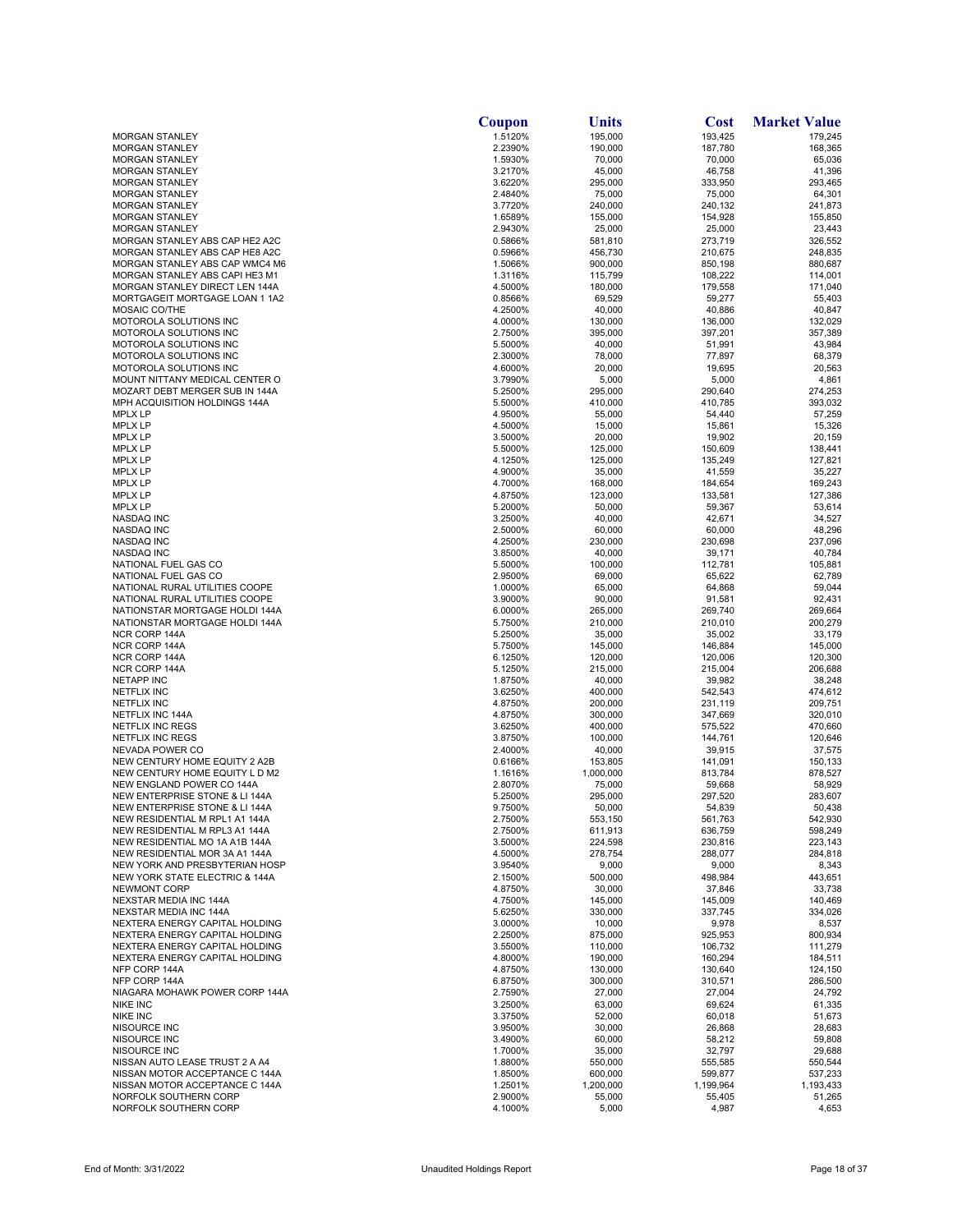| 1.5120%<br>195,000<br>193,425<br><b>MORGAN STANLEY</b><br>179,245<br>2.2390%<br>190,000<br>187,780<br><b>MORGAN STANLEY</b><br>168,365<br><b>MORGAN STANLEY</b><br>1.5930%<br>70,000<br>70,000<br>65,036<br>3.2170%<br>45,000<br>46,758<br>41,396<br><b>MORGAN STANLEY</b><br>3.6220%<br>295,000<br>333,950<br>293,465<br><b>MORGAN STANLEY</b><br>2.4840%<br>75,000<br>75,000<br>64,301<br><b>MORGAN STANLEY</b><br>3.7720%<br>240,000<br>240,132<br>241,873<br><b>MORGAN STANLEY</b><br><b>MORGAN STANLEY</b><br>1.6589%<br>155,000<br>154,928<br>155,850<br><b>MORGAN STANLEY</b><br>2.9430%<br>25,000<br>25,000<br>23,443<br>273,719<br>326,552<br>MORGAN STANLEY ABS CAP HE2 A2C<br>0.5866%<br>581,810<br>MORGAN STANLEY ABS CAP HE8 A2C<br>0.5966%<br>456,730<br>210,675<br>248,835<br>MORGAN STANLEY ABS CAP WMC4 M6<br>900,000<br>850,198<br>880,687<br>1.5066%<br>108,222<br>MORGAN STANLEY ABS CAPI HE3 M1<br>1.3116%<br>115,799<br>114,001<br><b>MORGAN STANLEY DIRECT LEN 144A</b><br>4.5000%<br>180,000<br>179,558<br>171,040<br>MORTGAGEIT MORTGAGE LOAN 1 1A2<br>0.8566%<br>69,529<br>59,277<br>55,403<br>MOSAIC CO/THE<br>4.2500%<br>40,000<br>40,886<br>40,847<br><b>MOTOROLA SOLUTIONS INC</b><br>4.0000%<br>132,029<br>130,000<br>136,000<br>MOTOROLA SOLUTIONS INC<br>2.7500%<br>395,000<br>397,201<br>357,389<br>MOTOROLA SOLUTIONS INC<br>5.5000%<br>51,991<br>43,984<br>40,000<br>MOTOROLA SOLUTIONS INC<br>2.3000%<br>78,000<br>68,379<br>77,897<br>MOTOROLA SOLUTIONS INC<br>4.6000%<br>20,000<br>19,695<br>20,563<br>MOUNT NITTANY MEDICAL CENTER O<br>5,000<br>4,861<br>3.7990%<br>5,000<br>MOZART DEBT MERGER SUB IN 144A<br>5.2500%<br>295,000<br>290,640<br>274,253<br>MPH ACQUISITION HOLDINGS 144A<br>5.5000%<br>410,000<br>410,785<br>393,032<br><b>MPLX LP</b><br>4.9500%<br>55,000<br>54,440<br>57,259<br><b>MPLX LP</b><br>4.5000%<br>15,000<br>15,861<br>15,326<br><b>MPLX LP</b><br>3.5000%<br>20,000<br>19,902<br>20,159<br><b>MPLX LP</b><br>5.5000%<br>125,000<br>150,609<br>138,441<br>4.1250%<br>125,000<br>135,249<br>127,821<br><b>MPLX LP</b><br>4.9000%<br>35,000<br>41,559<br>35,227<br><b>MPLX LP</b><br>4.7000%<br>168,000<br>184,654<br>169,243<br><b>MPLX LP</b><br><b>MPLX LP</b><br>4.8750%<br>123,000<br>133,581<br>127,386<br><b>MPLX LP</b><br>5.2000%<br>50,000<br>59,367<br>53,614<br><b>NASDAQ INC</b><br>3.2500%<br>40,000<br>42,671<br>34,527<br>48,296<br>NASDAQ INC<br>2.5000%<br>60,000<br>60,000<br>NASDAQ INC<br>4.2500%<br>230,000<br>230,698<br>237,096<br>40,000<br>39,171<br>40,784<br>NASDAQ INC<br>3.8500%<br>112,781<br>105,881<br>NATIONAL FUEL GAS CO<br>5.5000%<br>100,000<br>NATIONAL FUEL GAS CO<br>69,000<br>65,622<br>62,789<br>2.9500%<br>59,044<br>NATIONAL RURAL UTILITIES COOPE<br>1.0000%<br>65,000<br>64,868<br>NATIONAL RURAL UTILITIES COOPE<br>3.9000%<br>90,000<br>91,581<br>92,431<br>NATIONSTAR MORTGAGE HOLDI 144A<br>6.0000%<br>269,740<br>269,664<br>265,000<br>NATIONSTAR MORTGAGE HOLDI 144A<br>5.7500%<br>210,000<br>210,010<br>200,279<br>NCR CORP 144A<br>5.2500%<br>35,000<br>35,002<br>33,179<br>NCR CORP 144A<br>5.7500%<br>145,000<br>146,884<br>145,000<br>NCR CORP 144A<br>120,006<br>120,300<br>6.1250%<br>120,000<br>NCR CORP 144A<br>5.1250%<br>215,000<br>215,004<br>206,688<br><b>NETAPP INC</b><br>1.8750%<br>40,000<br>39,982<br>38,248<br><b>NETFLIX INC</b><br>3.6250%<br>400,000<br>542,543<br>474,612<br>4.8750%<br>200,000<br>231,119<br>209,751<br><b>NETFLIX INC</b><br>4.8750%<br>300,000<br>320,010<br>NETFLIX INC 144A<br>347,669<br><b>NETFLIX INC REGS</b><br>3.6250%<br>400,000<br>575,522<br>470,660<br>3.8750%<br>144,761<br>120,646<br>NETFLIX INC REGS<br>100,000<br>NEVADA POWER CO<br>2.4000%<br>40,000<br>39,915<br>37,575<br>NEW CENTURY HOME EQUITY 2 A2B<br>0.6166%<br>153,805<br>141,091<br>150,133<br>NEW CENTURY HOME EQUITY L D M2<br>1.1616%<br>1,000,000<br>813,784<br>878,527<br>NEW ENGLAND POWER CO 144A<br>2.8070%<br>75,000<br>58,929<br>59,668<br>NEW ENTERPRISE STONE & LI 144A<br>5.2500%<br>295,000<br>297,520<br>283,607<br>NEW ENTERPRISE STONE & LI 144A<br>50,438<br>9.7500%<br>50,000<br>54,839<br>542,930<br>561,763<br>NEW RESIDENTIAL M RPL1 A1 144A<br>2.7500%<br>553,150<br>598,249<br>NEW RESIDENTIAL M RPL3 A1 144A<br>2.7500%<br>611,913<br>636,759<br>NEW RESIDENTIAL MO 1A A1B 144A<br>224,598<br>230,816<br>223,143<br>3.5000%<br>NEW RESIDENTIAL MOR 3A A1 144A<br>278,754<br>288,077<br>284,818<br>4.5000%<br>NEW YORK AND PRESBYTERIAN HOSP<br>9,000<br>9,000<br>8,343<br>3.9540%<br>NEW YORK STATE ELECTRIC & 144A<br>498,984<br>443,651<br>2.1500%<br>500,000<br>NEWMONT CORP<br>4.8750%<br>30,000<br>37,846<br>33,738<br>NEXSTAR MEDIA INC 144A<br>4.7500%<br>145,000<br>145,009<br>140,469<br>334,026<br><b>NEXSTAR MEDIA INC 144A</b><br>5.6250%<br>330,000<br>337,745<br>NEXTERA ENERGY CAPITAL HOLDING<br>3.0000%<br>10,000<br>9,978<br>8,537<br>NEXTERA ENERGY CAPITAL HOLDING<br>925,953<br>800,934<br>2.2500%<br>875,000<br>NEXTERA ENERGY CAPITAL HOLDING<br>3.5500%<br>110,000<br>106,732<br>111,279<br>NEXTERA ENERGY CAPITAL HOLDING<br>4.8000%<br>190,000<br>160,294<br>184,511<br>NFP CORP 144A<br>4.8750%<br>130,000<br>130,640<br>124,150<br>NFP CORP 144A<br>6.8750%<br>300,000<br>310,571<br>286,500<br>NIAGARA MOHAWK POWER CORP 144A<br>2.7590%<br>27,000<br>27,004<br>24,792<br><b>NIKE INC</b><br>3.2500%<br>63,000<br>69,624<br>61,335<br><b>NIKE INC</b><br>3.3750%<br>52,000<br>60,018<br>51,673<br>NISOURCE INC<br>3.9500%<br>30,000<br>26,868<br>28,683<br>NISOURCE INC<br>3.4900%<br>60,000<br>58,212<br>59,808<br>NISOURCE INC<br>1.7000%<br>35,000<br>32,797<br>29,688<br>NISSAN AUTO LEASE TRUST 2 A A4<br>1.8800%<br>550,000<br>555,585<br>550,544<br>NISSAN MOTOR ACCEPTANCE C 144A<br>1.8500%<br>600,000<br>599,877<br>537,233<br>NISSAN MOTOR ACCEPTANCE C 144A<br>1.2501%<br>1,200,000<br>1,199,964<br>1,193,433<br>NORFOLK SOUTHERN CORP<br>51,265<br>2.9000%<br>55,000<br>55,405 |                       | Coupon  | <b>Units</b> | <b>Cost</b> | <b>Market Value</b> |
|-----------------------------------------------------------------------------------------------------------------------------------------------------------------------------------------------------------------------------------------------------------------------------------------------------------------------------------------------------------------------------------------------------------------------------------------------------------------------------------------------------------------------------------------------------------------------------------------------------------------------------------------------------------------------------------------------------------------------------------------------------------------------------------------------------------------------------------------------------------------------------------------------------------------------------------------------------------------------------------------------------------------------------------------------------------------------------------------------------------------------------------------------------------------------------------------------------------------------------------------------------------------------------------------------------------------------------------------------------------------------------------------------------------------------------------------------------------------------------------------------------------------------------------------------------------------------------------------------------------------------------------------------------------------------------------------------------------------------------------------------------------------------------------------------------------------------------------------------------------------------------------------------------------------------------------------------------------------------------------------------------------------------------------------------------------------------------------------------------------------------------------------------------------------------------------------------------------------------------------------------------------------------------------------------------------------------------------------------------------------------------------------------------------------------------------------------------------------------------------------------------------------------------------------------------------------------------------------------------------------------------------------------------------------------------------------------------------------------------------------------------------------------------------------------------------------------------------------------------------------------------------------------------------------------------------------------------------------------------------------------------------------------------------------------------------------------------------------------------------------------------------------------------------------------------------------------------------------------------------------------------------------------------------------------------------------------------------------------------------------------------------------------------------------------------------------------------------------------------------------------------------------------------------------------------------------------------------------------------------------------------------------------------------------------------------------------------------------------------------------------------------------------------------------------------------------------------------------------------------------------------------------------------------------------------------------------------------------------------------------------------------------------------------------------------------------------------------------------------------------------------------------------------------------------------------------------------------------------------------------------------------------------------------------------------------------------------------------------------------------------------------------------------------------------------------------------------------------------------------------------------------------------------------------------------------------------------------------------------------------------------------------------------------------------------------------------------------------------------------------------------------------------------------------------------------------------------------------------------------------------------------------------------------------------------------------------------------------------------------------------------------------------------------------------------------------------------------------------------------------------------------------------------------------------------------------------------------------------------------------------------------------------------------------------------------------------------------------------------------------------------------------------------------------------------------------------------------------------------------------------------------------------------------------------------------------------------------------------------------------------------------------------------------------------------------------------------------------------------------------------------------------------------------------------------------------------------------------------------------------------------------------------------------------------------------------------------------------------------------------------------|-----------------------|---------|--------------|-------------|---------------------|
|                                                                                                                                                                                                                                                                                                                                                                                                                                                                                                                                                                                                                                                                                                                                                                                                                                                                                                                                                                                                                                                                                                                                                                                                                                                                                                                                                                                                                                                                                                                                                                                                                                                                                                                                                                                                                                                                                                                                                                                                                                                                                                                                                                                                                                                                                                                                                                                                                                                                                                                                                                                                                                                                                                                                                                                                                                                                                                                                                                                                                                                                                                                                                                                                                                                                                                                                                                                                                                                                                                                                                                                                                                                                                                                                                                                                                                                                                                                                                                                                                                                                                                                                                                                                                                                                                                                                                                                                                                                                                                                                                                                                                                                                                                                                                                                                                                                                                                                                                                                                                                                                                                                                                                                                                                                                                                                                                                                                                                                                                                                                                                                                                                                                                                                                                                                                                                                                                                                                                                                                     |                       |         |              |             |                     |
|                                                                                                                                                                                                                                                                                                                                                                                                                                                                                                                                                                                                                                                                                                                                                                                                                                                                                                                                                                                                                                                                                                                                                                                                                                                                                                                                                                                                                                                                                                                                                                                                                                                                                                                                                                                                                                                                                                                                                                                                                                                                                                                                                                                                                                                                                                                                                                                                                                                                                                                                                                                                                                                                                                                                                                                                                                                                                                                                                                                                                                                                                                                                                                                                                                                                                                                                                                                                                                                                                                                                                                                                                                                                                                                                                                                                                                                                                                                                                                                                                                                                                                                                                                                                                                                                                                                                                                                                                                                                                                                                                                                                                                                                                                                                                                                                                                                                                                                                                                                                                                                                                                                                                                                                                                                                                                                                                                                                                                                                                                                                                                                                                                                                                                                                                                                                                                                                                                                                                                                                     |                       |         |              |             |                     |
|                                                                                                                                                                                                                                                                                                                                                                                                                                                                                                                                                                                                                                                                                                                                                                                                                                                                                                                                                                                                                                                                                                                                                                                                                                                                                                                                                                                                                                                                                                                                                                                                                                                                                                                                                                                                                                                                                                                                                                                                                                                                                                                                                                                                                                                                                                                                                                                                                                                                                                                                                                                                                                                                                                                                                                                                                                                                                                                                                                                                                                                                                                                                                                                                                                                                                                                                                                                                                                                                                                                                                                                                                                                                                                                                                                                                                                                                                                                                                                                                                                                                                                                                                                                                                                                                                                                                                                                                                                                                                                                                                                                                                                                                                                                                                                                                                                                                                                                                                                                                                                                                                                                                                                                                                                                                                                                                                                                                                                                                                                                                                                                                                                                                                                                                                                                                                                                                                                                                                                                                     |                       |         |              |             |                     |
|                                                                                                                                                                                                                                                                                                                                                                                                                                                                                                                                                                                                                                                                                                                                                                                                                                                                                                                                                                                                                                                                                                                                                                                                                                                                                                                                                                                                                                                                                                                                                                                                                                                                                                                                                                                                                                                                                                                                                                                                                                                                                                                                                                                                                                                                                                                                                                                                                                                                                                                                                                                                                                                                                                                                                                                                                                                                                                                                                                                                                                                                                                                                                                                                                                                                                                                                                                                                                                                                                                                                                                                                                                                                                                                                                                                                                                                                                                                                                                                                                                                                                                                                                                                                                                                                                                                                                                                                                                                                                                                                                                                                                                                                                                                                                                                                                                                                                                                                                                                                                                                                                                                                                                                                                                                                                                                                                                                                                                                                                                                                                                                                                                                                                                                                                                                                                                                                                                                                                                                                     |                       |         |              |             |                     |
|                                                                                                                                                                                                                                                                                                                                                                                                                                                                                                                                                                                                                                                                                                                                                                                                                                                                                                                                                                                                                                                                                                                                                                                                                                                                                                                                                                                                                                                                                                                                                                                                                                                                                                                                                                                                                                                                                                                                                                                                                                                                                                                                                                                                                                                                                                                                                                                                                                                                                                                                                                                                                                                                                                                                                                                                                                                                                                                                                                                                                                                                                                                                                                                                                                                                                                                                                                                                                                                                                                                                                                                                                                                                                                                                                                                                                                                                                                                                                                                                                                                                                                                                                                                                                                                                                                                                                                                                                                                                                                                                                                                                                                                                                                                                                                                                                                                                                                                                                                                                                                                                                                                                                                                                                                                                                                                                                                                                                                                                                                                                                                                                                                                                                                                                                                                                                                                                                                                                                                                                     |                       |         |              |             |                     |
|                                                                                                                                                                                                                                                                                                                                                                                                                                                                                                                                                                                                                                                                                                                                                                                                                                                                                                                                                                                                                                                                                                                                                                                                                                                                                                                                                                                                                                                                                                                                                                                                                                                                                                                                                                                                                                                                                                                                                                                                                                                                                                                                                                                                                                                                                                                                                                                                                                                                                                                                                                                                                                                                                                                                                                                                                                                                                                                                                                                                                                                                                                                                                                                                                                                                                                                                                                                                                                                                                                                                                                                                                                                                                                                                                                                                                                                                                                                                                                                                                                                                                                                                                                                                                                                                                                                                                                                                                                                                                                                                                                                                                                                                                                                                                                                                                                                                                                                                                                                                                                                                                                                                                                                                                                                                                                                                                                                                                                                                                                                                                                                                                                                                                                                                                                                                                                                                                                                                                                                                     |                       |         |              |             |                     |
|                                                                                                                                                                                                                                                                                                                                                                                                                                                                                                                                                                                                                                                                                                                                                                                                                                                                                                                                                                                                                                                                                                                                                                                                                                                                                                                                                                                                                                                                                                                                                                                                                                                                                                                                                                                                                                                                                                                                                                                                                                                                                                                                                                                                                                                                                                                                                                                                                                                                                                                                                                                                                                                                                                                                                                                                                                                                                                                                                                                                                                                                                                                                                                                                                                                                                                                                                                                                                                                                                                                                                                                                                                                                                                                                                                                                                                                                                                                                                                                                                                                                                                                                                                                                                                                                                                                                                                                                                                                                                                                                                                                                                                                                                                                                                                                                                                                                                                                                                                                                                                                                                                                                                                                                                                                                                                                                                                                                                                                                                                                                                                                                                                                                                                                                                                                                                                                                                                                                                                                                     |                       |         |              |             |                     |
|                                                                                                                                                                                                                                                                                                                                                                                                                                                                                                                                                                                                                                                                                                                                                                                                                                                                                                                                                                                                                                                                                                                                                                                                                                                                                                                                                                                                                                                                                                                                                                                                                                                                                                                                                                                                                                                                                                                                                                                                                                                                                                                                                                                                                                                                                                                                                                                                                                                                                                                                                                                                                                                                                                                                                                                                                                                                                                                                                                                                                                                                                                                                                                                                                                                                                                                                                                                                                                                                                                                                                                                                                                                                                                                                                                                                                                                                                                                                                                                                                                                                                                                                                                                                                                                                                                                                                                                                                                                                                                                                                                                                                                                                                                                                                                                                                                                                                                                                                                                                                                                                                                                                                                                                                                                                                                                                                                                                                                                                                                                                                                                                                                                                                                                                                                                                                                                                                                                                                                                                     |                       |         |              |             |                     |
|                                                                                                                                                                                                                                                                                                                                                                                                                                                                                                                                                                                                                                                                                                                                                                                                                                                                                                                                                                                                                                                                                                                                                                                                                                                                                                                                                                                                                                                                                                                                                                                                                                                                                                                                                                                                                                                                                                                                                                                                                                                                                                                                                                                                                                                                                                                                                                                                                                                                                                                                                                                                                                                                                                                                                                                                                                                                                                                                                                                                                                                                                                                                                                                                                                                                                                                                                                                                                                                                                                                                                                                                                                                                                                                                                                                                                                                                                                                                                                                                                                                                                                                                                                                                                                                                                                                                                                                                                                                                                                                                                                                                                                                                                                                                                                                                                                                                                                                                                                                                                                                                                                                                                                                                                                                                                                                                                                                                                                                                                                                                                                                                                                                                                                                                                                                                                                                                                                                                                                                                     |                       |         |              |             |                     |
|                                                                                                                                                                                                                                                                                                                                                                                                                                                                                                                                                                                                                                                                                                                                                                                                                                                                                                                                                                                                                                                                                                                                                                                                                                                                                                                                                                                                                                                                                                                                                                                                                                                                                                                                                                                                                                                                                                                                                                                                                                                                                                                                                                                                                                                                                                                                                                                                                                                                                                                                                                                                                                                                                                                                                                                                                                                                                                                                                                                                                                                                                                                                                                                                                                                                                                                                                                                                                                                                                                                                                                                                                                                                                                                                                                                                                                                                                                                                                                                                                                                                                                                                                                                                                                                                                                                                                                                                                                                                                                                                                                                                                                                                                                                                                                                                                                                                                                                                                                                                                                                                                                                                                                                                                                                                                                                                                                                                                                                                                                                                                                                                                                                                                                                                                                                                                                                                                                                                                                                                     |                       |         |              |             |                     |
|                                                                                                                                                                                                                                                                                                                                                                                                                                                                                                                                                                                                                                                                                                                                                                                                                                                                                                                                                                                                                                                                                                                                                                                                                                                                                                                                                                                                                                                                                                                                                                                                                                                                                                                                                                                                                                                                                                                                                                                                                                                                                                                                                                                                                                                                                                                                                                                                                                                                                                                                                                                                                                                                                                                                                                                                                                                                                                                                                                                                                                                                                                                                                                                                                                                                                                                                                                                                                                                                                                                                                                                                                                                                                                                                                                                                                                                                                                                                                                                                                                                                                                                                                                                                                                                                                                                                                                                                                                                                                                                                                                                                                                                                                                                                                                                                                                                                                                                                                                                                                                                                                                                                                                                                                                                                                                                                                                                                                                                                                                                                                                                                                                                                                                                                                                                                                                                                                                                                                                                                     |                       |         |              |             |                     |
|                                                                                                                                                                                                                                                                                                                                                                                                                                                                                                                                                                                                                                                                                                                                                                                                                                                                                                                                                                                                                                                                                                                                                                                                                                                                                                                                                                                                                                                                                                                                                                                                                                                                                                                                                                                                                                                                                                                                                                                                                                                                                                                                                                                                                                                                                                                                                                                                                                                                                                                                                                                                                                                                                                                                                                                                                                                                                                                                                                                                                                                                                                                                                                                                                                                                                                                                                                                                                                                                                                                                                                                                                                                                                                                                                                                                                                                                                                                                                                                                                                                                                                                                                                                                                                                                                                                                                                                                                                                                                                                                                                                                                                                                                                                                                                                                                                                                                                                                                                                                                                                                                                                                                                                                                                                                                                                                                                                                                                                                                                                                                                                                                                                                                                                                                                                                                                                                                                                                                                                                     |                       |         |              |             |                     |
|                                                                                                                                                                                                                                                                                                                                                                                                                                                                                                                                                                                                                                                                                                                                                                                                                                                                                                                                                                                                                                                                                                                                                                                                                                                                                                                                                                                                                                                                                                                                                                                                                                                                                                                                                                                                                                                                                                                                                                                                                                                                                                                                                                                                                                                                                                                                                                                                                                                                                                                                                                                                                                                                                                                                                                                                                                                                                                                                                                                                                                                                                                                                                                                                                                                                                                                                                                                                                                                                                                                                                                                                                                                                                                                                                                                                                                                                                                                                                                                                                                                                                                                                                                                                                                                                                                                                                                                                                                                                                                                                                                                                                                                                                                                                                                                                                                                                                                                                                                                                                                                                                                                                                                                                                                                                                                                                                                                                                                                                                                                                                                                                                                                                                                                                                                                                                                                                                                                                                                                                     |                       |         |              |             |                     |
|                                                                                                                                                                                                                                                                                                                                                                                                                                                                                                                                                                                                                                                                                                                                                                                                                                                                                                                                                                                                                                                                                                                                                                                                                                                                                                                                                                                                                                                                                                                                                                                                                                                                                                                                                                                                                                                                                                                                                                                                                                                                                                                                                                                                                                                                                                                                                                                                                                                                                                                                                                                                                                                                                                                                                                                                                                                                                                                                                                                                                                                                                                                                                                                                                                                                                                                                                                                                                                                                                                                                                                                                                                                                                                                                                                                                                                                                                                                                                                                                                                                                                                                                                                                                                                                                                                                                                                                                                                                                                                                                                                                                                                                                                                                                                                                                                                                                                                                                                                                                                                                                                                                                                                                                                                                                                                                                                                                                                                                                                                                                                                                                                                                                                                                                                                                                                                                                                                                                                                                                     |                       |         |              |             |                     |
|                                                                                                                                                                                                                                                                                                                                                                                                                                                                                                                                                                                                                                                                                                                                                                                                                                                                                                                                                                                                                                                                                                                                                                                                                                                                                                                                                                                                                                                                                                                                                                                                                                                                                                                                                                                                                                                                                                                                                                                                                                                                                                                                                                                                                                                                                                                                                                                                                                                                                                                                                                                                                                                                                                                                                                                                                                                                                                                                                                                                                                                                                                                                                                                                                                                                                                                                                                                                                                                                                                                                                                                                                                                                                                                                                                                                                                                                                                                                                                                                                                                                                                                                                                                                                                                                                                                                                                                                                                                                                                                                                                                                                                                                                                                                                                                                                                                                                                                                                                                                                                                                                                                                                                                                                                                                                                                                                                                                                                                                                                                                                                                                                                                                                                                                                                                                                                                                                                                                                                                                     |                       |         |              |             |                     |
|                                                                                                                                                                                                                                                                                                                                                                                                                                                                                                                                                                                                                                                                                                                                                                                                                                                                                                                                                                                                                                                                                                                                                                                                                                                                                                                                                                                                                                                                                                                                                                                                                                                                                                                                                                                                                                                                                                                                                                                                                                                                                                                                                                                                                                                                                                                                                                                                                                                                                                                                                                                                                                                                                                                                                                                                                                                                                                                                                                                                                                                                                                                                                                                                                                                                                                                                                                                                                                                                                                                                                                                                                                                                                                                                                                                                                                                                                                                                                                                                                                                                                                                                                                                                                                                                                                                                                                                                                                                                                                                                                                                                                                                                                                                                                                                                                                                                                                                                                                                                                                                                                                                                                                                                                                                                                                                                                                                                                                                                                                                                                                                                                                                                                                                                                                                                                                                                                                                                                                                                     |                       |         |              |             |                     |
|                                                                                                                                                                                                                                                                                                                                                                                                                                                                                                                                                                                                                                                                                                                                                                                                                                                                                                                                                                                                                                                                                                                                                                                                                                                                                                                                                                                                                                                                                                                                                                                                                                                                                                                                                                                                                                                                                                                                                                                                                                                                                                                                                                                                                                                                                                                                                                                                                                                                                                                                                                                                                                                                                                                                                                                                                                                                                                                                                                                                                                                                                                                                                                                                                                                                                                                                                                                                                                                                                                                                                                                                                                                                                                                                                                                                                                                                                                                                                                                                                                                                                                                                                                                                                                                                                                                                                                                                                                                                                                                                                                                                                                                                                                                                                                                                                                                                                                                                                                                                                                                                                                                                                                                                                                                                                                                                                                                                                                                                                                                                                                                                                                                                                                                                                                                                                                                                                                                                                                                                     |                       |         |              |             |                     |
|                                                                                                                                                                                                                                                                                                                                                                                                                                                                                                                                                                                                                                                                                                                                                                                                                                                                                                                                                                                                                                                                                                                                                                                                                                                                                                                                                                                                                                                                                                                                                                                                                                                                                                                                                                                                                                                                                                                                                                                                                                                                                                                                                                                                                                                                                                                                                                                                                                                                                                                                                                                                                                                                                                                                                                                                                                                                                                                                                                                                                                                                                                                                                                                                                                                                                                                                                                                                                                                                                                                                                                                                                                                                                                                                                                                                                                                                                                                                                                                                                                                                                                                                                                                                                                                                                                                                                                                                                                                                                                                                                                                                                                                                                                                                                                                                                                                                                                                                                                                                                                                                                                                                                                                                                                                                                                                                                                                                                                                                                                                                                                                                                                                                                                                                                                                                                                                                                                                                                                                                     |                       |         |              |             |                     |
|                                                                                                                                                                                                                                                                                                                                                                                                                                                                                                                                                                                                                                                                                                                                                                                                                                                                                                                                                                                                                                                                                                                                                                                                                                                                                                                                                                                                                                                                                                                                                                                                                                                                                                                                                                                                                                                                                                                                                                                                                                                                                                                                                                                                                                                                                                                                                                                                                                                                                                                                                                                                                                                                                                                                                                                                                                                                                                                                                                                                                                                                                                                                                                                                                                                                                                                                                                                                                                                                                                                                                                                                                                                                                                                                                                                                                                                                                                                                                                                                                                                                                                                                                                                                                                                                                                                                                                                                                                                                                                                                                                                                                                                                                                                                                                                                                                                                                                                                                                                                                                                                                                                                                                                                                                                                                                                                                                                                                                                                                                                                                                                                                                                                                                                                                                                                                                                                                                                                                                                                     |                       |         |              |             |                     |
|                                                                                                                                                                                                                                                                                                                                                                                                                                                                                                                                                                                                                                                                                                                                                                                                                                                                                                                                                                                                                                                                                                                                                                                                                                                                                                                                                                                                                                                                                                                                                                                                                                                                                                                                                                                                                                                                                                                                                                                                                                                                                                                                                                                                                                                                                                                                                                                                                                                                                                                                                                                                                                                                                                                                                                                                                                                                                                                                                                                                                                                                                                                                                                                                                                                                                                                                                                                                                                                                                                                                                                                                                                                                                                                                                                                                                                                                                                                                                                                                                                                                                                                                                                                                                                                                                                                                                                                                                                                                                                                                                                                                                                                                                                                                                                                                                                                                                                                                                                                                                                                                                                                                                                                                                                                                                                                                                                                                                                                                                                                                                                                                                                                                                                                                                                                                                                                                                                                                                                                                     |                       |         |              |             |                     |
|                                                                                                                                                                                                                                                                                                                                                                                                                                                                                                                                                                                                                                                                                                                                                                                                                                                                                                                                                                                                                                                                                                                                                                                                                                                                                                                                                                                                                                                                                                                                                                                                                                                                                                                                                                                                                                                                                                                                                                                                                                                                                                                                                                                                                                                                                                                                                                                                                                                                                                                                                                                                                                                                                                                                                                                                                                                                                                                                                                                                                                                                                                                                                                                                                                                                                                                                                                                                                                                                                                                                                                                                                                                                                                                                                                                                                                                                                                                                                                                                                                                                                                                                                                                                                                                                                                                                                                                                                                                                                                                                                                                                                                                                                                                                                                                                                                                                                                                                                                                                                                                                                                                                                                                                                                                                                                                                                                                                                                                                                                                                                                                                                                                                                                                                                                                                                                                                                                                                                                                                     |                       |         |              |             |                     |
|                                                                                                                                                                                                                                                                                                                                                                                                                                                                                                                                                                                                                                                                                                                                                                                                                                                                                                                                                                                                                                                                                                                                                                                                                                                                                                                                                                                                                                                                                                                                                                                                                                                                                                                                                                                                                                                                                                                                                                                                                                                                                                                                                                                                                                                                                                                                                                                                                                                                                                                                                                                                                                                                                                                                                                                                                                                                                                                                                                                                                                                                                                                                                                                                                                                                                                                                                                                                                                                                                                                                                                                                                                                                                                                                                                                                                                                                                                                                                                                                                                                                                                                                                                                                                                                                                                                                                                                                                                                                                                                                                                                                                                                                                                                                                                                                                                                                                                                                                                                                                                                                                                                                                                                                                                                                                                                                                                                                                                                                                                                                                                                                                                                                                                                                                                                                                                                                                                                                                                                                     |                       |         |              |             |                     |
|                                                                                                                                                                                                                                                                                                                                                                                                                                                                                                                                                                                                                                                                                                                                                                                                                                                                                                                                                                                                                                                                                                                                                                                                                                                                                                                                                                                                                                                                                                                                                                                                                                                                                                                                                                                                                                                                                                                                                                                                                                                                                                                                                                                                                                                                                                                                                                                                                                                                                                                                                                                                                                                                                                                                                                                                                                                                                                                                                                                                                                                                                                                                                                                                                                                                                                                                                                                                                                                                                                                                                                                                                                                                                                                                                                                                                                                                                                                                                                                                                                                                                                                                                                                                                                                                                                                                                                                                                                                                                                                                                                                                                                                                                                                                                                                                                                                                                                                                                                                                                                                                                                                                                                                                                                                                                                                                                                                                                                                                                                                                                                                                                                                                                                                                                                                                                                                                                                                                                                                                     |                       |         |              |             |                     |
|                                                                                                                                                                                                                                                                                                                                                                                                                                                                                                                                                                                                                                                                                                                                                                                                                                                                                                                                                                                                                                                                                                                                                                                                                                                                                                                                                                                                                                                                                                                                                                                                                                                                                                                                                                                                                                                                                                                                                                                                                                                                                                                                                                                                                                                                                                                                                                                                                                                                                                                                                                                                                                                                                                                                                                                                                                                                                                                                                                                                                                                                                                                                                                                                                                                                                                                                                                                                                                                                                                                                                                                                                                                                                                                                                                                                                                                                                                                                                                                                                                                                                                                                                                                                                                                                                                                                                                                                                                                                                                                                                                                                                                                                                                                                                                                                                                                                                                                                                                                                                                                                                                                                                                                                                                                                                                                                                                                                                                                                                                                                                                                                                                                                                                                                                                                                                                                                                                                                                                                                     |                       |         |              |             |                     |
|                                                                                                                                                                                                                                                                                                                                                                                                                                                                                                                                                                                                                                                                                                                                                                                                                                                                                                                                                                                                                                                                                                                                                                                                                                                                                                                                                                                                                                                                                                                                                                                                                                                                                                                                                                                                                                                                                                                                                                                                                                                                                                                                                                                                                                                                                                                                                                                                                                                                                                                                                                                                                                                                                                                                                                                                                                                                                                                                                                                                                                                                                                                                                                                                                                                                                                                                                                                                                                                                                                                                                                                                                                                                                                                                                                                                                                                                                                                                                                                                                                                                                                                                                                                                                                                                                                                                                                                                                                                                                                                                                                                                                                                                                                                                                                                                                                                                                                                                                                                                                                                                                                                                                                                                                                                                                                                                                                                                                                                                                                                                                                                                                                                                                                                                                                                                                                                                                                                                                                                                     |                       |         |              |             |                     |
|                                                                                                                                                                                                                                                                                                                                                                                                                                                                                                                                                                                                                                                                                                                                                                                                                                                                                                                                                                                                                                                                                                                                                                                                                                                                                                                                                                                                                                                                                                                                                                                                                                                                                                                                                                                                                                                                                                                                                                                                                                                                                                                                                                                                                                                                                                                                                                                                                                                                                                                                                                                                                                                                                                                                                                                                                                                                                                                                                                                                                                                                                                                                                                                                                                                                                                                                                                                                                                                                                                                                                                                                                                                                                                                                                                                                                                                                                                                                                                                                                                                                                                                                                                                                                                                                                                                                                                                                                                                                                                                                                                                                                                                                                                                                                                                                                                                                                                                                                                                                                                                                                                                                                                                                                                                                                                                                                                                                                                                                                                                                                                                                                                                                                                                                                                                                                                                                                                                                                                                                     |                       |         |              |             |                     |
|                                                                                                                                                                                                                                                                                                                                                                                                                                                                                                                                                                                                                                                                                                                                                                                                                                                                                                                                                                                                                                                                                                                                                                                                                                                                                                                                                                                                                                                                                                                                                                                                                                                                                                                                                                                                                                                                                                                                                                                                                                                                                                                                                                                                                                                                                                                                                                                                                                                                                                                                                                                                                                                                                                                                                                                                                                                                                                                                                                                                                                                                                                                                                                                                                                                                                                                                                                                                                                                                                                                                                                                                                                                                                                                                                                                                                                                                                                                                                                                                                                                                                                                                                                                                                                                                                                                                                                                                                                                                                                                                                                                                                                                                                                                                                                                                                                                                                                                                                                                                                                                                                                                                                                                                                                                                                                                                                                                                                                                                                                                                                                                                                                                                                                                                                                                                                                                                                                                                                                                                     |                       |         |              |             |                     |
|                                                                                                                                                                                                                                                                                                                                                                                                                                                                                                                                                                                                                                                                                                                                                                                                                                                                                                                                                                                                                                                                                                                                                                                                                                                                                                                                                                                                                                                                                                                                                                                                                                                                                                                                                                                                                                                                                                                                                                                                                                                                                                                                                                                                                                                                                                                                                                                                                                                                                                                                                                                                                                                                                                                                                                                                                                                                                                                                                                                                                                                                                                                                                                                                                                                                                                                                                                                                                                                                                                                                                                                                                                                                                                                                                                                                                                                                                                                                                                                                                                                                                                                                                                                                                                                                                                                                                                                                                                                                                                                                                                                                                                                                                                                                                                                                                                                                                                                                                                                                                                                                                                                                                                                                                                                                                                                                                                                                                                                                                                                                                                                                                                                                                                                                                                                                                                                                                                                                                                                                     |                       |         |              |             |                     |
|                                                                                                                                                                                                                                                                                                                                                                                                                                                                                                                                                                                                                                                                                                                                                                                                                                                                                                                                                                                                                                                                                                                                                                                                                                                                                                                                                                                                                                                                                                                                                                                                                                                                                                                                                                                                                                                                                                                                                                                                                                                                                                                                                                                                                                                                                                                                                                                                                                                                                                                                                                                                                                                                                                                                                                                                                                                                                                                                                                                                                                                                                                                                                                                                                                                                                                                                                                                                                                                                                                                                                                                                                                                                                                                                                                                                                                                                                                                                                                                                                                                                                                                                                                                                                                                                                                                                                                                                                                                                                                                                                                                                                                                                                                                                                                                                                                                                                                                                                                                                                                                                                                                                                                                                                                                                                                                                                                                                                                                                                                                                                                                                                                                                                                                                                                                                                                                                                                                                                                                                     |                       |         |              |             |                     |
|                                                                                                                                                                                                                                                                                                                                                                                                                                                                                                                                                                                                                                                                                                                                                                                                                                                                                                                                                                                                                                                                                                                                                                                                                                                                                                                                                                                                                                                                                                                                                                                                                                                                                                                                                                                                                                                                                                                                                                                                                                                                                                                                                                                                                                                                                                                                                                                                                                                                                                                                                                                                                                                                                                                                                                                                                                                                                                                                                                                                                                                                                                                                                                                                                                                                                                                                                                                                                                                                                                                                                                                                                                                                                                                                                                                                                                                                                                                                                                                                                                                                                                                                                                                                                                                                                                                                                                                                                                                                                                                                                                                                                                                                                                                                                                                                                                                                                                                                                                                                                                                                                                                                                                                                                                                                                                                                                                                                                                                                                                                                                                                                                                                                                                                                                                                                                                                                                                                                                                                                     |                       |         |              |             |                     |
|                                                                                                                                                                                                                                                                                                                                                                                                                                                                                                                                                                                                                                                                                                                                                                                                                                                                                                                                                                                                                                                                                                                                                                                                                                                                                                                                                                                                                                                                                                                                                                                                                                                                                                                                                                                                                                                                                                                                                                                                                                                                                                                                                                                                                                                                                                                                                                                                                                                                                                                                                                                                                                                                                                                                                                                                                                                                                                                                                                                                                                                                                                                                                                                                                                                                                                                                                                                                                                                                                                                                                                                                                                                                                                                                                                                                                                                                                                                                                                                                                                                                                                                                                                                                                                                                                                                                                                                                                                                                                                                                                                                                                                                                                                                                                                                                                                                                                                                                                                                                                                                                                                                                                                                                                                                                                                                                                                                                                                                                                                                                                                                                                                                                                                                                                                                                                                                                                                                                                                                                     |                       |         |              |             |                     |
|                                                                                                                                                                                                                                                                                                                                                                                                                                                                                                                                                                                                                                                                                                                                                                                                                                                                                                                                                                                                                                                                                                                                                                                                                                                                                                                                                                                                                                                                                                                                                                                                                                                                                                                                                                                                                                                                                                                                                                                                                                                                                                                                                                                                                                                                                                                                                                                                                                                                                                                                                                                                                                                                                                                                                                                                                                                                                                                                                                                                                                                                                                                                                                                                                                                                                                                                                                                                                                                                                                                                                                                                                                                                                                                                                                                                                                                                                                                                                                                                                                                                                                                                                                                                                                                                                                                                                                                                                                                                                                                                                                                                                                                                                                                                                                                                                                                                                                                                                                                                                                                                                                                                                                                                                                                                                                                                                                                                                                                                                                                                                                                                                                                                                                                                                                                                                                                                                                                                                                                                     |                       |         |              |             |                     |
|                                                                                                                                                                                                                                                                                                                                                                                                                                                                                                                                                                                                                                                                                                                                                                                                                                                                                                                                                                                                                                                                                                                                                                                                                                                                                                                                                                                                                                                                                                                                                                                                                                                                                                                                                                                                                                                                                                                                                                                                                                                                                                                                                                                                                                                                                                                                                                                                                                                                                                                                                                                                                                                                                                                                                                                                                                                                                                                                                                                                                                                                                                                                                                                                                                                                                                                                                                                                                                                                                                                                                                                                                                                                                                                                                                                                                                                                                                                                                                                                                                                                                                                                                                                                                                                                                                                                                                                                                                                                                                                                                                                                                                                                                                                                                                                                                                                                                                                                                                                                                                                                                                                                                                                                                                                                                                                                                                                                                                                                                                                                                                                                                                                                                                                                                                                                                                                                                                                                                                                                     |                       |         |              |             |                     |
|                                                                                                                                                                                                                                                                                                                                                                                                                                                                                                                                                                                                                                                                                                                                                                                                                                                                                                                                                                                                                                                                                                                                                                                                                                                                                                                                                                                                                                                                                                                                                                                                                                                                                                                                                                                                                                                                                                                                                                                                                                                                                                                                                                                                                                                                                                                                                                                                                                                                                                                                                                                                                                                                                                                                                                                                                                                                                                                                                                                                                                                                                                                                                                                                                                                                                                                                                                                                                                                                                                                                                                                                                                                                                                                                                                                                                                                                                                                                                                                                                                                                                                                                                                                                                                                                                                                                                                                                                                                                                                                                                                                                                                                                                                                                                                                                                                                                                                                                                                                                                                                                                                                                                                                                                                                                                                                                                                                                                                                                                                                                                                                                                                                                                                                                                                                                                                                                                                                                                                                                     |                       |         |              |             |                     |
|                                                                                                                                                                                                                                                                                                                                                                                                                                                                                                                                                                                                                                                                                                                                                                                                                                                                                                                                                                                                                                                                                                                                                                                                                                                                                                                                                                                                                                                                                                                                                                                                                                                                                                                                                                                                                                                                                                                                                                                                                                                                                                                                                                                                                                                                                                                                                                                                                                                                                                                                                                                                                                                                                                                                                                                                                                                                                                                                                                                                                                                                                                                                                                                                                                                                                                                                                                                                                                                                                                                                                                                                                                                                                                                                                                                                                                                                                                                                                                                                                                                                                                                                                                                                                                                                                                                                                                                                                                                                                                                                                                                                                                                                                                                                                                                                                                                                                                                                                                                                                                                                                                                                                                                                                                                                                                                                                                                                                                                                                                                                                                                                                                                                                                                                                                                                                                                                                                                                                                                                     |                       |         |              |             |                     |
|                                                                                                                                                                                                                                                                                                                                                                                                                                                                                                                                                                                                                                                                                                                                                                                                                                                                                                                                                                                                                                                                                                                                                                                                                                                                                                                                                                                                                                                                                                                                                                                                                                                                                                                                                                                                                                                                                                                                                                                                                                                                                                                                                                                                                                                                                                                                                                                                                                                                                                                                                                                                                                                                                                                                                                                                                                                                                                                                                                                                                                                                                                                                                                                                                                                                                                                                                                                                                                                                                                                                                                                                                                                                                                                                                                                                                                                                                                                                                                                                                                                                                                                                                                                                                                                                                                                                                                                                                                                                                                                                                                                                                                                                                                                                                                                                                                                                                                                                                                                                                                                                                                                                                                                                                                                                                                                                                                                                                                                                                                                                                                                                                                                                                                                                                                                                                                                                                                                                                                                                     |                       |         |              |             |                     |
|                                                                                                                                                                                                                                                                                                                                                                                                                                                                                                                                                                                                                                                                                                                                                                                                                                                                                                                                                                                                                                                                                                                                                                                                                                                                                                                                                                                                                                                                                                                                                                                                                                                                                                                                                                                                                                                                                                                                                                                                                                                                                                                                                                                                                                                                                                                                                                                                                                                                                                                                                                                                                                                                                                                                                                                                                                                                                                                                                                                                                                                                                                                                                                                                                                                                                                                                                                                                                                                                                                                                                                                                                                                                                                                                                                                                                                                                                                                                                                                                                                                                                                                                                                                                                                                                                                                                                                                                                                                                                                                                                                                                                                                                                                                                                                                                                                                                                                                                                                                                                                                                                                                                                                                                                                                                                                                                                                                                                                                                                                                                                                                                                                                                                                                                                                                                                                                                                                                                                                                                     |                       |         |              |             |                     |
|                                                                                                                                                                                                                                                                                                                                                                                                                                                                                                                                                                                                                                                                                                                                                                                                                                                                                                                                                                                                                                                                                                                                                                                                                                                                                                                                                                                                                                                                                                                                                                                                                                                                                                                                                                                                                                                                                                                                                                                                                                                                                                                                                                                                                                                                                                                                                                                                                                                                                                                                                                                                                                                                                                                                                                                                                                                                                                                                                                                                                                                                                                                                                                                                                                                                                                                                                                                                                                                                                                                                                                                                                                                                                                                                                                                                                                                                                                                                                                                                                                                                                                                                                                                                                                                                                                                                                                                                                                                                                                                                                                                                                                                                                                                                                                                                                                                                                                                                                                                                                                                                                                                                                                                                                                                                                                                                                                                                                                                                                                                                                                                                                                                                                                                                                                                                                                                                                                                                                                                                     |                       |         |              |             |                     |
|                                                                                                                                                                                                                                                                                                                                                                                                                                                                                                                                                                                                                                                                                                                                                                                                                                                                                                                                                                                                                                                                                                                                                                                                                                                                                                                                                                                                                                                                                                                                                                                                                                                                                                                                                                                                                                                                                                                                                                                                                                                                                                                                                                                                                                                                                                                                                                                                                                                                                                                                                                                                                                                                                                                                                                                                                                                                                                                                                                                                                                                                                                                                                                                                                                                                                                                                                                                                                                                                                                                                                                                                                                                                                                                                                                                                                                                                                                                                                                                                                                                                                                                                                                                                                                                                                                                                                                                                                                                                                                                                                                                                                                                                                                                                                                                                                                                                                                                                                                                                                                                                                                                                                                                                                                                                                                                                                                                                                                                                                                                                                                                                                                                                                                                                                                                                                                                                                                                                                                                                     |                       |         |              |             |                     |
|                                                                                                                                                                                                                                                                                                                                                                                                                                                                                                                                                                                                                                                                                                                                                                                                                                                                                                                                                                                                                                                                                                                                                                                                                                                                                                                                                                                                                                                                                                                                                                                                                                                                                                                                                                                                                                                                                                                                                                                                                                                                                                                                                                                                                                                                                                                                                                                                                                                                                                                                                                                                                                                                                                                                                                                                                                                                                                                                                                                                                                                                                                                                                                                                                                                                                                                                                                                                                                                                                                                                                                                                                                                                                                                                                                                                                                                                                                                                                                                                                                                                                                                                                                                                                                                                                                                                                                                                                                                                                                                                                                                                                                                                                                                                                                                                                                                                                                                                                                                                                                                                                                                                                                                                                                                                                                                                                                                                                                                                                                                                                                                                                                                                                                                                                                                                                                                                                                                                                                                                     |                       |         |              |             |                     |
|                                                                                                                                                                                                                                                                                                                                                                                                                                                                                                                                                                                                                                                                                                                                                                                                                                                                                                                                                                                                                                                                                                                                                                                                                                                                                                                                                                                                                                                                                                                                                                                                                                                                                                                                                                                                                                                                                                                                                                                                                                                                                                                                                                                                                                                                                                                                                                                                                                                                                                                                                                                                                                                                                                                                                                                                                                                                                                                                                                                                                                                                                                                                                                                                                                                                                                                                                                                                                                                                                                                                                                                                                                                                                                                                                                                                                                                                                                                                                                                                                                                                                                                                                                                                                                                                                                                                                                                                                                                                                                                                                                                                                                                                                                                                                                                                                                                                                                                                                                                                                                                                                                                                                                                                                                                                                                                                                                                                                                                                                                                                                                                                                                                                                                                                                                                                                                                                                                                                                                                                     |                       |         |              |             |                     |
|                                                                                                                                                                                                                                                                                                                                                                                                                                                                                                                                                                                                                                                                                                                                                                                                                                                                                                                                                                                                                                                                                                                                                                                                                                                                                                                                                                                                                                                                                                                                                                                                                                                                                                                                                                                                                                                                                                                                                                                                                                                                                                                                                                                                                                                                                                                                                                                                                                                                                                                                                                                                                                                                                                                                                                                                                                                                                                                                                                                                                                                                                                                                                                                                                                                                                                                                                                                                                                                                                                                                                                                                                                                                                                                                                                                                                                                                                                                                                                                                                                                                                                                                                                                                                                                                                                                                                                                                                                                                                                                                                                                                                                                                                                                                                                                                                                                                                                                                                                                                                                                                                                                                                                                                                                                                                                                                                                                                                                                                                                                                                                                                                                                                                                                                                                                                                                                                                                                                                                                                     |                       |         |              |             |                     |
|                                                                                                                                                                                                                                                                                                                                                                                                                                                                                                                                                                                                                                                                                                                                                                                                                                                                                                                                                                                                                                                                                                                                                                                                                                                                                                                                                                                                                                                                                                                                                                                                                                                                                                                                                                                                                                                                                                                                                                                                                                                                                                                                                                                                                                                                                                                                                                                                                                                                                                                                                                                                                                                                                                                                                                                                                                                                                                                                                                                                                                                                                                                                                                                                                                                                                                                                                                                                                                                                                                                                                                                                                                                                                                                                                                                                                                                                                                                                                                                                                                                                                                                                                                                                                                                                                                                                                                                                                                                                                                                                                                                                                                                                                                                                                                                                                                                                                                                                                                                                                                                                                                                                                                                                                                                                                                                                                                                                                                                                                                                                                                                                                                                                                                                                                                                                                                                                                                                                                                                                     |                       |         |              |             |                     |
|                                                                                                                                                                                                                                                                                                                                                                                                                                                                                                                                                                                                                                                                                                                                                                                                                                                                                                                                                                                                                                                                                                                                                                                                                                                                                                                                                                                                                                                                                                                                                                                                                                                                                                                                                                                                                                                                                                                                                                                                                                                                                                                                                                                                                                                                                                                                                                                                                                                                                                                                                                                                                                                                                                                                                                                                                                                                                                                                                                                                                                                                                                                                                                                                                                                                                                                                                                                                                                                                                                                                                                                                                                                                                                                                                                                                                                                                                                                                                                                                                                                                                                                                                                                                                                                                                                                                                                                                                                                                                                                                                                                                                                                                                                                                                                                                                                                                                                                                                                                                                                                                                                                                                                                                                                                                                                                                                                                                                                                                                                                                                                                                                                                                                                                                                                                                                                                                                                                                                                                                     |                       |         |              |             |                     |
|                                                                                                                                                                                                                                                                                                                                                                                                                                                                                                                                                                                                                                                                                                                                                                                                                                                                                                                                                                                                                                                                                                                                                                                                                                                                                                                                                                                                                                                                                                                                                                                                                                                                                                                                                                                                                                                                                                                                                                                                                                                                                                                                                                                                                                                                                                                                                                                                                                                                                                                                                                                                                                                                                                                                                                                                                                                                                                                                                                                                                                                                                                                                                                                                                                                                                                                                                                                                                                                                                                                                                                                                                                                                                                                                                                                                                                                                                                                                                                                                                                                                                                                                                                                                                                                                                                                                                                                                                                                                                                                                                                                                                                                                                                                                                                                                                                                                                                                                                                                                                                                                                                                                                                                                                                                                                                                                                                                                                                                                                                                                                                                                                                                                                                                                                                                                                                                                                                                                                                                                     |                       |         |              |             |                     |
|                                                                                                                                                                                                                                                                                                                                                                                                                                                                                                                                                                                                                                                                                                                                                                                                                                                                                                                                                                                                                                                                                                                                                                                                                                                                                                                                                                                                                                                                                                                                                                                                                                                                                                                                                                                                                                                                                                                                                                                                                                                                                                                                                                                                                                                                                                                                                                                                                                                                                                                                                                                                                                                                                                                                                                                                                                                                                                                                                                                                                                                                                                                                                                                                                                                                                                                                                                                                                                                                                                                                                                                                                                                                                                                                                                                                                                                                                                                                                                                                                                                                                                                                                                                                                                                                                                                                                                                                                                                                                                                                                                                                                                                                                                                                                                                                                                                                                                                                                                                                                                                                                                                                                                                                                                                                                                                                                                                                                                                                                                                                                                                                                                                                                                                                                                                                                                                                                                                                                                                                     |                       |         |              |             |                     |
|                                                                                                                                                                                                                                                                                                                                                                                                                                                                                                                                                                                                                                                                                                                                                                                                                                                                                                                                                                                                                                                                                                                                                                                                                                                                                                                                                                                                                                                                                                                                                                                                                                                                                                                                                                                                                                                                                                                                                                                                                                                                                                                                                                                                                                                                                                                                                                                                                                                                                                                                                                                                                                                                                                                                                                                                                                                                                                                                                                                                                                                                                                                                                                                                                                                                                                                                                                                                                                                                                                                                                                                                                                                                                                                                                                                                                                                                                                                                                                                                                                                                                                                                                                                                                                                                                                                                                                                                                                                                                                                                                                                                                                                                                                                                                                                                                                                                                                                                                                                                                                                                                                                                                                                                                                                                                                                                                                                                                                                                                                                                                                                                                                                                                                                                                                                                                                                                                                                                                                                                     |                       |         |              |             |                     |
|                                                                                                                                                                                                                                                                                                                                                                                                                                                                                                                                                                                                                                                                                                                                                                                                                                                                                                                                                                                                                                                                                                                                                                                                                                                                                                                                                                                                                                                                                                                                                                                                                                                                                                                                                                                                                                                                                                                                                                                                                                                                                                                                                                                                                                                                                                                                                                                                                                                                                                                                                                                                                                                                                                                                                                                                                                                                                                                                                                                                                                                                                                                                                                                                                                                                                                                                                                                                                                                                                                                                                                                                                                                                                                                                                                                                                                                                                                                                                                                                                                                                                                                                                                                                                                                                                                                                                                                                                                                                                                                                                                                                                                                                                                                                                                                                                                                                                                                                                                                                                                                                                                                                                                                                                                                                                                                                                                                                                                                                                                                                                                                                                                                                                                                                                                                                                                                                                                                                                                                                     |                       |         |              |             |                     |
|                                                                                                                                                                                                                                                                                                                                                                                                                                                                                                                                                                                                                                                                                                                                                                                                                                                                                                                                                                                                                                                                                                                                                                                                                                                                                                                                                                                                                                                                                                                                                                                                                                                                                                                                                                                                                                                                                                                                                                                                                                                                                                                                                                                                                                                                                                                                                                                                                                                                                                                                                                                                                                                                                                                                                                                                                                                                                                                                                                                                                                                                                                                                                                                                                                                                                                                                                                                                                                                                                                                                                                                                                                                                                                                                                                                                                                                                                                                                                                                                                                                                                                                                                                                                                                                                                                                                                                                                                                                                                                                                                                                                                                                                                                                                                                                                                                                                                                                                                                                                                                                                                                                                                                                                                                                                                                                                                                                                                                                                                                                                                                                                                                                                                                                                                                                                                                                                                                                                                                                                     |                       |         |              |             |                     |
|                                                                                                                                                                                                                                                                                                                                                                                                                                                                                                                                                                                                                                                                                                                                                                                                                                                                                                                                                                                                                                                                                                                                                                                                                                                                                                                                                                                                                                                                                                                                                                                                                                                                                                                                                                                                                                                                                                                                                                                                                                                                                                                                                                                                                                                                                                                                                                                                                                                                                                                                                                                                                                                                                                                                                                                                                                                                                                                                                                                                                                                                                                                                                                                                                                                                                                                                                                                                                                                                                                                                                                                                                                                                                                                                                                                                                                                                                                                                                                                                                                                                                                                                                                                                                                                                                                                                                                                                                                                                                                                                                                                                                                                                                                                                                                                                                                                                                                                                                                                                                                                                                                                                                                                                                                                                                                                                                                                                                                                                                                                                                                                                                                                                                                                                                                                                                                                                                                                                                                                                     |                       |         |              |             |                     |
|                                                                                                                                                                                                                                                                                                                                                                                                                                                                                                                                                                                                                                                                                                                                                                                                                                                                                                                                                                                                                                                                                                                                                                                                                                                                                                                                                                                                                                                                                                                                                                                                                                                                                                                                                                                                                                                                                                                                                                                                                                                                                                                                                                                                                                                                                                                                                                                                                                                                                                                                                                                                                                                                                                                                                                                                                                                                                                                                                                                                                                                                                                                                                                                                                                                                                                                                                                                                                                                                                                                                                                                                                                                                                                                                                                                                                                                                                                                                                                                                                                                                                                                                                                                                                                                                                                                                                                                                                                                                                                                                                                                                                                                                                                                                                                                                                                                                                                                                                                                                                                                                                                                                                                                                                                                                                                                                                                                                                                                                                                                                                                                                                                                                                                                                                                                                                                                                                                                                                                                                     |                       |         |              |             |                     |
|                                                                                                                                                                                                                                                                                                                                                                                                                                                                                                                                                                                                                                                                                                                                                                                                                                                                                                                                                                                                                                                                                                                                                                                                                                                                                                                                                                                                                                                                                                                                                                                                                                                                                                                                                                                                                                                                                                                                                                                                                                                                                                                                                                                                                                                                                                                                                                                                                                                                                                                                                                                                                                                                                                                                                                                                                                                                                                                                                                                                                                                                                                                                                                                                                                                                                                                                                                                                                                                                                                                                                                                                                                                                                                                                                                                                                                                                                                                                                                                                                                                                                                                                                                                                                                                                                                                                                                                                                                                                                                                                                                                                                                                                                                                                                                                                                                                                                                                                                                                                                                                                                                                                                                                                                                                                                                                                                                                                                                                                                                                                                                                                                                                                                                                                                                                                                                                                                                                                                                                                     |                       |         |              |             |                     |
|                                                                                                                                                                                                                                                                                                                                                                                                                                                                                                                                                                                                                                                                                                                                                                                                                                                                                                                                                                                                                                                                                                                                                                                                                                                                                                                                                                                                                                                                                                                                                                                                                                                                                                                                                                                                                                                                                                                                                                                                                                                                                                                                                                                                                                                                                                                                                                                                                                                                                                                                                                                                                                                                                                                                                                                                                                                                                                                                                                                                                                                                                                                                                                                                                                                                                                                                                                                                                                                                                                                                                                                                                                                                                                                                                                                                                                                                                                                                                                                                                                                                                                                                                                                                                                                                                                                                                                                                                                                                                                                                                                                                                                                                                                                                                                                                                                                                                                                                                                                                                                                                                                                                                                                                                                                                                                                                                                                                                                                                                                                                                                                                                                                                                                                                                                                                                                                                                                                                                                                                     |                       |         |              |             |                     |
|                                                                                                                                                                                                                                                                                                                                                                                                                                                                                                                                                                                                                                                                                                                                                                                                                                                                                                                                                                                                                                                                                                                                                                                                                                                                                                                                                                                                                                                                                                                                                                                                                                                                                                                                                                                                                                                                                                                                                                                                                                                                                                                                                                                                                                                                                                                                                                                                                                                                                                                                                                                                                                                                                                                                                                                                                                                                                                                                                                                                                                                                                                                                                                                                                                                                                                                                                                                                                                                                                                                                                                                                                                                                                                                                                                                                                                                                                                                                                                                                                                                                                                                                                                                                                                                                                                                                                                                                                                                                                                                                                                                                                                                                                                                                                                                                                                                                                                                                                                                                                                                                                                                                                                                                                                                                                                                                                                                                                                                                                                                                                                                                                                                                                                                                                                                                                                                                                                                                                                                                     |                       |         |              |             |                     |
|                                                                                                                                                                                                                                                                                                                                                                                                                                                                                                                                                                                                                                                                                                                                                                                                                                                                                                                                                                                                                                                                                                                                                                                                                                                                                                                                                                                                                                                                                                                                                                                                                                                                                                                                                                                                                                                                                                                                                                                                                                                                                                                                                                                                                                                                                                                                                                                                                                                                                                                                                                                                                                                                                                                                                                                                                                                                                                                                                                                                                                                                                                                                                                                                                                                                                                                                                                                                                                                                                                                                                                                                                                                                                                                                                                                                                                                                                                                                                                                                                                                                                                                                                                                                                                                                                                                                                                                                                                                                                                                                                                                                                                                                                                                                                                                                                                                                                                                                                                                                                                                                                                                                                                                                                                                                                                                                                                                                                                                                                                                                                                                                                                                                                                                                                                                                                                                                                                                                                                                                     |                       |         |              |             |                     |
|                                                                                                                                                                                                                                                                                                                                                                                                                                                                                                                                                                                                                                                                                                                                                                                                                                                                                                                                                                                                                                                                                                                                                                                                                                                                                                                                                                                                                                                                                                                                                                                                                                                                                                                                                                                                                                                                                                                                                                                                                                                                                                                                                                                                                                                                                                                                                                                                                                                                                                                                                                                                                                                                                                                                                                                                                                                                                                                                                                                                                                                                                                                                                                                                                                                                                                                                                                                                                                                                                                                                                                                                                                                                                                                                                                                                                                                                                                                                                                                                                                                                                                                                                                                                                                                                                                                                                                                                                                                                                                                                                                                                                                                                                                                                                                                                                                                                                                                                                                                                                                                                                                                                                                                                                                                                                                                                                                                                                                                                                                                                                                                                                                                                                                                                                                                                                                                                                                                                                                                                     |                       |         |              |             |                     |
|                                                                                                                                                                                                                                                                                                                                                                                                                                                                                                                                                                                                                                                                                                                                                                                                                                                                                                                                                                                                                                                                                                                                                                                                                                                                                                                                                                                                                                                                                                                                                                                                                                                                                                                                                                                                                                                                                                                                                                                                                                                                                                                                                                                                                                                                                                                                                                                                                                                                                                                                                                                                                                                                                                                                                                                                                                                                                                                                                                                                                                                                                                                                                                                                                                                                                                                                                                                                                                                                                                                                                                                                                                                                                                                                                                                                                                                                                                                                                                                                                                                                                                                                                                                                                                                                                                                                                                                                                                                                                                                                                                                                                                                                                                                                                                                                                                                                                                                                                                                                                                                                                                                                                                                                                                                                                                                                                                                                                                                                                                                                                                                                                                                                                                                                                                                                                                                                                                                                                                                                     |                       |         |              |             |                     |
|                                                                                                                                                                                                                                                                                                                                                                                                                                                                                                                                                                                                                                                                                                                                                                                                                                                                                                                                                                                                                                                                                                                                                                                                                                                                                                                                                                                                                                                                                                                                                                                                                                                                                                                                                                                                                                                                                                                                                                                                                                                                                                                                                                                                                                                                                                                                                                                                                                                                                                                                                                                                                                                                                                                                                                                                                                                                                                                                                                                                                                                                                                                                                                                                                                                                                                                                                                                                                                                                                                                                                                                                                                                                                                                                                                                                                                                                                                                                                                                                                                                                                                                                                                                                                                                                                                                                                                                                                                                                                                                                                                                                                                                                                                                                                                                                                                                                                                                                                                                                                                                                                                                                                                                                                                                                                                                                                                                                                                                                                                                                                                                                                                                                                                                                                                                                                                                                                                                                                                                                     |                       |         |              |             |                     |
|                                                                                                                                                                                                                                                                                                                                                                                                                                                                                                                                                                                                                                                                                                                                                                                                                                                                                                                                                                                                                                                                                                                                                                                                                                                                                                                                                                                                                                                                                                                                                                                                                                                                                                                                                                                                                                                                                                                                                                                                                                                                                                                                                                                                                                                                                                                                                                                                                                                                                                                                                                                                                                                                                                                                                                                                                                                                                                                                                                                                                                                                                                                                                                                                                                                                                                                                                                                                                                                                                                                                                                                                                                                                                                                                                                                                                                                                                                                                                                                                                                                                                                                                                                                                                                                                                                                                                                                                                                                                                                                                                                                                                                                                                                                                                                                                                                                                                                                                                                                                                                                                                                                                                                                                                                                                                                                                                                                                                                                                                                                                                                                                                                                                                                                                                                                                                                                                                                                                                                                                     |                       |         |              |             |                     |
|                                                                                                                                                                                                                                                                                                                                                                                                                                                                                                                                                                                                                                                                                                                                                                                                                                                                                                                                                                                                                                                                                                                                                                                                                                                                                                                                                                                                                                                                                                                                                                                                                                                                                                                                                                                                                                                                                                                                                                                                                                                                                                                                                                                                                                                                                                                                                                                                                                                                                                                                                                                                                                                                                                                                                                                                                                                                                                                                                                                                                                                                                                                                                                                                                                                                                                                                                                                                                                                                                                                                                                                                                                                                                                                                                                                                                                                                                                                                                                                                                                                                                                                                                                                                                                                                                                                                                                                                                                                                                                                                                                                                                                                                                                                                                                                                                                                                                                                                                                                                                                                                                                                                                                                                                                                                                                                                                                                                                                                                                                                                                                                                                                                                                                                                                                                                                                                                                                                                                                                                     |                       |         |              |             |                     |
|                                                                                                                                                                                                                                                                                                                                                                                                                                                                                                                                                                                                                                                                                                                                                                                                                                                                                                                                                                                                                                                                                                                                                                                                                                                                                                                                                                                                                                                                                                                                                                                                                                                                                                                                                                                                                                                                                                                                                                                                                                                                                                                                                                                                                                                                                                                                                                                                                                                                                                                                                                                                                                                                                                                                                                                                                                                                                                                                                                                                                                                                                                                                                                                                                                                                                                                                                                                                                                                                                                                                                                                                                                                                                                                                                                                                                                                                                                                                                                                                                                                                                                                                                                                                                                                                                                                                                                                                                                                                                                                                                                                                                                                                                                                                                                                                                                                                                                                                                                                                                                                                                                                                                                                                                                                                                                                                                                                                                                                                                                                                                                                                                                                                                                                                                                                                                                                                                                                                                                                                     |                       |         |              |             |                     |
|                                                                                                                                                                                                                                                                                                                                                                                                                                                                                                                                                                                                                                                                                                                                                                                                                                                                                                                                                                                                                                                                                                                                                                                                                                                                                                                                                                                                                                                                                                                                                                                                                                                                                                                                                                                                                                                                                                                                                                                                                                                                                                                                                                                                                                                                                                                                                                                                                                                                                                                                                                                                                                                                                                                                                                                                                                                                                                                                                                                                                                                                                                                                                                                                                                                                                                                                                                                                                                                                                                                                                                                                                                                                                                                                                                                                                                                                                                                                                                                                                                                                                                                                                                                                                                                                                                                                                                                                                                                                                                                                                                                                                                                                                                                                                                                                                                                                                                                                                                                                                                                                                                                                                                                                                                                                                                                                                                                                                                                                                                                                                                                                                                                                                                                                                                                                                                                                                                                                                                                                     |                       |         |              |             |                     |
|                                                                                                                                                                                                                                                                                                                                                                                                                                                                                                                                                                                                                                                                                                                                                                                                                                                                                                                                                                                                                                                                                                                                                                                                                                                                                                                                                                                                                                                                                                                                                                                                                                                                                                                                                                                                                                                                                                                                                                                                                                                                                                                                                                                                                                                                                                                                                                                                                                                                                                                                                                                                                                                                                                                                                                                                                                                                                                                                                                                                                                                                                                                                                                                                                                                                                                                                                                                                                                                                                                                                                                                                                                                                                                                                                                                                                                                                                                                                                                                                                                                                                                                                                                                                                                                                                                                                                                                                                                                                                                                                                                                                                                                                                                                                                                                                                                                                                                                                                                                                                                                                                                                                                                                                                                                                                                                                                                                                                                                                                                                                                                                                                                                                                                                                                                                                                                                                                                                                                                                                     |                       |         |              |             |                     |
|                                                                                                                                                                                                                                                                                                                                                                                                                                                                                                                                                                                                                                                                                                                                                                                                                                                                                                                                                                                                                                                                                                                                                                                                                                                                                                                                                                                                                                                                                                                                                                                                                                                                                                                                                                                                                                                                                                                                                                                                                                                                                                                                                                                                                                                                                                                                                                                                                                                                                                                                                                                                                                                                                                                                                                                                                                                                                                                                                                                                                                                                                                                                                                                                                                                                                                                                                                                                                                                                                                                                                                                                                                                                                                                                                                                                                                                                                                                                                                                                                                                                                                                                                                                                                                                                                                                                                                                                                                                                                                                                                                                                                                                                                                                                                                                                                                                                                                                                                                                                                                                                                                                                                                                                                                                                                                                                                                                                                                                                                                                                                                                                                                                                                                                                                                                                                                                                                                                                                                                                     |                       |         |              |             |                     |
|                                                                                                                                                                                                                                                                                                                                                                                                                                                                                                                                                                                                                                                                                                                                                                                                                                                                                                                                                                                                                                                                                                                                                                                                                                                                                                                                                                                                                                                                                                                                                                                                                                                                                                                                                                                                                                                                                                                                                                                                                                                                                                                                                                                                                                                                                                                                                                                                                                                                                                                                                                                                                                                                                                                                                                                                                                                                                                                                                                                                                                                                                                                                                                                                                                                                                                                                                                                                                                                                                                                                                                                                                                                                                                                                                                                                                                                                                                                                                                                                                                                                                                                                                                                                                                                                                                                                                                                                                                                                                                                                                                                                                                                                                                                                                                                                                                                                                                                                                                                                                                                                                                                                                                                                                                                                                                                                                                                                                                                                                                                                                                                                                                                                                                                                                                                                                                                                                                                                                                                                     |                       |         |              |             |                     |
|                                                                                                                                                                                                                                                                                                                                                                                                                                                                                                                                                                                                                                                                                                                                                                                                                                                                                                                                                                                                                                                                                                                                                                                                                                                                                                                                                                                                                                                                                                                                                                                                                                                                                                                                                                                                                                                                                                                                                                                                                                                                                                                                                                                                                                                                                                                                                                                                                                                                                                                                                                                                                                                                                                                                                                                                                                                                                                                                                                                                                                                                                                                                                                                                                                                                                                                                                                                                                                                                                                                                                                                                                                                                                                                                                                                                                                                                                                                                                                                                                                                                                                                                                                                                                                                                                                                                                                                                                                                                                                                                                                                                                                                                                                                                                                                                                                                                                                                                                                                                                                                                                                                                                                                                                                                                                                                                                                                                                                                                                                                                                                                                                                                                                                                                                                                                                                                                                                                                                                                                     |                       |         |              |             |                     |
|                                                                                                                                                                                                                                                                                                                                                                                                                                                                                                                                                                                                                                                                                                                                                                                                                                                                                                                                                                                                                                                                                                                                                                                                                                                                                                                                                                                                                                                                                                                                                                                                                                                                                                                                                                                                                                                                                                                                                                                                                                                                                                                                                                                                                                                                                                                                                                                                                                                                                                                                                                                                                                                                                                                                                                                                                                                                                                                                                                                                                                                                                                                                                                                                                                                                                                                                                                                                                                                                                                                                                                                                                                                                                                                                                                                                                                                                                                                                                                                                                                                                                                                                                                                                                                                                                                                                                                                                                                                                                                                                                                                                                                                                                                                                                                                                                                                                                                                                                                                                                                                                                                                                                                                                                                                                                                                                                                                                                                                                                                                                                                                                                                                                                                                                                                                                                                                                                                                                                                                                     |                       |         |              |             |                     |
|                                                                                                                                                                                                                                                                                                                                                                                                                                                                                                                                                                                                                                                                                                                                                                                                                                                                                                                                                                                                                                                                                                                                                                                                                                                                                                                                                                                                                                                                                                                                                                                                                                                                                                                                                                                                                                                                                                                                                                                                                                                                                                                                                                                                                                                                                                                                                                                                                                                                                                                                                                                                                                                                                                                                                                                                                                                                                                                                                                                                                                                                                                                                                                                                                                                                                                                                                                                                                                                                                                                                                                                                                                                                                                                                                                                                                                                                                                                                                                                                                                                                                                                                                                                                                                                                                                                                                                                                                                                                                                                                                                                                                                                                                                                                                                                                                                                                                                                                                                                                                                                                                                                                                                                                                                                                                                                                                                                                                                                                                                                                                                                                                                                                                                                                                                                                                                                                                                                                                                                                     |                       |         |              |             |                     |
|                                                                                                                                                                                                                                                                                                                                                                                                                                                                                                                                                                                                                                                                                                                                                                                                                                                                                                                                                                                                                                                                                                                                                                                                                                                                                                                                                                                                                                                                                                                                                                                                                                                                                                                                                                                                                                                                                                                                                                                                                                                                                                                                                                                                                                                                                                                                                                                                                                                                                                                                                                                                                                                                                                                                                                                                                                                                                                                                                                                                                                                                                                                                                                                                                                                                                                                                                                                                                                                                                                                                                                                                                                                                                                                                                                                                                                                                                                                                                                                                                                                                                                                                                                                                                                                                                                                                                                                                                                                                                                                                                                                                                                                                                                                                                                                                                                                                                                                                                                                                                                                                                                                                                                                                                                                                                                                                                                                                                                                                                                                                                                                                                                                                                                                                                                                                                                                                                                                                                                                                     |                       |         |              |             |                     |
|                                                                                                                                                                                                                                                                                                                                                                                                                                                                                                                                                                                                                                                                                                                                                                                                                                                                                                                                                                                                                                                                                                                                                                                                                                                                                                                                                                                                                                                                                                                                                                                                                                                                                                                                                                                                                                                                                                                                                                                                                                                                                                                                                                                                                                                                                                                                                                                                                                                                                                                                                                                                                                                                                                                                                                                                                                                                                                                                                                                                                                                                                                                                                                                                                                                                                                                                                                                                                                                                                                                                                                                                                                                                                                                                                                                                                                                                                                                                                                                                                                                                                                                                                                                                                                                                                                                                                                                                                                                                                                                                                                                                                                                                                                                                                                                                                                                                                                                                                                                                                                                                                                                                                                                                                                                                                                                                                                                                                                                                                                                                                                                                                                                                                                                                                                                                                                                                                                                                                                                                     |                       |         |              |             |                     |
|                                                                                                                                                                                                                                                                                                                                                                                                                                                                                                                                                                                                                                                                                                                                                                                                                                                                                                                                                                                                                                                                                                                                                                                                                                                                                                                                                                                                                                                                                                                                                                                                                                                                                                                                                                                                                                                                                                                                                                                                                                                                                                                                                                                                                                                                                                                                                                                                                                                                                                                                                                                                                                                                                                                                                                                                                                                                                                                                                                                                                                                                                                                                                                                                                                                                                                                                                                                                                                                                                                                                                                                                                                                                                                                                                                                                                                                                                                                                                                                                                                                                                                                                                                                                                                                                                                                                                                                                                                                                                                                                                                                                                                                                                                                                                                                                                                                                                                                                                                                                                                                                                                                                                                                                                                                                                                                                                                                                                                                                                                                                                                                                                                                                                                                                                                                                                                                                                                                                                                                                     |                       |         |              |             |                     |
|                                                                                                                                                                                                                                                                                                                                                                                                                                                                                                                                                                                                                                                                                                                                                                                                                                                                                                                                                                                                                                                                                                                                                                                                                                                                                                                                                                                                                                                                                                                                                                                                                                                                                                                                                                                                                                                                                                                                                                                                                                                                                                                                                                                                                                                                                                                                                                                                                                                                                                                                                                                                                                                                                                                                                                                                                                                                                                                                                                                                                                                                                                                                                                                                                                                                                                                                                                                                                                                                                                                                                                                                                                                                                                                                                                                                                                                                                                                                                                                                                                                                                                                                                                                                                                                                                                                                                                                                                                                                                                                                                                                                                                                                                                                                                                                                                                                                                                                                                                                                                                                                                                                                                                                                                                                                                                                                                                                                                                                                                                                                                                                                                                                                                                                                                                                                                                                                                                                                                                                                     |                       |         |              |             |                     |
|                                                                                                                                                                                                                                                                                                                                                                                                                                                                                                                                                                                                                                                                                                                                                                                                                                                                                                                                                                                                                                                                                                                                                                                                                                                                                                                                                                                                                                                                                                                                                                                                                                                                                                                                                                                                                                                                                                                                                                                                                                                                                                                                                                                                                                                                                                                                                                                                                                                                                                                                                                                                                                                                                                                                                                                                                                                                                                                                                                                                                                                                                                                                                                                                                                                                                                                                                                                                                                                                                                                                                                                                                                                                                                                                                                                                                                                                                                                                                                                                                                                                                                                                                                                                                                                                                                                                                                                                                                                                                                                                                                                                                                                                                                                                                                                                                                                                                                                                                                                                                                                                                                                                                                                                                                                                                                                                                                                                                                                                                                                                                                                                                                                                                                                                                                                                                                                                                                                                                                                                     |                       |         |              |             |                     |
|                                                                                                                                                                                                                                                                                                                                                                                                                                                                                                                                                                                                                                                                                                                                                                                                                                                                                                                                                                                                                                                                                                                                                                                                                                                                                                                                                                                                                                                                                                                                                                                                                                                                                                                                                                                                                                                                                                                                                                                                                                                                                                                                                                                                                                                                                                                                                                                                                                                                                                                                                                                                                                                                                                                                                                                                                                                                                                                                                                                                                                                                                                                                                                                                                                                                                                                                                                                                                                                                                                                                                                                                                                                                                                                                                                                                                                                                                                                                                                                                                                                                                                                                                                                                                                                                                                                                                                                                                                                                                                                                                                                                                                                                                                                                                                                                                                                                                                                                                                                                                                                                                                                                                                                                                                                                                                                                                                                                                                                                                                                                                                                                                                                                                                                                                                                                                                                                                                                                                                                                     | NORFOLK SOUTHERN CORP | 4.1000% | 5,000        | 4,987       | 4,653               |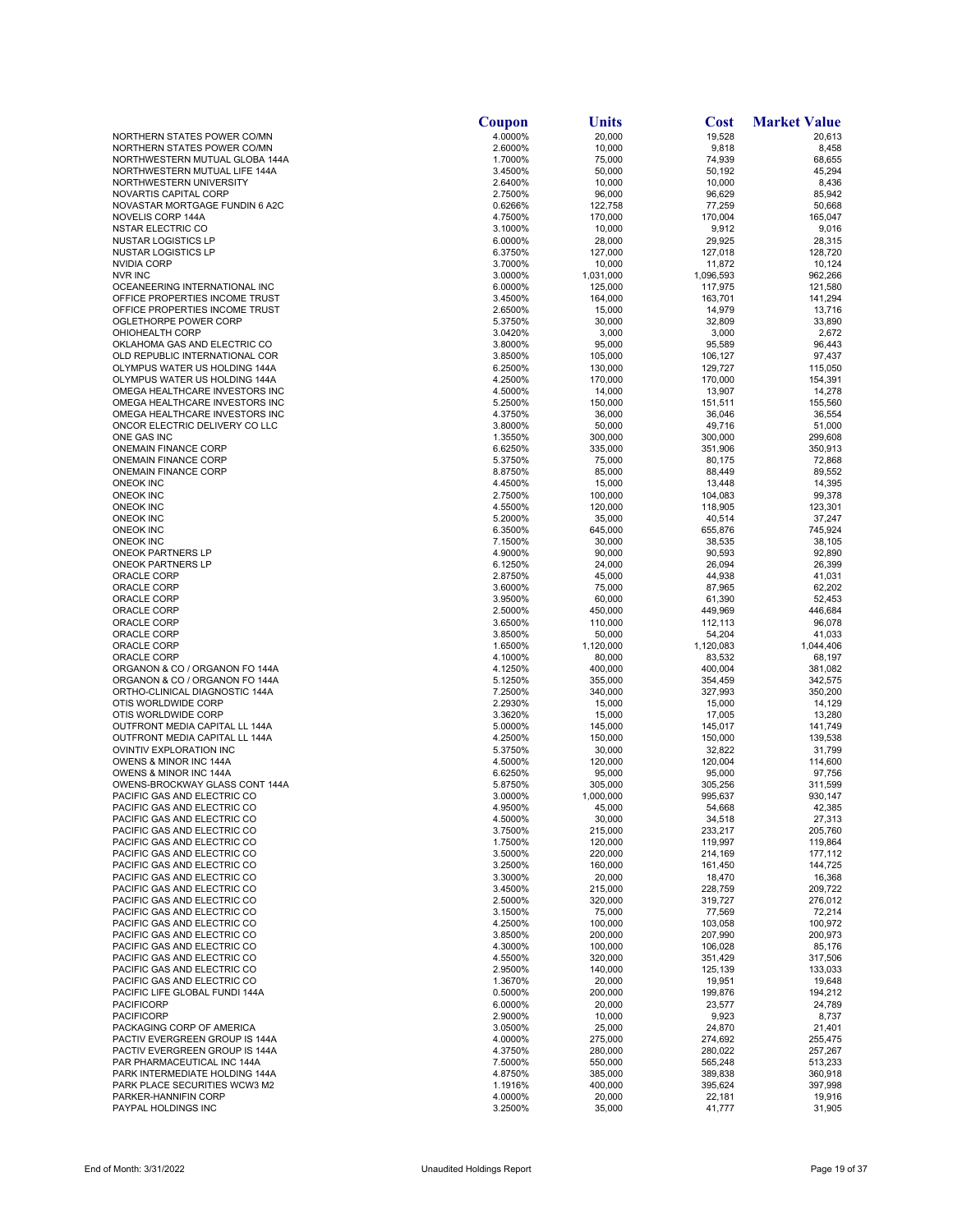|                                                                 | Coupon             | Units               | <b>Cost</b>         | <b>Market Value</b> |
|-----------------------------------------------------------------|--------------------|---------------------|---------------------|---------------------|
| NORTHERN STATES POWER CO/MN                                     | 4.0000%            | 20,000              | 19,528              | 20.613              |
| NORTHERN STATES POWER CO/MN                                     | 2.6000%            | 10,000              | 9,818               | 8,458               |
| NORTHWESTERN MUTUAL GLOBA 144A<br>NORTHWESTERN MUTUAL LIFE 144A | 1.7000%<br>3.4500% | 75,000<br>50,000    | 74,939<br>50,192    | 68,655<br>45,294    |
| NORTHWESTERN UNIVERSITY                                         | 2.6400%            | 10,000              | 10,000              | 8,436               |
| <b>NOVARTIS CAPITAL CORP</b>                                    | 2.7500%            | 96,000              | 96,629              | 85,942              |
| NOVASTAR MORTGAGE FUNDIN 6 A2C                                  | 0.6266%            | 122,758             | 77,259              | 50,668              |
| NOVELIS CORP 144A                                               | 4.7500%            | 170,000             | 170,004             | 165,047             |
| <b>NSTAR ELECTRIC CO</b><br><b>NUSTAR LOGISTICS LP</b>          | 3.1000%<br>6.0000% | 10,000<br>28,000    | 9,912<br>29,925     | 9,016<br>28,315     |
| <b>NUSTAR LOGISTICS LP</b>                                      | 6.3750%            | 127,000             | 127,018             | 128,720             |
| NVIDIA CORP                                                     | 3.7000%            | 10,000              | 11,872              | 10,124              |
| <b>NVR INC</b>                                                  | 3.0000%            | 1,031,000           | 1,096,593           | 962,266             |
| OCEANEERING INTERNATIONAL INC                                   | 6.0000%            | 125,000             | 117,975             | 121,580             |
| OFFICE PROPERTIES INCOME TRUST                                  | 3.4500%            | 164,000             | 163,701             | 141,294             |
| OFFICE PROPERTIES INCOME TRUST<br>OGLETHORPE POWER CORP         | 2.6500%<br>5.3750% | 15,000<br>30,000    | 14,979<br>32,809    | 13,716<br>33,890    |
| OHIOHEALTH CORP                                                 | 3.0420%            | 3,000               | 3,000               | 2,672               |
| OKLAHOMA GAS AND ELECTRIC CO                                    | 3.8000%            | 95,000              | 95,589              | 96,443              |
| OLD REPUBLIC INTERNATIONAL COR                                  | 3.8500%            | 105,000             | 106,127             | 97,437              |
| OLYMPUS WATER US HOLDING 144A                                   | 6.2500%            | 130,000             | 129,727             | 115,050             |
| OLYMPUS WATER US HOLDING 144A<br>OMEGA HEALTHCARE INVESTORS INC | 4.2500%            | 170,000             | 170,000             | 154,391             |
| OMEGA HEALTHCARE INVESTORS INC                                  | 4.5000%<br>5.2500% | 14,000<br>150,000   | 13,907<br>151,511   | 14,278<br>155,560   |
| OMEGA HEALTHCARE INVESTORS INC                                  | 4.3750%            | 36,000              | 36,046              | 36,554              |
| ONCOR ELECTRIC DELIVERY CO LLC                                  | 3.8000%            | 50,000              | 49,716              | 51,000              |
| ONE GAS INC                                                     | 1.3550%            | 300,000             | 300,000             | 299,608             |
| <b>ONEMAIN FINANCE CORP</b>                                     | 6.6250%            | 335,000             | 351,906             | 350,913             |
| <b>ONEMAIN FINANCE CORP</b>                                     | 5.3750%            | 75,000              | 80,175              | 72,868              |
| <b>ONEMAIN FINANCE CORP</b><br><b>ONEOK INC</b>                 | 8.8750%<br>4.4500% | 85,000<br>15,000    | 88,449<br>13,448    | 89,552<br>14,395    |
| <b>ONEOK INC</b>                                                | 2.7500%            | 100,000             | 104,083             | 99,378              |
| <b>ONEOK INC</b>                                                | 4.5500%            | 120,000             | 118,905             | 123,301             |
| ONEOK INC                                                       | 5.2000%            | 35,000              | 40,514              | 37,247              |
| ONEOK INC                                                       | 6.3500%            | 645,000             | 655,876             | 745,924             |
| ONEOK INC                                                       | 7.1500%            | 30,000              | 38,535              | 38,105              |
| ONEOK PARTNERS LP<br>ONEOK PARTNERS LP                          | 4.9000%            | 90,000              | 90,593              | 92,890<br>26,399    |
| ORACLE CORP                                                     | 6.1250%<br>2.8750% | 24,000<br>45,000    | 26,094<br>44,938    | 41,031              |
| ORACLE CORP                                                     | 3.6000%            | 75,000              | 87,965              | 62,202              |
| ORACLE CORP                                                     | 3.9500%            | 60,000              | 61,390              | 52,453              |
| ORACLE CORP                                                     | 2.5000%            | 450,000             | 449,969             | 446,684             |
| ORACLE CORP                                                     | 3.6500%            | 110,000             | 112,113             | 96,078              |
| ORACLE CORP<br>ORACLE CORP                                      | 3.8500%<br>1.6500% | 50,000<br>1,120,000 | 54,204<br>1,120,083 | 41,033<br>1,044,406 |
| ORACLE CORP                                                     | 4.1000%            | 80,000              | 83,532              | 68,197              |
| ORGANON & CO / ORGANON FO 144A                                  | 4.1250%            | 400,000             | 400,004             | 381,082             |
| ORGANON & CO / ORGANON FO 144A                                  | 5.1250%            | 355,000             | 354,459             | 342,575             |
| ORTHO-CLINICAL DIAGNOSTIC 144A                                  | 7.2500%            | 340,000             | 327,993             | 350,200             |
| OTIS WORLDWIDE CORP                                             | 2.2930%            | 15,000              | 15,000              | 14,129              |
| OTIS WORLDWIDE CORP<br>OUTFRONT MEDIA CAPITAL LL 144A           | 3.3620%<br>5.0000% | 15,000<br>145,000   | 17,005<br>145,017   | 13,280<br>141,749   |
| OUTFRONT MEDIA CAPITAL LL 144A                                  | 4.2500%            | 150,000             | 150,000             | 139,538             |
| OVINTIV EXPLORATION INC                                         | 5.3750%            | 30,000              | 32,822              | 31,799              |
| OWENS & MINOR INC 144A                                          | 4.5000%            | 120,000             | 120,004             | 114,600             |
| OWENS & MINOR INC 144A                                          | 6.6250%            | 95,000              | 95,000              | 97,756              |
| OWENS-BROCKWAY GLASS CONT 144A                                  | 5.8750%            | 305,000             | 305,256             | 311,599             |
| PACIFIC GAS AND ELECTRIC CO<br>PACIFIC GAS AND ELECTRIC CO      | 3.0000%<br>4.9500% | 1,000,000<br>45,000 | 995,637<br>54,668   | 930,147<br>42,385   |
| PACIFIC GAS AND ELECTRIC CO                                     | 4.5000%            | 30,000              | 34,518              | 27,313              |
| PACIFIC GAS AND ELECTRIC CO                                     | 3.7500%            | 215,000             | 233,217             | 205,760             |
| PACIFIC GAS AND ELECTRIC CO                                     | 1.7500%            | 120,000             | 119,997             | 119,864             |
| PACIFIC GAS AND ELECTRIC CO                                     | 3.5000%            | 220,000             | 214,169             | 177,112             |
| PACIFIC GAS AND ELECTRIC CO<br>PACIFIC GAS AND ELECTRIC CO      | 3.2500%<br>3.3000% | 160,000<br>20,000   | 161,450<br>18,470   | 144,725<br>16,368   |
| PACIFIC GAS AND ELECTRIC CO                                     | 3.4500%            | 215,000             | 228,759             | 209,722             |
| PACIFIC GAS AND ELECTRIC CO                                     | 2.5000%            | 320,000             | 319,727             | 276,012             |
| PACIFIC GAS AND ELECTRIC CO                                     | 3.1500%            | 75,000              | 77,569              | 72,214              |
| PACIFIC GAS AND ELECTRIC CO                                     | 4.2500%            | 100,000             | 103,058             | 100,972             |
| PACIFIC GAS AND ELECTRIC CO                                     | 3.8500%            | 200,000             | 207,990             | 200,973             |
| PACIFIC GAS AND ELECTRIC CO<br>PACIFIC GAS AND ELECTRIC CO      | 4.3000%<br>4.5500% | 100,000<br>320,000  | 106,028<br>351,429  | 85,176<br>317,506   |
| PACIFIC GAS AND ELECTRIC CO                                     | 2.9500%            | 140,000             | 125,139             | 133,033             |
| PACIFIC GAS AND ELECTRIC CO                                     | 1.3670%            | 20,000              | 19,951              | 19,648              |
| PACIFIC LIFE GLOBAL FUNDI 144A                                  | 0.5000%            | 200,000             | 199,876             | 194,212             |
| <b>PACIFICORP</b>                                               | 6.0000%            | 20,000              | 23,577              | 24,789              |
| PACIFICORP                                                      | 2.9000%            | 10,000              | 9,923               | 8,737               |
| PACKAGING CORP OF AMERICA<br>PACTIV EVERGREEN GROUP IS 144A     | 3.0500%<br>4.0000% | 25,000<br>275,000   | 24,870<br>274,692   | 21,401<br>255,475   |
| PACTIV EVERGREEN GROUP IS 144A                                  | 4.3750%            | 280,000             | 280,022             | 257,267             |
| PAR PHARMACEUTICAL INC 144A                                     | 7.5000%            | 550,000             | 565,248             | 513,233             |
| PARK INTERMEDIATE HOLDING 144A                                  | 4.8750%            | 385,000             | 389,838             | 360,918             |
| PARK PLACE SECURITIES WCW3 M2                                   | 1.1916%            | 400,000             | 395,624             | 397,998             |
| PARKER-HANNIFIN CORP                                            | 4.0000%            | 20,000              | 22,181              | 19,916              |
| PAYPAL HOLDINGS INC                                             | 3.2500%            | 35,000              | 41,777              | 31,905              |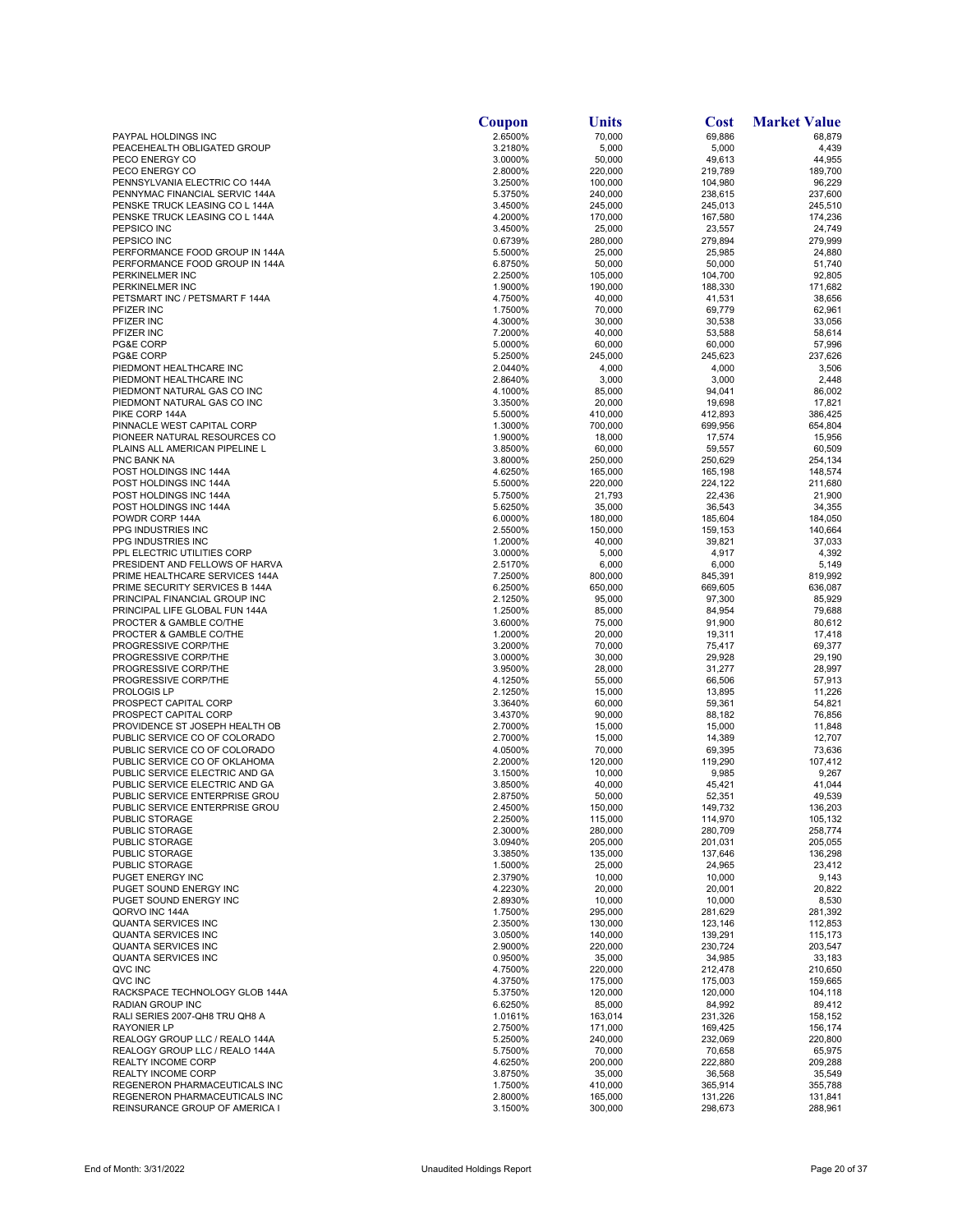|                                                                 | Coupon             | Units              | <b>Cost</b>        | <b>Market Value</b> |
|-----------------------------------------------------------------|--------------------|--------------------|--------------------|---------------------|
| PAYPAL HOLDINGS INC                                             | 2.6500%            | 70,000             | 69,886             | 68,879              |
| PEACEHEALTH OBLIGATED GROUP                                     | 3.2180%            | 5,000              | 5,000              | 4,439               |
| PECO ENERGY CO                                                  | 3.0000%            | 50,000             | 49,613             | 44,955              |
| PECO ENERGY CO                                                  | 2.8000%            | 220,000            | 219,789            | 189,700             |
| PENNSYLVANIA ELECTRIC CO 144A<br>PENNYMAC FINANCIAL SERVIC 144A | 3.2500%<br>5.3750% | 100,000<br>240,000 | 104,980            | 96,229<br>237,600   |
| PENSKE TRUCK LEASING CO L 144A                                  | 3.4500%            | 245,000            | 238,615<br>245,013 | 245,510             |
| PENSKE TRUCK LEASING CO L 144A                                  | 4.2000%            | 170,000            | 167,580            | 174,236             |
| PEPSICO INC                                                     | 3.4500%            | 25,000             | 23,557             | 24,749              |
| PEPSICO INC                                                     | 0.6739%            | 280,000            | 279,894            | 279,999             |
| PERFORMANCE FOOD GROUP IN 144A                                  | 5.5000%            | 25,000             | 25,985             | 24,880              |
| PERFORMANCE FOOD GROUP IN 144A                                  | 6.8750%            | 50,000             | 50,000             | 51,740              |
| PERKINELMER INC                                                 | 2.2500%            | 105,000            | 104,700            | 92,805              |
| PERKINELMER INC<br>PETSMART INC / PETSMART F 144A               | 1.9000%            | 190,000            | 188,330            | 171,682             |
| PFIZER INC                                                      | 4.7500%<br>1.7500% | 40,000<br>70,000   | 41,531<br>69,779   | 38,656<br>62,961    |
| PFIZER INC                                                      | 4.3000%            | 30,000             | 30,538             | 33,056              |
| PFIZER INC                                                      | 7.2000%            | 40,000             | 53,588             | 58,614              |
| PG&E CORP                                                       | 5.0000%            | 60,000             | 60,000             | 57,996              |
| PG&E CORP                                                       | 5.2500%            | 245,000            | 245,623            | 237,626             |
| PIEDMONT HEALTHCARE INC                                         | 2.0440%            | 4,000              | 4,000              | 3,506               |
| PIEDMONT HEALTHCARE INC                                         | 2.8640%            | 3,000              | 3,000              | 2,448               |
| PIEDMONT NATURAL GAS CO INC                                     | 4.1000%            | 85,000             | 94,041             | 86,002              |
| PIEDMONT NATURAL GAS CO INC<br>PIKE CORP 144A                   | 3.3500%<br>5.5000% | 20,000<br>410,000  | 19,698<br>412,893  | 17,821<br>386,425   |
| PINNACLE WEST CAPITAL CORP                                      | 1.3000%            | 700,000            | 699,956            | 654,804             |
| PIONEER NATURAL RESOURCES CO                                    | 1.9000%            | 18,000             | 17,574             | 15,956              |
| PLAINS ALL AMERICAN PIPELINE L                                  | 3.8500%            | 60,000             | 59,557             | 60,509              |
| PNC BANK NA                                                     | 3.8000%            | 250,000            | 250,629            | 254,134             |
| POST HOLDINGS INC 144A                                          | 4.6250%            | 165,000            | 165,198            | 148,574             |
| POST HOLDINGS INC 144A                                          | 5.5000%            | 220,000            | 224,122            | 211,680             |
| POST HOLDINGS INC 144A                                          | 5.7500%            | 21,793             | 22,436             | 21,900              |
| POST HOLDINGS INC 144A                                          | 5.6250%            | 35,000             | 36,543             | 34,355              |
| POWDR CORP 144A<br>PPG INDUSTRIES INC                           | 6.0000%<br>2.5500% | 180,000<br>150,000 | 185,604<br>159,153 | 184,050<br>140,664  |
| <b>PPG INDUSTRIES INC</b>                                       | 1.2000%            | 40,000             | 39,821             | 37,033              |
| PPL ELECTRIC UTILITIES CORP                                     | 3.0000%            | 5,000              | 4,917              | 4,392               |
| PRESIDENT AND FELLOWS OF HARVA                                  | 2.5170%            | 6,000              | 6,000              | 5,149               |
| PRIME HEALTHCARE SERVICES 144A                                  | 7.2500%            | 800,000            | 845,391            | 819,992             |
| PRIME SECURITY SERVICES B 144A                                  | 6.2500%            | 650,000            | 669,605            | 636,087             |
| PRINCIPAL FINANCIAL GROUP INC                                   | 2.1250%            | 95,000             | 97,300             | 85,929              |
| PRINCIPAL LIFE GLOBAL FUN 144A                                  | 1.2500%            | 85,000             | 84,954             | 79,688              |
| PROCTER & GAMBLE CO/THE                                         | 3.6000%            | 75,000             | 91,900             | 80,612              |
| PROCTER & GAMBLE CO/THE<br>PROGRESSIVE CORP/THE                 | 1.2000%<br>3.2000% | 20,000<br>70,000   | 19,311<br>75,417   | 17,418<br>69,377    |
| PROGRESSIVE CORP/THE                                            | 3.0000%            | 30,000             | 29,928             | 29,190              |
| PROGRESSIVE CORP/THE                                            | 3.9500%            | 28,000             | 31,277             | 28,997              |
| PROGRESSIVE CORP/THE                                            | 4.1250%            | 55,000             | 66,506             | 57,913              |
| PROLOGIS LP                                                     | 2.1250%            | 15,000             | 13,895             | 11,226              |
| PROSPECT CAPITAL CORP                                           | 3.3640%            | 60,000             | 59,361             | 54,821              |
| PROSPECT CAPITAL CORP                                           | 3.4370%            | 90,000             | 88,182             | 76,856              |
| PROVIDENCE ST JOSEPH HEALTH OB                                  | 2.7000%            | 15,000             | 15,000             | 11,848              |
| PUBLIC SERVICE CO OF COLORADO<br>PUBLIC SERVICE CO OF COLORADO  | 2.7000%<br>4.0500% | 15,000<br>70,000   | 14,389<br>69,395   | 12,707<br>73,636    |
| PUBLIC SERVICE CO OF OKLAHOMA                                   | 2.2000%            | 120,000            | 119,290            | 107,412             |
| PUBLIC SERVICE ELECTRIC AND GA                                  | 3.1500%            | 10,000             | 9,985              | 9,267               |
| PUBLIC SERVICE ELECTRIC AND GA                                  | 3.8500%            | 40,000             | 45,421             | 41,044              |
| PUBLIC SERVICE ENTERPRISE GROU                                  | 2.8750%            | 50,000             | 52,351             | 49,539              |
| PUBLIC SERVICE ENTERPRISE GROU                                  | 2.4500%            | 150,000            | 149,732            | 136,203             |
| PUBLIC STORAGE                                                  | 2.2500%            | 115,000            | 114,970            | 105,132             |
| PUBLIC STORAGE                                                  | 2.3000%            | 280,000            | 280,709            | 258,774             |
| PUBLIC STORAGE<br><b>PUBLIC STORAGE</b>                         | 3.0940%            | 205,000            | 201,031            | 205,055             |
| <b>PUBLIC STORAGE</b>                                           | 3.3850%<br>1.5000% | 135,000<br>25,000  | 137,646<br>24,965  | 136,298<br>23,412   |
| PUGET ENERGY INC                                                | 2.3790%            | 10,000             | 10,000             | 9,143               |
| PUGET SOUND ENERGY INC                                          | 4.2230%            | 20,000             | 20,001             | 20,822              |
| PUGET SOUND ENERGY INC                                          | 2.8930%            | 10,000             | 10,000             | 8,530               |
| QORVO INC 144A                                                  | 1.7500%            | 295,000            | 281,629            | 281,392             |
| QUANTA SERVICES INC                                             | 2.3500%            | 130,000            | 123,146            | 112,853             |
| <b>QUANTA SERVICES INC</b>                                      | 3.0500%            | 140,000            | 139,291            | 115,173             |
| QUANTA SERVICES INC                                             | 2.9000%            | 220,000            | 230,724            | 203,547             |
| QUANTA SERVICES INC<br>QVC INC                                  | 0.9500%<br>4.7500% | 35,000<br>220,000  | 34,985<br>212,478  | 33,183<br>210,650   |
| QVC INC                                                         | 4.3750%            | 175,000            | 175,003            | 159,665             |
| RACKSPACE TECHNOLOGY GLOB 144A                                  | 5.3750%            | 120,000            | 120,000            | 104,118             |
| RADIAN GROUP INC                                                | 6.6250%            | 85,000             | 84,992             | 89,412              |
| RALI SERIES 2007-QH8 TRU QH8 A                                  | 1.0161%            | 163,014            | 231,326            | 158,152             |
| <b>RAYONIER LP</b>                                              | 2.7500%            | 171,000            | 169,425            | 156,174             |
| REALOGY GROUP LLC / REALO 144A                                  | 5.2500%            | 240,000            | 232,069            | 220,800             |
| REALOGY GROUP LLC / REALO 144A                                  | 5.7500%            | 70,000             | 70,658             | 65,975              |
| <b>REALTY INCOME CORP</b>                                       | 4.6250%            | 200,000            | 222,880            | 209,288             |
| REALTY INCOME CORP<br>REGENERON PHARMACEUTICALS INC             | 3.8750%<br>1.7500% | 35,000<br>410,000  | 36,568<br>365,914  | 35,549<br>355,788   |
| REGENERON PHARMACEUTICALS INC                                   | 2.8000%            | 165,000            | 131,226            | 131,841             |
| REINSURANCE GROUP OF AMERICA I                                  | 3.1500%            | 300,000            | 298,673            | 288,961             |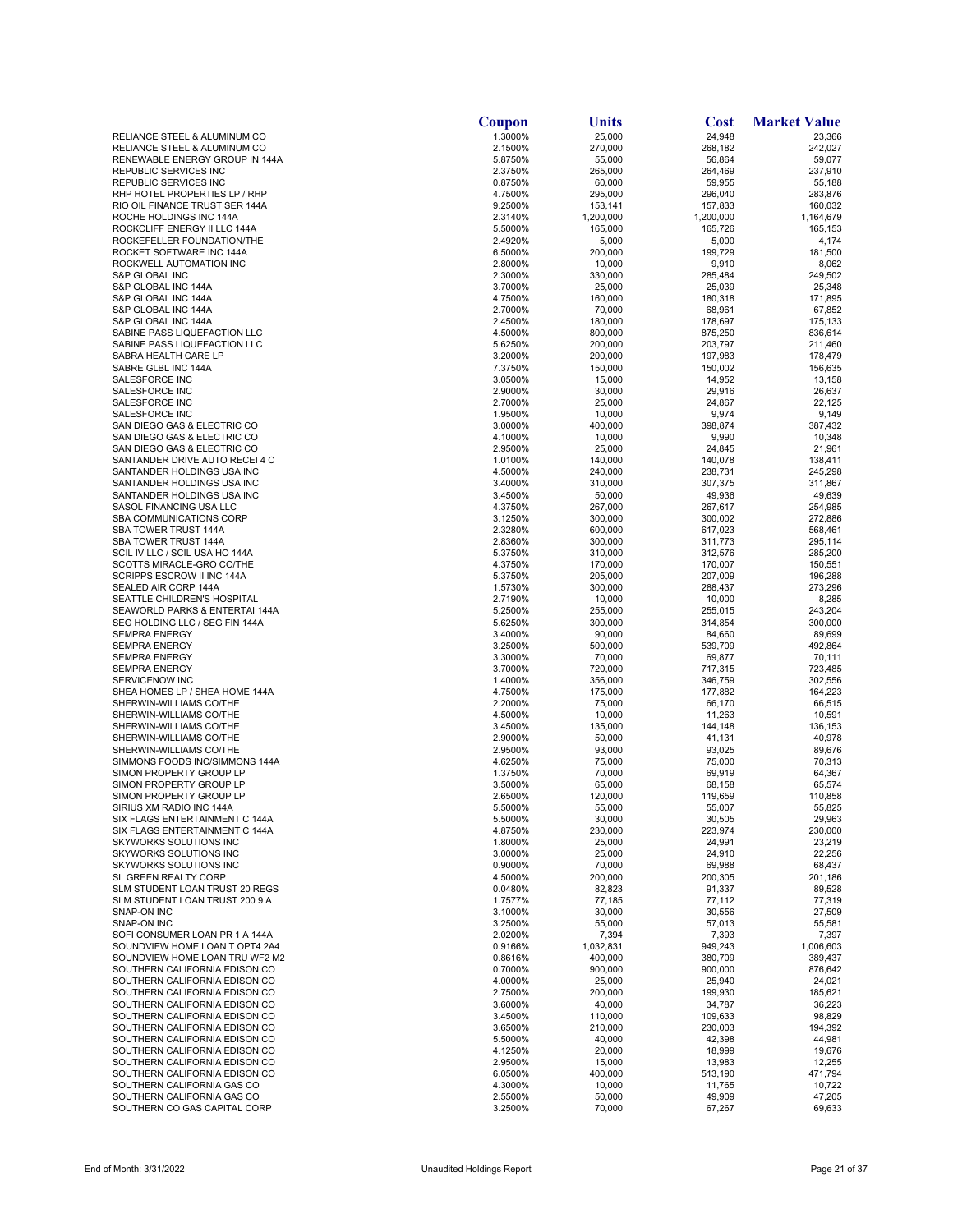|                                                                  | Coupon<br>1.3000%  | Units                | Cost<br>24,948     | <b>Market Value</b>  |
|------------------------------------------------------------------|--------------------|----------------------|--------------------|----------------------|
| RELIANCE STEEL & ALUMINUM CO<br>RELIANCE STEEL & ALUMINUM CO     | 2.1500%            | 25,000<br>270,000    | 268,182            | 23,366<br>242,027    |
| RENEWABLE ENERGY GROUP IN 144A                                   | 5.8750%            | 55,000               | 56,864             | 59,077               |
| REPUBLIC SERVICES INC                                            | 2.3750%            | 265,000              | 264,469            | 237,910              |
| REPUBLIC SERVICES INC                                            | 0.8750%            | 60,000               | 59,955             | 55,188               |
| RHP HOTEL PROPERTIES LP / RHP<br>RIO OIL FINANCE TRUST SER 144A  | 4.7500%<br>9.2500% | 295,000<br>153,141   | 296,040<br>157,833 | 283,876<br>160,032   |
| ROCHE HOLDINGS INC 144A                                          | 2.3140%            | 1,200,000            | 1,200,000          | 1,164,679            |
| ROCKCLIFF ENERGY II LLC 144A                                     | 5.5000%            | 165,000              | 165,726            | 165,153              |
| ROCKEFELLER FOUNDATION/THE                                       | 2.4920%            | 5,000                | 5,000              | 4,174                |
| ROCKET SOFTWARE INC 144A                                         | 6.5000%            | 200,000              | 199,729            | 181,500              |
| ROCKWELL AUTOMATION INC<br><b>S&amp;P GLOBAL INC</b>             | 2.8000%<br>2.3000% | 10,000<br>330,000    | 9,910<br>285,484   | 8,062<br>249,502     |
| S&P GLOBAL INC 144A                                              | 3.7000%            | 25,000               | 25,039             | 25,348               |
| S&P GLOBAL INC 144A                                              | 4.7500%            | 160,000              | 180,318            | 171,895              |
| S&P GLOBAL INC 144A                                              | 2.7000%            | 70,000               | 68,961             | 67,852               |
| S&P GLOBAL INC 144A<br>SABINE PASS LIQUEFACTION LLC              | 2.4500%<br>4.5000% | 180,000<br>800,000   | 178,697<br>875,250 | 175,133<br>836,614   |
| SABINE PASS LIQUEFACTION LLC                                     | 5.6250%            | 200,000              | 203,797            | 211,460              |
| SABRA HEALTH CARE LP                                             | 3.2000%            | 200,000              | 197,983            | 178,479              |
| SABRE GLBL INC 144A                                              | 7.3750%            | 150,000              | 150,002            | 156,635              |
| SALESFORCE INC<br>SALESFORCE INC                                 | 3.0500%<br>2.9000% | 15,000<br>30,000     | 14,952<br>29,916   | 13,158<br>26,637     |
| SALESFORCE INC                                                   | 2.7000%            | 25,000               | 24,867             | 22,125               |
| <b>SALESFORCE INC</b>                                            | 1.9500%            | 10,000               | 9,974              | 9,149                |
| SAN DIEGO GAS & ELECTRIC CO                                      | 3.0000%            | 400,000              | 398,874            | 387,432              |
| SAN DIEGO GAS & ELECTRIC CO                                      | 4.1000%            | 10,000               | 9,990              | 10,348               |
| SAN DIEGO GAS & ELECTRIC CO<br>SANTANDER DRIVE AUTO RECEI 4 C    | 2.9500%<br>1.0100% | 25,000<br>140,000    | 24,845<br>140,078  | 21,961<br>138,411    |
| SANTANDER HOLDINGS USA INC                                       | 4.5000%            | 240,000              | 238,731            | 245,298              |
| SANTANDER HOLDINGS USA INC                                       | 3.4000%            | 310,000              | 307,375            | 311,867              |
| SANTANDER HOLDINGS USA INC                                       | 3.4500%            | 50,000               | 49,936             | 49,639               |
| SASOL FINANCING USA LLC                                          | 4.3750%            | 267,000              | 267,617            | 254,985              |
| SBA COMMUNICATIONS CORP<br>SBA TOWER TRUST 144A                  | 3.1250%<br>2.3280% | 300,000<br>600,000   | 300,002<br>617,023 | 272,886<br>568,461   |
| SBA TOWER TRUST 144A                                             | 2.8360%            | 300,000              | 311,773            | 295,114              |
| SCIL IV LLC / SCIL USA HO 144A                                   | 5.3750%            | 310,000              | 312,576            | 285,200              |
| SCOTTS MIRACLE-GRO CO/THE                                        | 4.3750%            | 170,000              | 170,007            | 150,551              |
| SCRIPPS ESCROW II INC 144A<br>SEALED AIR CORP 144A               | 5.3750%<br>1.5730% | 205,000<br>300,000   | 207,009<br>288,437 | 196,288<br>273,296   |
| SEATTLE CHILDREN'S HOSPITAL                                      | 2.7190%            | 10,000               | 10,000             | 8,285                |
| SEAWORLD PARKS & ENTERTAI 144A                                   | 5.2500%            | 255,000              | 255,015            | 243,204              |
| SEG HOLDING LLC / SEG FIN 144A                                   | 5.6250%            | 300,000              | 314,854            | 300,000              |
| <b>SEMPRA ENERGY</b>                                             | 3.4000%            | 90,000               | 84,660             | 89,699               |
| <b>SEMPRA ENERGY</b><br><b>SEMPRA ENERGY</b>                     | 3.2500%<br>3.3000% | 500,000<br>70,000    | 539,709<br>69,877  | 492,864<br>70,111    |
| <b>SEMPRA ENERGY</b>                                             | 3.7000%            | 720,000              | 717,315            | 723,485              |
| SERVICENOW INC                                                   | 1.4000%            | 356,000              | 346,759            | 302,556              |
| SHEA HOMES LP / SHEA HOME 144A                                   | 4.7500%            | 175,000              | 177,882            | 164,223              |
| SHERWIN-WILLIAMS CO/THE<br>SHERWIN-WILLIAMS CO/THE               | 2.2000%<br>4.5000% | 75,000<br>10,000     | 66,170<br>11,263   | 66,515<br>10,591     |
| SHERWIN-WILLIAMS CO/THE                                          | 3.4500%            | 135,000              | 144,148            | 136,153              |
| SHERWIN-WILLIAMS CO/THE                                          | 2.9000%            | 50,000               | 41,131             | 40,978               |
| SHERWIN-WILLIAMS CO/THE                                          | 2.9500%            | 93,000               | 93,025             | 89,676               |
| SIMMONS FOODS INC/SIMMONS 144A<br>SIMON PROPERTY GROUP LP        | 4.6250%<br>1.3750% | 75,000<br>70,000     | 75,000<br>69,919   | 70,313<br>64,367     |
| SIMON PROPERTY GROUP LP                                          | 3.5000%            | 65,000               | 68,158             | 65,574               |
| SIMON PROPERTY GROUP LP                                          | 2.6500%            | 120,000              | 119,659            | 110,858              |
| SIRIUS XM RADIO INC 144A                                         | 5.5000%            | 55,000               | 55,007             | 55,825               |
| SIX FLAGS ENTERTAINMENT C 144A                                   | 5.5000%            | 30,000               | 30,505             | 29,963               |
| SIX FLAGS ENTERTAINMENT C 144A<br>SKYWORKS SOLUTIONS INC         | 4.8750%<br>1.8000% | 230,000<br>25,000    | 223,974<br>24,991  | 230,000<br>23,219    |
| SKYWORKS SOLUTIONS INC                                           | 3.0000%            | 25,000               | 24,910             | 22,256               |
| SKYWORKS SOLUTIONS INC                                           | 0.9000%            | 70,000               | 69,988             | 68,437               |
| SL GREEN REALTY CORP                                             | 4.5000%            | 200,000              | 200,305            | 201,186              |
| SLM STUDENT LOAN TRUST 20 REGS<br>SLM STUDENT LOAN TRUST 200 9 A | 0.0480%<br>1.7577% | 82,823<br>77,185     | 91,337<br>77,112   | 89,528<br>77,319     |
| SNAP-ON INC                                                      | 3.1000%            | 30,000               | 30,556             | 27,509               |
| SNAP-ON INC                                                      | 3.2500%            | 55,000               | 57,013             | 55,581               |
| SOFI CONSUMER LOAN PR 1 A 144A                                   | 2.0200%            | 7,394                | 7,393              | 7,397                |
| SOUNDVIEW HOME LOAN T OPT4 2A4<br>SOUNDVIEW HOME LOAN TRU WF2 M2 | 0.9166%<br>0.8616% | 1,032,831<br>400,000 | 949,243<br>380,709 | 1,006,603<br>389,437 |
| SOUTHERN CALIFORNIA EDISON CO                                    | 0.7000%            | 900,000              | 900,000            | 876,642              |
| SOUTHERN CALIFORNIA EDISON CO                                    | 4.0000%            | 25,000               | 25,940             | 24,021               |
| SOUTHERN CALIFORNIA EDISON CO                                    | 2.7500%            | 200,000              | 199,930            | 185,621              |
| SOUTHERN CALIFORNIA EDISON CO                                    | 3.6000%            | 40,000               | 34,787             | 36,223               |
| SOUTHERN CALIFORNIA EDISON CO<br>SOUTHERN CALIFORNIA EDISON CO   | 3.4500%<br>3.6500% | 110,000<br>210,000   | 109,633<br>230,003 | 98,829<br>194,392    |
| SOUTHERN CALIFORNIA EDISON CO                                    | 5.5000%            | 40,000               | 42,398             | 44,981               |
| SOUTHERN CALIFORNIA EDISON CO                                    | 4.1250%            | 20,000               | 18,999             | 19,676               |
| SOUTHERN CALIFORNIA EDISON CO                                    | 2.9500%            | 15,000               | 13,983             | 12,255               |
| SOUTHERN CALIFORNIA EDISON CO                                    | 6.0500%            | 400,000              | 513,190            | 471,794              |
| SOUTHERN CALIFORNIA GAS CO<br>SOUTHERN CALIFORNIA GAS CO         | 4.3000%<br>2.5500% | 10,000<br>50,000     | 11,765<br>49,909   | 10,722<br>47,205     |
| SOUTHERN CO GAS CAPITAL CORP                                     | 3.2500%            | 70,000               | 67,267             | 69,633               |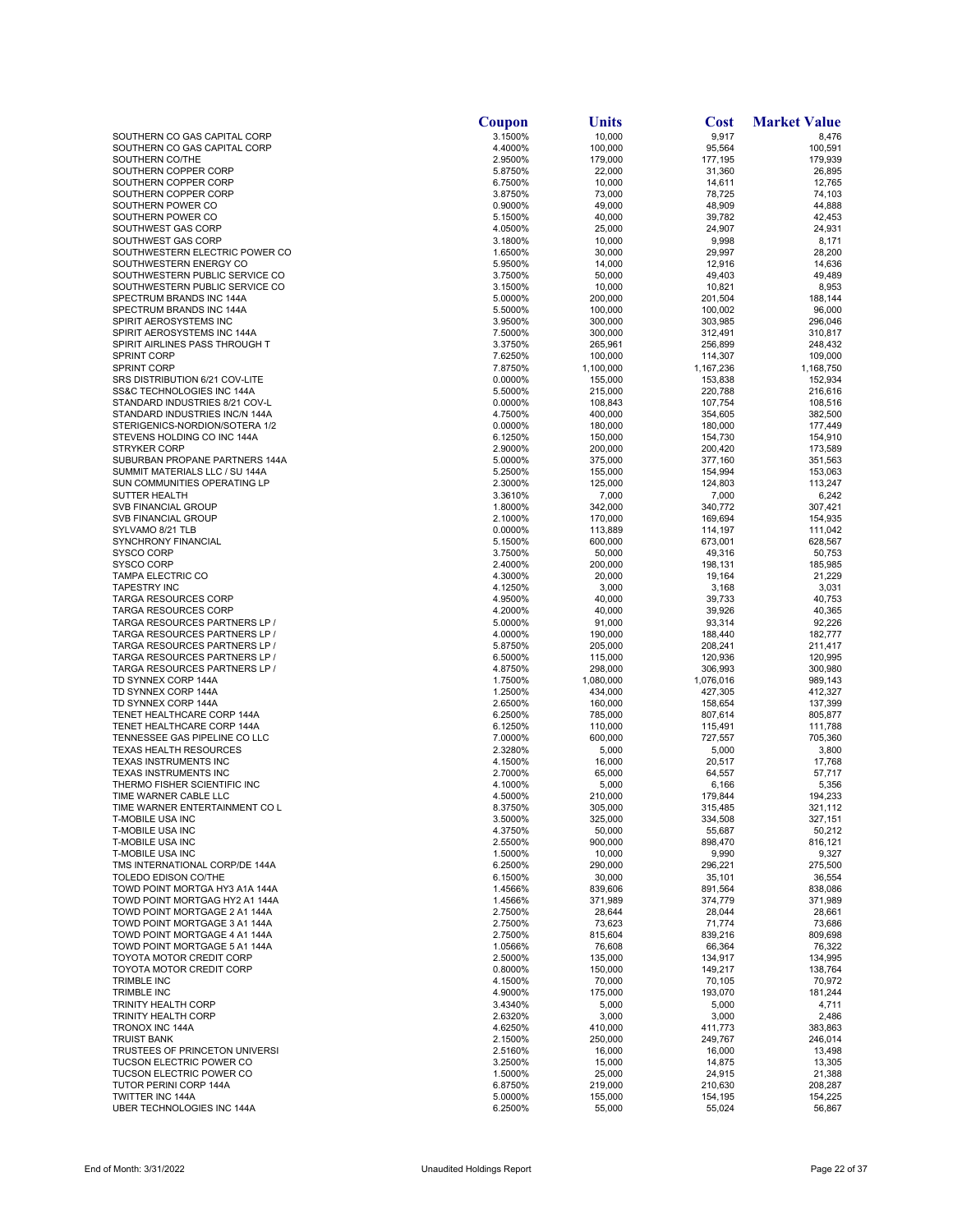|                                                                | Coupon             | Units                | Cost                 | <b>Market Value</b>  |
|----------------------------------------------------------------|--------------------|----------------------|----------------------|----------------------|
| SOUTHERN CO GAS CAPITAL CORP                                   | 3.1500%            | 10,000               | 9,917                | 8,476                |
| SOUTHERN CO GAS CAPITAL CORP                                   | 4.4000%            | 100,000              | 95,564               | 100,591              |
| SOUTHERN CO/THE<br>SOUTHERN COPPER CORP                        | 2.9500%<br>5.8750% | 179,000<br>22,000    | 177,195<br>31,360    | 179,939<br>26,895    |
| SOUTHERN COPPER CORP                                           | 6.7500%            | 10,000               | 14,611               | 12,765               |
| SOUTHERN COPPER CORP                                           | 3.8750%            | 73,000               | 78,725               | 74,103               |
| SOUTHERN POWER CO                                              | 0.9000%            | 49,000               | 48,909               | 44,888               |
| SOUTHERN POWER CO                                              | 5.1500%            | 40,000               | 39,782               | 42,453               |
| SOUTHWEST GAS CORP<br>SOUTHWEST GAS CORP                       | 4.0500%<br>3.1800% | 25,000<br>10,000     | 24,907<br>9,998      | 24,931<br>8,171      |
| SOUTHWESTERN ELECTRIC POWER CO                                 | 1.6500%            | 30,000               | 29,997               | 28,200               |
| SOUTHWESTERN ENERGY CO                                         | 5.9500%            | 14,000               | 12,916               | 14,636               |
| SOUTHWESTERN PUBLIC SERVICE CO                                 | 3.7500%            | 50,000               | 49,403               | 49,489               |
| SOUTHWESTERN PUBLIC SERVICE CO                                 | 3.1500%            | 10,000               | 10,821               | 8,953                |
| SPECTRUM BRANDS INC 144A<br>SPECTRUM BRANDS INC 144A           | 5.0000%<br>5.5000% | 200,000<br>100,000   | 201,504<br>100,002   | 188,144<br>96,000    |
| SPIRIT AEROSYSTEMS INC                                         | 3.9500%            | 300,000              | 303,985              | 296,046              |
| SPIRIT AEROSYSTEMS INC 144A                                    | 7.5000%            | 300,000              | 312,491              | 310,817              |
| SPIRIT AIRLINES PASS THROUGH T                                 | 3.3750%            | 265,961              | 256,899              | 248,432              |
| <b>SPRINT CORP</b>                                             | 7.6250%            | 100,000              | 114,307              | 109,000              |
| <b>SPRINT CORP</b><br>SRS DISTRIBUTION 6/21 COV-LITE           | 7.8750%<br>0.0000% | 1,100,000<br>155,000 | 1,167,236<br>153,838 | 1,168,750<br>152,934 |
| SS&C TECHNOLOGIES INC 144A                                     | 5.5000%            | 215,000              | 220,788              | 216,616              |
| STANDARD INDUSTRIES 8/21 COV-L                                 | 0.0000%            | 108,843              | 107,754              | 108,516              |
| STANDARD INDUSTRIES INC/N 144A                                 | 4.7500%            | 400,000              | 354,605              | 382,500              |
| STERIGENICS-NORDION/SOTERA 1/2                                 | 0.0000%            | 180,000              | 180,000              | 177,449              |
| STEVENS HOLDING CO INC 144A<br><b>STRYKER CORP</b>             | 6.1250%<br>2.9000% | 150,000<br>200,000   | 154,730<br>200,420   | 154,910<br>173,589   |
| SUBURBAN PROPANE PARTNERS 144A                                 | 5.0000%            | 375,000              | 377,160              | 351,563              |
| SUMMIT MATERIALS LLC / SU 144A                                 | 5.2500%            | 155,000              | 154,994              | 153,063              |
| SUN COMMUNITIES OPERATING LP                                   | 2.3000%            | 125,000              | 124,803              | 113,247              |
| SUTTER HEALTH                                                  | 3.3610%            | 7,000                | 7,000                | 6,242                |
| <b>SVB FINANCIAL GROUP</b>                                     | 1.8000%            | 342,000              | 340,772              | 307,421              |
| <b>SVB FINANCIAL GROUP</b><br>SYLVAMO 8/21 TLB                 | 2.1000%<br>0.0000% | 170,000<br>113,889   | 169,694<br>114,197   | 154,935<br>111,042   |
| SYNCHRONY FINANCIAL                                            | 5.1500%            | 600,000              | 673,001              | 628,567              |
| <b>SYSCO CORP</b>                                              | 3.7500%            | 50,000               | 49,316               | 50,753               |
| SYSCO CORP                                                     | 2.4000%            | 200,000              | 198,131              | 185,985              |
| <b>TAMPA ELECTRIC CO</b>                                       | 4.3000%            | 20,000               | 19,164               | 21,229               |
| <b>TAPESTRY INC</b><br><b>TARGA RESOURCES CORP</b>             | 4.1250%<br>4.9500% | 3,000<br>40,000      | 3,168<br>39,733      | 3,031<br>40,753      |
| <b>TARGA RESOURCES CORP</b>                                    | 4.2000%            | 40,000               | 39,926               | 40,365               |
| TARGA RESOURCES PARTNERS LP /                                  | 5.0000%            | 91,000               | 93,314               | 92,226               |
| TARGA RESOURCES PARTNERS LP /                                  | 4.0000%            | 190,000              | 188,440              | 182,777              |
| TARGA RESOURCES PARTNERS LP /                                  | 5.8750%            | 205,000              | 208,241              | 211,417              |
| TARGA RESOURCES PARTNERS LP /<br>TARGA RESOURCES PARTNERS LP / | 6.5000%<br>4.8750% | 115,000<br>298,000   | 120,936<br>306,993   | 120,995<br>300,980   |
| TD SYNNEX CORP 144A                                            | 1.7500%            | 1,080,000            | 1,076,016            | 989,143              |
| TD SYNNEX CORP 144A                                            | 1.2500%            | 434,000              | 427,305              | 412,327              |
| TD SYNNEX CORP 144A                                            | 2.6500%            | 160,000              | 158,654              | 137,399              |
| TENET HEALTHCARE CORP 144A                                     | 6.2500%            | 785,000              | 807,614              | 805,877              |
| TENET HEALTHCARE CORP 144A<br>TENNESSEE GAS PIPELINE CO LLC    | 6.1250%<br>7.0000% | 110,000<br>600,000   | 115,491<br>727,557   | 111,788<br>705,360   |
| <b>TEXAS HEALTH RESOURCES</b>                                  | 2.3280%            | 5,000                | 5,000                | 3,800                |
| TEXAS INSTRUMENTS INC                                          | 4.1500%            | 16,000               | 20,517               | 17,768               |
| TEXAS INSTRUMENTS INC                                          | 2.7000%            | 65,000               | 64,557               | 57,717               |
| THERMO FISHER SCIENTIFIC INC                                   | 4.1000%            | 5,000                | 6,166                | 5,356                |
| TIME WARNER CABLE LLC<br>TIME WARNER ENTERTAINMENT CO L        | 4.5000%<br>8.3750% | 210,000<br>305,000   | 179.844<br>315,485   | 194,233<br>321,112   |
| <b>T-MOBILE USA INC</b>                                        | 3.5000%            | 325,000              | 334,508              | 327,151              |
| T-MOBILE USA INC                                               | 4.3750%            | 50,000               | 55,687               | 50,212               |
| <b>T-MOBILE USA INC</b>                                        | 2.5500%            | 900,000              | 898,470              | 816,121              |
| <b>T-MOBILE USA INC</b>                                        | 1.5000%            | 10,000               | 9,990                | 9,327                |
| TMS INTERNATIONAL CORP/DE 144A<br>TOLEDO EDISON CO/THE         | 6.2500%<br>6.1500% | 290,000<br>30,000    | 296,221<br>35,101    | 275,500<br>36,554    |
| TOWD POINT MORTGA HY3 A1A 144A                                 | 1.4566%            | 839,606              | 891,564              | 838,086              |
| TOWD POINT MORTGAG HY2 A1 144A                                 | 1.4566%            | 371,989              | 374,779              | 371,989              |
| TOWD POINT MORTGAGE 2 A1 144A                                  | 2.7500%            | 28,644               | 28,044               | 28,661               |
| TOWD POINT MORTGAGE 3 A1 144A                                  | 2.7500%            | 73,623               | 71,774               | 73,686               |
| TOWD POINT MORTGAGE 4 A1 144A<br>TOWD POINT MORTGAGE 5 A1 144A | 2.7500%<br>1.0566% | 815,604<br>76,608    | 839,216<br>66,364    | 809,698<br>76,322    |
| TOYOTA MOTOR CREDIT CORP                                       | 2.5000%            | 135,000              | 134,917              | 134,995              |
| TOYOTA MOTOR CREDIT CORP                                       | 0.8000%            | 150,000              | 149,217              | 138,764              |
| <b>TRIMBLE INC</b>                                             | 4.1500%            | 70,000               | 70,105               | 70,972               |
| <b>TRIMBLE INC</b>                                             | 4.9000%            | 175,000              | 193,070              | 181,244              |
| TRINITY HEALTH CORP                                            | 3.4340%            | 5,000                | 5,000                | 4,711                |
| TRINITY HEALTH CORP<br><b>TRONOX INC 144A</b>                  | 2.6320%<br>4.6250% | 3,000<br>410,000     | 3,000<br>411,773     | 2,486<br>383,863     |
| <b>TRUIST BANK</b>                                             | 2.1500%            | 250,000              | 249,767              | 246,014              |
| TRUSTEES OF PRINCETON UNIVERSI                                 | 2.5160%            | 16,000               | 16,000               | 13,498               |
| <b>TUCSON ELECTRIC POWER CO</b>                                | 3.2500%            | 15,000               | 14,875               | 13,305               |
| <b>TUCSON ELECTRIC POWER CO</b>                                | 1.5000%            | 25,000               | 24,915               | 21,388               |
| TUTOR PERINI CORP 144A<br>TWITTER INC 144A                     | 6.8750%<br>5.0000% | 219,000<br>155,000   | 210,630<br>154,195   | 208,287<br>154,225   |
| UBER TECHNOLOGIES INC 144A                                     | 6.2500%            | 55,000               | 55,024               | 56,867               |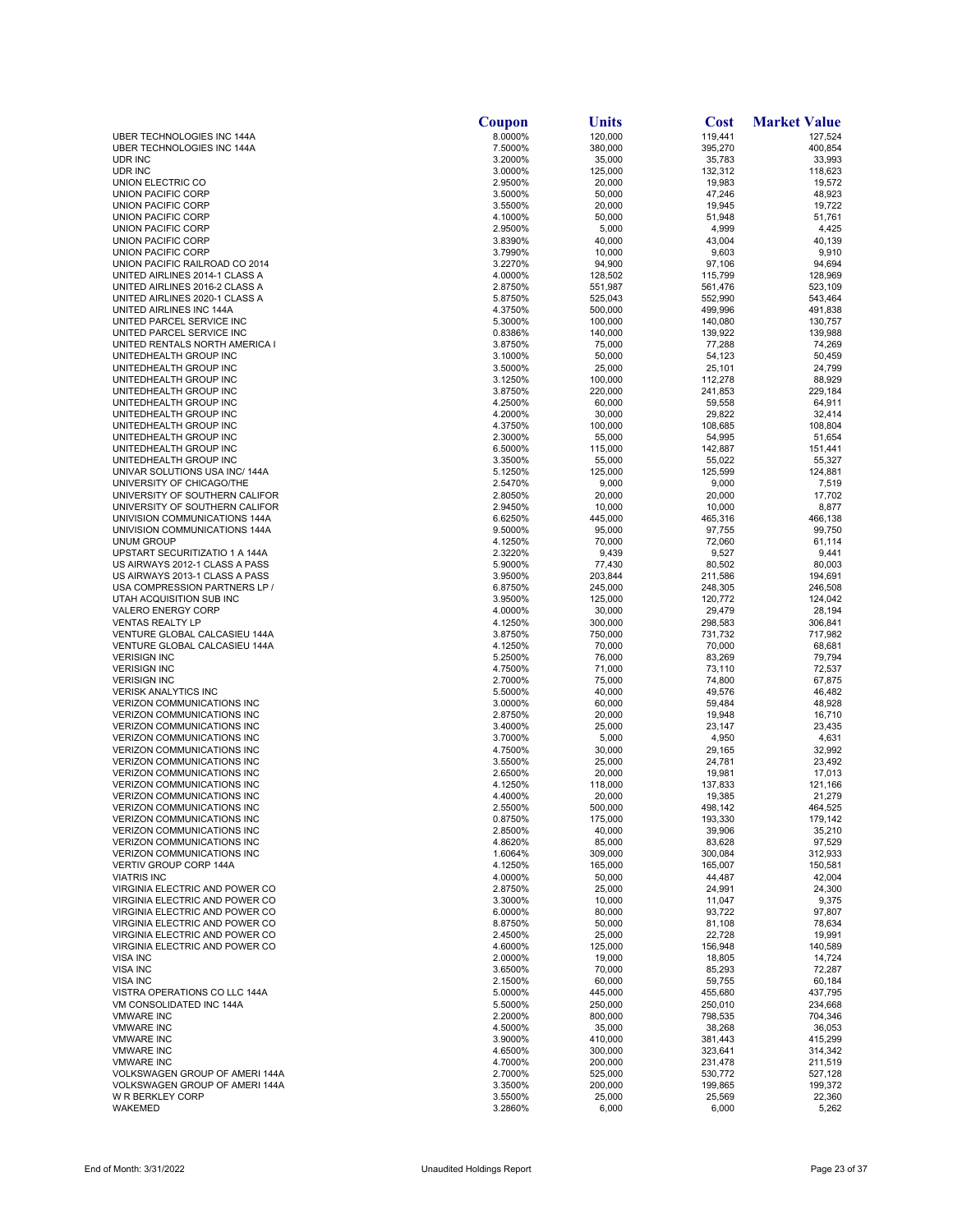|                                                                        | Coupon             | Units              | <b>Cost</b>        | <b>Market Value</b> |
|------------------------------------------------------------------------|--------------------|--------------------|--------------------|---------------------|
| UBER TECHNOLOGIES INC 144A                                             | 8.0000%            | 120,000            | 119,441            | 127,524             |
| UBER TECHNOLOGIES INC 144A                                             | 7.5000%            | 380,000            | 395,270            | 400,854             |
| UDR INC<br>UDR INC                                                     | 3.2000%<br>3.0000% | 35,000<br>125,000  | 35,783<br>132,312  | 33,993<br>118,623   |
| UNION ELECTRIC CO                                                      | 2.9500%            | 20,000             | 19,983             | 19,572              |
| <b>UNION PACIFIC CORP</b>                                              | 3.5000%            | 50,000             | 47,246             | 48,923              |
| UNION PACIFIC CORP                                                     | 3.5500%            | 20,000             | 19,945             | 19,722              |
| UNION PACIFIC CORP                                                     | 4.1000%            | 50,000             | 51,948             | 51,761              |
| UNION PACIFIC CORP                                                     | 2.9500%            | 5,000              | 4,999              | 4,425               |
| UNION PACIFIC CORP<br>UNION PACIFIC CORP                               | 3.8390%<br>3.7990% | 40,000<br>10,000   | 43,004<br>9,603    | 40,139<br>9,910     |
| UNION PACIFIC RAILROAD CO 2014                                         | 3.2270%            | 94,900             | 97,106             | 94,694              |
| UNITED AIRLINES 2014-1 CLASS A                                         | 4.0000%            | 128,502            | 115,799            | 128,969             |
| UNITED AIRLINES 2016-2 CLASS A                                         | 2.8750%            | 551,987            | 561,476            | 523,109             |
| UNITED AIRLINES 2020-1 CLASS A                                         | 5.8750%            | 525,043            | 552,990            | 543,464             |
| UNITED AIRLINES INC 144A<br>UNITED PARCEL SERVICE INC                  | 4.3750%            | 500,000<br>100,000 | 499,996<br>140,080 | 491,838<br>130,757  |
| UNITED PARCEL SERVICE INC                                              | 5.3000%<br>0.8386% | 140,000            | 139,922            | 139,988             |
| UNITED RENTALS NORTH AMERICA I                                         | 3.8750%            | 75,000             | 77,288             | 74,269              |
| UNITEDHEALTH GROUP INC                                                 | 3.1000%            | 50,000             | 54,123             | 50,459              |
| UNITEDHEALTH GROUP INC                                                 | 3.5000%            | 25,000             | 25,101             | 24,799              |
| UNITEDHEALTH GROUP INC                                                 | 3.1250%            | 100,000            | 112,278            | 88,929              |
| UNITEDHEALTH GROUP INC                                                 | 3.8750%            | 220,000            | 241,853            | 229,184             |
| UNITEDHEALTH GROUP INC<br>UNITEDHEALTH GROUP INC                       | 4.2500%<br>4.2000% | 60,000<br>30,000   | 59,558<br>29,822   | 64,911<br>32,414    |
| UNITEDHEALTH GROUP INC                                                 | 4.3750%            | 100,000            | 108,685            | 108,804             |
| UNITEDHEALTH GROUP INC                                                 | 2.3000%            | 55,000             | 54,995             | 51,654              |
| UNITEDHEALTH GROUP INC                                                 | 6.5000%            | 115,000            | 142,887            | 151,441             |
| UNITEDHEALTH GROUP INC                                                 | 3.3500%            | 55,000             | 55,022             | 55,327              |
| UNIVAR SOLUTIONS USA INC/ 144A                                         | 5.1250%            | 125,000            | 125,599            | 124,881             |
| UNIVERSITY OF CHICAGO/THE<br>UNIVERSITY OF SOUTHERN CALIFOR            | 2.5470%<br>2.8050% | 9,000<br>20,000    | 9,000<br>20,000    | 7,519<br>17,702     |
| UNIVERSITY OF SOUTHERN CALIFOR                                         | 2.9450%            | 10,000             | 10,000             | 8,877               |
| UNIVISION COMMUNICATIONS 144A                                          | 6.6250%            | 445,000            | 465,316            | 466,138             |
| UNIVISION COMMUNICATIONS 144A                                          | 9.5000%            | 95,000             | 97,755             | 99,750              |
| <b>UNUM GROUP</b>                                                      | 4.1250%            | 70,000             | 72,060             | 61,114              |
| UPSTART SECURITIZATIO 1 A 144A                                         | 2.3220%            | 9,439              | 9,527              | 9,441               |
| US AIRWAYS 2012-1 CLASS A PASS                                         | 5.9000%            | 77,430             | 80,502             | 80,003              |
| US AIRWAYS 2013-1 CLASS A PASS<br>USA COMPRESSION PARTNERS LP /        | 3.9500%<br>6.8750% | 203,844<br>245,000 | 211,586<br>248,305 | 194,691<br>246,508  |
| UTAH ACQUISITION SUB INC                                               | 3.9500%            | 125,000            | 120,772            | 124,042             |
| VALERO ENERGY CORP                                                     | 4.0000%            | 30,000             | 29,479             | 28,194              |
| <b>VENTAS REALTY LP</b>                                                | 4.1250%            | 300,000            | 298,583            | 306,841             |
| VENTURE GLOBAL CALCASIEU 144A                                          | 3.8750%            | 750,000            | 731,732            | 717,982             |
| VENTURE GLOBAL CALCASIEU 144A                                          | 4.1250%            | 70,000             | 70,000             | 68,681              |
| <b>VERISIGN INC</b><br><b>VERISIGN INC</b>                             | 5.2500%<br>4.7500% | 76,000<br>71,000   | 83,269<br>73,110   | 79,794<br>72,537    |
| <b>VERISIGN INC</b>                                                    | 2.7000%            | 75,000             | 74,800             | 67,875              |
| <b>VERISK ANALYTICS INC</b>                                            | 5.5000%            | 40,000             | 49,576             | 46,482              |
| <b>VERIZON COMMUNICATIONS INC</b>                                      | 3.0000%            | 60,000             | 59,484             | 48,928              |
| VERIZON COMMUNICATIONS INC                                             | 2.8750%            | 20,000             | 19,948             | 16,710              |
| <b>VERIZON COMMUNICATIONS INC</b>                                      | 3.4000%<br>3.7000% | 25,000             | 23,147             | 23,435              |
| <b>VERIZON COMMUNICATIONS INC</b><br><b>VERIZON COMMUNICATIONS INC</b> | 4.7500%            | 5,000<br>30,000    | 4,950<br>29,165    | 4,631<br>32,992     |
| <b>VERIZON COMMUNICATIONS INC</b>                                      | 3.5500%            | 25,000             | 24,781             | 23,492              |
| <b>VERIZON COMMUNICATIONS INC</b>                                      | 2.6500%            | 20,000             | 19,981             | 17,013              |
| <b>VERIZON COMMUNICATIONS INC</b>                                      | 4.1250%            | 118,000            | 137,833            | 121,166             |
| <b>VERIZON COMMUNICATIONS INC</b>                                      | 4.4000%            | 20,000             | 19,385             | 21,279              |
| <b>VERIZON COMMUNICATIONS INC</b><br><b>VERIZON COMMUNICATIONS INC</b> | 2.5500%<br>0.8750% | 500,000<br>175,000 | 498,142<br>193,330 | 464,525<br>179,142  |
| <b>VERIZON COMMUNICATIONS INC</b>                                      | 2.8500%            | 40,000             | 39,906             | 35,210              |
| <b>VERIZON COMMUNICATIONS INC</b>                                      | 4.8620%            | 85,000             | 83,628             | 97,529              |
| <b>VERIZON COMMUNICATIONS INC</b>                                      | 1.6064%            | 309,000            | 300.084            | 312,933             |
| <b>VERTIV GROUP CORP 144A</b>                                          | 4.1250%            | 165,000            | 165,007            | 150,581             |
| <b>VIATRIS INC</b>                                                     | 4.0000%            | 50,000             | 44,487             | 42,004              |
| VIRGINIA ELECTRIC AND POWER CO<br>VIRGINIA ELECTRIC AND POWER CO       | 2.8750%<br>3.3000% | 25,000<br>10,000   | 24,991<br>11,047   | 24,300<br>9,375     |
| VIRGINIA ELECTRIC AND POWER CO                                         | 6.0000%            | 80,000             | 93,722             | 97,807              |
| VIRGINIA ELECTRIC AND POWER CO                                         | 8.8750%            | 50,000             | 81,108             | 78,634              |
| VIRGINIA ELECTRIC AND POWER CO                                         | 2.4500%            | 25,000             | 22,728             | 19,991              |
| VIRGINIA ELECTRIC AND POWER CO                                         | 4.6000%            | 125,000            | 156,948            | 140,589             |
| <b>VISA INC</b>                                                        | 2.0000%            | 19,000             | 18,805             | 14,724              |
| <b>VISA INC</b><br>VISA INC                                            | 3.6500%<br>2.1500% | 70,000<br>60,000   | 85,293<br>59,755   | 72,287<br>60,184    |
| VISTRA OPERATIONS CO LLC 144A                                          | 5.0000%            | 445,000            | 455,680            | 437,795             |
| VM CONSOLIDATED INC 144A                                               | 5.5000%            | 250,000            | 250,010            | 234,668             |
| <b>VMWARE INC</b>                                                      | 2.2000%            | 800,000            | 798,535            | 704,346             |
| <b>VMWARE INC</b>                                                      | 4.5000%            | 35,000             | 38,268             | 36,053              |
| <b>VMWARE INC</b>                                                      | 3.9000%            | 410,000            | 381,443            | 415,299             |
| <b>VMWARE INC</b><br><b>VMWARE INC</b>                                 | 4.6500%            | 300,000            | 323,641            | 314,342             |
| VOLKSWAGEN GROUP OF AMERI 144A                                         | 4.7000%<br>2.7000% | 200,000<br>525,000 | 231,478<br>530,772 | 211,519<br>527,128  |
| VOLKSWAGEN GROUP OF AMERI 144A                                         | 3.3500%            | 200,000            | 199,865            | 199,372             |
| W R BERKLEY CORP                                                       | 3.5500%            | 25,000             | 25,569             | 22,360              |
| WAKEMED                                                                | 3.2860%            | 6,000              | 6,000              | 5,262               |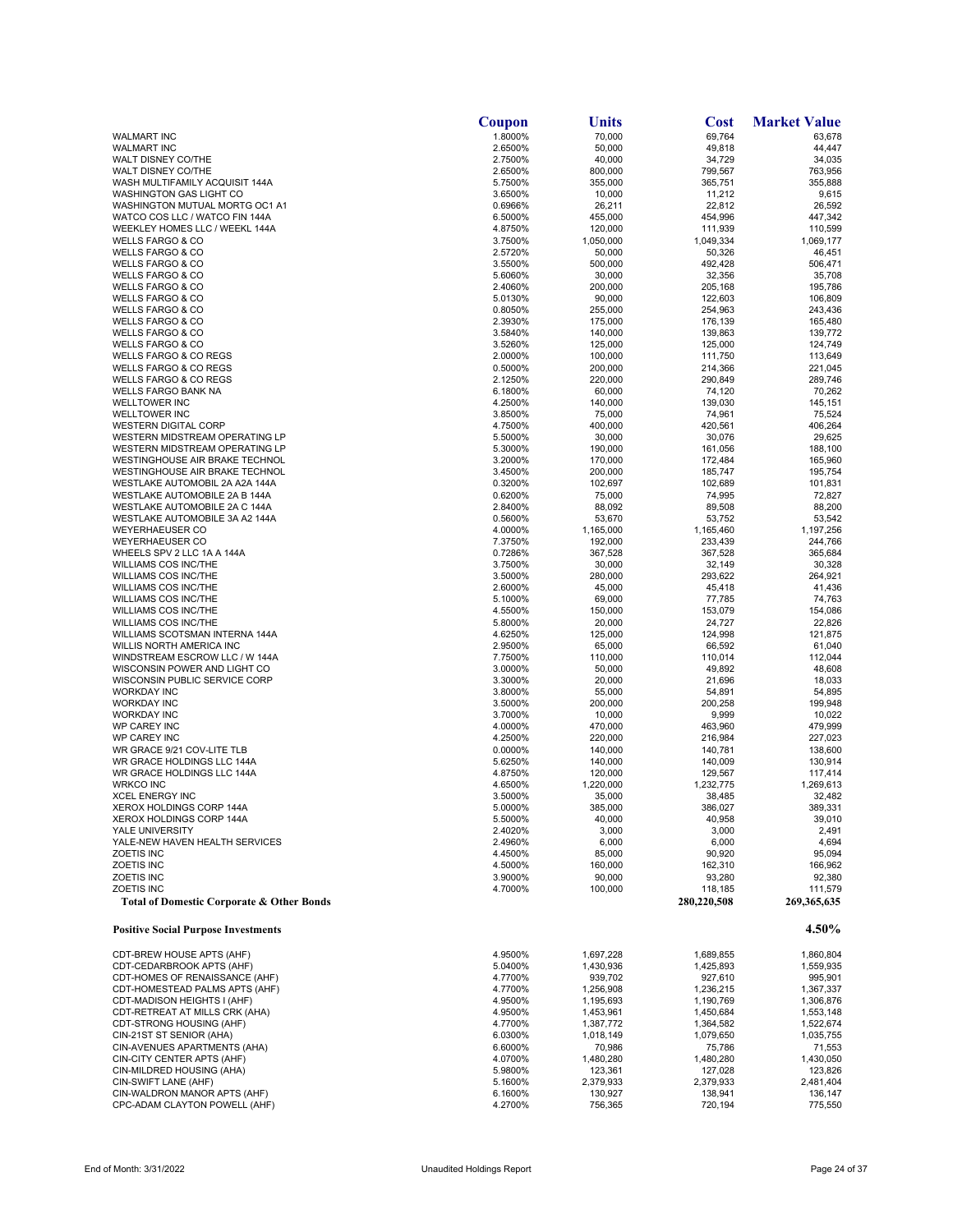|                                                                      | Coupon             | Units                  | <b>Cost</b>            | <b>Market Value</b>    |
|----------------------------------------------------------------------|--------------------|------------------------|------------------------|------------------------|
| <b>WALMART INC</b>                                                   | 1.8000%            | 70,000                 | 69,764                 | 63,678                 |
| <b>WALMART INC</b>                                                   | 2.6500%            | 50,000                 | 49,818                 | 44,447                 |
| WALT DISNEY CO/THE                                                   | 2.7500%            | 40,000                 | 34,729                 | 34,035                 |
| WALT DISNEY CO/THE<br>WASH MULTIFAMILY ACQUISIT 144A                 | 2.6500%<br>5.7500% | 800,000<br>355,000     | 799,567<br>365,751     | 763,956<br>355,888     |
| <b>WASHINGTON GAS LIGHT CO</b>                                       | 3.6500%            | 10,000                 | 11,212                 | 9,615                  |
| WASHINGTON MUTUAL MORTG OC1 A1                                       | 0.6966%            | 26,211                 | 22,812                 | 26,592                 |
| WATCO COS LLC / WATCO FIN 144A                                       | 6.5000%            | 455,000                | 454,996                | 447,342                |
| WEEKLEY HOMES LLC / WEEKL 144A                                       | 4.8750%            | 120,000                | 111,939                | 110,599                |
| <b>WELLS FARGO &amp; CO</b>                                          | 3.7500%            | 1,050,000              | 1,049,334              | 1,069,177              |
| <b>WELLS FARGO &amp; CO</b>                                          | 2.5720%            | 50,000                 | 50,326                 | 46,451                 |
| <b>WELLS FARGO &amp; CO</b>                                          | 3.5500%            | 500,000                | 492,428                | 506,471                |
| <b>WELLS FARGO &amp; CO</b><br><b>WELLS FARGO &amp; CO</b>           | 5.6060%<br>2.4060% | 30,000<br>200,000      | 32,356<br>205,168      | 35,708<br>195,786      |
| <b>WELLS FARGO &amp; CO</b>                                          | 5.0130%            | 90,000                 | 122,603                | 106,809                |
| <b>WELLS FARGO &amp; CO</b>                                          | 0.8050%            | 255,000                | 254,963                | 243,436                |
| <b>WELLS FARGO &amp; CO</b>                                          | 2.3930%            | 175,000                | 176,139                | 165,480                |
| WELLS FARGO & CO                                                     | 3.5840%            | 140,000                | 139,863                | 139,772                |
| <b>WELLS FARGO &amp; CO</b>                                          | 3.5260%            | 125,000                | 125,000                | 124,749                |
| <b>WELLS FARGO &amp; CO REGS</b>                                     | 2.0000%            | 100,000                | 111,750                | 113,649                |
| <b>WELLS FARGO &amp; CO REGS</b><br><b>WELLS FARGO &amp; CO REGS</b> | 0.5000%<br>2.1250% | 200,000<br>220,000     | 214,366<br>290,849     | 221,045<br>289,746     |
| WELLS FARGO BANK NA                                                  | 6.1800%            | 60,000                 | 74,120                 | 70,262                 |
| <b>WELLTOWER INC</b>                                                 | 4.2500%            | 140,000                | 139,030                | 145,151                |
| <b>WELLTOWER INC</b>                                                 | 3.8500%            | 75,000                 | 74,961                 | 75,524                 |
| <b>WESTERN DIGITAL CORP</b>                                          | 4.7500%            | 400,000                | 420,561                | 406,264                |
| WESTERN MIDSTREAM OPERATING LP                                       | 5.5000%            | 30,000                 | 30,076                 | 29,625                 |
| WESTERN MIDSTREAM OPERATING LP                                       | 5.3000%            | 190,000                | 161,056                | 188,100                |
| WESTINGHOUSE AIR BRAKE TECHNOL<br>WESTINGHOUSE AIR BRAKE TECHNOL     | 3.2000%<br>3.4500% | 170,000                | 172,484                | 165,960                |
| WESTLAKE AUTOMOBIL 2A A2A 144A                                       | 0.3200%            | 200,000<br>102,697     | 185,747<br>102,689     | 195,754<br>101,831     |
| WESTLAKE AUTOMOBILE 2A B 144A                                        | 0.6200%            | 75,000                 | 74,995                 | 72,827                 |
| WESTLAKE AUTOMOBILE 2A C 144A                                        | 2.8400%            | 88,092                 | 89,508                 | 88,200                 |
| WESTLAKE AUTOMOBILE 3A A2 144A                                       | 0.5600%            | 53,670                 | 53,752                 | 53,542                 |
| <b>WEYERHAEUSER CO</b>                                               | 4.0000%            | 1,165,000              | 1,165,460              | 1,197,256              |
| <b>WEYERHAEUSER CO</b>                                               | 7.3750%            | 192,000                | 233,439                | 244,766                |
| WHEELS SPV 2 LLC 1A A 144A                                           | 0.7286%            | 367,528                | 367,528                | 365,684                |
| <b>WILLIAMS COS INC/THE</b><br><b>WILLIAMS COS INC/THE</b>           | 3.7500%<br>3.5000% | 30,000<br>280,000      | 32,149<br>293,622      | 30,328                 |
| <b>WILLIAMS COS INC/THE</b>                                          | 2.6000%            | 45,000                 | 45,418                 | 264,921<br>41,436      |
| <b>WILLIAMS COS INC/THE</b>                                          | 5.1000%            | 69,000                 | 77,785                 | 74,763                 |
| <b>WILLIAMS COS INC/THE</b>                                          | 4.5500%            | 150,000                | 153,079                | 154,086                |
| <b>WILLIAMS COS INC/THE</b>                                          | 5.8000%            | 20,000                 | 24,727                 | 22,826                 |
| WILLIAMS SCOTSMAN INTERNA 144A                                       | 4.6250%            | 125,000                | 124,998                | 121,875                |
| WILLIS NORTH AMERICA INC                                             | 2.9500%            | 65,000                 | 66,592                 | 61,040                 |
| WINDSTREAM ESCROW LLC / W 144A                                       | 7.7500%            | 110,000                | 110,014                | 112,044                |
| WISCONSIN POWER AND LIGHT CO<br>WISCONSIN PUBLIC SERVICE CORP        | 3.0000%<br>3.3000% | 50,000<br>20,000       | 49,892<br>21,696       | 48,608<br>18,033       |
| <b>WORKDAY INC</b>                                                   | 3.8000%            | 55,000                 | 54,891                 | 54,895                 |
| <b>WORKDAY INC</b>                                                   | 3.5000%            | 200,000                | 200,258                | 199,948                |
| <b>WORKDAY INC</b>                                                   | 3.7000%            | 10,000                 | 9,999                  | 10,022                 |
| <b>WP CAREY INC</b>                                                  | 4.0000%            | 470,000                | 463,960                | 479,999                |
| <b>WP CAREY INC</b>                                                  | 4.2500%            | 220,000                | 216,984                | 227,023                |
| WR GRACE 9/21 COV-LITE TLB                                           | 0.0000%            | 140,000                | 140,781                | 138,600                |
| WR GRACE HOLDINGS LLC 144A<br>WR GRACE HOLDINGS LLC 144A             | 5.6250%<br>4.8750% | 140,000<br>120,000     | 140,009<br>129,567     | 130,914<br>117,414     |
| <b>WRKCO INC</b>                                                     | 4.6500%            | 1,220,000              | 1,232,775              | 1,269,613              |
| <b>XCEL ENERGY INC</b>                                               | 3.5000%            | 35,000                 | 38,485                 | 32,482                 |
| XEROX HOLDINGS CORP 144A                                             | 5.0000%            | 385,000                | 386,027                | 389,331                |
| XEROX HOLDINGS CORP 144A                                             | 5.5000%            | 40,000                 | 40,958                 | 39,010                 |
| YALE UNIVERSITY                                                      | 2.4020%            | 3,000                  | 3,000                  | 2,491                  |
| YALE-NEW HAVEN HEALTH SERVICES                                       | 2.4960%            | 6,000                  | 6,000                  | 4,694                  |
| ZOETIS INC                                                           | 4.4500%            | 85,000                 | 90,920                 | 95,094                 |
| ZOETIS INC<br>ZOETIS INC                                             | 4.5000%<br>3.9000% | 160,000<br>90,000      | 162,310<br>93,280      | 166,962<br>92,380      |
| ZOETIS INC                                                           | 4.7000%            | 100,000                | 118,185                | 111,579                |
| <b>Total of Domestic Corporate &amp; Other Bonds</b>                 |                    |                        | 280,220,508            | 269,365,635            |
|                                                                      |                    |                        |                        |                        |
| <b>Positive Social Purpose Investments</b>                           |                    |                        |                        | 4.50%                  |
| CDT-BREW HOUSE APTS (AHF)                                            | 4.9500%            | 1,697,228              | 1,689,855              | 1,860,804              |
| CDT-CEDARBROOK APTS (AHF)                                            | 5.0400%            | 1,430,936              | 1,425,893              | 1,559,935              |
| CDT-HOMES OF RENAISSANCE (AHF)                                       | 4.7700%            | 939,702                | 927,610                | 995,901                |
| CDT-HOMESTEAD PALMS APTS (AHF)                                       | 4.7700%            | 1,256,908              | 1,236,215              | 1,367,337              |
| CDT-MADISON HEIGHTS I (AHF)                                          | 4.9500%            | 1,195,693              | 1,190,769              | 1,306,876              |
| CDT-RETREAT AT MILLS CRK (AHA)                                       | 4.9500%            | 1,453,961              | 1,450,684              | 1,553,148              |
| CDT-STRONG HOUSING (AHF)<br>CIN-21ST ST SENIOR (AHA)                 | 4.7700%<br>6.0300% | 1,387,772<br>1,018,149 | 1,364,582<br>1,079,650 | 1,522,674<br>1,035,755 |
| CIN-AVENUES APARTMENTS (AHA)                                         | 6.6000%            | 70,986                 | 75,786                 | 71,553                 |
| CIN-CITY CENTER APTS (AHF)                                           | 4.0700%            | 1,480,280              | 1,480,280              | 1,430,050              |
| CIN-MILDRED HOUSING (AHA)                                            | 5.9800%            | 123,361                | 127,028                | 123,826                |
| CIN-SWIFT LANE (AHF)                                                 | 5.1600%            | 2,379,933              | 2,379,933              | 2,481,404              |
| CIN-WALDRON MANOR APTS (AHF)                                         | 6.1600%            | 130,927                | 138,941                | 136,147                |
| CPC-ADAM CLAYTON POWELL (AHF)                                        | 4.2700%            | 756,365                | 720,194                | 775,550                |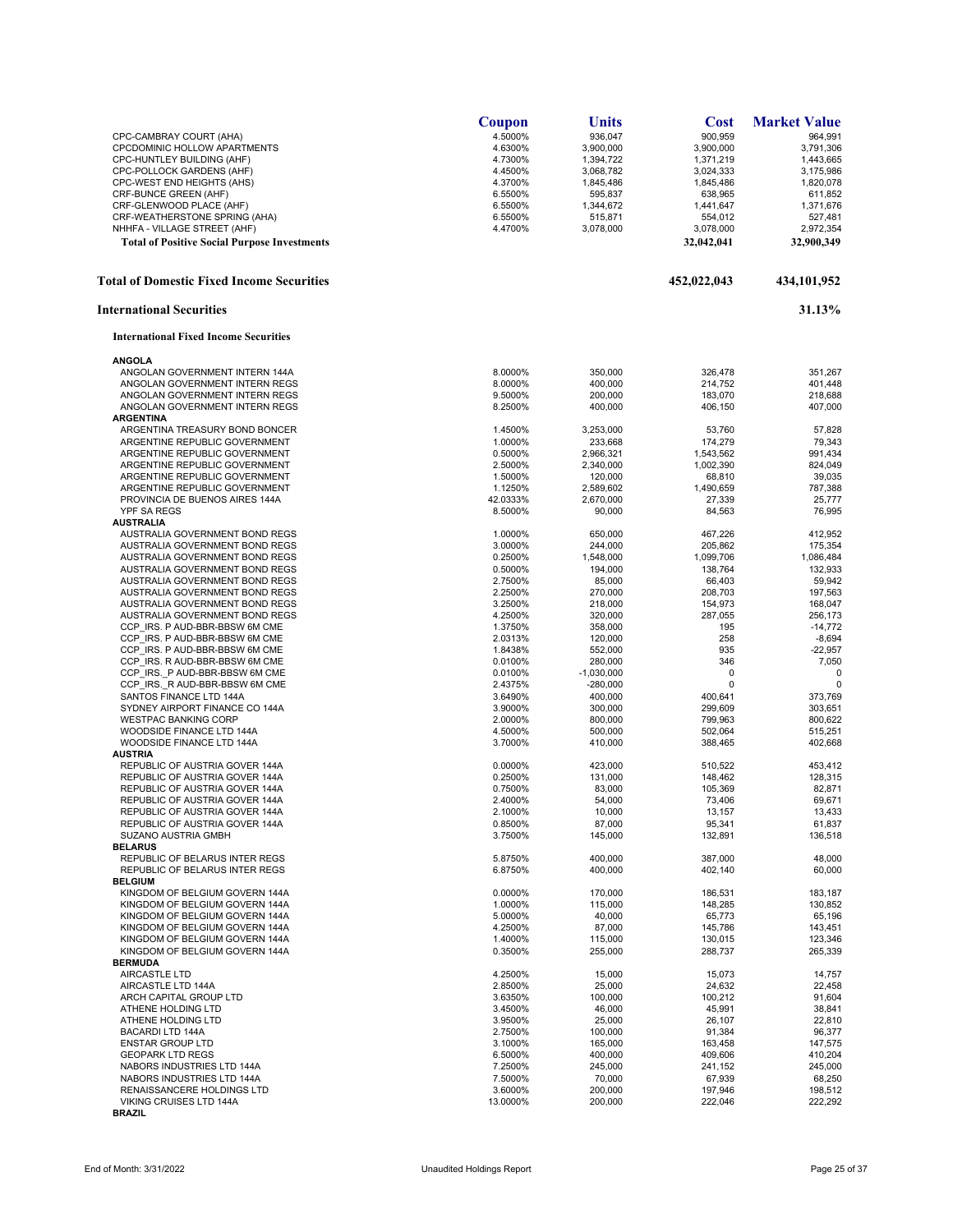|                                                                  | Coupon             | <b>Units</b>         | Cost                 | <b>Market Value</b>  |
|------------------------------------------------------------------|--------------------|----------------------|----------------------|----------------------|
| CPC-CAMBRAY COURT (AHA)                                          | 4.5000%            | 936,047              | 900,959              | 964,991              |
| CPCDOMINIC HOLLOW APARTMENTS                                     | 4.6300%            | 3,900,000            | 3,900,000            | 3,791,306            |
| CPC-HUNTLEY BUILDING (AHF)                                       | 4.7300%            | 1,394,722            | 1,371,219            | 1,443,665            |
| CPC-POLLOCK GARDENS (AHF)                                        | 4.4500%            | 3,068,782            | 3,024,333            | 3,175,986            |
| CPC-WEST END HEIGHTS (AHS)                                       | 4.3700%            | 1,845,486            | 1,845,486            | 1,820,078            |
| CRF-BUNCE GREEN (AHF)                                            | 6.5500%            | 595,837              | 638,965              | 611,852              |
| CRF-GLENWOOD PLACE (AHF)                                         | 6.5500%            | 1,344,672            | 1,441,647            | 1,371,676            |
| CRF-WEATHERSTONE SPRING (AHA)                                    | 6.5500%            | 515,871              | 554,012              | 527,481              |
| NHHFA - VILLAGE STREET (AHF)                                     | 4.4700%            | 3,078,000            | 3,078,000            | 2,972,354            |
| <b>Total of Positive Social Purpose Investments</b>              |                    |                      | 32,042,041           | 32,900,349           |
| <b>Total of Domestic Fixed Income Securities</b>                 |                    |                      | 452,022,043          | 434,101,952          |
| <b>International Securities</b>                                  |                    |                      |                      | 31.13%               |
| <b>International Fixed Income Securities</b>                     |                    |                      |                      |                      |
| <b>ANGOLA</b>                                                    |                    |                      |                      |                      |
| ANGOLAN GOVERNMENT INTERN 144A                                   | 8.0000%            | 350,000              | 326,478              | 351,267              |
| ANGOLAN GOVERNMENT INTERN REGS                                   | 8.0000%            | 400,000              | 214,752              | 401,448              |
| ANGOLAN GOVERNMENT INTERN REGS                                   | 9.5000%            | 200,000              | 183,070              | 218,688              |
| ANGOLAN GOVERNMENT INTERN REGS                                   | 8.2500%            | 400,000              | 406,150              | 407,000              |
| <b>ARGENTINA</b>                                                 |                    |                      |                      |                      |
| ARGENTINA TREASURY BOND BONCER                                   | 1.4500%            | 3,253,000            | 53,760               | 57,828               |
| ARGENTINE REPUBLIC GOVERNMENT                                    | 1.0000%            | 233,668              | 174,279              | 79,343               |
| ARGENTINE REPUBLIC GOVERNMENT                                    | 0.5000%            | 2,966,321            | 1,543,562            | 991,434              |
| ARGENTINE REPUBLIC GOVERNMENT                                    | 2.5000%            | 2,340,000            | 1,002,390            | 824,049              |
| ARGENTINE REPUBLIC GOVERNMENT                                    | 1.5000%            | 120,000              | 68,810               | 39,035               |
| ARGENTINE REPUBLIC GOVERNMENT                                    | 1.1250%            | 2,589,602            | 1,490,659            | 787,388              |
| PROVINCIA DE BUENOS AIRES 144A                                   | 42.0333%           | 2,670,000            | 27,339               | 25,777               |
| <b>YPF SA REGS</b>                                               | 8.5000%            | 90,000               | 84,563               | 76,995               |
| <b>AUSTRALIA</b>                                                 |                    |                      |                      |                      |
| AUSTRALIA GOVERNMENT BOND REGS                                   | 1.0000%            | 650,000              | 467,226              | 412,952              |
| AUSTRALIA GOVERNMENT BOND REGS<br>AUSTRALIA GOVERNMENT BOND REGS | 3.0000%<br>0.2500% | 244,000<br>1.548.000 | 205,862<br>1.099.706 | 175,354              |
| AUSTRALIA GOVERNMENT BOND REGS                                   | 0.5000%            | 194,000              | 138,764              | 1,086,484<br>132,933 |
| AUSTRALIA GOVERNMENT BOND REGS                                   | 2.7500%            | 85,000               | 66,403               | 59,942               |
| AUSTRALIA GOVERNMENT BOND REGS                                   | 2.2500%            | 270,000              | 208,703              | 197,563              |
| AUSTRALIA GOVERNMENT BOND REGS                                   | 3.2500%            | 218,000              | 154,973              | 168,047              |
| AUSTRALIA GOVERNMENT BOND REGS                                   | 4.2500%            | 320,000              | 287,055              | 256,173              |
| CCP IRS. P AUD-BBR-BBSW 6M CME                                   | 1.3750%            | 358,000              | 195                  | $-14,772$            |
| CCP IRS. P AUD-BBR-BBSW 6M CME                                   | 2.0313%            | 120,000              | 258                  | $-8,694$             |
| CCP IRS. P AUD-BBR-BBSW 6M CME                                   | 1.8438%            | 552,000              | 935                  | $-22,957$            |
| CCP IRS. R AUD-BBR-BBSW 6M CME                                   | 0.0100%            | 280,000              | 346                  | 7,050                |
| CCP IRS. P AUD-BBR-BBSW 6M CME                                   | 0.0100%            | $-1,030,000$         | 0                    | $\mathbf 0$          |
| CCP IRS. R AUD-BBR-BBSW 6M CME                                   | 2.4375%            | $-280,000$           | 0                    | 0                    |
| SANTOS FINANCE LTD 144A                                          | 3.6490%            | 400,000              | 400,641              | 373,769              |
| SYDNEY AIRPORT FINANCE CO 144A                                   | 3.9000%            | 300,000              | 299,609              | 303,651              |
| <b>WESTPAC BANKING CORP</b>                                      | 2.0000%            | 800,000              | 799,963              | 800,622              |
| WOODSIDE FINANCE LTD 144A                                        | 4.5000%            | 500,000              | 502,064              | 515,251              |
| WOODSIDE FINANCE LTD 144A                                        | 3.7000%            | 410,000              | 388,465              | 402,668              |
| <b>AUSTRIA</b>                                                   |                    |                      |                      |                      |
| REPUBLIC OF AUSTRIA GOVER 144A                                   | 0.0000%            | 423,000              | 510,522              | 453,412              |
| REPUBLIC OF AUSTRIA GOVER 144A                                   | 0.2500%            | 131,000              | 148,462              | 128,315              |
| REPUBLIC OF AUSTRIA GOVER 144A                                   | 0.7500%            | 83,000               | 105,369              | 82,871               |
| REPUBLIC OF AUSTRIA GOVER 144A                                   | 2.4000%            | 54,000               | 73,406               | 69,671               |
| REPUBLIC OF AUSTRIA GOVER 144A<br>REPUBLIC OF AUSTRIA GOVER 144A | 2.1000%            | 10,000               | 13,157               | 13,433               |
| <b>SUZANO AUSTRIA GMBH</b>                                       | 0.8500%<br>3.7500% | 87,000<br>145,000    | 95,341<br>132,891    | 61,837<br>136,518    |
| <b>BELARUS</b>                                                   |                    |                      |                      |                      |
| REPUBLIC OF BELARUS INTER REGS                                   | 5.8750%            | 400,000              | 387,000              | 48,000               |
| REPUBLIC OF BELARUS INTER REGS                                   | 6.8750%            | 400.000              | 402,140              | 60.000               |
| <b>BELGIUM</b>                                                   |                    |                      |                      |                      |
| KINGDOM OF BELGIUM GOVERN 144A                                   | 0.0000%            | 170,000              | 186,531              | 183,187              |
| KINGDOM OF BELGIUM GOVERN 144A                                   | 1.0000%            | 115,000              | 148,285              | 130.852              |
| KINGDOM OF BELGIUM GOVERN 144A                                   | 5.0000%            | 40.000               | 65,773               | 65,196               |
| KINGDOM OF BELGIUM GOVERN 144A                                   | 4.2500%            | 87,000               | 145,786              | 143,451              |
| KINGDOM OF BELGIUM GOVERN 144A                                   | 1.4000%            | 115,000              | 130,015              | 123,346              |
| KINGDOM OF BELGIUM GOVERN 144A                                   | 0.3500%            | 255,000              | 288,737              | 265,339              |
| <b>BERMUDA</b>                                                   |                    |                      |                      |                      |
| <b>AIRCASTLE LTD</b>                                             | 4.2500%            | 15,000               | 15,073               | 14,757               |
| AIRCASTLE LTD 144A                                               | 2.8500%            | 25,000               | 24,632               | 22,458               |
| ARCH CAPITAL GROUP LTD                                           | 3.6350%            | 100,000              | 100,212              | 91,604               |
| ATHENE HOLDING LTD                                               | 3.4500%            | 46,000               | 45,991               | 38,841               |
| ATHENE HOLDING LTD                                               | 3.9500%            | 25,000               | 26,107               | 22,810               |
| <b>BACARDI LTD 144A</b>                                          | 2.7500%            | 100,000              | 91,384               | 96,377               |
| <b>ENSTAR GROUP LTD</b>                                          | 3.1000%            | 165,000              | 163,458              | 147,575              |
| <b>GEOPARK LTD REGS</b>                                          | 6.5000%            | 400,000              | 409,606              | 410,204              |
| NABORS INDUSTRIES LTD 144A                                       | 7.2500%            | 245,000              | 241,152              | 245,000              |
| NABORS INDUSTRIES LTD 144A                                       | 7.5000%            | 70,000               | 67,939               | 68,250               |
| RENAISSANCERE HOLDINGS LTD                                       | 3.6000%            | 200,000              | 197,946              | 198,512              |
| VIKING CRUISES LTD 144A                                          | 13.0000%           | 200,000              | 222,046              | 222,292              |
| <b>BRAZIL</b>                                                    |                    |                      |                      |                      |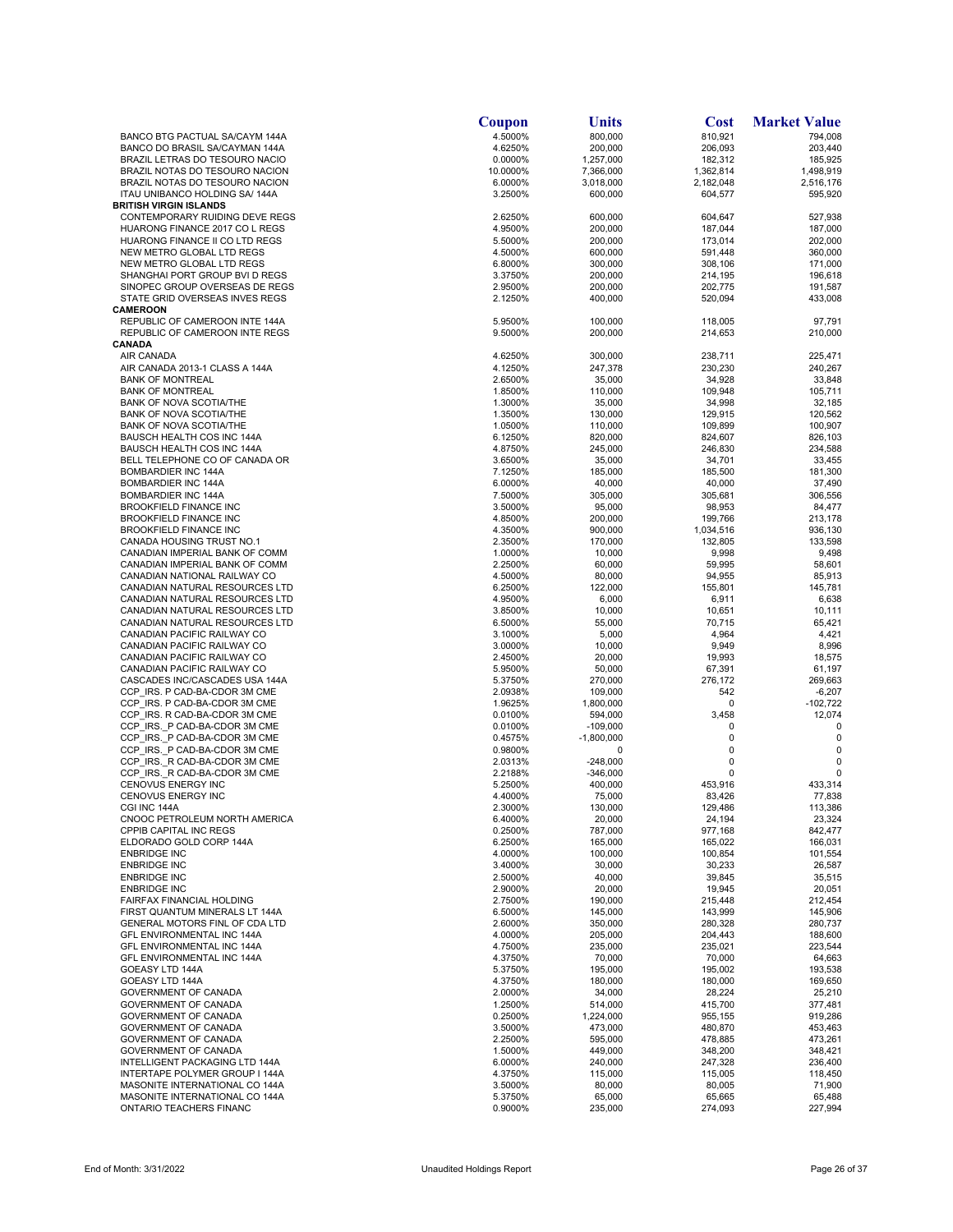|                                                                 | Coupon             | Units                 | <b>Cost</b>        | <b>Market Value</b> |
|-----------------------------------------------------------------|--------------------|-----------------------|--------------------|---------------------|
| BANCO BTG PACTUAL SA/CAYM 144A                                  | 4.5000%            | 800,000               | 810,921            | 794,008             |
| BANCO DO BRASIL SA/CAYMAN 144A                                  | 4.6250%            | 200,000               | 206,093            | 203,440             |
| BRAZIL LETRAS DO TESOURO NACIO                                  | 0.0000%            | 1,257,000             | 182,312            | 185,925             |
| BRAZIL NOTAS DO TESOURO NACION                                  | 10.0000%           | 7,366,000             | 1,362,814          | 1,498,919           |
| BRAZIL NOTAS DO TESOURO NACION                                  | 6.0000%            | 3,018,000             | 2,182,048          | 2,516,176           |
| ITAU UNIBANCO HOLDING SA/ 144A<br><b>BRITISH VIRGIN ISLANDS</b> | 3.2500%            | 600,000               | 604,577            | 595,920             |
| CONTEMPORARY RUIDING DEVE REGS                                  | 2.6250%            | 600,000               | 604,647            | 527,938             |
| HUARONG FINANCE 2017 CO L REGS                                  | 4.9500%            | 200,000               | 187,044            | 187,000             |
| HUARONG FINANCE II CO LTD REGS                                  | 5.5000%            | 200,000               | 173,014            | 202,000             |
| NEW METRO GLOBAL LTD REGS                                       | 4.5000%            | 600,000               | 591,448            | 360,000             |
| NEW METRO GLOBAL LTD REGS                                       | 6.8000%            | 300,000               | 308,106            | 171,000             |
| SHANGHAI PORT GROUP BVI D REGS                                  | 3.3750%            | 200,000               | 214,195            | 196,618             |
| SINOPEC GROUP OVERSEAS DE REGS                                  | 2.9500%            | 200,000               | 202,775            | 191,587             |
| STATE GRID OVERSEAS INVES REGS                                  | 2.1250%            | 400,000               | 520,094            | 433,008             |
| <b>CAMEROON</b>                                                 |                    |                       |                    |                     |
| REPUBLIC OF CAMEROON INTE 144A                                  | 5.9500%            | 100,000               | 118,005            | 97,791              |
| REPUBLIC OF CAMEROON INTE REGS                                  | 9.5000%            | 200,000               | 214,653            | 210,000             |
| CANADA                                                          |                    |                       |                    |                     |
| AIR CANADA                                                      | 4.6250%            | 300,000               | 238,711            | 225,471             |
| AIR CANADA 2013-1 CLASS A 144A                                  | 4.1250%            | 247,378               | 230,230            | 240,267             |
| <b>BANK OF MONTREAL</b>                                         | 2.6500%            | 35,000                | 34,928             | 33,848              |
| <b>BANK OF MONTREAL</b>                                         | 1.8500%            | 110,000               | 109,948            | 105,711             |
| <b>BANK OF NOVA SCOTIA/THE</b>                                  | 1.3000%            | 35,000                | 34,998             | 32,185              |
| <b>BANK OF NOVA SCOTIA/THE</b>                                  | 1.3500%            | 130,000               | 129,915            | 120,562             |
| BANK OF NOVA SCOTIA/THE                                         | 1.0500%            | 110,000               | 109,899            | 100,907             |
| BAUSCH HEALTH COS INC 144A<br>BAUSCH HEALTH COS INC 144A        | 6.1250%<br>4.8750% | 820,000<br>245,000    | 824,607<br>246,830 | 826,103<br>234,588  |
| BELL TELEPHONE CO OF CANADA OR                                  | 3.6500%            | 35,000                | 34,701             | 33,455              |
| <b>BOMBARDIER INC 144A</b>                                      | 7.1250%            | 185,000               | 185,500            | 181,300             |
| BOMBARDIER INC 144A                                             | 6.0000%            | 40,000                | 40,000             | 37,490              |
| <b>BOMBARDIER INC 144A</b>                                      | 7.5000%            | 305,000               | 305,681            | 306,556             |
| <b>BROOKFIELD FINANCE INC</b>                                   | 3.5000%            | 95,000                | 98,953             | 84,477              |
| <b>BROOKFIELD FINANCE INC</b>                                   | 4.8500%            | 200,000               | 199,766            | 213,178             |
| <b>BROOKFIELD FINANCE INC</b>                                   | 4.3500%            | 900,000               | 1,034,516          | 936,130             |
| CANADA HOUSING TRUST NO.1                                       | 2.3500%            | 170,000               | 132,805            | 133,598             |
| CANADIAN IMPERIAL BANK OF COMM                                  | 1.0000%            | 10,000                | 9,998              | 9,498               |
| CANADIAN IMPERIAL BANK OF COMM                                  | 2.2500%            | 60,000                | 59,995             | 58,601              |
| CANADIAN NATIONAL RAILWAY CO                                    | 4.5000%            | 80,000                | 94,955             | 85,913              |
| CANADIAN NATURAL RESOURCES LTD                                  | 6.2500%            | 122,000               | 155,801            | 145,781             |
| CANADIAN NATURAL RESOURCES LTD                                  | 4.9500%            | 6,000                 | 6,911              | 6,638               |
| CANADIAN NATURAL RESOURCES LTD                                  | 3.8500%            | 10,000                | 10,651             | 10,111              |
| CANADIAN NATURAL RESOURCES LTD                                  | 6.5000%            | 55,000                | 70,715             | 65,421              |
| CANADIAN PACIFIC RAILWAY CO                                     | 3.1000%            | 5,000                 | 4,964              | 4,421               |
| CANADIAN PACIFIC RAILWAY CO                                     | 3.0000%            | 10,000                | 9,949              | 8,996               |
| CANADIAN PACIFIC RAILWAY CO                                     | 2.4500%            | 20,000                | 19,993             | 18,575              |
| CANADIAN PACIFIC RAILWAY CO                                     | 5.9500%            | 50,000                | 67,391             | 61,197              |
| CASCADES INC/CASCADES USA 144A                                  | 5.3750%            | 270,000               | 276,172            | 269,663             |
| CCP IRS. P CAD-BA-CDOR 3M CME                                   | 2.0938%            | 109,000               | 542                | $-6,207$            |
| CCP IRS. P CAD-BA-CDOR 3M CME                                   | 1.9625%            | 1,800,000             | 0                  | $-102,722$          |
| CCP IRS. R CAD-BA-CDOR 3M CME<br>CCP IRS. P CAD-BA-CDOR 3M CME  | 0.0100%            | 594,000<br>$-109,000$ | 3,458<br>0         | 12,074<br>0         |
| CCP IRS. P CAD-BA-CDOR 3M CME                                   | 0.0100%<br>0.4575% | $-1,800,000$          | 0                  | 0                   |
| CCP IRS. P CAD-BA-CDOR 3M CME                                   | 0.9800%            | 0                     | 0                  | 0                   |
| CCP_IRS._R CAD-BA-CDOR 3M CME                                   | 2.0313%            | $-248,000$            | 0                  | 0                   |
| CCP IRS. R CAD-BA-CDOR 3M CME                                   | 2.2188%            | $-346,000$            | 0                  | 0                   |
| CENOVUS ENERGY INC                                              | 5.2500%            | 400,000               | 453,916            | 433,314             |
| CENOVUS ENERGY INC                                              | 4.4000%            | 75,000                | 83,426             | 77,838              |
| CGI INC 144A                                                    | 2.3000%            | 130,000               | 129,486            | 113,386             |
| CNOOC PETROLEUM NORTH AMERICA                                   | 6.4000%            | 20,000                | 24,194             | 23,324              |
| CPPIB CAPITAL INC REGS                                          | 0.2500%            | 787,000               | 977,168            | 842,477             |
| ELDORADO GOLD CORP 144A                                         | 6.2500%            | 165,000               | 165.022            | 166,031             |
| <b>ENBRIDGE INC</b>                                             | 4.0000%            | 100,000               | 100,854            | 101,554             |
| <b>ENBRIDGE INC</b>                                             | 3.4000%            | 30,000                | 30,233             | 26,587              |
| <b>ENBRIDGE INC</b>                                             | 2.5000%            | 40,000                | 39,845             | 35,515              |
| <b>ENBRIDGE INC</b>                                             | 2.9000%            | 20,000                | 19,945             | 20,051              |
| FAIRFAX FINANCIAL HOLDING                                       | 2.7500%            | 190,000               | 215,448            | 212,454             |
| FIRST QUANTUM MINERALS LT 144A                                  | 6.5000%            | 145,000               | 143,999            | 145,906             |
| GENERAL MOTORS FINL OF CDA LTD                                  | 2.6000%            | 350,000               | 280,328            | 280,737             |
| GFL ENVIRONMENTAL INC 144A                                      | 4.0000%            | 205.000               | 204,443            | 188,600             |
| GFL ENVIRONMENTAL INC 144A                                      | 4.7500%            | 235,000               | 235,021            | 223,544             |
| GFL ENVIRONMENTAL INC 144A                                      | 4.3750%            | 70,000                | 70,000             | 64,663              |
| GOEASY LTD 144A<br>GOEASY LTD 144A                              | 5.3750%            | 195,000               | 195,002            | 193,538             |
| <b>GOVERNMENT OF CANADA</b>                                     | 4.3750%            | 180,000               | 180,000            | 169,650             |
| <b>GOVERNMENT OF CANADA</b>                                     | 2.0000%<br>1.2500% | 34,000<br>514,000     | 28,224<br>415,700  | 25,210<br>377,481   |
| GOVERNMENT OF CANADA                                            | 0.2500%            | 1,224,000             | 955,155            | 919,286             |
| GOVERNMENT OF CANADA                                            | 3.5000%            | 473,000               | 480,870            | 453,463             |
| GOVERNMENT OF CANADA                                            | 2.2500%            | 595,000               | 478,885            | 473,261             |
| GOVERNMENT OF CANADA                                            | 1.5000%            | 449,000               | 348,200            | 348,421             |
| INTELLIGENT PACKAGING LTD 144A                                  | 6.0000%            | 240,000               | 247,328            | 236,400             |
| INTERTAPE POLYMER GROUP I 144A                                  | 4.3750%            | 115,000               | 115,005            | 118,450             |
| MASONITE INTERNATIONAL CO 144A                                  | 3.5000%            | 80,000                | 80,005             | 71,900              |
| MASONITE INTERNATIONAL CO 144A                                  | 5.3750%            | 65,000                | 65,665             | 65,488              |
| ONTARIO TEACHERS FINANC                                         | 0.9000%            | 235,000               | 274,093            | 227,994             |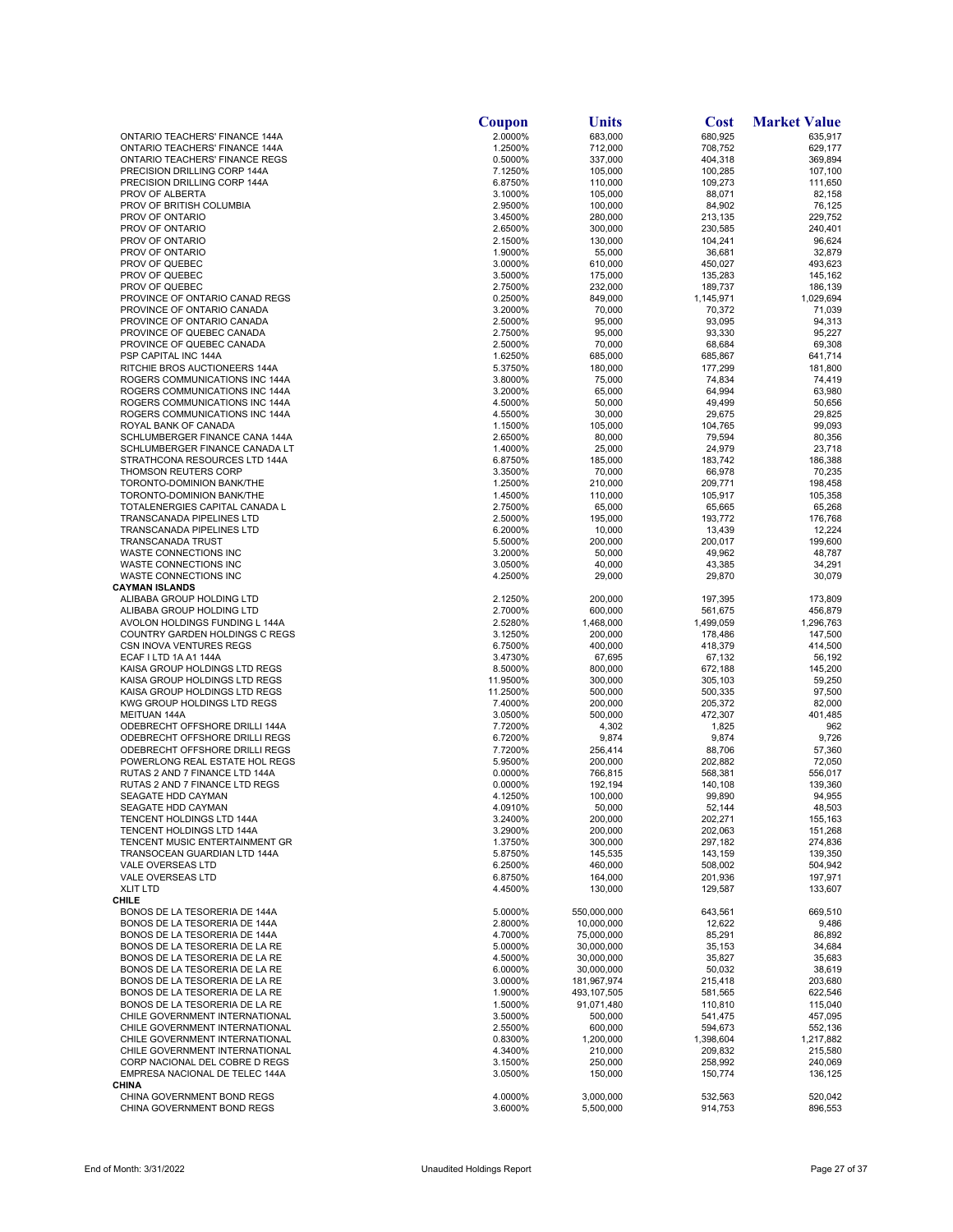|                                                                  | Coupon             | Units                     | <b>Cost</b>        | <b>Market Value</b> |
|------------------------------------------------------------------|--------------------|---------------------------|--------------------|---------------------|
| ONTARIO TEACHERS' FINANCE 144A                                   | 2.0000%            | 683,000                   | 680,925            | 635,917             |
| <b>ONTARIO TEACHERS' FINANCE 144A</b>                            | 1.2500%            | 712,000                   | 708,752            | 629,177             |
| ONTARIO TEACHERS' FINANCE REGS                                   | 0.5000%            | 337,000                   | 404,318            | 369,894             |
| PRECISION DRILLING CORP 144A                                     | 7.1250%            | 105,000                   | 100,285            | 107,100             |
| PRECISION DRILLING CORP 144A<br>PROV OF ALBERTA                  | 6.8750%<br>3.1000% | 110,000<br>105,000        | 109,273<br>88,071  | 111,650<br>82,158   |
| PROV OF BRITISH COLUMBIA                                         | 2.9500%            | 100,000                   | 84,902             | 76,125              |
| PROV OF ONTARIO                                                  | 3.4500%            | 280,000                   | 213,135            | 229,752             |
| PROV OF ONTARIO                                                  | 2.6500%            | 300,000                   | 230,585            | 240,401             |
| PROV OF ONTARIO                                                  | 2.1500%            | 130,000                   | 104,241            | 96,624              |
| PROV OF ONTARIO                                                  | 1.9000%            | 55,000                    | 36,681             | 32,879              |
| PROV OF QUEBEC                                                   | 3.0000%            | 610,000                   | 450,027            | 493,623             |
| PROV OF QUEBEC                                                   | 3.5000%            | 175,000                   | 135,283            | 145,162             |
| PROV OF QUEBEC                                                   | 2.7500%            | 232,000                   | 189,737            | 186,139             |
| PROVINCE OF ONTARIO CANAD REGS                                   | 0.2500%            | 849,000                   | 1,145,971          | 1,029,694           |
| PROVINCE OF ONTARIO CANADA                                       | 3.2000%            | 70,000                    | 70,372             | 71,039              |
| PROVINCE OF ONTARIO CANADA                                       | 2.5000%            | 95,000                    | 93,095             | 94,313              |
| PROVINCE OF QUEBEC CANADA                                        | 2.7500%            | 95,000                    | 93,330             | 95,227              |
| PROVINCE OF QUEBEC CANADA                                        | 2.5000%            | 70,000                    | 68,684             | 69,308              |
| PSP CAPITAL INC 144A                                             | 1.6250%            | 685,000                   | 685,867            | 641,714             |
| RITCHIE BROS AUCTIONEERS 144A                                    | 5.3750%            | 180,000                   | 177,299            | 181,800             |
| ROGERS COMMUNICATIONS INC 144A<br>ROGERS COMMUNICATIONS INC 144A | 3.8000%<br>3.2000% | 75,000<br>65,000          | 74,834<br>64,994   | 74,419<br>63,980    |
| ROGERS COMMUNICATIONS INC 144A                                   | 4.5000%            | 50,000                    | 49,499             | 50,656              |
| ROGERS COMMUNICATIONS INC 144A                                   | 4.5500%            | 30,000                    | 29,675             | 29,825              |
| ROYAL BANK OF CANADA                                             | 1.1500%            | 105,000                   | 104,765            | 99,093              |
| SCHLUMBERGER FINANCE CANA 144A                                   | 2.6500%            | 80,000                    | 79,594             | 80,356              |
| SCHLUMBERGER FINANCE CANADA LT                                   | 1.4000%            | 25,000                    | 24,979             | 23,718              |
| STRATHCONA RESOURCES LTD 144A                                    | 6.8750%            | 185,000                   | 183,742            | 186,388             |
| <b>THOMSON REUTERS CORP</b>                                      | 3.3500%            | 70,000                    | 66,978             | 70,235              |
| TORONTO-DOMINION BANK/THE                                        | 1.2500%            | 210,000                   | 209,771            | 198,458             |
| TORONTO-DOMINION BANK/THE                                        | 1.4500%            | 110,000                   | 105,917            | 105,358             |
| TOTALENERGIES CAPITAL CANADA L                                   | 2.7500%            | 65,000                    | 65,665             | 65,268              |
| <b>TRANSCANADA PIPELINES LTD</b>                                 | 2.5000%            | 195,000                   | 193,772            | 176,768             |
| <b>TRANSCANADA PIPELINES LTD</b>                                 | 6.2000%            | 10,000                    | 13,439             | 12,224              |
| <b>TRANSCANADA TRUST</b>                                         | 5.5000%            | 200,000                   | 200,017            | 199,600             |
| WASTE CONNECTIONS INC                                            | 3.2000%            | 50,000                    | 49,962             | 48,787              |
| WASTE CONNECTIONS INC                                            | 3.0500%            | 40,000                    | 43,385             | 34,291              |
| WASTE CONNECTIONS INC<br><b>CAYMAN ISLANDS</b>                   | 4.2500%            | 29,000                    | 29,870             | 30,079              |
| ALIBABA GROUP HOLDING LTD                                        | 2.1250%            | 200,000                   | 197,395            | 173,809             |
| ALIBABA GROUP HOLDING LTD                                        | 2.7000%            | 600,000                   | 561,675            | 456,879             |
| AVOLON HOLDINGS FUNDING L 144A                                   | 2.5280%            | 1,468,000                 | 1,499,059          | 1,296,763           |
| COUNTRY GARDEN HOLDINGS C REGS                                   | 3.1250%            | 200,000                   | 178,486            | 147,500             |
| CSN INOVA VENTURES REGS                                          | 6.7500%            | 400,000                   | 418,379            | 414,500             |
| ECAF I LTD 1A A1 144A                                            | 3.4730%            | 67,695                    | 67,132             | 56,192              |
| KAISA GROUP HOLDINGS LTD REGS                                    | 8.5000%            | 800,000                   | 672,188            | 145,200             |
| KAISA GROUP HOLDINGS LTD REGS                                    | 11.9500%           | 300,000                   | 305,103            | 59,250              |
| KAISA GROUP HOLDINGS LTD REGS                                    | 11.2500%           | 500,000                   | 500,335            | 97,500              |
| KWG GROUP HOLDINGS LTD REGS                                      | 7.4000%            | 200,000                   | 205,372            | 82,000              |
| <b>MEITUAN 144A</b>                                              | 3.0500%            | 500,000                   | 472,307            | 401,485             |
| ODEBRECHT OFFSHORE DRILLI 144A                                   | 7.7200%            | 4,302                     | 1,825              | 962                 |
| ODEBRECHT OFFSHORE DRILLI REGS                                   | 6.7200%            | 9,874                     | 9,874              | 9,726               |
| ODEBRECHT OFFSHORE DRILLI REGS<br>POWERLONG REAL ESTATE HOL REGS | 7.7200%            | 256,414                   | 88,706             | 57,360              |
| RUTAS 2 AND 7 FINANCE LTD 144A                                   | 5.9500%<br>0.0000% | 200,000                   | 202,882            | 72,050              |
| RUTAS 2 AND 7 FINANCE LTD REGS                                   | 0.0000%            | 766,815<br>192,194        | 568,381<br>140,108 | 556,017<br>139,360  |
| SEAGATE HDD CAYMAN                                               | 4.1250%            | 100.000                   | 99,890             | 94,955              |
| SEAGATE HDD CAYMAN                                               | 4.0910%            | 50,000                    | 52,144             | 48,503              |
| TENCENT HOLDINGS LTD 144A                                        | 3.2400%            | 200,000                   | 202,271            | 155,163             |
| TENCENT HOLDINGS LTD 144A                                        | 3.2900%            | 200,000                   | 202,063            | 151,268             |
| TENCENT MUSIC ENTERTAINMENT GR                                   | 1.3750%            | 300,000                   | 297,182            | 274,836             |
| TRANSOCEAN GUARDIAN LTD 144A                                     | 5.8750%            | 145,535                   | 143.159            | 139,350             |
| <b>VALE OVERSEAS LTD</b>                                         | 6.2500%            | 460,000                   | 508.002            | 504,942             |
| VALE OVERSEAS LTD                                                | 6.8750%            | 164,000                   | 201,936            | 197,971             |
| <b>XLIT LTD</b>                                                  | 4.4500%            | 130,000                   | 129,587            | 133,607             |
| <b>CHILE</b>                                                     |                    |                           |                    |                     |
| BONOS DE LA TESORERIA DE 144A                                    | 5.0000%            | 550,000,000               | 643,561            | 669,510             |
| BONOS DE LA TESORERIA DE 144A                                    | 2.8000%            | 10,000,000                | 12,622             | 9,486               |
| BONOS DE LA TESORERIA DE 144A                                    | 4.7000%            | 75,000,000                | 85,291             | 86,892              |
| BONOS DE LA TESORERIA DE LA RE                                   | 5.0000%            | 30,000,000                | 35,153             | 34,684              |
| BONOS DE LA TESORERIA DE LA RE<br>BONOS DE LA TESORERIA DE LA RE | 4.5000%            | 30,000,000                | 35,827             | 35,683              |
| BONOS DE LA TESORERIA DE LA RE                                   | 6.0000%<br>3.0000% | 30,000,000<br>181,967,974 | 50,032<br>215,418  | 38,619<br>203,680   |
| BONOS DE LA TESORERIA DE LA RE                                   | 1.9000%            | 493,107,505               | 581,565            | 622,546             |
| BONOS DE LA TESORERIA DE LA RE                                   | 1.5000%            | 91,071,480                | 110,810            | 115,040             |
| CHILE GOVERNMENT INTERNATIONAL                                   | 3.5000%            | 500,000                   | 541,475            | 457,095             |
| CHILE GOVERNMENT INTERNATIONAL                                   | 2.5500%            | 600,000                   | 594,673            | 552,136             |
| CHILE GOVERNMENT INTERNATIONAL                                   | 0.8300%            | 1,200,000                 | 1,398,604          | 1,217,882           |
| CHILE GOVERNMENT INTERNATIONAL                                   | 4.3400%            | 210,000                   | 209,832            | 215,580             |
| CORP NACIONAL DEL COBRE D REGS                                   | 3.1500%            | 250,000                   | 258,992            | 240,069             |
| EMPRESA NACIONAL DE TELEC 144A                                   | 3.0500%            | 150,000                   | 150,774            | 136,125             |
| <b>CHINA</b>                                                     |                    |                           |                    |                     |
| CHINA GOVERNMENT BOND REGS                                       | 4.0000%            | 3,000,000                 | 532,563            | 520,042             |
| CHINA GOVERNMENT BOND REGS                                       | 3.6000%            | 5,500,000                 | 914,753            | 896,553             |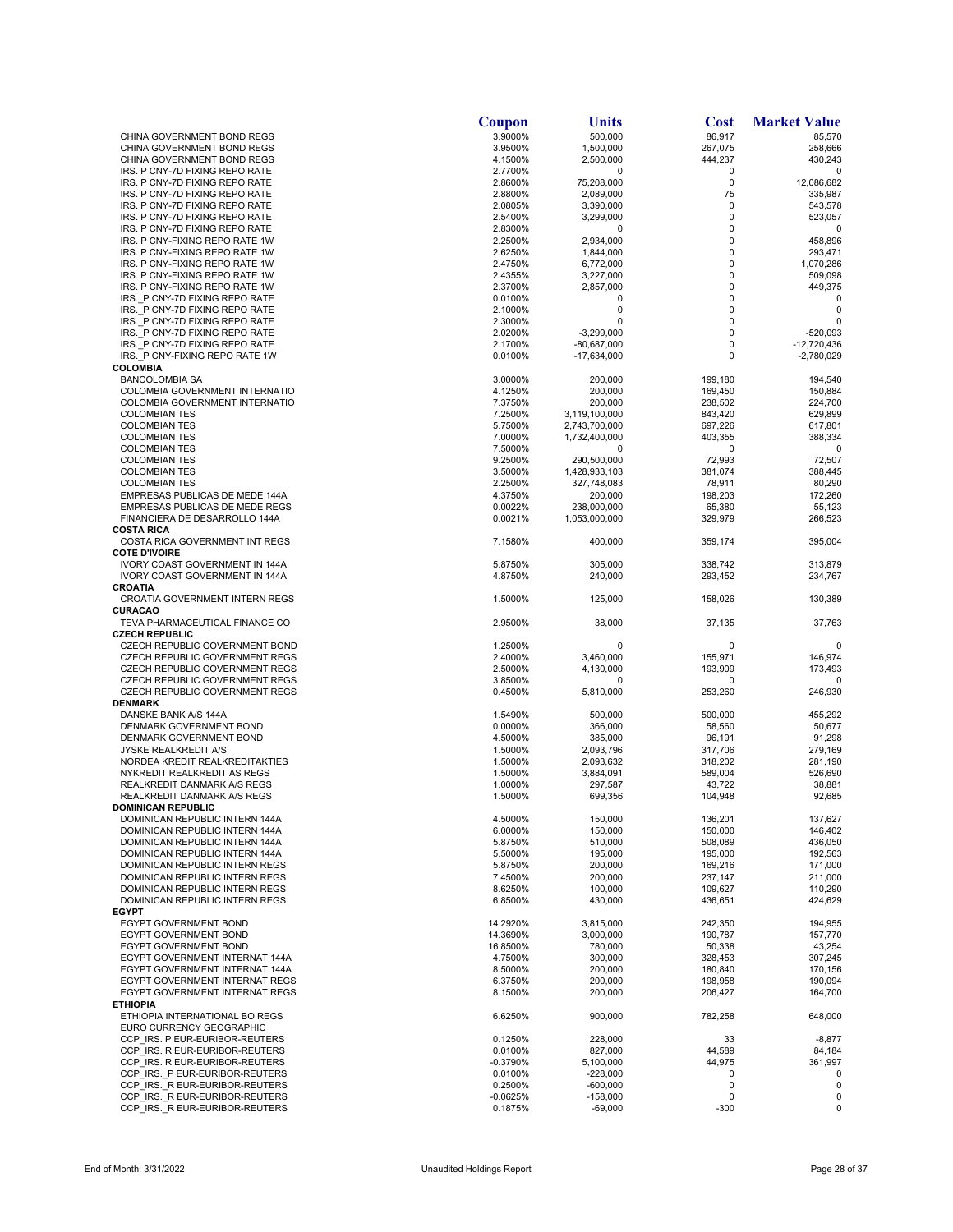|                                                                  | Coupon                | Units                    | <b>Cost</b>        | <b>Market Value</b>        |
|------------------------------------------------------------------|-----------------------|--------------------------|--------------------|----------------------------|
| CHINA GOVERNMENT BOND REGS                                       | 3.9000%               | 500,000                  | 86,917             | 85,570                     |
| CHINA GOVERNMENT BOND REGS                                       | 3.9500%               | 1,500,000                | 267,075            | 258,666                    |
| CHINA GOVERNMENT BOND REGS<br>IRS. P CNY-7D FIXING REPO RATE     | 4.1500%<br>2.7700%    | 2,500,000<br>0           | 444,237<br>0       | 430,243<br>0               |
| IRS. P CNY-7D FIXING REPO RATE                                   | 2.8600%               | 75,208,000               | 0                  | 12,086,682                 |
| IRS. P CNY-7D FIXING REPO RATE                                   | 2.8800%               | 2,089,000                | 75                 | 335,987                    |
| IRS. P CNY-7D FIXING REPO RATE                                   | 2.0805%               | 3,390,000                | $\mathbf 0$        | 543,578                    |
| IRS. P CNY-7D FIXING REPO RATE                                   | 2.5400%               | 3,299,000                | 0                  | 523,057                    |
| IRS. P CNY-7D FIXING REPO RATE                                   | 2.8300%               | 0                        | 0                  | 0                          |
| IRS. P CNY-FIXING REPO RATE 1W                                   | 2.2500%               | 2,934,000                | 0                  | 458,896                    |
| IRS. P CNY-FIXING REPO RATE 1W                                   | 2.6250%               | 1,844,000                | 0                  | 293,471                    |
| IRS. P CNY-FIXING REPO RATE 1W                                   | 2.4750%               | 6,772,000                | 0                  | 1,070,286                  |
| IRS. P CNY-FIXING REPO RATE 1W<br>IRS. P CNY-FIXING REPO RATE 1W | 2.4355%<br>2.3700%    | 3,227,000<br>2,857,000   | 0<br>0             | 509,098<br>449,375         |
| IRS. P CNY-7D FIXING REPO RATE                                   | 0.0100%               | 0                        | 0                  | 0                          |
| IRS. P CNY-7D FIXING REPO RATE                                   | 2.1000%               | 0                        | 0                  | 0                          |
| IRS. P CNY-7D FIXING REPO RATE                                   | 2.3000%               | 0                        | 0                  | $\Omega$                   |
| IRS. P CNY-7D FIXING REPO RATE                                   | 2.0200%               | $-3,299,000$             | 0                  | -520.093                   |
| IRS. P CNY-7D FIXING REPO RATE                                   | 2.1700%               | -80,687,000              | 0                  | $-12,720,436$              |
| IRS. P CNY-FIXING REPO RATE 1W                                   | 0.0100%               | $-17,634,000$            | 0                  | $-2,780,029$               |
| <b>COLOMBIA</b>                                                  |                       |                          |                    |                            |
| <b>BANCOLOMBIA SA</b><br>COLOMBIA GOVERNMENT INTERNATIO          | 3.0000%<br>4.1250%    | 200,000<br>200,000       | 199,180<br>169,450 | 194,540<br>150,884         |
| COLOMBIA GOVERNMENT INTERNATIO                                   | 7.3750%               | 200,000                  | 238,502            | 224,700                    |
| <b>COLOMBIAN TES</b>                                             | 7.2500%               | 3,119,100,000            | 843,420            | 629,899                    |
| <b>COLOMBIAN TES</b>                                             | 5.7500%               | 2,743,700,000            | 697,226            | 617,801                    |
| <b>COLOMBIAN TES</b>                                             | 7.0000%               | 1,732,400,000            | 403,355            | 388,334                    |
| <b>COLOMBIAN TES</b>                                             | 7.5000%               | 0                        | 0                  | 0                          |
| <b>COLOMBIAN TES</b>                                             | 9.2500%               | 290,500,000              | 72,993             | 72,507                     |
| <b>COLOMBIAN TES</b>                                             | 3.5000%               | 1,428,933,103            | 381,074            | 388,445                    |
| <b>COLOMBIAN TES</b>                                             | 2.2500%               | 327,748,083              | 78,911             | 80,290                     |
| EMPRESAS PUBLICAS DE MEDE 144A                                   | 4.3750%               | 200,000                  | 198,203            | 172,260                    |
| EMPRESAS PUBLICAS DE MEDE REGS<br>FINANCIERA DE DESARROLLO 144A  | 0.0022%               | 238,000,000              | 65,380             | 55,123                     |
| <b>COSTA RICA</b>                                                | 0.0021%               | 1,053,000,000            | 329,979            | 266,523                    |
| COSTA RICA GOVERNMENT INT REGS                                   | 7.1580%               | 400,000                  | 359,174            | 395,004                    |
| <b>COTE D'IVOIRE</b>                                             |                       |                          |                    |                            |
| <b>IVORY COAST GOVERNMENT IN 144A</b>                            | 5.8750%               | 305,000                  | 338,742            | 313,879                    |
| <b>IVORY COAST GOVERNMENT IN 144A</b>                            | 4.8750%               | 240,000                  | 293,452            | 234,767                    |
| CROATIA                                                          |                       |                          |                    |                            |
| CROATIA GOVERNMENT INTERN REGS                                   | 1.5000%               | 125,000                  | 158,026            | 130,389                    |
| CURACAO                                                          |                       |                          |                    |                            |
| TEVA PHARMACEUTICAL FINANCE CO<br><b>CZECH REPUBLIC</b>          | 2.9500%               | 38,000                   | 37,135             | 37,763                     |
| CZECH REPUBLIC GOVERNMENT BOND                                   | 1.2500%               | 0                        | 0                  | 0                          |
| CZECH REPUBLIC GOVERNMENT REGS                                   | 2.4000%               | 3,460,000                | 155,971            | 146,974                    |
| CZECH REPUBLIC GOVERNMENT REGS                                   | 2.5000%               | 4,130,000                | 193,909            | 173,493                    |
| CZECH REPUBLIC GOVERNMENT REGS                                   | 3.8500%               | 0                        | 0                  | ŋ                          |
| CZECH REPUBLIC GOVERNMENT REGS                                   | 0.4500%               | 5,810,000                | 253,260            | 246,930                    |
| <b>DENMARK</b>                                                   |                       |                          |                    |                            |
| DANSKE BANK A/S 144A                                             | 1.5490%               | 500,000                  | 500,000            | 455,292                    |
| DENMARK GOVERNMENT BOND                                          | 0.0000%               | 366,000                  | 58,560             | 50,677                     |
| DENMARK GOVERNMENT BOND<br><b>JYSKE REALKREDIT A/S</b>           | 4.5000%<br>1.5000%    | 385,000<br>2,093,796     | 96,191<br>317,706  | 91,298<br>279,169          |
| NORDEA KREDIT REALKREDITAKTIES                                   | 1.5000%               | 2,093,632                | 318,202            | 281,190                    |
| NYKREDIT REALKREDIT AS REGS                                      | 1.5000%               | 3,884,091                | 589,004            | 526,690                    |
| <b>REALKREDIT DANMARK A/S REGS</b>                               | 1.0000%               | 297,587                  | 43,722             | 38,881                     |
| REALKREDIT DANMARK A/S REGS                                      | 1.5000%               | 699,356                  | 104,948            | 92,685                     |
| <b>DOMINICAN REPUBLIC</b>                                        |                       |                          |                    |                            |
| DOMINICAN REPUBLIC INTERN 144A                                   | 4.5000%               | 150,000                  | 136,201            | 137,627                    |
| DOMINICAN REPUBLIC INTERN 144A                                   | 6.0000%               | 150,000                  | 150,000            | 146,402                    |
| DOMINICAN REPUBLIC INTERN 144A                                   | 5.8750%               | 510,000                  | 508,089            | 436,050                    |
| DOMINICAN REPUBLIC INTERN 144A<br>DOMINICAN REPUBLIC INTERN REGS | 5.5000%               | 195,000                  | 195,000            | 192,563                    |
| DOMINICAN REPUBLIC INTERN REGS                                   | 5.8750%<br>7.4500%    | 200,000<br>200,000       | 169,216<br>237,147 | 171,000<br>211,000         |
| DOMINICAN REPUBLIC INTERN REGS                                   | 8.6250%               | 100,000                  | 109,627            | 110,290                    |
| DOMINICAN REPUBLIC INTERN REGS                                   | 6.8500%               | 430,000                  | 436,651            | 424,629                    |
| <b>EGYPT</b>                                                     |                       |                          |                    |                            |
| <b>EGYPT GOVERNMENT BOND</b>                                     | 14.2920%              | 3,815,000                | 242,350            | 194,955                    |
| EGYPT GOVERNMENT BOND                                            | 14.3690%              | 3,000,000                | 190,787            | 157,770                    |
| EGYPT GOVERNMENT BOND                                            | 16.8500%              | 780,000                  | 50,338             | 43,254                     |
| EGYPT GOVERNMENT INTERNAT 144A                                   | 4.7500%               | 300,000                  | 328,453            | 307,245                    |
| EGYPT GOVERNMENT INTERNAT 144A                                   | 8.5000%               | 200,000                  | 180,840<br>198,958 | 170,156                    |
| EGYPT GOVERNMENT INTERNAT REGS<br>EGYPT GOVERNMENT INTERNAT REGS | 6.3750%<br>8.1500%    | 200,000<br>200,000       | 206,427            | 190,094<br>164,700         |
| <b>ETHIOPIA</b>                                                  |                       |                          |                    |                            |
| ETHIOPIA INTERNATIONAL BO REGS                                   | 6.6250%               | 900,000                  | 782,258            | 648,000                    |
| EURO CURRENCY GEOGRAPHIC                                         |                       |                          |                    |                            |
| CCP IRS. P EUR-EURIBOR-REUTERS                                   | 0.1250%               | 228,000                  | 33                 | $-8,877$                   |
| CCP IRS. R EUR-EURIBOR-REUTERS                                   | 0.0100%               | 827,000                  | 44,589             | 84,184                     |
| CCP IRS. R EUR-EURIBOR-REUTERS                                   | -0.3790%              | 5,100,000                | 44,975             | 361,997                    |
| CCP IRS. P EUR-EURIBOR-REUTERS                                   | 0.0100%               | $-228,000$               | 0                  | 0                          |
| CCP IRS. R EUR-EURIBOR-REUTERS<br>CCP IRS. R EUR-EURIBOR-REUTERS | 0.2500%               | $-600,000$<br>$-158,000$ | 0<br>0             | $\mathbf 0$<br>$\mathbf 0$ |
| CCP IRS. R EUR-EURIBOR-REUTERS                                   | $-0.0625%$<br>0.1875% | $-69,000$                | -300               | 0                          |
|                                                                  |                       |                          |                    |                            |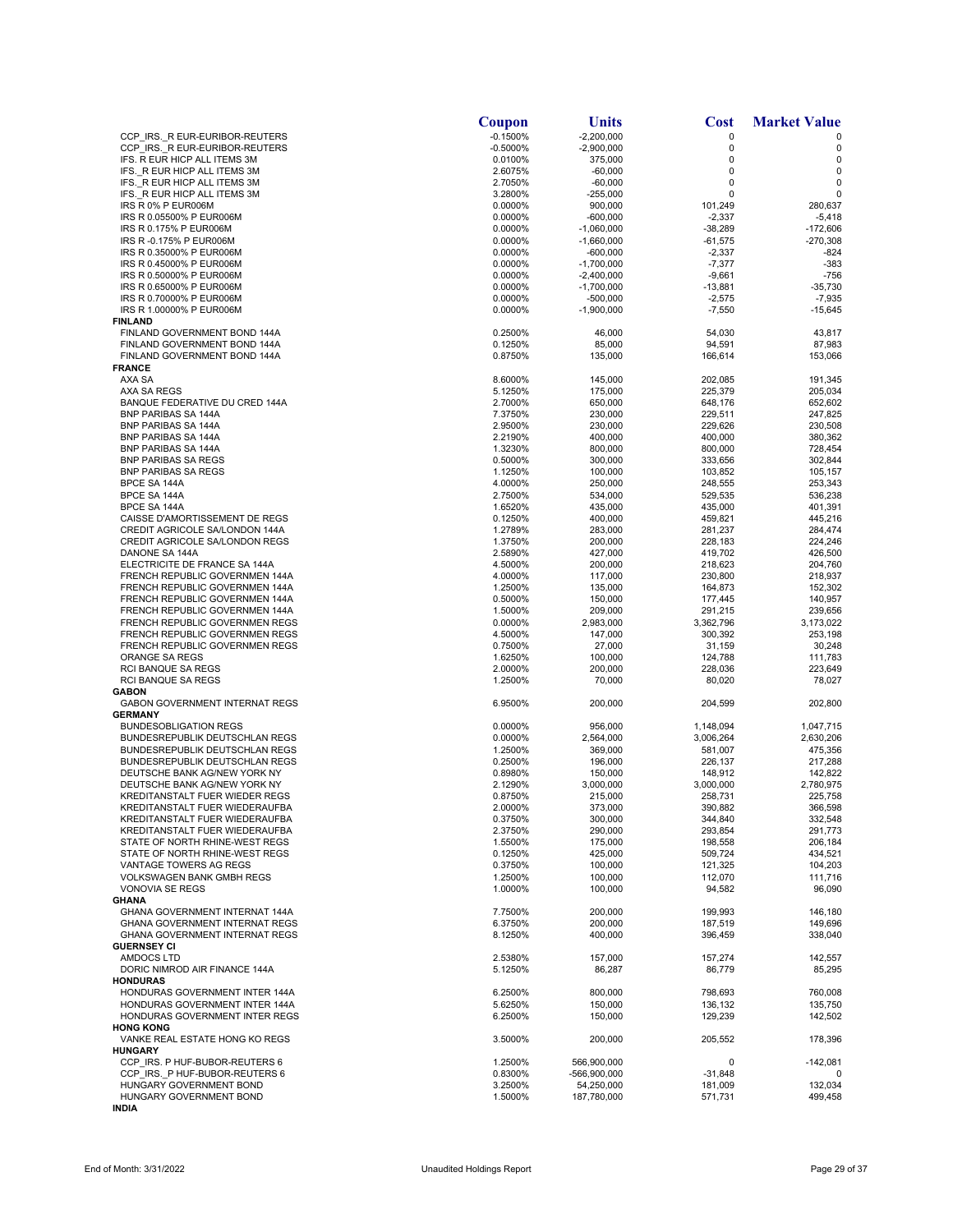|                                                                | Coupon             | <b>Units</b>             | Cost                   | <b>Market Value</b>    |
|----------------------------------------------------------------|--------------------|--------------------------|------------------------|------------------------|
| CCP IRS. R EUR-EURIBOR-REUTERS                                 | $-0.1500%$         | $-2,200,000$             | 0                      |                        |
| CCP IRS. R EUR-EURIBOR-REUTERS                                 | $-0.5000%$         | $-2,900,000$             | 0                      | 0                      |
| IFS. R EUR HICP ALL ITEMS 3M                                   | 0.0100%            | 375,000                  | 0<br>0                 | 0                      |
| IFS. R EUR HICP ALL ITEMS 3M<br>IFS. R EUR HICP ALL ITEMS 3M   | 2.6075%<br>2.7050% | $-60,000$<br>$-60,000$   | 0                      | 0<br>$\mathbf 0$       |
| IFS. R EUR HICP ALL ITEMS 3M                                   | 3.2800%            | $-255,000$               | 0                      | 0                      |
| IRS R 0% P EUR006M                                             | 0.0000%            | 900,000                  | 101,249                | 280.637                |
| IRS R 0.05500% P EUR006M                                       | 0.0000%            | $-600,000$               | $-2,337$               | $-5,418$               |
| IRS R 0.175% P EUR006M                                         | 0.0000%            | $-1,060,000$             | $-38,289$              | $-172,606$             |
| IRS R -0.175% P EUR006M                                        | 0.0000%            | $-1,660,000$             | $-61,575$              | $-270,308$             |
| IRS R 0.35000% P EUR006M                                       | 0.0000%            | -600,000                 | $-2,337$               | $-824$                 |
| IRS R 0.45000% P EUR006M                                       | 0.0000%            | $-1,700,000$             | $-7,377$               | $-383$                 |
| IRS R 0.50000% P EUR006M                                       | 0.0000%            | $-2,400,000$             | $-9,661$               | $-756$                 |
| IRS R 0.65000% P EUR006M<br>IRS R 0.70000% P EUR006M           | 0.0000%<br>0.0000% | $-1,700,000$<br>-500,000 | $-13,881$<br>$-2,575$  | $-35,730$<br>$-7,935$  |
| IRS R 1.00000% P EUR006M                                       | 0.0000%            | $-1,900,000$             | $-7,550$               | $-15,645$              |
| <b>FINLAND</b>                                                 |                    |                          |                        |                        |
| FINLAND GOVERNMENT BOND 144A                                   | 0.2500%            | 46,000                   | 54,030                 | 43,817                 |
| FINLAND GOVERNMENT BOND 144A                                   | 0.1250%            | 85,000                   | 94,591                 | 87,983                 |
| FINLAND GOVERNMENT BOND 144A                                   | 0.8750%            | 135,000                  | 166,614                | 153,066                |
| <b>FRANCE</b>                                                  |                    |                          |                        |                        |
| AXA SA                                                         | 8.6000%            | 145,000                  | 202,085                | 191,345                |
| AXA SA REGS                                                    | 5.1250%            | 175,000                  | 225,379                | 205,034                |
| BANQUE FEDERATIVE DU CRED 144A                                 | 2.7000%            | 650,000                  | 648,176                | 652,602                |
| <b>BNP PARIBAS SA 144A</b>                                     | 7.3750%            | 230,000                  | 229,511                | 247,825<br>230,508     |
| BNP PARIBAS SA 144A<br><b>BNP PARIBAS SA 144A</b>              | 2.9500%<br>2.2190% | 230,000<br>400,000       | 229,626<br>400,000     | 380,362                |
| BNP PARIBAS SA 144A                                            | 1.3230%            | 800,000                  | 800,000                | 728,454                |
| <b>BNP PARIBAS SA REGS</b>                                     | 0.5000%            | 300,000                  | 333,656                | 302,844                |
| <b>BNP PARIBAS SA REGS</b>                                     | 1.1250%            | 100,000                  | 103,852                | 105,157                |
| BPCE SA 144A                                                   | 4.0000%            | 250,000                  | 248,555                | 253,343                |
| BPCE SA 144A                                                   | 2.7500%            | 534,000                  | 529,535                | 536,238                |
| BPCE SA 144A                                                   | 1.6520%            | 435,000                  | 435,000                | 401,391                |
| CAISSE D'AMORTISSEMENT DE REGS                                 | 0.1250%            | 400,000                  | 459,821                | 445,216                |
| CREDIT AGRICOLE SA/LONDON 144A                                 | 1.2789%            | 283,000                  | 281,237                | 284,474                |
| CREDIT AGRICOLE SA/LONDON REGS                                 | 1.3750%            | 200,000                  | 228,183                | 224,246                |
| DANONE SA 144A                                                 | 2.5890%            | 427,000                  | 419,702                | 426,500                |
| ELECTRICITE DE FRANCE SA 144A                                  | 4.5000%            | 200,000                  | 218,623                | 204,760                |
| FRENCH REPUBLIC GOVERNMEN 144A                                 | 4.0000%            | 117,000                  | 230,800                | 218,937                |
| FRENCH REPUBLIC GOVERNMEN 144A                                 | 1.2500%            | 135,000                  | 164,873                | 152,302                |
| FRENCH REPUBLIC GOVERNMEN 144A                                 | 0.5000%            | 150,000                  | 177,445                | 140,957                |
| FRENCH REPUBLIC GOVERNMEN 144A                                 | 1.5000%            | 209,000                  | 291,215                | 239,656                |
| FRENCH REPUBLIC GOVERNMEN REGS                                 | 0.0000%            | 2,983,000                | 3,362,796              | 3,173,022              |
| FRENCH REPUBLIC GOVERNMEN REGS                                 | 4.5000%            | 147,000                  | 300,392                | 253,198                |
| FRENCH REPUBLIC GOVERNMEN REGS                                 | 0.7500%            | 27,000                   | 31,159                 | 30,248                 |
| ORANGE SA REGS                                                 | 1.6250%            | 100,000                  | 124,788                | 111,783                |
| RCI BANQUE SA REGS                                             | 2.0000%            | 200,000                  | 228,036                | 223,649                |
| <b>RCI BANQUE SA REGS</b>                                      | 1.2500%            | 70,000                   | 80,020                 | 78,027                 |
| <b>GABON</b>                                                   |                    |                          |                        |                        |
| <b>GABON GOVERNMENT INTERNAT REGS</b>                          | 6.9500%            | 200,000                  | 204,599                | 202,800                |
| <b>GERMANY</b>                                                 |                    |                          |                        |                        |
| <b>BUNDESOBLIGATION REGS</b><br>BUNDESREPUBLIK DEUTSCHLAN REGS | 0.0000%<br>0.0000% | 956,000<br>2,564,000     | 1,148,094<br>3,006,264 | 1,047,715<br>2,630,206 |
| <b>BUNDESREPUBLIK DEUTSCHLAN REGS</b>                          | 1.2500%            | 369,000                  | 581,007                | 475,356                |
| BUNDESREPUBLIK DEUTSCHLAN REGS                                 | 0.2500%            | 196,000                  | 226,137                | 217,288                |
| DEUTSCHE BANK AG/NEW YORK NY                                   | 0.8980%            | 150,000                  | 148,912                | 142,822                |
| DEUTSCHE BANK AG/NEW YORK NY                                   | 2.1290%            | 3,000,000                | 3,000,000              | 2,780,975              |
| KREDITANSTALT FUER WIEDER REGS                                 | 0.8750%            | 215,000                  | 258,731                | 225,758                |
| KREDITANSTALT FUER WIEDERAUFBA                                 | 2.0000%            | 373,000                  | 390,882                | 366,598                |
| KREDITANSTALT FUER WIEDERAUFBA                                 | 0.3750%            | 300,000                  | 344,840                | 332,548                |
| KREDITANSTALT FUER WIEDERAUFBA                                 | 2.3750%            | 290,000                  | 293,854                | 291,773                |
| STATE OF NORTH RHINE-WEST REGS                                 | 1.5500%            | 175,000                  | 198,558                | 206,184                |
| STATE OF NORTH RHINE-WEST REGS                                 | 0.1250%            | 425,000                  | 509.724                | 434,521                |
| VANTAGE TOWERS AG REGS                                         | 0.3750%            | 100,000                  | 121,325                | 104,203                |
| <b>VOLKSWAGEN BANK GMBH REGS</b>                               | 1.2500%            | 100,000                  | 112,070                | 111,716                |
| VONOVIA SE REGS                                                | 1.0000%            | 100,000                  | 94,582                 | 96,090                 |
| <b>GHANA</b>                                                   |                    |                          |                        |                        |
| GHANA GOVERNMENT INTERNAT 144A                                 | 7.7500%            | 200,000                  | 199,993                | 146,180                |
| <b>GHANA GOVERNMENT INTERNAT REGS</b>                          | 6.3750%            | 200,000                  | 187,519                | 149,696                |
| <b>GHANA GOVERNMENT INTERNAT REGS</b><br><b>GUERNSEY CI</b>    | 8.1250%            | 400,000                  | 396,459                | 338,040                |
|                                                                |                    |                          |                        |                        |
| AMDOCS LTD                                                     | 2.5380%            | 157,000                  | 157,274                | 142,557                |
| DORIC NIMROD AIR FINANCE 144A<br><b>HONDURAS</b>               | 5.1250%            | 86,287                   | 86,779                 | 85,295                 |
| HONDURAS GOVERNMENT INTER 144A                                 | 6.2500%            | 800,000                  | 798,693                | 760,008                |
| HONDURAS GOVERNMENT INTER 144A                                 | 5.6250%            | 150,000                  | 136,132                | 135,750                |
| HONDURAS GOVERNMENT INTER REGS                                 | 6.2500%            | 150,000                  | 129,239                | 142,502                |
| <b>HONG KONG</b>                                               |                    |                          |                        |                        |
| VANKE REAL ESTATE HONG KO REGS                                 | 3.5000%            | 200,000                  | 205,552                | 178,396                |
| <b>HUNGARY</b>                                                 |                    |                          |                        |                        |
| CCP IRS. P HUF-BUBOR-REUTERS 6                                 | 1.2500%            | 566,900,000              | 0                      | $-142,081$             |
| CCP IRS. P HUF-BUBOR-REUTERS 6                                 | 0.8300%            | -566,900,000             | $-31,848$              | 0                      |
| HUNGARY GOVERNMENT BOND                                        | 3.2500%            | 54,250,000               | 181,009                | 132,034                |
| HUNGARY GOVERNMENT BOND                                        | 1.5000%            | 187,780,000              | 571,731                | 499,458                |
| <b>INDIA</b>                                                   |                    |                          |                        |                        |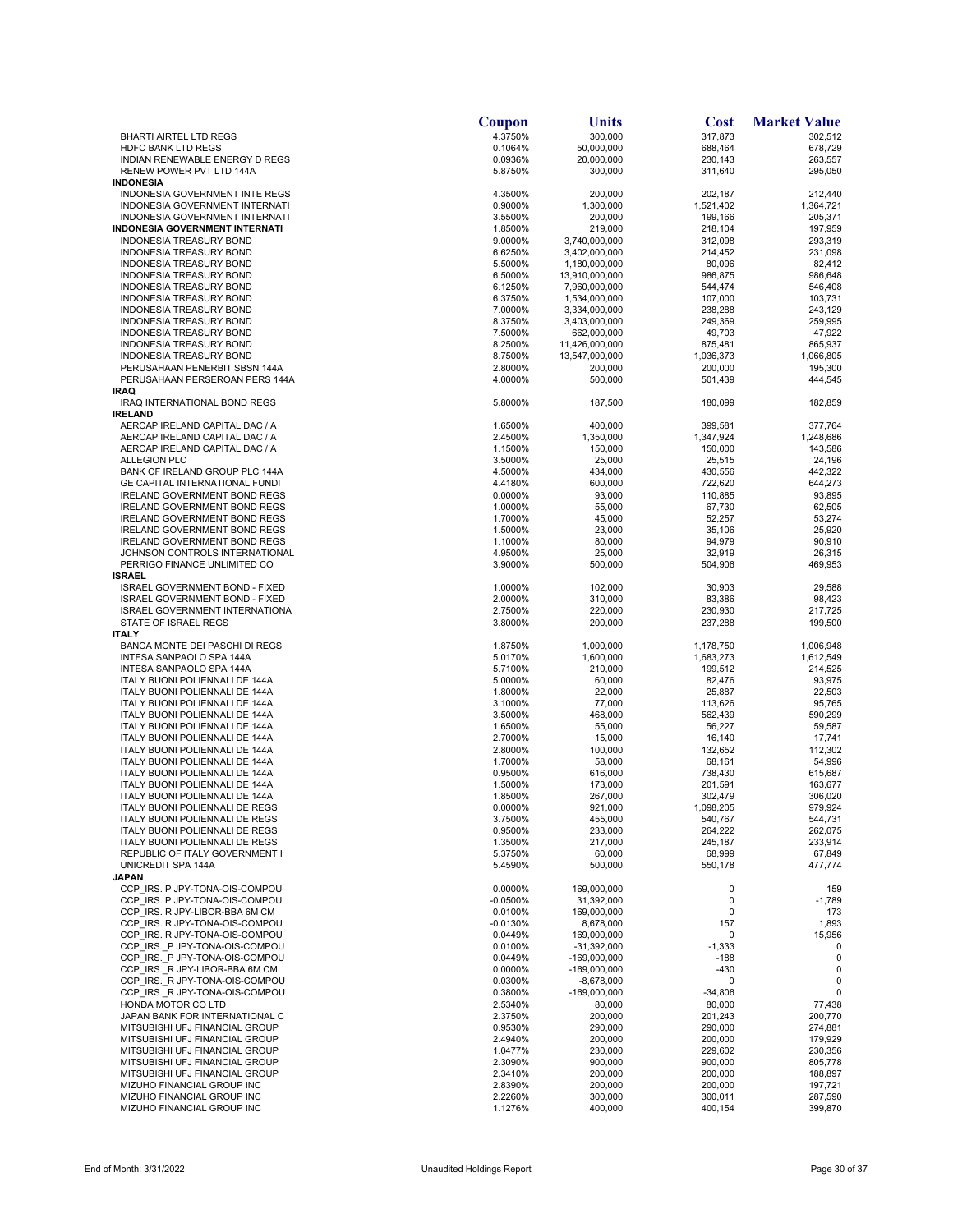|                                                                  | Coupon                | Units                          | <b>Cost</b>            | <b>Market Value</b> |
|------------------------------------------------------------------|-----------------------|--------------------------------|------------------------|---------------------|
| <b>BHARTI AIRTEL LTD REGS</b>                                    | 4.3750%               | 300,000                        | 317,873                | 302,512             |
| <b>HDFC BANK LTD REGS</b>                                        | 0.1064%               | 50,000,000                     | 688,464                | 678,729             |
| INDIAN RENEWABLE ENERGY D REGS<br>RENEW POWER PVT LTD 144A       | 0.0936%<br>5.8750%    | 20,000,000<br>300,000          | 230,143<br>311,640     | 263,557<br>295,050  |
| <b>INDONESIA</b>                                                 |                       |                                |                        |                     |
| INDONESIA GOVERNMENT INTE REGS                                   | 4.3500%               | 200,000                        | 202,187                | 212,440             |
| INDONESIA GOVERNMENT INTERNATI                                   | 0.9000%               | 1,300,000                      | 1,521,402              | 1,364,721           |
| INDONESIA GOVERNMENT INTERNATI                                   | 3.5500%               | 200,000<br>219,000             | 199,166                | 205,371             |
| INDONESIA GOVERNMENT INTERNATI<br>INDONESIA TREASURY BOND        | 1.8500%<br>9.0000%    | 3,740,000,000                  | 218,104<br>312,098     | 197,959<br>293,319  |
| INDONESIA TREASURY BOND                                          | 6.6250%               | 3,402,000,000                  | 214,452                | 231,098             |
| INDONESIA TREASURY BOND                                          | 5.5000%               | 1,180,000,000                  | 80,096                 | 82,412              |
| INDONESIA TREASURY BOND                                          | 6.5000%               | 13,910,000,000                 | 986,875                | 986,648             |
| <b>INDONESIA TREASURY BOND</b>                                   | 6.1250%               | 7,960,000,000                  | 544,474                | 546,408             |
| INDONESIA TREASURY BOND<br>INDONESIA TREASURY BOND               | 6.3750%<br>7.0000%    | 1,534,000,000<br>3,334,000,000 | 107,000<br>238,288     | 103,731<br>243,129  |
| INDONESIA TREASURY BOND                                          | 8.3750%               | 3,403,000,000                  | 249,369                | 259,995             |
| INDONESIA TREASURY BOND                                          | 7.5000%               | 662,000,000                    | 49,703                 | 47,922              |
| <b>INDONESIA TREASURY BOND</b>                                   | 8.2500%               | 11,426,000,000                 | 875,481                | 865,937             |
| INDONESIA TREASURY BOND                                          | 8.7500%               | 13,547,000,000                 | 1,036,373              | 1,066,805           |
| PERUSAHAAN PENERBIT SBSN 144A                                    | 2.8000%               | 200,000                        | 200,000                | 195,300             |
| PERUSAHAAN PERSEROAN PERS 144A<br><b>IRAQ</b>                    | 4.0000%               | 500,000                        | 501,439                | 444,545             |
| IRAQ INTERNATIONAL BOND REGS                                     | 5.8000%               | 187,500                        | 180,099                | 182,859             |
| <b>IRELAND</b>                                                   |                       |                                |                        |                     |
| AERCAP IRELAND CAPITAL DAC / A                                   | 1.6500%               | 400,000                        | 399,581                | 377,764             |
| AERCAP IRELAND CAPITAL DAC / A                                   | 2.4500%               | 1,350,000                      | 1,347,924              | 1,248,686           |
| AERCAP IRELAND CAPITAL DAC / A                                   | 1.1500%               | 150,000                        | 150,000                | 143,586             |
| <b>ALLEGION PLC</b><br>BANK OF IRELAND GROUP PLC 144A            | 3.5000%<br>4.5000%    | 25,000<br>434,000              | 25,515<br>430,556      | 24,196<br>442,322   |
| <b>GE CAPITAL INTERNATIONAL FUNDI</b>                            | 4.4180%               | 600,000                        | 722,620                | 644,273             |
| <b>IRELAND GOVERNMENT BOND REGS</b>                              | 0.0000%               | 93,000                         | 110,885                | 93,895              |
| <b>IRELAND GOVERNMENT BOND REGS</b>                              | 1.0000%               | 55,000                         | 67,730                 | 62,505              |
| IRELAND GOVERNMENT BOND REGS                                     | 1.7000%               | 45,000                         | 52,257                 | 53,274              |
| <b>IRELAND GOVERNMENT BOND REGS</b>                              | 1.5000%               | 23,000                         | 35,106                 | 25,920              |
| <b>IRELAND GOVERNMENT BOND REGS</b>                              | 1.1000%               | 80,000                         | 94,979                 | 90,910              |
| JOHNSON CONTROLS INTERNATIONAL<br>PERRIGO FINANCE UNLIMITED CO   | 4.9500%<br>3.9000%    | 25,000                         | 32,919                 | 26,315<br>469,953   |
| ISRAEL                                                           |                       | 500,000                        | 504,906                |                     |
| ISRAEL GOVERNMENT BOND - FIXED                                   | 1.0000%               | 102,000                        | 30,903                 | 29,588              |
| ISRAEL GOVERNMENT BOND - FIXED                                   | 2.0000%               | 310,000                        | 83,386                 | 98,423              |
| ISRAEL GOVERNMENT INTERNATIONA                                   | 2.7500%               | 220,000                        | 230,930                | 217,725             |
| STATE OF ISRAEL REGS                                             | 3.8000%               | 200,000                        | 237,288                | 199,500             |
| <b>ITALY</b><br>BANCA MONTE DEI PASCHI DI REGS                   | 1.8750%               | 1,000,000                      | 1,178,750              | 1,006,948           |
| INTESA SANPAOLO SPA 144A                                         | 5.0170%               | 1,600,000                      | 1,683,273              | 1,612,549           |
| INTESA SANPAOLO SPA 144A                                         | 5.7100%               | 210,000                        | 199,512                | 214,525             |
| ITALY BUONI POLIENNALI DE 144A                                   | 5.0000%               | 60,000                         | 82,476                 | 93,975              |
| ITALY BUONI POLIENNALI DE 144A                                   | 1.8000%               | 22,000                         | 25,887                 | 22,503              |
| ITALY BUONI POLIENNALI DE 144A                                   | 3.1000%               | 77,000                         | 113,626                | 95,765              |
| ITALY BUONI POLIENNALI DE 144A<br>ITALY BUONI POLIENNALI DE 144A | 3.5000%<br>1.6500%    | 468,000<br>55,000              | 562,439<br>56,227      | 590,299<br>59,587   |
| ITALY BUONI POLIENNALI DE 144A                                   | 2.7000%               | 15,000                         | 16,140                 | 17,741              |
| ITALY BUONI POLIENNALI DE 144A                                   | 2.8000%               | 100,000                        | 132,652                | 112,302             |
| ITALY BUONI POLIENNALI DE 144A                                   | 1.7000%               | 58,000                         | 68,161                 | 54,996              |
| <b>ITALY BUONI POLIENNALI DE 144A</b>                            | 0.9500%               | 616,000                        | 738,430                | 615,687             |
| ITALY BUONI POLIENNALI DE 144A                                   | 1.5000%               | 173,000                        | 201,591                | 163,677             |
| ITALY BUONI POLIENNALI DE 144A                                   | 1.8500%               | 267,000                        | 302,479                | 306.020             |
| ITALY BUONI POLIENNALI DE REGS<br>ITALY BUONI POLIENNALI DE REGS | 0.0000%<br>3.7500%    | 921,000<br>455,000             | 1,098,205<br>540,767   | 979,924<br>544,731  |
| ITALY BUONI POLIENNALI DE REGS                                   | 0.9500%               | 233,000                        | 264,222                | 262,075             |
| ITALY BUONI POLIENNALI DE REGS                                   | 1.3500%               | 217,000                        | 245,187                | 233,914             |
| REPUBLIC OF ITALY GOVERNMENT I                                   | 5.3750%               | 60,000                         | 68,999                 | 67,849              |
| <b>UNICREDIT SPA 144A</b>                                        | 5.4590%               | 500,000                        | 550,178                | 477,774             |
| <b>JAPAN</b>                                                     |                       |                                |                        |                     |
| CCP IRS. P JPY-TONA-OIS-COMPOU                                   | 0.0000%               | 169,000,000                    | $\pmb{0}$<br>$\pmb{0}$ | 159                 |
| CCP IRS. P JPY-TONA-OIS-COMPOU<br>CCP IRS. R JPY-LIBOR-BBA 6M CM | $-0.0500%$<br>0.0100% | 31,392,000<br>169,000,000      | $\pmb{0}$              | $-1,789$<br>173     |
| CCP IRS. R JPY-TONA-OIS-COMPOU                                   | $-0.0130%$            | 8,678,000                      | 157                    | 1,893               |
| CCP IRS. R JPY-TONA-OIS-COMPOU                                   | 0.0449%               | 169,000,000                    | $\pmb{0}$              | 15,956              |
| CCP IRS. P JPY-TONA-OIS-COMPOU                                   | 0.0100%               | $-31,392,000$                  | $-1,333$               | 0                   |
| CCP IRS. P JPY-TONA-OIS-COMPOU                                   | 0.0449%               | $-169,000,000$                 | $-188$                 | 0                   |
| CCP IRS. R JPY-LIBOR-BBA 6M CM                                   | 0.0000%               | $-169,000,000$                 | $-430$                 | 0                   |
| CCP IRS. R JPY-TONA-OIS-COMPOU                                   | 0.0300%               | $-8,678,000$                   | 0                      | 0                   |
| CCP IRS. R JPY-TONA-OIS-COMPOU<br>HONDA MOTOR CO LTD             | 0.3800%<br>2.5340%    | $-169,000,000$<br>80,000       | $-34,806$<br>80,000    | 0<br>77,438         |
| JAPAN BANK FOR INTERNATIONAL C                                   | 2.3750%               | 200,000                        | 201,243                | 200,770             |
| MITSUBISHI UFJ FINANCIAL GROUP                                   | 0.9530%               | 290,000                        | 290,000                | 274,881             |
| MITSUBISHI UFJ FINANCIAL GROUP                                   | 2.4940%               | 200,000                        | 200,000                | 179,929             |
| MITSUBISHI UFJ FINANCIAL GROUP                                   | 1.0477%               | 230,000                        | 229,602                | 230,356             |
| MITSUBISHI UFJ FINANCIAL GROUP                                   | 2.3090%               | 900,000                        | 900,000                | 805,778             |
| MITSUBISHI UFJ FINANCIAL GROUP                                   | 2.3410%               | 200,000                        | 200,000                | 188,897             |
| MIZUHO FINANCIAL GROUP INC<br>MIZUHO FINANCIAL GROUP INC         | 2.8390%<br>2.2260%    | 200,000<br>300,000             | 200,000<br>300,011     | 197,721<br>287,590  |
| MIZUHO FINANCIAL GROUP INC                                       | 1.1276%               | 400,000                        | 400,154                | 399,870             |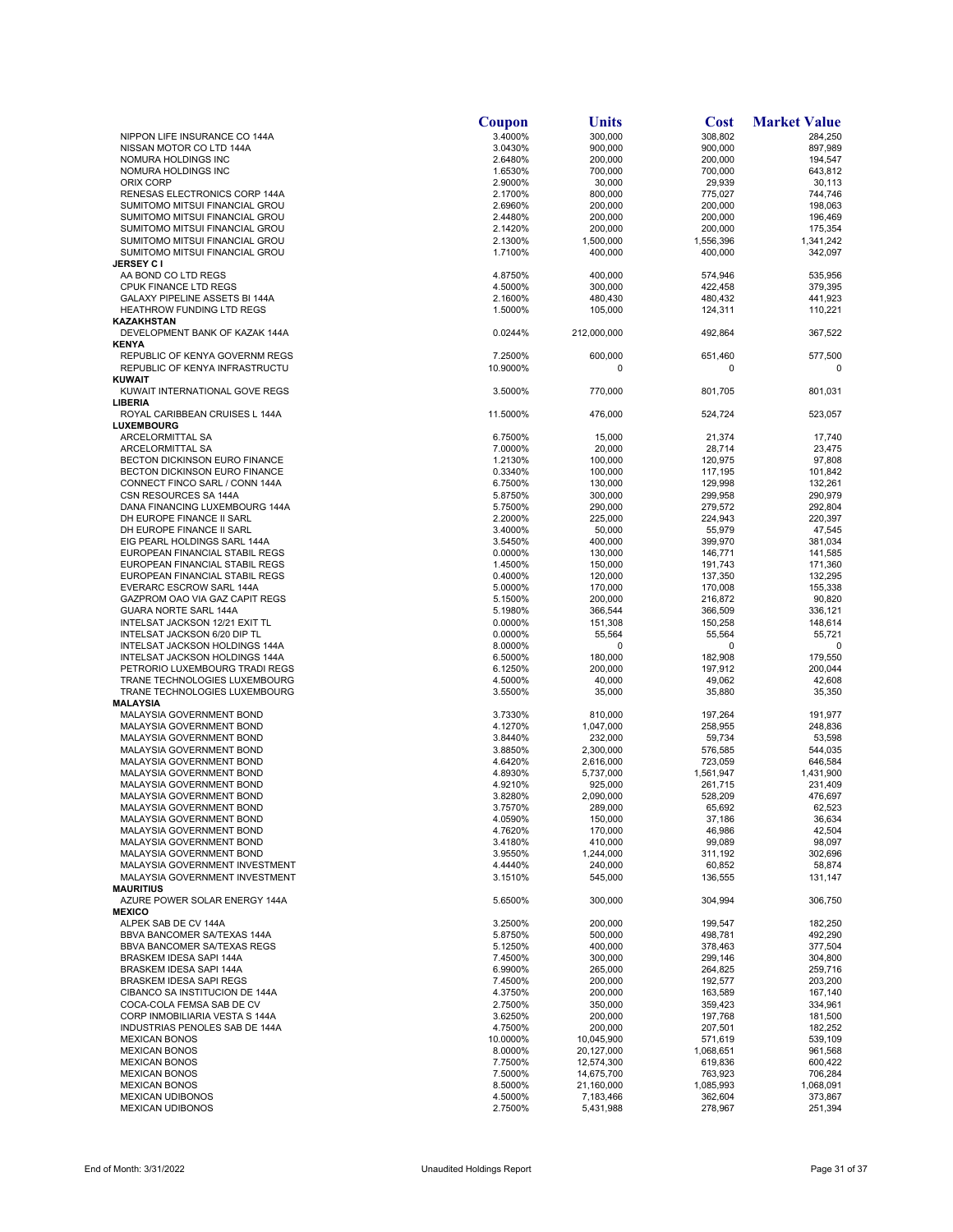|                                | Coupon             | Units              | <b>Cost</b>        | <b>Market Value</b> |
|--------------------------------|--------------------|--------------------|--------------------|---------------------|
| NIPPON LIFE INSURANCE CO 144A  | 3.4000%            | 300,000            | 308,802            | 284,250             |
| NISSAN MOTOR CO LTD 144A       | 3.0430%            | 900,000            | 900,000            | 897,989             |
| NOMURA HOLDINGS INC            | 2.6480%            | 200,000            | 200.000            | 194,547             |
| NOMURA HOLDINGS INC            | 1.6530%            | 700,000            | 700,000            | 643,812             |
| ORIX CORP                      | 2.9000%            | 30,000             | 29,939             | 30,113              |
| RENESAS ELECTRONICS CORP 144A  | 2.1700%            | 800,000            | 775.027            | 744,746             |
| SUMITOMO MITSUI FINANCIAL GROU | 2.6960%            | 200,000            | 200,000            | 198,063             |
| SUMITOMO MITSUI FINANCIAL GROU | 2.4480%            | 200.000            | 200,000            | 196,469             |
| SUMITOMO MITSUI FINANCIAL GROU | 2.1420%            | 200,000            | 200,000            | 175,354             |
| SUMITOMO MITSUI FINANCIAL GROU | 2.1300%            | 1,500,000          | 1,556,396          | 1,341,242           |
| SUMITOMO MITSUI FINANCIAL GROU | 1.7100%            | 400,000            | 400,000            | 342,097             |
| <b>JERSEY C I</b>              |                    |                    |                    |                     |
| AA BOND CO LTD REGS            | 4.8750%            | 400,000            | 574,946            | 535,956             |
| CPUK FINANCE LTD REGS          | 4.5000%            | 300,000            | 422,458            | 379,395             |
| GALAXY PIPELINE ASSETS BI 144A | 2.1600%            | 480,430            | 480,432            | 441,923             |
| HEATHROW FUNDING LTD REGS      | 1.5000%            | 105,000            | 124,311            | 110,221             |
| KAZAKHSTAN                     |                    |                    |                    |                     |
| DEVELOPMENT BANK OF KAZAK 144A | 0.0244%            | 212,000,000        | 492,864            | 367,522             |
| <b>KENYA</b>                   |                    |                    |                    |                     |
| REPUBLIC OF KENYA GOVERNM REGS | 7.2500%            | 600,000            | 651,460            | 577,500             |
| REPUBLIC OF KENYA INFRASTRUCTU | 10.9000%           | 0                  | 0                  | 0                   |
| <b>KUWAIT</b>                  |                    |                    |                    |                     |
| KUWAIT INTERNATIONAL GOVE REGS | 3.5000%            | 770,000            | 801,705            | 801,031             |
| <b>LIBERIA</b>                 |                    |                    |                    |                     |
| ROYAL CARIBBEAN CRUISES L 144A | 11.5000%           | 476,000            | 524,724            | 523,057             |
| LUXEMBOURG                     |                    |                    |                    |                     |
| ARCELORMITTAL SA               | 6.7500%            | 15,000             | 21,374             | 17,740              |
| ARCELORMITTAL SA               | 7.0000%            | 20,000             | 28,714             | 23,475              |
| BECTON DICKINSON EURO FINANCE  | 1.2130%            | 100,000            | 120,975            | 97,808              |
| BECTON DICKINSON EURO FINANCE  | 0.3340%            | 100,000            | 117,195            | 101,842             |
| CONNECT FINCO SARL / CONN 144A | 6.7500%            | 130,000            | 129,998            | 132,261             |
| CSN RESOURCES SA 144A          | 5.8750%            | 300,000            | 299,958            | 290,979             |
| DANA FINANCING LUXEMBOURG 144A | 5.7500%            | 290.000            | 279,572            | 292,804             |
| DH EUROPE FINANCE II SARL      | 2.2000%            | 225,000            | 224,943            | 220,397             |
| DH EUROPE FINANCE II SARL      | 3.4000%            | 50,000             | 55,979             | 47,545              |
| EIG PEARL HOLDINGS SARL 144A   | 3.5450%            | 400,000            | 399,970            | 381,034             |
| EUROPEAN FINANCIAL STABIL REGS | 0.0000%            | 130,000            | 146,771            | 141,585             |
| EUROPEAN FINANCIAL STABIL REGS | 1.4500%            | 150,000            | 191,743            | 171,360             |
| EUROPEAN FINANCIAL STABIL REGS | 0.4000%            | 120,000            | 137,350            | 132,295             |
| EVERARC ESCROW SARL 144A       | 5.0000%            | 170,000            | 170,008            | 155,338             |
| GAZPROM OAO VIA GAZ CAPIT REGS | 5.1500%            | 200,000            | 216,872            | 90,820              |
| GUARA NORTE SARL 144A          | 5.1980%            | 366,544            | 366,509            | 336,121             |
| INTELSAT JACKSON 12/21 EXIT TL | 0.0000%            | 151,308            | 150,258            | 148,614             |
| INTELSAT JACKSON 6/20 DIP TL   | 0.0000%            | 55,564             | 55,564             | 55,721              |
| INTELSAT JACKSON HOLDINGS 144A | 8.0000%            | 0                  | 0                  | 0                   |
| INTELSAT JACKSON HOLDINGS 144A | 6.5000%            | 180,000            | 182,908            | 179,550             |
| PETRORIO LUXEMBOURG TRADI REGS | 6.1250%            | 200,000            | 197,912            | 200,044             |
| TRANE TECHNOLOGIES LUXEMBOURG  | 4.5000%            | 40,000             | 49,062             | 42,608              |
| TRANE TECHNOLOGIES LUXEMBOURG  | 3.5500%            | 35,000             | 35,880             | 35,350              |
| MALAYSIA                       |                    |                    |                    |                     |
| MALAYSIA GOVERNMENT BOND       | 3.7330%            | 810,000            | 197,264            | 191,977             |
| MALAYSIA GOVERNMENT BOND       | 4.1270%            | 1,047,000          | 258,955            | 248,836             |
| MALAYSIA GOVERNMENT BOND       | 3.8440%            | 232,000            | 59,734             | 53,598              |
| MALAYSIA GOVERNMENT BOND       | 3.8850%            | 2,300,000          | 576,585            | 544,035             |
| MALAYSIA GOVERNMENT BOND       | 4.6420%            | 2,616,000          | 723,059            | 646,584             |
| MALAYSIA GOVERNMENT BOND       | 4.8930%            | 5,737,000          | 1,561,947          | 1,431,900           |
| MALAYSIA GOVERNMENT BOND       | 4.9210%            | 925,000            | 261,715            | 231,409             |
| MALAYSIA GOVERNMENT BOND       | 3.8280%            | 2,090,000          | 528,209            | 476.697             |
| MALAYSIA GOVERNMENT BOND       | 3.7570%            | 289,000            | 65,692             | 62,523              |
| MALAYSIA GOVERNMENT BOND       | 4.0590%            | 150,000            | 37,186             | 36,634              |
| MALAYSIA GOVERNMENT BOND       | 4.7620%            | 170,000            | 46,986             | 42,504              |
| MALAYSIA GOVERNMENT BOND       | 3.4180%            | 410,000            | 99,089             | 98,097              |
| MALAYSIA GOVERNMENT BOND       | 3.9550%            | 1,244,000          | 311,192            | 302,696             |
| MALAYSIA GOVERNMENT INVESTMENT | 4.4440%            | 240.000            | 60,852             | 58.874              |
| MALAYSIA GOVERNMENT INVESTMENT | 3.1510%            | 545,000            | 136,555            | 131,147             |
| <b>MAURITIUS</b>               |                    |                    |                    |                     |
| AZURE POWER SOLAR ENERGY 144A  | 5.6500%            | 300,000            | 304,994            | 306,750             |
| <b>MEXICO</b>                  |                    |                    |                    |                     |
| ALPEK SAB DE CV 144A           | 3.2500%            | 200,000            | 199,547            | 182,250             |
| BBVA BANCOMER SA/TEXAS 144A    | 5.8750%            | 500,000            | 498,781            | 492,290             |
| BBVA BANCOMER SA/TEXAS REGS    | 5.1250%            | 400,000            | 378,463            | 377,504             |
| BRASKEM IDESA SAPI 144A        | 7.4500%            | 300,000            | 299,146            | 304,800             |
| BRASKEM IDESA SAPI 144A        | 6.9900%            | 265,000            | 264,825            | 259,716             |
| <b>BRASKEM IDESA SAPI REGS</b> | 7.4500%            | 200,000            | 192,577            | 203,200             |
| CIBANCO SA INSTITUCION DE 144A | 4.3750%            | 200,000            | 163,589            | 167,140             |
| COCA-COLA FEMSA SAB DE CV      |                    |                    |                    | 334,961             |
| CORP INMOBILIARIA VESTA S 144A | 2.7500%            | 350,000            | 359,423            |                     |
| INDUSTRIAS PENOLES SAB DE 144A | 3.6250%<br>4.7500% | 200,000<br>200,000 | 197,768<br>207,501 | 181,500<br>182,252  |
| <b>MEXICAN BONOS</b>           | 10.0000%           | 10,045,900         | 571,619            | 539,109             |
| <b>MEXICAN BONOS</b>           |                    |                    |                    |                     |
|                                | 8.0000%            | 20,127,000         | 1,068,651          | 961,568             |
| <b>MEXICAN BONOS</b>           | 7.7500%            | 12,574,300         | 619,836            | 600,422             |
| <b>MEXICAN BONOS</b>           | 7.5000%            | 14,675,700         | 763,923            | 706,284             |
| <b>MEXICAN BONOS</b>           | 8.5000%            | 21,160,000         | 1,085,993          | 1,068,091           |
| <b>MEXICAN UDIBONOS</b>        | 4.5000%            | 7,183,466          | 362,604            | 373,867             |
| <b>MEXICAN UDIBONOS</b>        | 2.7500%            | 5,431,988          | 278,967            | 251,394             |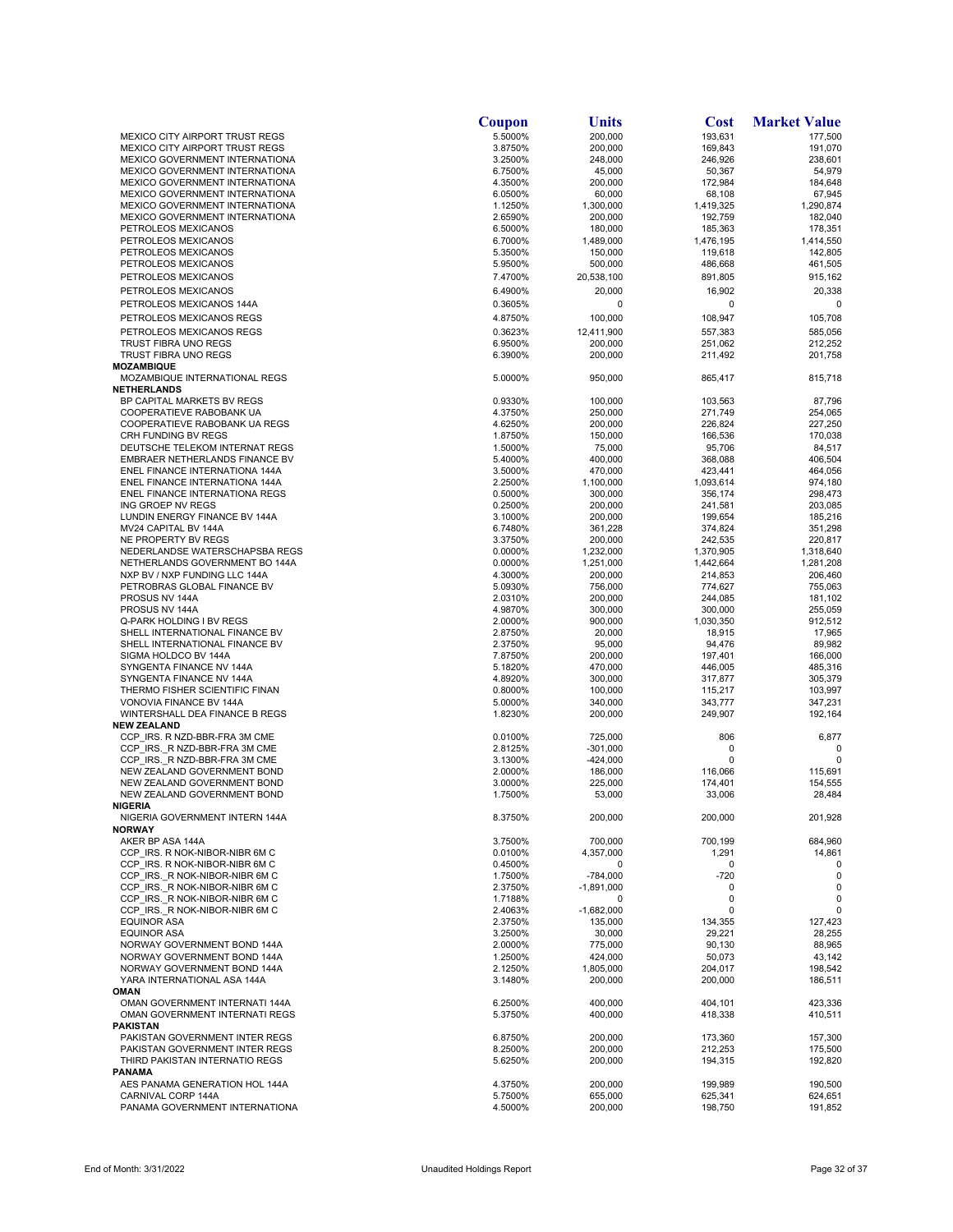|                                                                         | Coupon             | Units                 | <b>Cost</b>          | <b>Market Value</b>  |
|-------------------------------------------------------------------------|--------------------|-----------------------|----------------------|----------------------|
| MEXICO CITY AIRPORT TRUST REGS                                          | 5.5000%            | 200,000               | 193,631              | 177,500              |
| MEXICO CITY AIRPORT TRUST REGS<br>MEXICO GOVERNMENT INTERNATIONA        | 3.8750%<br>3.2500% | 200,000<br>248,000    | 169,843<br>246,926   | 191,070<br>238,601   |
| MEXICO GOVERNMENT INTERNATIONA                                          | 6.7500%            | 45,000                | 50,367               | 54,979               |
| MEXICO GOVERNMENT INTERNATIONA                                          | 4.3500%            | 200,000               | 172,984              | 184,648              |
| MEXICO GOVERNMENT INTERNATIONA                                          | 6.0500%            | 60,000                | 68,108               | 67,945               |
| MEXICO GOVERNMENT INTERNATIONA                                          | 1.1250%            | 1,300,000             | 1,419,325            | 1,290,874            |
| MEXICO GOVERNMENT INTERNATIONA                                          | 2.6590%<br>6.5000% | 200.000               | 192,759              | 182,040              |
| PETROLEOS MEXICANOS<br>PETROLEOS MEXICANOS                              | 6.7000%            | 180,000<br>1,489,000  | 185,363<br>1,476,195 | 178,351<br>1,414,550 |
| PETROLEOS MEXICANOS                                                     | 5.3500%            | 150,000               | 119,618              | 142,805              |
| PETROLEOS MEXICANOS                                                     | 5.9500%            | 500,000               | 486,668              | 461,505              |
| PETROLEOS MEXICANOS                                                     | 7.4700%            | 20,538,100            | 891,805              | 915,162              |
| PETROLEOS MEXICANOS                                                     | 6.4900%            | 20,000                | 16,902               | 20,338               |
| PETROLEOS MEXICANOS 144A                                                | 0.3605%            | 0                     | 0                    | $\Omega$             |
| PETROLEOS MEXICANOS REGS                                                | 4.8750%            | 100,000               | 108,947              | 105,708              |
| PETROLEOS MEXICANOS REGS                                                | 0.3623%            | 12,411,900            | 557,383              | 585,056              |
| TRUST FIBRA UNO REGS                                                    | 6.9500%            | 200,000               | 251,062              | 212,252              |
| TRUST FIBRA UNO REGS                                                    | 6.3900%            | 200,000               | 211,492              | 201,758              |
| MOZAMBIQUE<br>MOZAMBIQUE INTERNATIONAL REGS                             | 5.0000%            | 950,000               |                      | 815,718              |
| NETHERLANDS                                                             |                    |                       | 865,417              |                      |
| BP CAPITAL MARKETS BV REGS                                              | 0.9330%            | 100,000               | 103,563              | 87,796               |
| COOPERATIEVE RABOBANK UA                                                | 4.3750%            | 250,000               | 271,749              | 254,065              |
| COOPERATIEVE RABOBANK UA REGS                                           | 4.6250%            | 200,000               | 226,824              | 227,250              |
| CRH FUNDING BV REGS                                                     | 1.8750%            | 150,000               | 166,536              | 170,038              |
| DEUTSCHE TELEKOM INTERNAT REGS                                          | 1.5000%            | 75,000                | 95,706               | 84,517               |
| EMBRAER NETHERLANDS FINANCE BV                                          | 5.4000%            | 400,000               | 368,088              | 406,504              |
| ENEL FINANCE INTERNATIONA 144A<br><b>ENEL FINANCE INTERNATIONA 144A</b> | 3.5000%<br>2.2500% | 470,000<br>1,100,000  | 423,441<br>1,093,614 | 464,056<br>974,180   |
| ENEL FINANCE INTERNATIONA REGS                                          | 0.5000%            | 300,000               | 356,174              | 298,473              |
| ING GROEP NV REGS                                                       | 0.2500%            | 200,000               | 241,581              | 203,085              |
| LUNDIN ENERGY FINANCE BV 144A                                           | 3.1000%            | 200,000               | 199,654              | 185,216              |
| MV24 CAPITAL BV 144A                                                    | 6.7480%            | 361,228               | 374,824              | 351,298              |
| NE PROPERTY BV REGS                                                     | 3.3750%            | 200,000               | 242,535              | 220,817              |
| NEDERLANDSE WATERSCHAPSBA REGS                                          | 0.0000%            | 1,232,000             | 1,370,905            | 1,318,640            |
| NETHERLANDS GOVERNMENT BO 144A                                          | 0.0000%<br>4.3000% | 1,251,000             | 1,442,664            | 1,281,208            |
| NXP BV / NXP FUNDING LLC 144A<br>PETROBRAS GLOBAL FINANCE BV            | 5.0930%            | 200,000<br>756,000    | 214,853<br>774,627   | 206,460<br>755,063   |
| PROSUS NV 144A                                                          | 2.0310%            | 200,000               | 244,085              | 181,102              |
| PROSUS NV 144A                                                          | 4.9870%            | 300,000               | 300,000              | 255,059              |
| Q-PARK HOLDING I BV REGS                                                | 2.0000%            | 900,000               | 1,030,350            | 912,512              |
| SHELL INTERNATIONAL FINANCE BV                                          | 2.8750%            | 20,000                | 18,915               | 17,965               |
| SHELL INTERNATIONAL FINANCE BV                                          | 2.3750%            | 95,000                | 94,476               | 89,982               |
| SIGMA HOLDCO BV 144A                                                    | 7.8750%            | 200,000               | 197,401              | 166,000              |
| SYNGENTA FINANCE NV 144A<br>SYNGENTA FINANCE NV 144A                    | 5.1820%<br>4.8920% | 470,000<br>300,000    | 446,005<br>317,877   | 485,316<br>305,379   |
| THERMO FISHER SCIENTIFIC FINAN                                          | 0.8000%            | 100,000               | 115,217              | 103,997              |
| VONOVIA FINANCE BV 144A                                                 | 5.0000%            | 340,000               | 343,777              | 347,231              |
| WINTERSHALL DEA FINANCE B REGS                                          | 1.8230%            | 200,000               | 249,907              | 192,164              |
| <b>NEW ZEALAND</b>                                                      |                    |                       |                      |                      |
| CCP IRS. R NZD-BBR-FRA 3M CME                                           | 0.0100%            | 725,000               | 806                  | 6,877                |
| CCP IRS. R NZD-BBR-FRA 3M CME                                           | 2.8125%            | $-301,000$            | 0                    | 0<br>$\Omega$        |
| CCP IRS. R NZD-BBR-FRA 3M CME<br>NEW ZEALAND GOVERNMENT BOND            | 3.1300%<br>2.0000% | $-424,000$<br>186,000 | 0<br>116,066         | 115,691              |
| NEW ZEALAND GOVERNMENT BOND                                             | 3.0000%            | 225,000               | 174,401              | 154,555              |
| NEW ZEALAND GOVERNMENT BOND                                             | 1.7500%            | 53,000                | 33,006               | 28,484               |
| NIGERIA                                                                 |                    |                       |                      |                      |
| NIGERIA GOVERNMENT INTERN 144A                                          | 8.3750%            | 200,000               | 200,000              | 201,928              |
| <b>NORWAY</b>                                                           |                    |                       |                      |                      |
| AKER BP ASA 144A                                                        | 3.7500%            | 700,000               | 700,199              | 684,960              |
| CCP IRS. R NOK-NIBOR-NIBR 6M C<br>CCP IRS. R NOK-NIBOR-NIBR 6M C        | 0.0100%<br>0.4500% | 4,357,000<br>0        | 1,291<br>0           | 14,861<br>0          |
| CCP IRS. R NOK-NIBOR-NIBR 6M C                                          | 1.7500%            | -784,000              | $-720$               | 0                    |
| CCP IRS. R NOK-NIBOR-NIBR 6M C                                          | 2.3750%            | $-1,891,000$          | 0                    | 0                    |
| CCP IRS. R NOK-NIBOR-NIBR 6M C                                          | 1.7188%            | 0                     | 0                    | 0                    |
| CCP IRS. R NOK-NIBOR-NIBR 6M C                                          | 2.4063%            | $-1,682,000$          | 0                    | 0                    |
| <b>EQUINOR ASA</b>                                                      | 2.3750%            | 135,000               | 134,355              | 127,423              |
| EQUINOR ASA                                                             | 3.2500%            | 30,000                | 29,221               | 28,255               |
| NORWAY GOVERNMENT BOND 144A<br>NORWAY GOVERNMENT BOND 144A              | 2.0000%            | 775,000               | 90,130               | 88,965<br>43,142     |
| NORWAY GOVERNMENT BOND 144A                                             | 1.2500%<br>2.1250% | 424,000<br>1,805,000  | 50,073<br>204,017    | 198,542              |
| YARA INTERNATIONAL ASA 144A                                             | 3.1480%            | 200,000               | 200,000              | 186,511              |
| OMAN                                                                    |                    |                       |                      |                      |
| OMAN GOVERNMENT INTERNATI 144A                                          | 6.2500%            | 400,000               | 404,101              | 423,336              |
| OMAN GOVERNMENT INTERNATI REGS                                          | 5.3750%            | 400,000               | 418,338              | 410,511              |
| PAKISTAN                                                                |                    |                       |                      |                      |
| PAKISTAN GOVERNMENT INTER REGS<br>PAKISTAN GOVERNMENT INTER REGS        | 6.8750%            | 200,000               | 173,360              | 157,300              |
| THIRD PAKISTAN INTERNATIO REGS                                          | 8.2500%<br>5.6250% | 200,000<br>200,000    | 212,253<br>194,315   | 175,500<br>192,820   |
| PANAMA                                                                  |                    |                       |                      |                      |
| AES PANAMA GENERATION HOL 144A                                          | 4.3750%            | 200,000               | 199,989              | 190,500              |
| CARNIVAL CORP 144A                                                      | 5.7500%            | 655,000               | 625,341              | 624,651              |
| PANAMA GOVERNMENT INTERNATIONA                                          | 4.5000%            | 200,000               | 198,750              | 191,852              |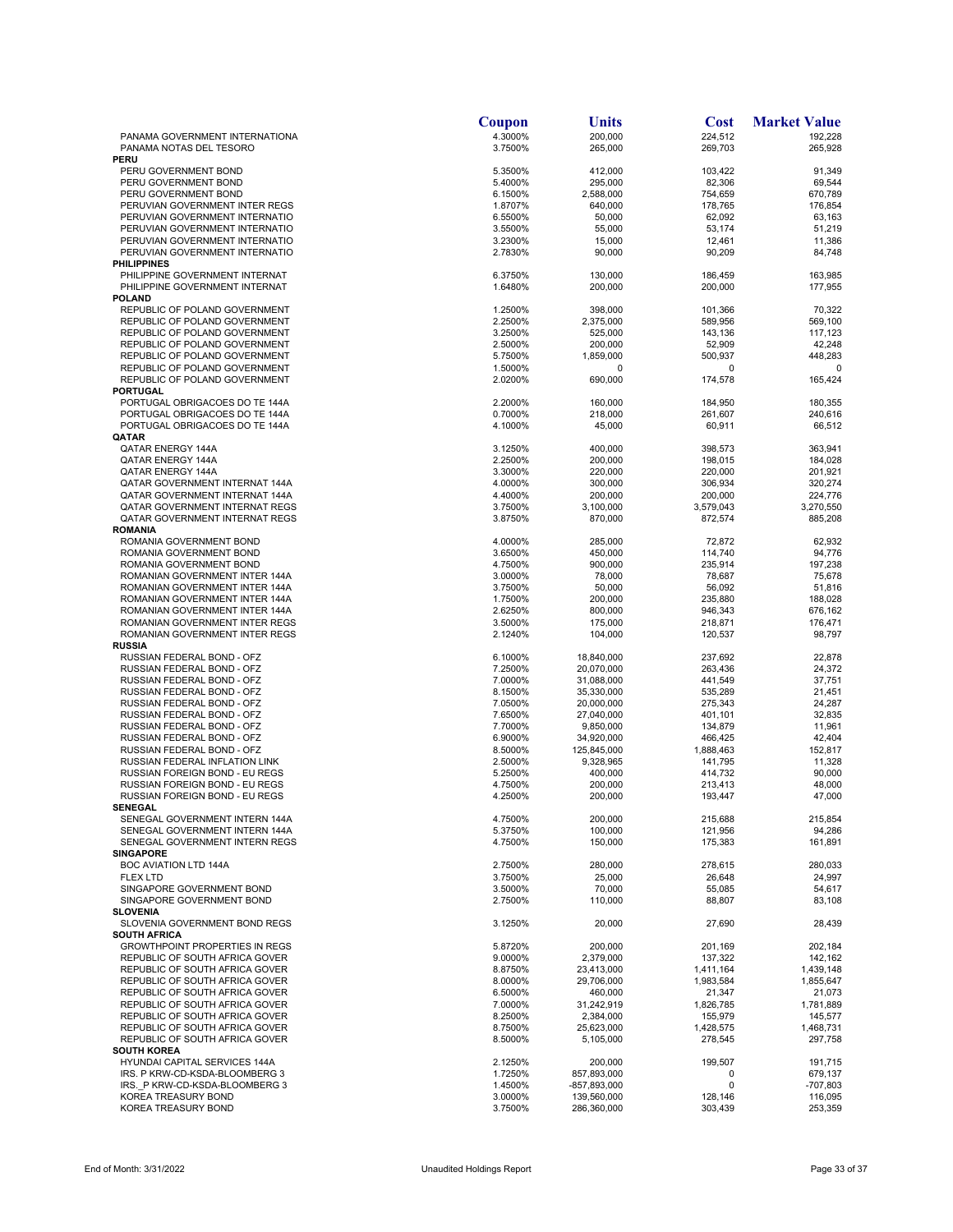|                                                                  | Coupon             | <b>Units</b>               | <b>Cost</b>          | <b>Market Value</b>  |
|------------------------------------------------------------------|--------------------|----------------------------|----------------------|----------------------|
| PANAMA GOVERNMENT INTERNATIONA<br>PANAMA NOTAS DEL TESORO        | 4.3000%<br>3.7500% | 200,000<br>265,000         | 224,512<br>269,703   | 192,228<br>265,928   |
| <b>PERU</b>                                                      |                    |                            |                      |                      |
| PERU GOVERNMENT BOND                                             | 5.3500%            | 412,000                    | 103,422              | 91,349               |
| PERU GOVERNMENT BOND                                             | 5.4000%            | 295,000                    | 82,306               | 69,544               |
| PERU GOVERNMENT BOND<br>PERUVIAN GOVERNMENT INTER REGS           | 6.1500%<br>1.8707% | 2,588,000<br>640,000       | 754,659<br>178,765   | 670,789<br>176,854   |
| PERUVIAN GOVERNMENT INTERNATIO                                   | 6.5500%            | 50,000                     | 62,092               | 63,163               |
| PERUVIAN GOVERNMENT INTERNATIO                                   | 3.5500%            | 55,000                     | 53,174               | 51,219               |
| PERUVIAN GOVERNMENT INTERNATIO                                   | 3.2300%            | 15,000                     | 12,461               | 11,386               |
| PERUVIAN GOVERNMENT INTERNATIO<br><b>PHILIPPINES</b>             | 2.7830%            | 90,000                     | 90,209               | 84,748               |
| PHILIPPINE GOVERNMENT INTERNAT                                   | 6.3750%            | 130,000                    | 186,459              | 163,985              |
| PHILIPPINE GOVERNMENT INTERNAT                                   | 1.6480%            | 200,000                    | 200,000              | 177,955              |
| <b>POLAND</b>                                                    |                    |                            |                      |                      |
| REPUBLIC OF POLAND GOVERNMENT<br>REPUBLIC OF POLAND GOVERNMENT   | 1.2500%<br>2.2500% | 398,000<br>2,375,000       | 101,366<br>589,956   | 70,322<br>569,100    |
| REPUBLIC OF POLAND GOVERNMENT                                    | 3.2500%            | 525,000                    | 143,136              | 117,123              |
| REPUBLIC OF POLAND GOVERNMENT                                    | 2.5000%            | 200,000                    | 52,909               | 42,248               |
| REPUBLIC OF POLAND GOVERNMENT                                    | 5.7500%            | 1,859,000                  | 500,937              | 448,283              |
| REPUBLIC OF POLAND GOVERNMENT<br>REPUBLIC OF POLAND GOVERNMENT   | 1.5000%<br>2.0200% | 0<br>690,000               | 0<br>174,578         | 0<br>165,424         |
| <b>PORTUGAL</b>                                                  |                    |                            |                      |                      |
| PORTUGAL OBRIGACOES DO TE 144A                                   | 2.2000%            | 160,000                    | 184,950              | 180,355              |
| PORTUGAL OBRIGACOES DO TE 144A                                   | 0.7000%            | 218,000                    | 261,607              | 240,616              |
| PORTUGAL OBRIGACOES DO TE 144A                                   | 4.1000%            | 45,000                     | 60,911               | 66,512               |
| QATAR<br>QATAR ENERGY 144A                                       | 3.1250%            | 400,000                    | 398,573              | 363,941              |
| QATAR ENERGY 144A                                                | 2.2500%            | 200,000                    | 198,015              | 184,028              |
| QATAR ENERGY 144A                                                | 3.3000%            | 220,000                    | 220,000              | 201,921              |
| QATAR GOVERNMENT INTERNAT 144A                                   | 4.0000%            | 300,000                    | 306,934              | 320,274              |
| QATAR GOVERNMENT INTERNAT 144A<br>QATAR GOVERNMENT INTERNAT REGS | 4.4000%<br>3.7500% | 200,000<br>3,100,000       | 200,000<br>3,579,043 | 224,776<br>3,270,550 |
| QATAR GOVERNMENT INTERNAT REGS                                   | 3.8750%            | 870,000                    | 872,574              | 885,208              |
| <b>ROMANIA</b>                                                   |                    |                            |                      |                      |
| ROMANIA GOVERNMENT BOND                                          | 4.0000%            | 285,000                    | 72,872               | 62,932               |
| ROMANIA GOVERNMENT BOND<br>ROMANIA GOVERNMENT BOND               | 3.6500%<br>4.7500% | 450,000                    | 114,740              | 94,776               |
| ROMANIAN GOVERNMENT INTER 144A                                   | 3.0000%            | 900,000<br>78,000          | 235,914<br>78,687    | 197,238<br>75,678    |
| ROMANIAN GOVERNMENT INTER 144A                                   | 3.7500%            | 50,000                     | 56,092               | 51,816               |
| ROMANIAN GOVERNMENT INTER 144A                                   | 1.7500%            | 200,000                    | 235,880              | 188,028              |
| ROMANIAN GOVERNMENT INTER 144A                                   | 2.6250%            | 800,000                    | 946,343              | 676,162              |
| ROMANIAN GOVERNMENT INTER REGS<br>ROMANIAN GOVERNMENT INTER REGS | 3.5000%<br>2.1240% | 175,000<br>104,000         | 218,871<br>120,537   | 176,471<br>98,797    |
| <b>RUSSIA</b>                                                    |                    |                            |                      |                      |
| RUSSIAN FEDERAL BOND - OFZ                                       | 6.1000%            | 18,840,000                 | 237,692              | 22,878               |
| RUSSIAN FEDERAL BOND - OFZ                                       | 7.2500%            | 20,070,000                 | 263,436              | 24,372               |
| RUSSIAN FEDERAL BOND - OFZ<br>RUSSIAN FEDERAL BOND - OFZ         | 7.0000%<br>8.1500% | 31,088,000<br>35,330,000   | 441,549<br>535,289   | 37,751<br>21,451     |
| RUSSIAN FEDERAL BOND - OFZ                                       | 7.0500%            | 20,000,000                 | 275,343              | 24,287               |
| RUSSIAN FEDERAL BOND - OFZ                                       | 7.6500%            | 27,040,000                 | 401,101              | 32,835               |
| RUSSIAN FEDERAL BOND - OFZ                                       | 7.7000%            | 9,850,000                  | 134,879              | 11,961               |
| RUSSIAN FEDERAL BOND - OFZ<br>RUSSIAN FEDERAL BOND - OFZ         | 6.9000%<br>8.5000% | 34,920,000<br>125,845,000  | 466,425<br>1,888,463 | 42,404<br>152,817    |
| RUSSIAN FEDERAL INFLATION LINK                                   | 2.5000%            | 9,328,965                  | 141,795              | 11,328               |
| RUSSIAN FOREIGN BOND - EU REGS                                   | 5.2500%            | 400,000                    | 414,732              | 90,000               |
| RUSSIAN FOREIGN BOND - EU REGS                                   | 4.7500%            | 200,000                    | 213,413              | 48,000               |
| RUSSIAN FOREIGN BOND - EU REGS<br><b>SENEGAL</b>                 | 4.2500%            | 200,000                    | 193,447              | 47,000               |
| SENEGAL GOVERNMENT INTERN 144A                                   | 4.7500%            | 200,000                    | 215,688              | 215,854              |
| SENEGAL GOVERNMENT INTERN 144A                                   | 5.3750%            | 100,000                    | 121,956              | 94,286               |
| SENEGAL GOVERNMENT INTERN REGS                                   | 4.7500%            | 150,000                    | 175,383              | 161,891              |
| <b>SINGAPORE</b>                                                 |                    | 280,000                    | 278.615              |                      |
| <b>BOC AVIATION LTD 144A</b><br><b>FLEX LTD</b>                  | 2.7500%<br>3.7500% | 25,000                     | 26,648               | 280,033<br>24,997    |
| SINGAPORE GOVERNMENT BOND                                        | 3.5000%            | 70,000                     | 55,085               | 54.617               |
| SINGAPORE GOVERNMENT BOND                                        | 2.7500%            | 110,000                    | 88,807               | 83,108               |
| <b>SLOVENIA</b>                                                  |                    |                            |                      |                      |
| SLOVENIA GOVERNMENT BOND REGS<br><b>SOUTH AFRICA</b>             | 3.1250%            | 20,000                     | 27,690               | 28,439               |
| <b>GROWTHPOINT PROPERTIES IN REGS</b>                            | 5.8720%            | 200,000                    | 201,169              | 202,184              |
| REPUBLIC OF SOUTH AFRICA GOVER                                   | 9.0000%            | 2,379,000                  | 137,322              | 142,162              |
| REPUBLIC OF SOUTH AFRICA GOVER                                   | 8.8750%            | 23,413,000                 | 1,411,164            | 1,439,148            |
| REPUBLIC OF SOUTH AFRICA GOVER<br>REPUBLIC OF SOUTH AFRICA GOVER | 8.0000%<br>6.5000% | 29,706,000<br>460,000      | 1,983,584<br>21,347  | 1,855,647<br>21,073  |
| REPUBLIC OF SOUTH AFRICA GOVER                                   | 7.0000%            | 31,242,919                 | 1,826,785            | 1,781,889            |
| REPUBLIC OF SOUTH AFRICA GOVER                                   | 8.2500%            | 2,384,000                  | 155,979              | 145,577              |
| REPUBLIC OF SOUTH AFRICA GOVER                                   | 8.7500%            | 25,623,000                 | 1,428,575            | 1,468,731            |
| REPUBLIC OF SOUTH AFRICA GOVER<br><b>SOUTH KOREA</b>             | 8.5000%            | 5,105,000                  | 278,545              | 297,758              |
| HYUNDAI CAPITAL SERVICES 144A                                    | 2.1250%            | 200,000                    | 199,507              | 191,715              |
| IRS. P KRW-CD-KSDA-BLOOMBERG 3                                   | 1.7250%            | 857,893,000                | 0                    | 679,137              |
| IRS. P KRW-CD-KSDA-BLOOMBERG 3                                   | 1.4500%            | -857,893,000               | 0                    | -707,803             |
| KOREA TREASURY BOND<br>KOREA TREASURY BOND                       | 3.0000%<br>3.7500% | 139,560,000<br>286,360,000 | 128,146<br>303,439   | 116,095<br>253,359   |
|                                                                  |                    |                            |                      |                      |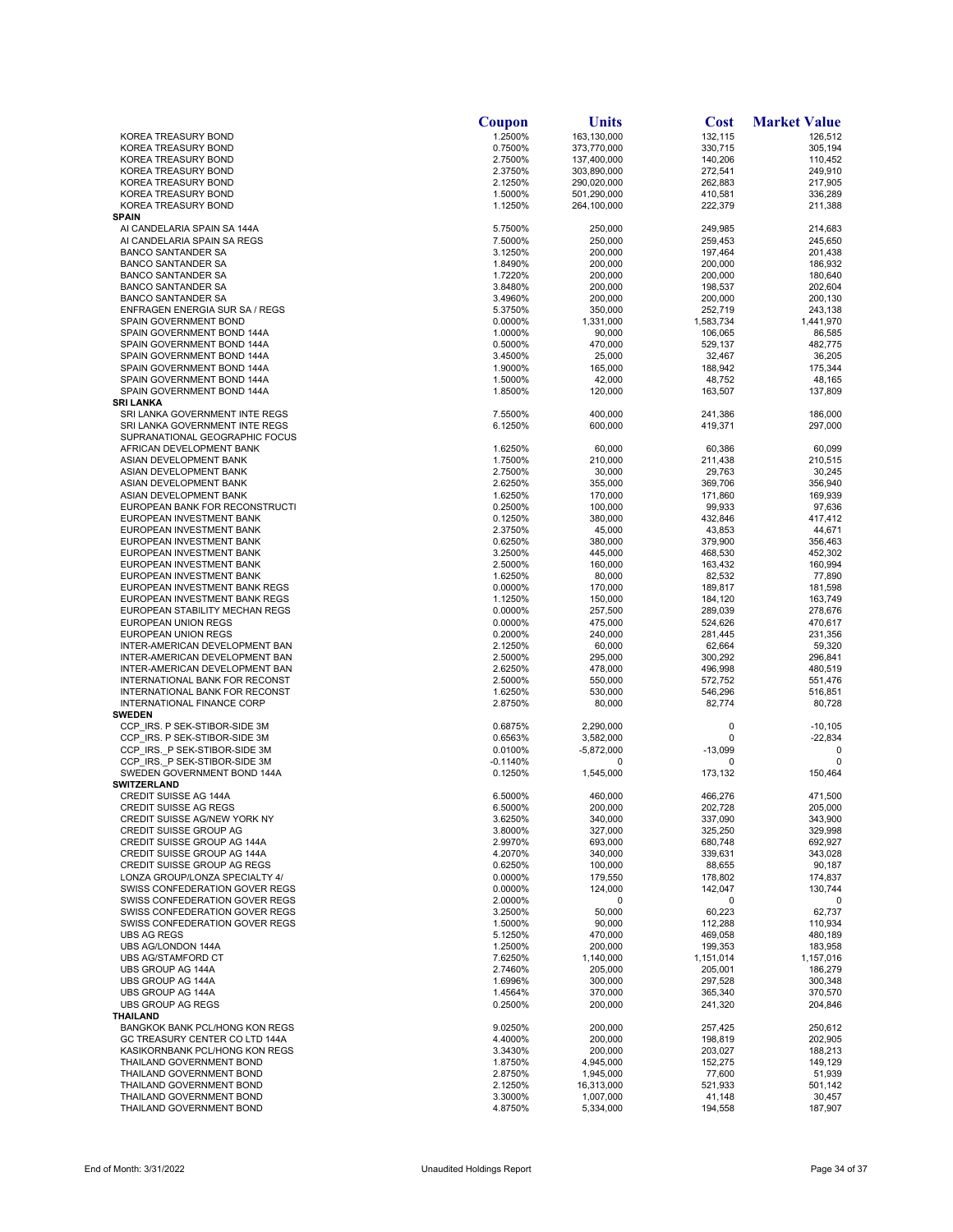|                                                                  | Coupon             | Units                  | <b>Cost</b>        | <b>Market Value</b> |
|------------------------------------------------------------------|--------------------|------------------------|--------------------|---------------------|
| KOREA TREASURY BOND                                              | 1.2500%            | 163,130,000            | 132,115            | 126,512             |
| KOREA TREASURY BOND                                              | 0.7500%            | 373,770,000            | 330,715            | 305,194             |
| KOREA TREASURY BOND                                              | 2.7500%            | 137,400,000            | 140,206            | 110,452             |
| KOREA TREASURY BOND                                              | 2.3750%            | 303,890,000            | 272,541            | 249,910             |
| KOREA TREASURY BOND                                              | 2.1250%            | 290,020,000            | 262,883            | 217,905             |
| KOREA TREASURY BOND                                              | 1.5000%            | 501,290,000            | 410,581            | 336,289             |
| KOREA TREASURY BOND                                              | 1.1250%            | 264,100,000            | 222,379            | 211,388             |
| <b>SPAIN</b>                                                     |                    |                        |                    |                     |
| AI CANDELARIA SPAIN SA 144A                                      | 5.7500%            | 250,000                | 249,985            | 214,683             |
| AI CANDELARIA SPAIN SA REGS                                      | 7.5000%            | 250,000                | 259,453            | 245,650             |
| <b>BANCO SANTANDER SA</b><br><b>BANCO SANTANDER SA</b>           | 3.1250%<br>1.8490% | 200,000<br>200,000     | 197,464<br>200,000 | 201,438<br>186,932  |
| <b>BANCO SANTANDER SA</b>                                        | 1.7220%            | 200,000                | 200,000            | 180,640             |
| <b>BANCO SANTANDER SA</b>                                        | 3.8480%            | 200,000                | 198.537            | 202,604             |
| <b>BANCO SANTANDER SA</b>                                        | 3.4960%            | 200,000                | 200,000            | 200,130             |
| ENFRAGEN ENERGIA SUR SA / REGS                                   | 5.3750%            | 350,000                | 252,719            | 243,138             |
| SPAIN GOVERNMENT BOND                                            | 0.0000%            | 1,331,000              | 1,583,734          | 1,441,970           |
| SPAIN GOVERNMENT BOND 144A                                       | 1.0000%            | 90,000                 | 106,065            | 86,585              |
| SPAIN GOVERNMENT BOND 144A                                       | 0.5000%            | 470,000                | 529,137            | 482,775             |
| SPAIN GOVERNMENT BOND 144A                                       | 3.4500%            | 25,000                 | 32,467             | 36,205              |
| SPAIN GOVERNMENT BOND 144A                                       | 1.9000%            | 165,000                | 188,942            | 175,344             |
| SPAIN GOVERNMENT BOND 144A                                       | 1.5000%            | 42,000                 | 48,752             | 48,165              |
| SPAIN GOVERNMENT BOND 144A                                       | 1.8500%            | 120,000                | 163,507            | 137,809             |
| <b>SRI LANKA</b>                                                 |                    |                        |                    |                     |
| SRI LANKA GOVERNMENT INTE REGS                                   | 7.5500%            | 400,000                | 241,386            | 186,000             |
| SRI LANKA GOVERNMENT INTE REGS                                   | 6.1250%            | 600,000                | 419,371            | 297,000             |
| SUPRANATIONAL GEOGRAPHIC FOCUS                                   |                    |                        |                    |                     |
| AFRICAN DEVELOPMENT BANK                                         | 1.6250%            | 60,000                 | 60,386             | 60,099              |
| ASIAN DEVELOPMENT BANK                                           | 1.7500%            | 210,000                | 211,438            | 210,515             |
| ASIAN DEVELOPMENT BANK                                           | 2.7500%            | 30,000                 | 29,763             | 30,245              |
| ASIAN DEVELOPMENT BANK                                           | 2.6250%            | 355,000                | 369,706            | 356,940             |
| ASIAN DEVELOPMENT BANK                                           | 1.6250%            | 170,000                | 171,860            | 169,939             |
| EUROPEAN BANK FOR RECONSTRUCTI                                   | 0.2500%            | 100.000                | 99,933             | 97,636              |
| EUROPEAN INVESTMENT BANK                                         | 0.1250%            | 380,000                | 432,846            | 417,412             |
| EUROPEAN INVESTMENT BANK                                         | 2.3750%            | 45,000                 | 43,853             | 44,671              |
| EUROPEAN INVESTMENT BANK                                         | 0.6250%            | 380,000                | 379,900            | 356,463             |
| EUROPEAN INVESTMENT BANK                                         | 3.2500%            | 445,000                | 468,530            | 452,302             |
| EUROPEAN INVESTMENT BANK                                         | 2.5000%            | 160,000                | 163,432            | 160,994             |
| EUROPEAN INVESTMENT BANK                                         | 1.6250%            | 80,000                 | 82,532             | 77,890              |
| EUROPEAN INVESTMENT BANK REGS                                    | 0.0000%            | 170,000                | 189,817            | 181,598             |
| EUROPEAN INVESTMENT BANK REGS                                    | 1.1250%            | 150,000                | 184,120            | 163,749             |
| EUROPEAN STABILITY MECHAN REGS                                   | 0.0000%            | 257,500                | 289,039            | 278,676             |
| EUROPEAN UNION REGS                                              | 0.0000%            | 475,000                | 524,626            | 470,617             |
| EUROPEAN UNION REGS                                              | 0.2000%            | 240,000                | 281,445            | 231,356             |
| INTER-AMERICAN DEVELOPMENT BAN                                   | 2.1250%            | 60,000                 | 62,664             | 59,320              |
| INTER-AMERICAN DEVELOPMENT BAN                                   | 2.5000%            | 295,000                | 300,292            | 296,841             |
| INTER-AMERICAN DEVELOPMENT BAN                                   | 2.6250%            | 478,000                | 496,998            | 480,519             |
| INTERNATIONAL BANK FOR RECONST<br>INTERNATIONAL BANK FOR RECONST | 2.5000%<br>1.6250% | 550,000<br>530,000     | 572,752<br>546,296 | 551,476<br>516,851  |
| INTERNATIONAL FINANCE CORP                                       | 2.8750%            | 80,000                 | 82,774             | 80,728              |
| <b>SWEDEN</b>                                                    |                    |                        |                    |                     |
| CCP IRS. P SEK-STIBOR-SIDE 3M                                    | 0.6875%            | 2,290,000              | 0                  | $-10, 105$          |
| CCP IRS. P SEK-STIBOR-SIDE 3M                                    | 0.6563%            | 3,582,000              | 0                  | $-22,834$           |
| CCP IRS. P SEK-STIBOR-SIDE 3M                                    | 0.0100%            | $-5,872,000$           | $-13,099$          | 0                   |
| CCP_IRS._P SEK-STIBOR-SIDE 3M                                    | -0.1140%           | 0                      | 0                  |                     |
| SWEDEN GOVERNMENT BOND 144A                                      | 0.1250%            | 1,545,000              | 173,132            | 150,464             |
| <b>SWITZERLAND</b>                                               |                    |                        |                    |                     |
| <b>CREDIT SUISSE AG 144A</b>                                     | 6.5000%            | 460.000                | 466,276            | 471,500             |
| <b>CREDIT SUISSE AG REGS</b>                                     | 6.5000%            | 200,000                | 202,728            | 205,000             |
| CREDIT SUISSE AG/NEW YORK NY                                     | 3.6250%            | 340,000                | 337,090            | 343,900             |
| CREDIT SUISSE GROUP AG                                           | 3.8000%            | 327,000                | 325,250            | 329,998             |
| CREDIT SUISSE GROUP AG 144A                                      | 2.9970%            | 693,000                | 680,748            | 692,927             |
| CREDIT SUISSE GROUP AG 144A                                      | 4.2070%            | 340,000                | 339,631            | 343,028             |
| <b>CREDIT SUISSE GROUP AG REGS</b>                               | 0.6250%            | 100,000                | 88,655             | 90,187              |
| LONZA GROUP/LONZA SPECIALTY 4/                                   | 0.0000%            | 179,550                | 178,802            | 174,837             |
| SWISS CONFEDERATION GOVER REGS                                   | 0.0000%            | 124,000                | 142,047            | 130,744             |
| SWISS CONFEDERATION GOVER REGS                                   | 2.0000%            | 0                      | 0                  | 0                   |
| SWISS CONFEDERATION GOVER REGS                                   | 3.2500%            | 50,000                 | 60,223             | 62,737              |
| SWISS CONFEDERATION GOVER REGS                                   | 1.5000%            | 90,000                 | 112,288            | 110,934             |
| <b>UBS AG REGS</b>                                               | 5.1250%            | 470,000                | 469,058            | 480,189             |
| UBS AG/LONDON 144A                                               | 1.2500%            | 200,000                | 199,353            | 183,958             |
| UBS AG/STAMFORD CT                                               | 7.6250%            | 1,140,000              | 1,151,014          | 1,157,016           |
| UBS GROUP AG 144A                                                | 2.7460%            | 205,000                | 205,001            | 186,279             |
| UBS GROUP AG 144A                                                | 1.6996%            | 300,000                | 297,528            | 300,348             |
| UBS GROUP AG 144A                                                | 1.4564%            | 370,000                | 365,340            | 370,570             |
| <b>UBS GROUP AG REGS</b>                                         | 0.2500%            | 200,000                | 241,320            | 204,846             |
| THAILAND                                                         |                    |                        |                    |                     |
| BANGKOK BANK PCL/HONG KON REGS                                   | 9.0250%            | 200,000                | 257,425            | 250,612             |
| GC TREASURY CENTER CO LTD 144A                                   | 4.4000%            | 200,000                | 198,819            | 202,905             |
| KASIKORNBANK PCL/HONG KON REGS                                   | 3.3430%            | 200,000                | 203,027            | 188,213             |
| THAILAND GOVERNMENT BOND                                         | 1.8750%            | 4,945,000              | 152,275            | 149,129             |
| THAILAND GOVERNMENT BOND                                         | 2.8750%            | 1,945,000              | 77,600             | 51,939              |
| THAILAND GOVERNMENT BOND                                         | 2.1250%            | 16,313,000             | 521,933            | 501,142             |
| THAILAND GOVERNMENT BOND<br>THAILAND GOVERNMENT BOND             | 3.3000%<br>4.8750% | 1,007,000<br>5,334,000 | 41,148<br>194,558  | 30,457<br>187,907   |
|                                                                  |                    |                        |                    |                     |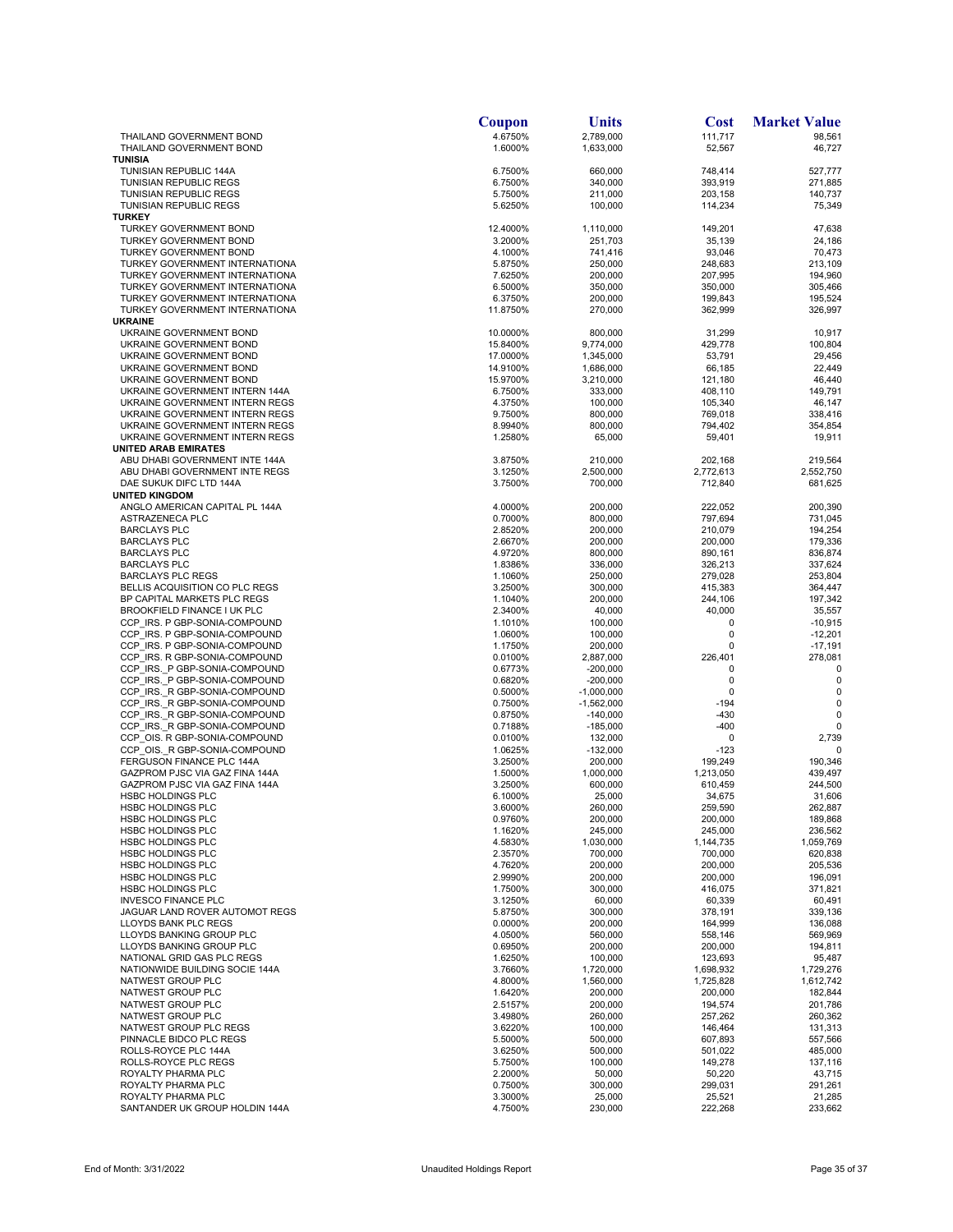|                                                                  | Coupon               | Units                    | <b>Cost</b>            | <b>Market Value</b>    |
|------------------------------------------------------------------|----------------------|--------------------------|------------------------|------------------------|
| THAILAND GOVERNMENT BOND                                         | 4.6750%              | 2,789,000                | 111,717                | 98,561                 |
| THAILAND GOVERNMENT BOND<br><b>TUNISIA</b>                       | 1.6000%              | 1,633,000                | 52,567                 | 46,727                 |
| TUNISIAN REPUBLIC 144A                                           | 6.7500%              | 660,000                  | 748,414                | 527,777                |
| TUNISIAN REPUBLIC REGS                                           | 6.7500%              | 340,000                  | 393,919                | 271,885                |
| TUNISIAN REPUBLIC REGS                                           | 5.7500%              | 211,000                  | 203,158                | 140,737                |
| TUNISIAN REPUBLIC REGS<br><b>TURKEY</b>                          | 5.6250%              | 100,000                  | 114,234                | 75,349                 |
| TURKEY GOVERNMENT BOND                                           | 12.4000%             | 1,110,000                | 149,201                | 47,638                 |
| TURKEY GOVERNMENT BOND                                           | 3.2000%              | 251,703                  | 35,139                 | 24,186                 |
| TURKEY GOVERNMENT BOND                                           | 4.1000%              | 741,416                  | 93,046                 | 70,473                 |
| TURKEY GOVERNMENT INTERNATIONA                                   | 5.8750%              | 250,000                  | 248,683                | 213,109                |
| TURKEY GOVERNMENT INTERNATIONA<br>TURKEY GOVERNMENT INTERNATIONA | 7.6250%<br>6.5000%   | 200,000<br>350,000       | 207,995<br>350,000     | 194,960<br>305,466     |
| TURKEY GOVERNMENT INTERNATIONA                                   | 6.3750%              | 200,000                  | 199,843                | 195,524                |
| TURKEY GOVERNMENT INTERNATIONA                                   | 11.8750%             | 270,000                  | 362,999                | 326,997                |
| <b>UKRAINE</b>                                                   |                      |                          |                        |                        |
| UKRAINE GOVERNMENT BOND<br>UKRAINE GOVERNMENT BOND               | 10.0000%<br>15.8400% | 800,000<br>9,774,000     | 31,299<br>429,778      | 10,917<br>100,804      |
| UKRAINE GOVERNMENT BOND                                          | 17.0000%             | 1,345,000                | 53,791                 | 29,456                 |
| UKRAINE GOVERNMENT BOND                                          | 14.9100%             | 1,686,000                | 66,185                 | 22,449                 |
| UKRAINE GOVERNMENT BOND                                          | 15.9700%             | 3,210,000                | 121,180                | 46,440                 |
| UKRAINE GOVERNMENT INTERN 144A<br>UKRAINE GOVERNMENT INTERN REGS | 6.7500%<br>4.3750%   | 333,000<br>100,000       | 408,110<br>105,340     | 149,791<br>46,147      |
| UKRAINE GOVERNMENT INTERN REGS                                   | 9.7500%              | 800,000                  | 769,018                | 338,416                |
| UKRAINE GOVERNMENT INTERN REGS                                   | 8.9940%              | 800,000                  | 794,402                | 354,854                |
| UKRAINE GOVERNMENT INTERN REGS                                   | 1.2580%              | 65,000                   | 59,401                 | 19,911                 |
| <b>UNITED ARAB EMIRATES</b>                                      |                      |                          |                        |                        |
| ABU DHABI GOVERNMENT INTE 144A<br>ABU DHABI GOVERNMENT INTE REGS | 3.8750%<br>3.1250%   | 210,000<br>2,500,000     | 202,168<br>2,772,613   | 219.564<br>2,552,750   |
| DAE SUKUK DIFC LTD 144A                                          | 3.7500%              | 700,000                  | 712,840                | 681,625                |
| <b>UNITED KINGDOM</b>                                            |                      |                          |                        |                        |
| ANGLO AMERICAN CAPITAL PL 144A                                   | 4.0000%              | 200,000                  | 222,052                | 200,390                |
| ASTRAZENECA PLC                                                  | 0.7000%              | 800,000                  | 797,694                | 731,045                |
| <b>BARCLAYS PLC</b><br><b>BARCLAYS PLC</b>                       | 2.8520%<br>2.6670%   | 200,000<br>200,000       | 210,079<br>200,000     | 194,254<br>179,336     |
| <b>BARCLAYS PLC</b>                                              | 4.9720%              | 800,000                  | 890,161                | 836.874                |
| <b>BARCLAYS PLC</b>                                              | 1.8386%              | 336,000                  | 326,213                | 337,624                |
| <b>BARCLAYS PLC REGS</b>                                         | 1.1060%              | 250,000                  | 279,028                | 253,804                |
| BELLIS ACQUISITION CO PLC REGS<br>BP CAPITAL MARKETS PLC REGS    | 3.2500%<br>1.1040%   | 300,000<br>200,000       | 415,383<br>244,106     | 364,447<br>197,342     |
| <b>BROOKFIELD FINANCE I UK PLC</b>                               | 2.3400%              | 40,000                   | 40,000                 | 35,557                 |
| CCP IRS. P GBP-SONIA-COMPOUND                                    | 1.1010%              | 100,000                  | 0                      | $-10,915$              |
| CCP IRS. P GBP-SONIA-COMPOUND                                    | 1.0600%              | 100,000                  | 0                      | $-12,201$              |
| CCP IRS. P GBP-SONIA-COMPOUND                                    | 1.1750%              | 200,000                  | 0                      | $-17,191$              |
| CCP IRS. R GBP-SONIA-COMPOUND<br>CCP IRS. P GBP-SONIA-COMPOUND   | 0.0100%<br>0.6773%   | 2,887,000<br>$-200,000$  | 226,401<br>0           | 278,081<br>$\mathbf 0$ |
| CCP IRS. P GBP-SONIA-COMPOUND                                    | 0.6820%              | $-200,000$               | 0                      | 0                      |
| CCP IRS. R GBP-SONIA-COMPOUND                                    | 0.5000%              | $-1,000,000$             | 0                      | $\mathbf 0$            |
| CCP IRS. R GBP-SONIA-COMPOUND                                    | 0.7500%              | $-1,562,000$             | $-194$                 | $\mathbf 0$            |
| CCP IRS. R GBP-SONIA-COMPOUND<br>CCP IRS. R GBP-SONIA-COMPOUND   | 0.8750%<br>0.7188%   | $-140,000$<br>$-185,000$ | $-430$<br>$-400$       | 0<br>$\Omega$          |
| CCP_OIS. R GBP-SONIA-COMPOUND                                    | 0.0100%              | 132,000                  | 0                      | 2,739                  |
| CCP_OIS._R GBP-SONIA-COMPOUND                                    | 1.0625%              | $-132,000$               | $-123$                 | 0                      |
| FERGUSON FINANCE PLC 144A                                        | 3.2500%              | 200,000                  | 199,249                | 190,346                |
| GAZPROM PJSC VIA GAZ FINA 144A<br>GAZPROM PJSC VIA GAZ FINA 144A | 1.5000%              | 1,000,000                | 1,213,050              | 439,497                |
| <b>HSBC HOLDINGS PLC</b>                                         | 3.2500%<br>6.1000%   | 600,000<br>25,000        | 610,459<br>34,675      | 244,500<br>31,606      |
| <b>HSBC HOLDINGS PLC</b>                                         | 3.6000%              | 260,000                  | 259,590                | 262,887                |
| <b>HSBC HOLDINGS PLC</b>                                         | 0.9760%              | 200,000                  | 200,000                | 189,868                |
| <b>HSBC HOLDINGS PLC</b>                                         | 1.1620%              | 245,000                  | 245,000                | 236,562                |
| <b>HSBC HOLDINGS PLC</b><br><b>HSBC HOLDINGS PLC</b>             | 4.5830%<br>2.3570%   | 1,030,000<br>700,000     | 1,144,735<br>700,000   | 1,059,769<br>620,838   |
| <b>HSBC HOLDINGS PLC</b>                                         | 4.7620%              | 200,000                  | 200,000                | 205,536                |
| <b>HSBC HOLDINGS PLC</b>                                         | 2.9990%              | 200,000                  | 200,000                | 196,091                |
| <b>HSBC HOLDINGS PLC</b>                                         | 1.7500%              | 300,000                  | 416,075                | 371,821                |
| <b>INVESCO FINANCE PLC</b><br>JAGUAR LAND ROVER AUTOMOT REGS     | 3.1250%<br>5.8750%   | 60,000<br>300,000        | 60,339<br>378,191      | 60,491<br>339,136      |
| <b>LLOYDS BANK PLC REGS</b>                                      | 0.0000%              | 200,000                  | 164,999                | 136,088                |
| LLOYDS BANKING GROUP PLC                                         | 4.0500%              | 560,000                  | 558,146                | 569,969                |
| LLOYDS BANKING GROUP PLC                                         | 0.6950%              | 200,000                  | 200,000                | 194,811                |
| NATIONAL GRID GAS PLC REGS                                       | 1.6250%              | 100,000                  | 123,693                | 95,487                 |
| NATIONWIDE BUILDING SOCIE 144A<br>NATWEST GROUP PLC              | 3.7660%<br>4.8000%   | 1,720,000<br>1,560,000   | 1,698,932<br>1,725,828 | 1,729,276<br>1,612,742 |
| NATWEST GROUP PLC                                                | 1.6420%              | 200,000                  | 200,000                | 182,844                |
| NATWEST GROUP PLC                                                | 2.5157%              | 200,000                  | 194,574                | 201,786                |
| NATWEST GROUP PLC                                                | 3.4980%              | 260,000                  | 257,262                | 260,362                |
| NATWEST GROUP PLC REGS<br>PINNACLE BIDCO PLC REGS                | 3.6220%<br>5.5000%   | 100,000<br>500,000       | 146,464<br>607,893     | 131,313<br>557,566     |
| ROLLS-ROYCE PLC 144A                                             | 3.6250%              | 500,000                  | 501,022                | 485,000                |
| ROLLS-ROYCE PLC REGS                                             | 5.7500%              | 100,000                  | 149,278                | 137,116                |
| ROYALTY PHARMA PLC                                               | 2.2000%              | 50,000                   | 50,220                 | 43,715                 |
| ROYALTY PHARMA PLC                                               | 0.7500%              | 300,000                  | 299,031                | 291,261                |
| ROYALTY PHARMA PLC<br>SANTANDER UK GROUP HOLDIN 144A             | 3.3000%<br>4.7500%   | 25,000<br>230,000        | 25,521<br>222,268      | 21,285<br>233,662      |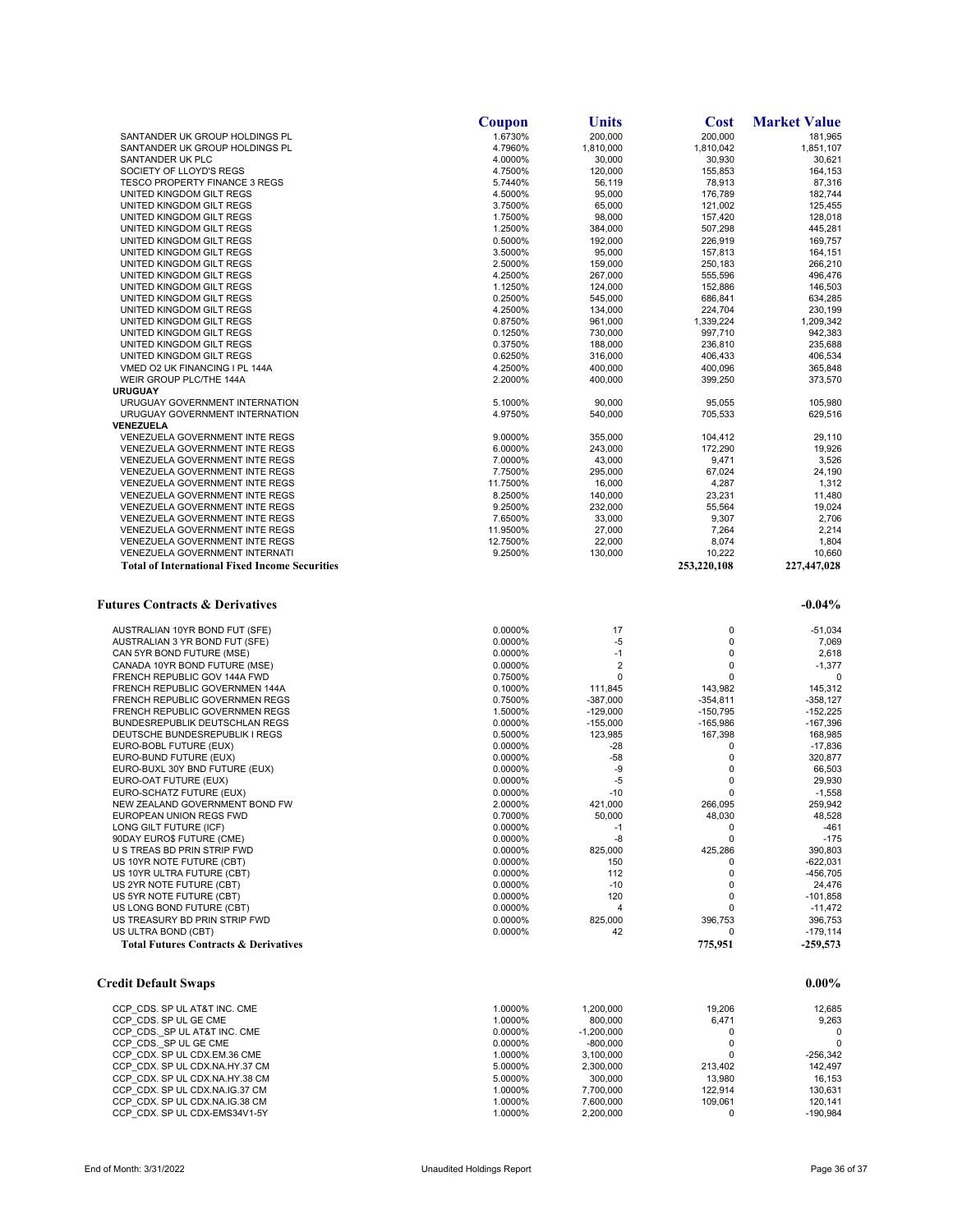|                                                                  | Coupon             | Units                    | <b>Cost</b>              | <b>Market Value</b>      |
|------------------------------------------------------------------|--------------------|--------------------------|--------------------------|--------------------------|
| SANTANDER UK GROUP HOLDINGS PL                                   | 1.6730%            | 200,000                  | 200,000                  | 181,965                  |
| SANTANDER UK GROUP HOLDINGS PL                                   | 4.7960%            | 1,810,000                | 1,810,042                | 1,851,107                |
| SANTANDER UK PLC                                                 | 4.0000%            | 30,000                   | 30,930                   | 30,621                   |
| SOCIETY OF LLOYD'S REGS                                          | 4.7500%            | 120,000                  | 155.853                  | 164,153                  |
| <b>TESCO PROPERTY FINANCE 3 REGS</b>                             | 5.7440%            | 56,119                   | 78,913                   | 87,316                   |
| UNITED KINGDOM GILT REGS                                         | 4.5000%            | 95,000                   | 176,789                  | 182,744                  |
| UNITED KINGDOM GILT REGS                                         | 3.7500%            | 65,000                   | 121,002                  | 125,455                  |
| UNITED KINGDOM GILT REGS                                         | 1.7500%            | 98,000                   | 157.420                  | 128,018                  |
| UNITED KINGDOM GILT REGS                                         | 1.2500%            | 384,000                  | 507,298                  | 445,281                  |
| UNITED KINGDOM GILT REGS                                         | 0.5000%            | 192,000                  | 226,919                  | 169,757                  |
| UNITED KINGDOM GILT REGS                                         | 3.5000%            | 95,000                   | 157,813                  | 164,151                  |
| UNITED KINGDOM GILT REGS                                         | 2.5000%            | 159,000                  | 250,183                  | 266,210                  |
| UNITED KINGDOM GILT REGS                                         | 4.2500%            | 267,000                  | 555,596                  | 496,476                  |
| UNITED KINGDOM GILT REGS                                         | 1.1250%            | 124.000                  | 152,886                  | 146,503                  |
| UNITED KINGDOM GILT REGS                                         | 0.2500%            | 545,000                  | 686,841                  | 634,285                  |
| UNITED KINGDOM GILT REGS                                         | 4.2500%            | 134,000                  | 224,704                  | 230,199                  |
| UNITED KINGDOM GILT REGS                                         | 0.8750%            | 961,000                  | 1,339,224                | 1,209,342                |
| UNITED KINGDOM GILT REGS                                         | 0.1250%            | 730,000                  | 997,710                  | 942,383                  |
| UNITED KINGDOM GILT REGS                                         | 0.3750%            | 188,000                  | 236,810                  | 235,688                  |
| UNITED KINGDOM GILT REGS                                         | 0.6250%            | 316,000                  | 406,433                  | 406,534                  |
| VMED O2 UK FINANCING I PL 144A                                   | 4.2500%            | 400,000                  | 400,096                  | 365,848                  |
| WEIR GROUP PLC/THE 144A                                          | 2.2000%            | 400,000                  | 399,250                  | 373,570                  |
| <b>URUGUAY</b>                                                   |                    |                          |                          |                          |
| URUGUAY GOVERNMENT INTERNATION                                   | 5.1000%            | 90,000                   | 95,055                   | 105,980                  |
|                                                                  | 4.9750%            | 540,000                  |                          | 629,516                  |
| URUGUAY GOVERNMENT INTERNATION                                   |                    |                          | 705,533                  |                          |
| VENEZUELA                                                        |                    |                          |                          |                          |
| VENEZUELA GOVERNMENT INTE REGS                                   | 9.0000%            | 355,000                  | 104,412                  | 29,110                   |
| VENEZUELA GOVERNMENT INTE REGS                                   | 6.0000%            | 243,000                  | 172,290                  | 19,926                   |
| <b>VENEZUELA GOVERNMENT INTE REGS</b>                            | 7.0000%            | 43,000                   | 9,471                    | 3,526                    |
| VENEZUELA GOVERNMENT INTE REGS                                   | 7.7500%            | 295.000                  | 67,024                   | 24,190                   |
| VENEZUELA GOVERNMENT INTE REGS                                   | 11.7500%           | 16,000                   | 4,287                    | 1,312                    |
| VENEZUELA GOVERNMENT INTE REGS                                   | 8.2500%            | 140,000                  | 23,231                   | 11,480                   |
| <b>VENEZUELA GOVERNMENT INTE REGS</b>                            | 9.2500%            | 232,000                  | 55,564                   | 19,024                   |
| VENEZUELA GOVERNMENT INTE REGS                                   | 7.6500%            | 33,000                   | 9,307                    | 2,706                    |
| VENEZUELA GOVERNMENT INTE REGS                                   | 11.9500%           | 27,000                   | 7,264                    | 2,214                    |
| VENEZUELA GOVERNMENT INTE REGS                                   | 12.7500%           | 22,000                   | 8,074                    | 1,804                    |
| VENEZUELA GOVERNMENT INTERNATI                                   | 9.2500%            | 130,000                  | 10,222                   | 10,660                   |
| <b>Total of International Fixed Income Securities</b>            |                    |                          | 253,220,108              | 227,447,028              |
| AUSTRALIAN 10YR BOND FUT (SFE)                                   | 0.0000%            | 17                       | 0                        | $-51,034$                |
| AUSTRALIAN 3 YR BOND FUT (SFE)                                   | 0.0000%            | -5                       | 0                        | 7,069                    |
| CAN 5YR BOND FUTURE (MSE)                                        | 0.0000%            | -1<br>$\overline{2}$     | 0                        | 2,618                    |
| CANADA 10YR BOND FUTURE (MSE)                                    | 0.0000%            |                          | 0<br>0                   | $-1,377$                 |
| FRENCH REPUBLIC GOV 144A FWD                                     | 0.7500%            | 0                        |                          | 0                        |
| FRENCH REPUBLIC GOVERNMEN 144A                                   | 0.1000%            | 111,845                  | 143,982                  | 145,312                  |
| FRENCH REPUBLIC GOVERNMEN REGS                                   | 0.7500%            | $-387,000$               | $-354,811$<br>$-150,795$ | -358,127                 |
| FRENCH REPUBLIC GOVERNMEN REGS<br>BUNDESREPUBLIK DEUTSCHLAN REGS | 1.5000%<br>0.0000% | $-129,000$<br>$-155,000$ | $-165,986$               | $-152,225$<br>$-167,396$ |
| DEUTSCHE BUNDESREPUBLIK I REGS                                   | 0.5000%            | 123,985                  | 167,398                  | 168,985                  |
| EURO-BOBL FUTURE (EUX)                                           | 0.0000%            | -28                      | 0                        | $-17,836$                |
| EURO-BUND FUTURE (EUX)                                           | 0.0000%            | -58                      | 0                        | 320,877                  |
| EURO-BUXL 30Y BND FUTURE (EUX)                                   | 0.0000%            | -9                       | 0                        | 66,503                   |
| EURO-OAT FUTURE (EUX)                                            | 0.0000%            | -5                       | 0                        | 29,930                   |
| EURO-SCHATZ FUTURE (EUX)                                         | 0.0000%            | $-10$                    | 0                        | $-1,558$                 |
| NEW ZEALAND GOVERNMENT BOND FW                                   | 2.0000%            | 421,000                  | 266,095                  | 259,942                  |
| EUROPEAN UNION REGS FWD                                          | 0.7000%            | 50,000                   | 48,030                   | 48,528                   |
| LONG GILT FUTURE (ICF)                                           | 0.0000%            | $-1$                     | 0                        | $-461$                   |
| 90DAY EURO\$ FUTURE (CME)                                        | 0.0000%            | -8                       | 0                        | $-175$                   |
| U S TREAS BD PRIN STRIP FWD                                      | 0.0000%            | 825,000                  | 425,286                  | 390,803                  |
| US 10YR NOTE FUTURE (CBT)                                        | 0.0000%            | 150                      | 0                        | $-622,031$               |
| US 10YR ULTRA FUTURE (CBT)                                       | 0.0000%            | 112                      | 0                        | -456,705                 |
| US 2YR NOTE FUTURE (CBT)                                         | 0.0000%            | $-10$                    | 0                        | 24,476                   |
| US 5YR NOTE FUTURE (CBT)                                         | 0.0000%            | 120                      | 0                        | $-101,858$               |
| US LONG BOND FUTURE (CBT)                                        | 0.0000%            | 4                        | 0                        | $-11,472$                |
| US TREASURY BD PRIN STRIP FWD                                    | 0.0000%            | 825,000                  | 396,753                  | 396,753                  |
| US ULTRA BOND (CBT)                                              | 0.0000%            | 42                       | 0                        | $-179, 114$              |
| <b>Total Futures Contracts &amp; Derivatives</b>                 |                    |                          | 775,951                  | -259,573                 |
|                                                                  |                    |                          |                          |                          |
|                                                                  |                    |                          |                          |                          |
| <b>Credit Default Swaps</b>                                      |                    |                          |                          | $0.00\%$                 |
| CCP_CDS. SP UL AT&T INC. CME                                     | 1.0000%            | 1,200,000                | 19,206                   | 12,685                   |
| CCP CDS. SP UL GE CME                                            | 1.0000%            | 800,000                  | 6,471                    | 9,263                    |
| CCP_CDS._SP UL AT&T INC. CME                                     | 0.0000%            | $-1,200,000$             | 0                        | 0                        |
| CCP_CDS._SP UL GE CME                                            | 0.0000%            | $-800,000$               | 0                        | 0                        |
| CCP_CDX. SP UL CDX.EM.36 CME                                     | 1.0000%            | 3,100,000                | 0                        | $-256,342$               |
| CCP CDX. SP UL CDX.NA.HY.37 CM                                   | 5.0000%            | 2,300,000                | 213,402                  | 142,497                  |
| CCP CDX. SP UL CDX.NA.HY.38 CM                                   | 5.0000%            | 300,000                  | 13,980                   | 16,153                   |
| CCP CDX. SP UL CDX.NA.IG.37 CM                                   | 1.0000%            | 7,700,000                | 122,914                  | 130,631                  |
| CCP CDX. SP UL CDX.NA.IG.38 CM                                   | 1.0000%            | 7,600,000                | 109,061                  | 120,141                  |
| CCP CDX. SP UL CDX-EMS34V1-5Y                                    | 1.0000%            | 2,200,000                | 0                        | $-190,984$               |